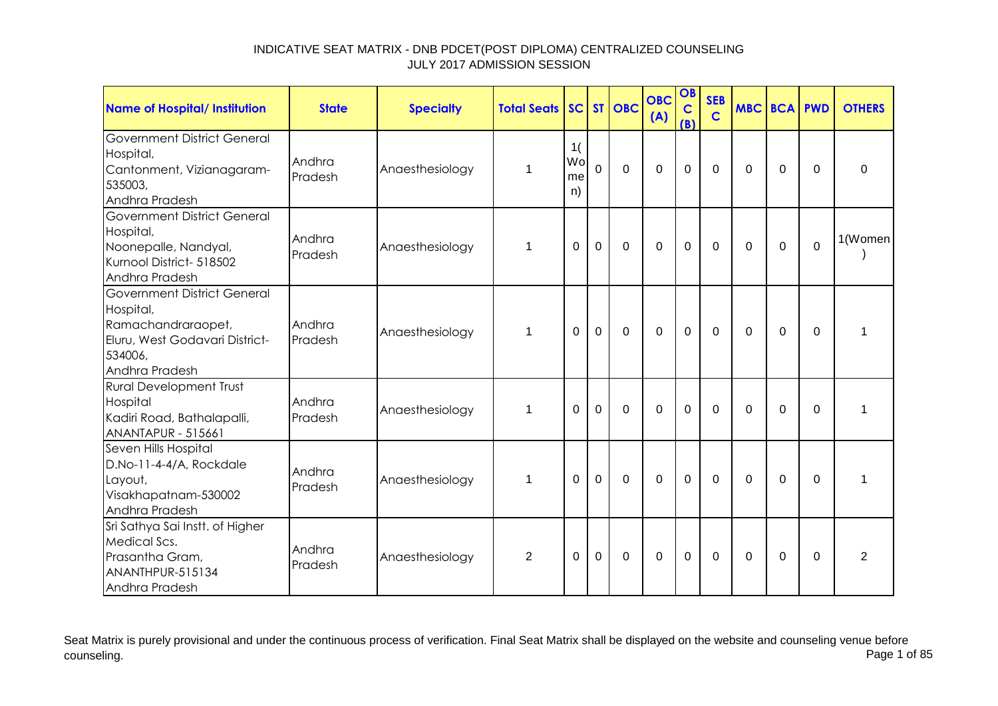| <b>Name of Hospital/ Institution</b>                                                                                                 | <b>State</b>      | <b>Specialty</b> | <b>Total Seats</b> |                      |                | SC ST OBC      | <b>OBC</b><br>(A) | OB<br>$\mathbf C$<br>(B) | <b>SEB</b><br>$\mathbf C$ | <b>MBC BCA PWD</b> |             |                | <b>OTHERS</b>  |
|--------------------------------------------------------------------------------------------------------------------------------------|-------------------|------------------|--------------------|----------------------|----------------|----------------|-------------------|--------------------------|---------------------------|--------------------|-------------|----------------|----------------|
| <b>Government District General</b><br>Hospital,<br>Cantonment, Vizianagaram-<br>535003,<br>Andhra Pradesh                            | Andhra<br>Pradesh | Anaesthesiology  | 1                  | 1(<br>Wo<br>me<br>n) | $\overline{0}$ | $\overline{0}$ | $\overline{0}$    | $\mathbf 0$              | $\mathbf{0}$              | 0                  | $\mathbf 0$ | $\Omega$       | $\Omega$       |
| <b>Government District General</b><br>Hospital,<br>Noonepalle, Nandyal,<br>Kurnool District- 518502<br>Andhra Pradesh                | Andhra<br>Pradesh | Anaesthesiology  | $\mathbf{1}$       | $\mathbf 0$          | $\mathbf 0$    | $\mathbf 0$    | $\overline{0}$    | $\overline{0}$           | $\mathbf 0$               | $\mathbf 0$        | $\mathbf 0$ | $\overline{0}$ | 1(Women        |
| <b>Government District General</b><br>Hospital,<br>Ramachandraraopet,<br>Eluru, West Godavari District-<br>534006,<br>Andhra Pradesh | Andhra<br>Pradesh | Anaesthesiology  | $\mathbf{1}$       | 0                    | $\mathbf 0$    | $\mathbf 0$    | $\Omega$          | $\mathbf 0$              | $\Omega$                  | $\mathbf 0$        | $\mathbf 0$ | $\Omega$       | 1              |
| <b>Rural Development Trust</b><br>Hospital<br>Kadiri Road, Bathalapalli,<br><b>ANANTAPUR - 515661</b>                                | Andhra<br>Pradesh | Anaesthesiology  | 1                  | $\Omega$             | $\mathbf 0$    | $\mathbf 0$    | $\Omega$          | $\mathbf 0$              | $\mathbf{0}$              | $\Omega$           | $\Omega$    | $\Omega$       | 1              |
| Seven Hills Hospital<br>D.No-11-4-4/A, Rockdale<br>Layout,<br>Visakhapatnam-530002<br>Andhra Pradesh                                 | Andhra<br>Pradesh | Anaesthesiology  | $\mathbf{1}$       | $\Omega$             | $\mathbf{0}$   | $\mathbf 0$    | $\overline{0}$    | $\mathbf 0$              | $\mathbf 0$               | $\Omega$           | $\mathbf 0$ | $\Omega$       | 1              |
| Sri Sathya Sai Instt. of Higher<br>Medical Scs.<br>Prasantha Gram,<br>ANANTHPUR-515134<br>Andhra Pradesh                             | Andhra<br>Pradesh | Anaesthesiology  | $\overline{2}$     | $\Omega$             | $\mathbf 0$    | 0              | $\Omega$          | $\mathbf 0$              | $\Omega$                  | $\Omega$           | 0           | $\Omega$       | $\overline{2}$ |

Seat Matrix is purely provisional and under the continuous process of verification. Final Seat Matrix shall be displayed on the website and counseling venue before<br>Page 1 of 85 counseling. Page 1 of 85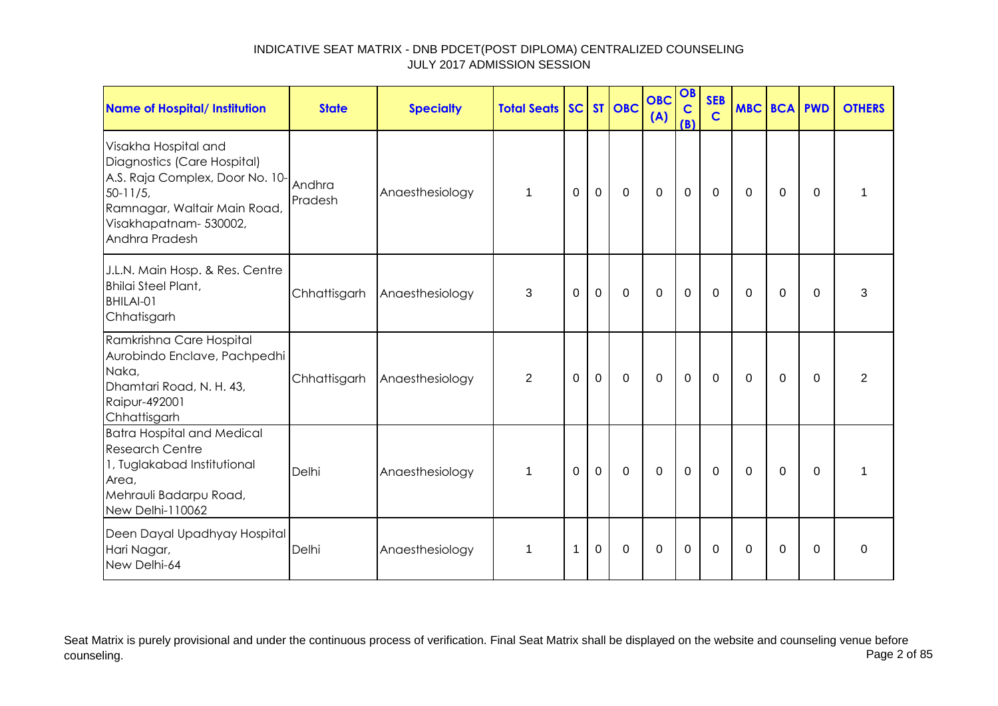| Name of Hospital/ Institution                                                                                                                                                    | <b>State</b>      | <b>Specialty</b> | <b>Total Seats SC ST OBC</b> |             |             |             | <b>OBC</b><br>(A) | OB<br>$\mathbf C$<br>(B) | <b>SEB</b><br>$\mathbf C$ | <b>MBC BCA PWD</b> |             |          | <b>OTHERS</b> |
|----------------------------------------------------------------------------------------------------------------------------------------------------------------------------------|-------------------|------------------|------------------------------|-------------|-------------|-------------|-------------------|--------------------------|---------------------------|--------------------|-------------|----------|---------------|
| Visakha Hospital and<br>Diagnostics (Care Hospital)<br>A.S. Raja Complex, Door No. 10-<br>$50 - 11/5$<br>Ramnagar, Waltair Main Road,<br>Visakhapatnam-530002,<br>Andhra Pradesh | Andhra<br>Pradesh | Anaesthesiology  | $\mathbf{1}$                 | $\mathbf 0$ | $\mathbf 0$ | $\mathbf 0$ | $\overline{0}$    | $\mathbf 0$              | $\mathbf 0$               | $\mathbf 0$        | $\mathbf 0$ | $\Omega$ | 1             |
| J.L.N. Main Hosp. & Res. Centre<br><b>Bhilai Steel Plant,</b><br>BHILAI-01<br>Chhatisgarh                                                                                        | Chhattisgarh      | Anaesthesiology  | 3                            | $\mathbf 0$ | $\mathbf 0$ | $\mathbf 0$ | $\mathbf 0$       | $\mathbf 0$              | $\mathbf 0$               | $\Omega$           | 0           | $\Omega$ | 3             |
| Ramkrishna Care Hospital<br>Aurobindo Enclave, Pachpedhi<br>Naka,<br>Dhamtari Road, N. H. 43,<br>Raipur-492001<br>Chhattisgarh                                                   | Chhattisgarh      | Anaesthesiology  | $\overline{2}$               | $\Omega$    | $\mathbf 0$ | $\mathbf 0$ | $\mathbf 0$       | $\mathbf 0$              | $\mathbf 0$               | $\Omega$           | $\mathbf 0$ | $\Omega$ | 2             |
| <b>Batra Hospital and Medical</b><br><b>Research Centre</b><br>1, Tuglakabad Institutional<br>Area,<br>Mehrauli Badarpu Road,<br>New Delhi-110062                                | Delhi             | Anaesthesiology  | 1                            | $\Omega$    | $\mathbf 0$ | $\mathbf 0$ | $\mathbf 0$       | $\mathbf 0$              | 0                         | $\Omega$           | $\Omega$    | $\Omega$ | 1             |
| Deen Dayal Upadhyay Hospital<br>Hari Nagar,<br>New Delhi-64                                                                                                                      | Delhi             | Anaesthesiology  | 1                            | 1           | $\mathbf 0$ | $\mathbf 0$ | $\Omega$          | $\mathbf 0$              | $\Omega$                  | $\Omega$           | $\Omega$    | $\Omega$ | $\Omega$      |

Seat Matrix is purely provisional and under the continuous process of verification. Final Seat Matrix shall be displayed on the website and counseling venue before<br>Page 2 of 85 counseling. Page 2 of 85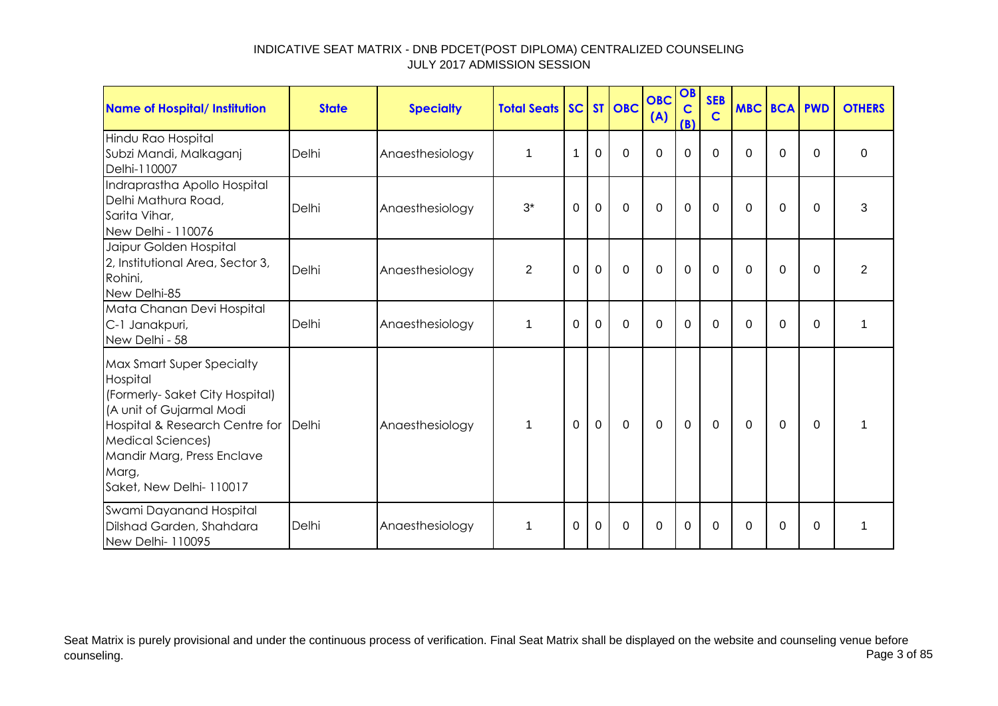| <b>Name of Hospital/ Institution</b>                                                                                                                                                                                                             | <b>State</b> | <b>Specialty</b> | <b>Total Seats SC ST OBC</b> |          |                |             | <b>OBC</b><br>(A) | OB<br>$\mathbf C$<br>(B) | <b>SEB</b><br>$\mathbf C$ | <b>MBC BCA PWD</b> |          |          | <b>OTHERS</b>  |
|--------------------------------------------------------------------------------------------------------------------------------------------------------------------------------------------------------------------------------------------------|--------------|------------------|------------------------------|----------|----------------|-------------|-------------------|--------------------------|---------------------------|--------------------|----------|----------|----------------|
| Hindu Rao Hospital<br>Subzi Mandi, Malkaganj<br>Delhi-110007                                                                                                                                                                                     | Delhi        | Anaesthesiology  | 1                            | 1        | $\Omega$       | $\Omega$    | $\Omega$          | $\Omega$                 | $\Omega$                  | $\Omega$           | $\Omega$ | $\Omega$ | $\Omega$       |
| Indraprastha Apollo Hospital<br>Delhi Mathura Road,<br>Sarita Vihar,<br>New Delhi - 110076                                                                                                                                                       | Delhi        | Anaesthesiology  | $3^*$                        | 0        | $\mathbf 0$    | $\mathbf 0$ | $\overline{0}$    | $\mathbf 0$              | $\mathbf 0$               | $\Omega$           | $\Omega$ | $\Omega$ | 3              |
| Jaipur Golden Hospital<br>2, Institutional Area, Sector 3,<br>Rohini,<br>New Delhi-85                                                                                                                                                            | Delhi        | Anaesthesiology  | $\overline{2}$               | 0        | $\mathbf 0$    | $\mathbf 0$ | $\mathbf 0$       | $\mathbf 0$              | $\mathbf 0$               | 0                  | 0        | $\Omega$ | $\overline{2}$ |
| Mata Chanan Devi Hospital<br>C-1 Janakpuri,<br>New Delhi - 58                                                                                                                                                                                    | Delhi        | Anaesthesiology  | 1                            | $\Omega$ | $\Omega$       | $\Omega$    | $\overline{0}$    | $\mathbf 0$              | $\Omega$                  | 0                  | $\Omega$ | $\Omega$ | 1              |
| <b>Max Smart Super Specialty</b><br>Hospital<br>(Formerly-Saket City Hospital)<br>(A unit of Gujarmal Modi<br>Hospital & Research Centre for Delhi<br><b>Medical Sciences)</b><br>Mandir Marg, Press Enclave<br>Marg,<br>Saket, New Delhi-110017 |              | Anaesthesiology  | $\mathbf 1$                  | $\Omega$ | $\overline{0}$ | $\Omega$    | $\overline{0}$    | $\mathbf 0$              | $\Omega$                  | $\Omega$           | $\Omega$ | $\Omega$ | 1              |
| Swami Dayanand Hospital<br>Dilshad Garden, Shahdara<br>New Delhi-110095                                                                                                                                                                          | Delhi        | Anaesthesiology  | 1                            | $\Omega$ | $\Omega$       | $\Omega$    | $\Omega$          | $\Omega$                 | $\Omega$                  | 0                  | $\Omega$ | $\Omega$ |                |

Seat Matrix is purely provisional and under the continuous process of verification. Final Seat Matrix shall be displayed on the website and counseling venue before<br>Page 3 of 85 counseling. Page 3 of 85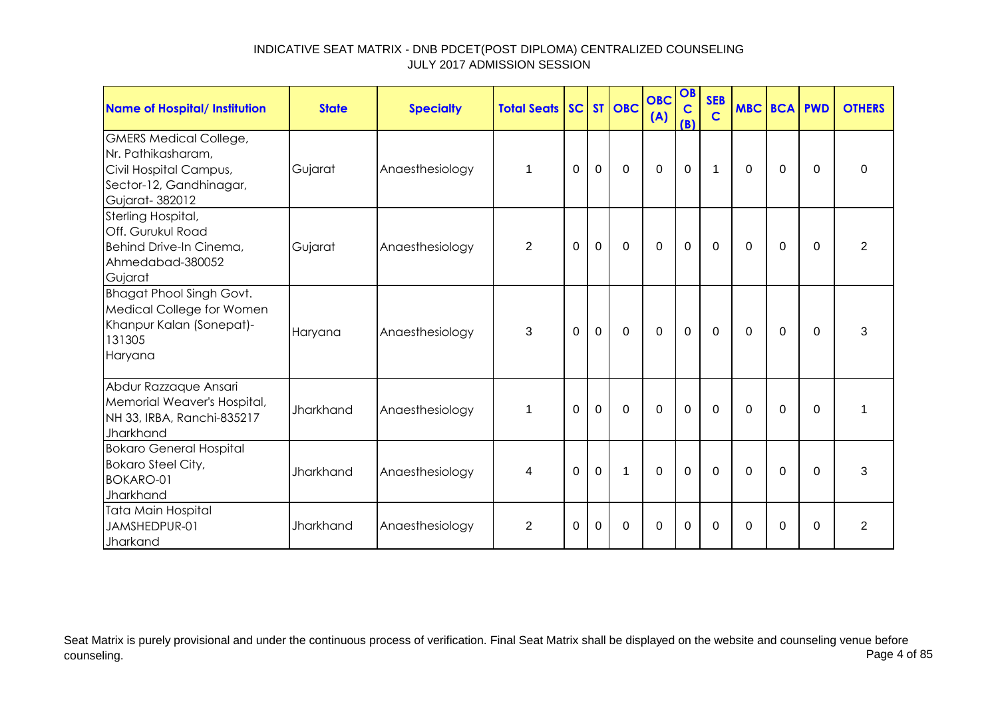| <b>Name of Hospital/ Institution</b>                                                                                       | <b>State</b>     | <b>Specialty</b> | <b>Total Seats SC ST OBC</b> |          |             |             | <b>OBC</b><br>(A) | OB<br>$\mathbf C$<br>(B) | <b>SEB</b><br>$\mathbf C$ | <b>MBC BCA PWD</b> |             |          | <b>OTHERS</b>  |
|----------------------------------------------------------------------------------------------------------------------------|------------------|------------------|------------------------------|----------|-------------|-------------|-------------------|--------------------------|---------------------------|--------------------|-------------|----------|----------------|
| <b>GMERS Medical College,</b><br>Nr. Pathikasharam,<br>Civil Hospital Campus,<br>Sector-12, Gandhinagar,<br>Gujarat-382012 | Gujarat          | Anaesthesiology  | $\mathbf 1$                  | 0        | $\mathbf 0$ | $\mathbf 0$ | $\mathbf 0$       | $\mathbf 0$              | $\mathbf 1$               | 0                  | 0           | $\Omega$ | 0              |
| Sterling Hospital,<br>Off. Gurukul Road<br>Behind Drive-In Cinema,<br>Ahmedabad-380052<br>Gujarat                          | Gujarat          | Anaesthesiology  | $\overline{2}$               | 0        | $\mathbf 0$ | $\mathbf 0$ | $\mathbf 0$       | $\pmb{0}$                | $\mathbf 0$               | 0                  | $\mathbf 0$ | $\Omega$ | $\overline{2}$ |
| <b>Bhagat Phool Singh Govt.</b><br>Medical College for Women<br>Khanpur Kalan (Sonepat)-<br>131305<br>Haryana              | Haryana          | Anaesthesiology  | 3                            | $\Omega$ | $\mathbf 0$ | $\mathbf 0$ | $\mathbf 0$       | $\mathbf 0$              | 0                         | $\Omega$           | $\Omega$    | $\Omega$ | 3              |
| Abdur Razzaque Ansari<br>Memorial Weaver's Hospital,<br>NH 33, IRBA, Ranchi-835217<br>Jharkhand                            | Jharkhand        | Anaesthesiology  | $\mathbf 1$                  | $\Omega$ | $\mathbf 0$ | $\Omega$    | $\overline{0}$    | $\mathbf 0$              | $\Omega$                  | $\Omega$           | $\mathbf 0$ | $\Omega$ | 1              |
| <b>Bokaro General Hospital</b><br><b>Bokaro Steel City,</b><br><b>BOKARO-01</b><br>Jharkhand                               | <b>Jharkhand</b> | Anaesthesiology  | 4                            | $\Omega$ | $\mathbf 0$ | $\mathbf 1$ | $\overline{0}$    | $\mathbf 0$              | $\mathbf 0$               | $\Omega$           | $\Omega$    | $\Omega$ | 3              |
| Tata Main Hospital<br>JAMSHEDPUR-01<br>Jharkand                                                                            | Jharkhand        | Anaesthesiology  | 2                            | $\Omega$ | $\Omega$    | $\Omega$    | $\Omega$          | $\mathbf 0$              | $\Omega$                  | $\Omega$           | $\Omega$    | $\Omega$ | $\overline{2}$ |

Seat Matrix is purely provisional and under the continuous process of verification. Final Seat Matrix shall be displayed on the website and counseling venue before<br>Page 4 of 85 counseling. Page 4 of 85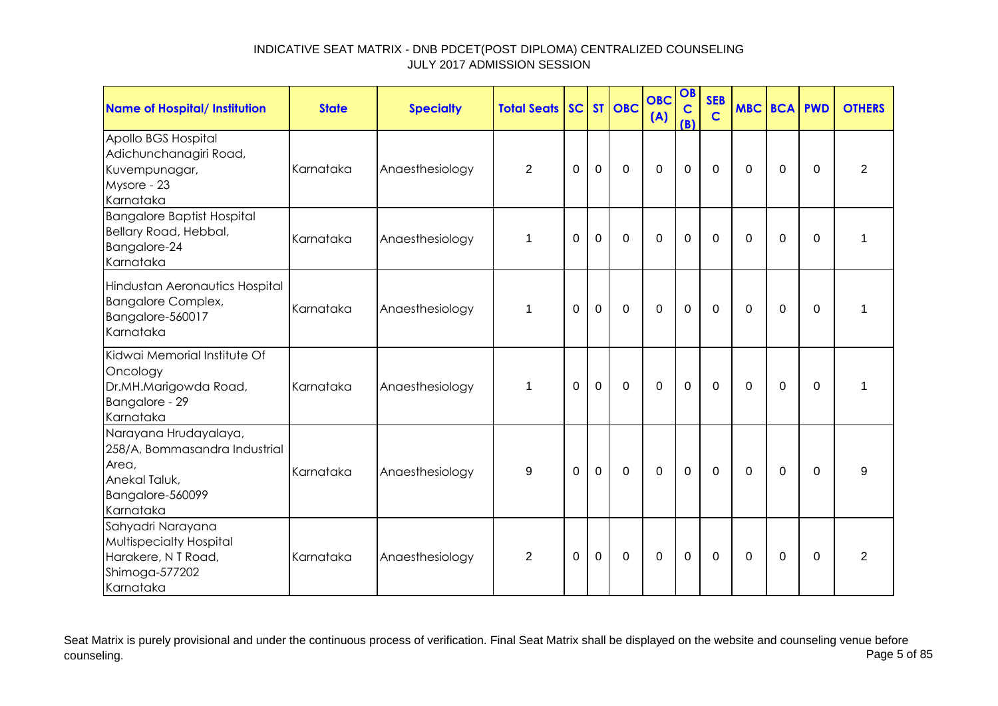| Name of Hospital/ Institution                                                                                     | <b>State</b> | <b>Specialty</b> | <b>Total Seats</b> |             |             | SC ST OBC    | <b>OBC</b><br>(A) | OB<br>$\mathbf C$<br>(B) | <b>SEB</b><br>$\mathbf C$ | <b>MBC BCA PWD</b> |             |          | <b>OTHERS</b>  |
|-------------------------------------------------------------------------------------------------------------------|--------------|------------------|--------------------|-------------|-------------|--------------|-------------------|--------------------------|---------------------------|--------------------|-------------|----------|----------------|
| Apollo BGS Hospital<br>Adichunchanagiri Road,<br>Kuvempunagar,<br>Mysore - 23<br>Karnataka                        | Karnataka    | Anaesthesiology  | $\overline{2}$     | $\mathbf 0$ | $\mathbf 0$ | $\mathbf 0$  | $\mathbf 0$       | $\mathbf 0$              | $\overline{0}$            | $\Omega$           | $\mathbf 0$ | 0        | $\overline{2}$ |
| <b>Bangalore Baptist Hospital</b><br>Bellary Road, Hebbal,<br>Bangalore-24<br>Karnataka                           | Karnataka    | Anaesthesiology  | $\mathbf 1$        | 0           | $\mathbf 0$ | $\mathbf 0$  | $\mathbf 0$       | $\mathbf 0$              | $\Omega$                  | $\Omega$           | 0           | 0        | 1              |
| Hindustan Aeronautics Hospital<br><b>Bangalore Complex,</b><br>Bangalore-560017<br>Karnataka                      | Karnataka    | Anaesthesiology  | 1                  | $\Omega$    | $\mathbf 0$ | $\mathbf 0$  | $\mathbf 0$       | $\mathbf 0$              | $\mathbf 0$               | $\Omega$           | 0           | $\Omega$ | 1              |
| Kidwai Memorial Institute Of<br>Oncology<br>Dr.MH.Marigowda Road,<br>Bangalore - 29<br>Karnataka                  | Karnataka    | Anaesthesiology  | $\mathbf 1$        | $\Omega$    | $\mathbf 0$ | $\mathbf 0$  | $\mathbf 0$       | $\mathbf 0$              | $\mathbf 0$               | $\Omega$           | $\Omega$    | $\Omega$ | 1              |
| Narayana Hrudayalaya,<br>258/A, Bommasandra Industrial<br>Area,<br>Anekal Taluk,<br>Bangalore-560099<br>Karnataka | Karnataka    | Anaesthesiology  | 9                  | $\Omega$    | $\Omega$    | $\mathbf{0}$ | $\mathbf 0$       | $\overline{0}$           | $\mathbf 0$               | $\Omega$           | $\mathbf 0$ | $\Omega$ | 9              |
| Sahyadri Narayana<br>Multispecialty Hospital<br>Harakere, N T Road,<br>Shimoga-577202<br>Karnataka                | Karnataka    | Anaesthesiology  | $\overline{2}$     | 0           | $\mathbf 0$ | $\mathbf 0$  | $\mathbf 0$       | $\mathbf 0$              | $\mathbf 0$               | $\Omega$           | 0           | 0        | $\overline{2}$ |

Seat Matrix is purely provisional and under the continuous process of verification. Final Seat Matrix shall be displayed on the website and counseling venue before<br>Page 5 of 85 counseling. Page 5 of 85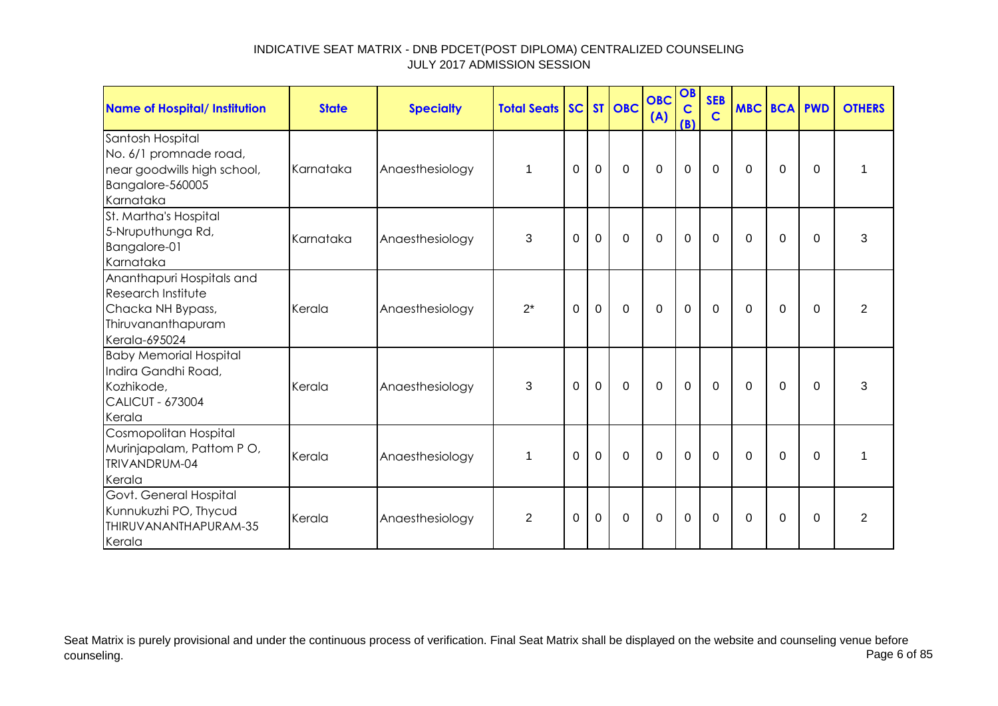| <b>Name of Hospital/ Institution</b>                                                                               | <b>State</b> | <b>Specialty</b> | <b>Total Seats SC ST OBC</b> |             |             |             | <b>OBC</b><br>(A) | OB<br>$\mathbf C$<br>(B) | <b>SEB</b><br>$\mathbf C$ | <b>MBC BCA PWD</b> |             |             | <b>OTHERS</b>  |
|--------------------------------------------------------------------------------------------------------------------|--------------|------------------|------------------------------|-------------|-------------|-------------|-------------------|--------------------------|---------------------------|--------------------|-------------|-------------|----------------|
| Santosh Hospital<br>No. 6/1 promnade road,<br>near goodwills high school,<br>Bangalore-560005<br>Karnataka         | Karnataka    | Anaesthesiology  | $\mathbf 1$                  | 0           | $\mathbf 0$ | $\mathbf 0$ | $\mathbf 0$       | $\pmb{0}$                | $\mathbf 0$               | 0                  | 0           | $\Omega$    |                |
| St. Martha's Hospital<br>5-Nruputhunga Rd,<br>Bangalore-01<br>Karnataka                                            | Karnataka    | Anaesthesiology  | 3                            | $\Omega$    | $\mathbf 0$ | $\Omega$    | $\Omega$          | $\overline{0}$           | $\Omega$                  | $\Omega$           | $\Omega$    | $\Omega$    | 3              |
| Ananthapuri Hospitals and<br><b>Research Institute</b><br>Chacka NH Bypass,<br>Thiruvananthapuram<br>Kerala-695024 | Kerala       | Anaesthesiology  | $2^*$                        | $\mathbf 0$ | $\mathbf 0$ | $\mathbf 0$ | $\mathbf 0$       | $\mathbf 0$              | $\mathbf 0$               | $\mathbf 0$        | $\mathbf 0$ | $\mathbf 0$ | $\overline{2}$ |
| <b>Baby Memorial Hospital</b><br>Indira Gandhi Road,<br>Kozhikode,<br><b>CALICUT - 673004</b><br>Kerala            | Kerala       | Anaesthesiology  | 3                            | 0           | $\mathbf 0$ | $\mathbf 0$ | $\overline{0}$    | $\mathbf 0$              | $\mathbf 0$               | $\mathbf 0$        | $\mathbf 0$ | $\Omega$    | 3              |
| Cosmopolitan Hospital<br>Murinjapalam, Pattom PO,<br>TRIVANDRUM-04<br>Kerala                                       | Kerala       | Anaesthesiology  | 1                            | $\Omega$    | $\mathbf 0$ | $\mathbf 0$ | $\overline{0}$    | $\mathbf 0$              | $\mathbf 0$               | $\Omega$           | $\Omega$    | $\Omega$    | 1              |
| Govt. General Hospital<br>Kunnukuzhi PO, Thycud<br>THIRUVANANTHAPURAM-35<br>Kerala                                 | Kerala       | Anaesthesiology  | $\overline{2}$               | 0           | 0           | 0           | 0                 | $\mathbf 0$              | 0                         | 0                  | 0           | $\Omega$    | 2              |

Seat Matrix is purely provisional and under the continuous process of verification. Final Seat Matrix shall be displayed on the website and counseling venue before<br>Page 6 of 85 counseling. Page 6 of 85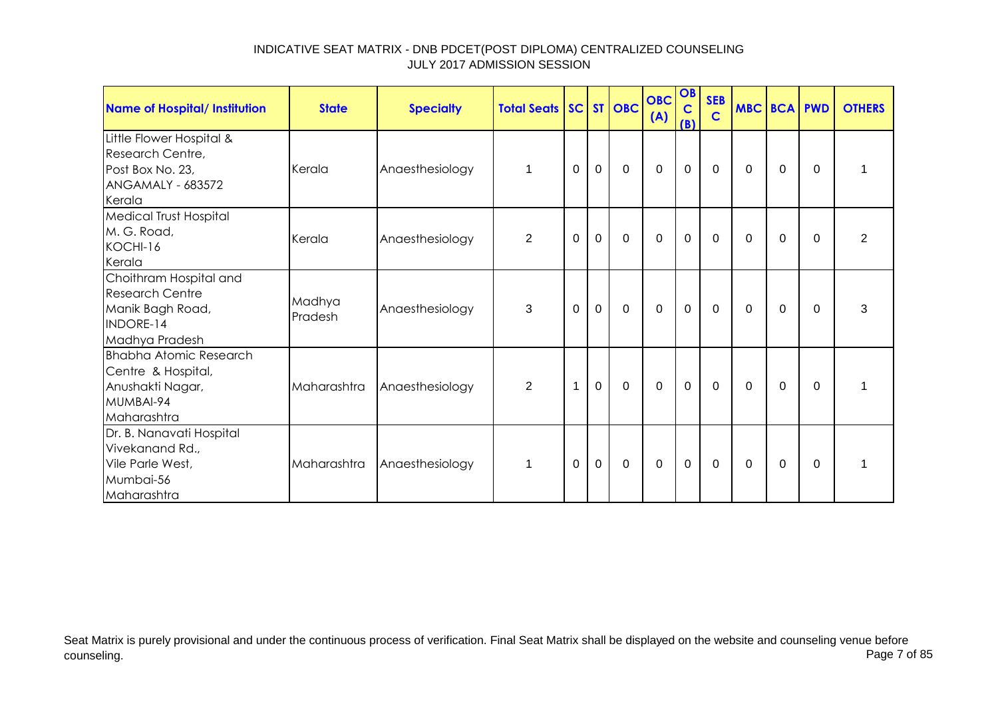| Name of Hospital/ Institution                                                                          | <b>State</b>      | <b>Specialty</b> | <b>Total Seats SC ST OBC</b> |              |             |             | <b>OBC</b><br>(A) | OB<br>$\overline{c}$<br>(B) | <b>SEB</b><br>$\mathbf C$ |              |             | <b>MBC BCA PWD</b> | <b>OTHERS</b>  |
|--------------------------------------------------------------------------------------------------------|-------------------|------------------|------------------------------|--------------|-------------|-------------|-------------------|-----------------------------|---------------------------|--------------|-------------|--------------------|----------------|
| Little Flower Hospital &<br>Research Centre,<br>Post Box No. 23,<br><b>ANGAMALY - 683572</b><br>Kerala | Kerala            | Anaesthesiology  | 1                            | $\Omega$     | $\mathbf 0$ | $\mathbf 0$ | $\overline{0}$    | $\mathbf 0$                 | $\mathbf 0$               | $\Omega$     | $\mathbf 0$ | $\Omega$           |                |
| <b>Medical Trust Hospital</b><br>M. G. Road,<br>KOCHI-16<br>Kerala                                     | Kerala            | Anaesthesiology  | 2                            | $\mathbf 0$  | $\mathbf 0$ | $\mathbf 0$ | $\mathbf 0$       | $\mathbf 0$                 | $\overline{0}$            | $\mathbf 0$  | $\mathbf 0$ | $\Omega$           | $\overline{2}$ |
| Choithram Hospital and<br><b>Research Centre</b><br>Manik Bagh Road,<br>INDORE-14<br>Madhya Pradesh    | Madhya<br>Pradesh | Anaesthesiology  | 3                            | $\mathbf 0$  | $\mathbf 0$ | $\mathbf 0$ | $\mathbf{0}$      | $\mathbf 0$                 | $\mathbf 0$               | $\mathbf{0}$ | $\mathbf 0$ | $\Omega$           | 3              |
| <b>Bhabha Atomic Research</b><br>Centre & Hospital,<br>Anushakti Nagar,<br>MUMBAI-94<br>Maharashtra    | Maharashtra       | Anaesthesiology  | $\overline{2}$               | $\mathbf{1}$ | $\mathbf 0$ | $\mathbf 0$ | $\mathbf 0$       | $\overline{0}$              | $\overline{0}$            | $\mathbf{0}$ | $\Omega$    | $\Omega$           |                |
| Dr. B. Nanavati Hospital<br>Vivekanand Rd.,<br>Vile Parle West,<br>Mumbai-56<br>Maharashtra            | Maharashtra       | Anaesthesiology  | $\mathbf{1}$                 | $\Omega$     | $\mathbf 0$ | $\mathbf 0$ | $\mathbf 0$       | $\mathbf 0$                 | $\mathbf 0$               | $\mathbf{0}$ | 0           | $\Omega$           | 1              |

Seat Matrix is purely provisional and under the continuous process of verification. Final Seat Matrix shall be displayed on the website and counseling venue before<br>Page 7 of 85 counseling. Page 7 of 85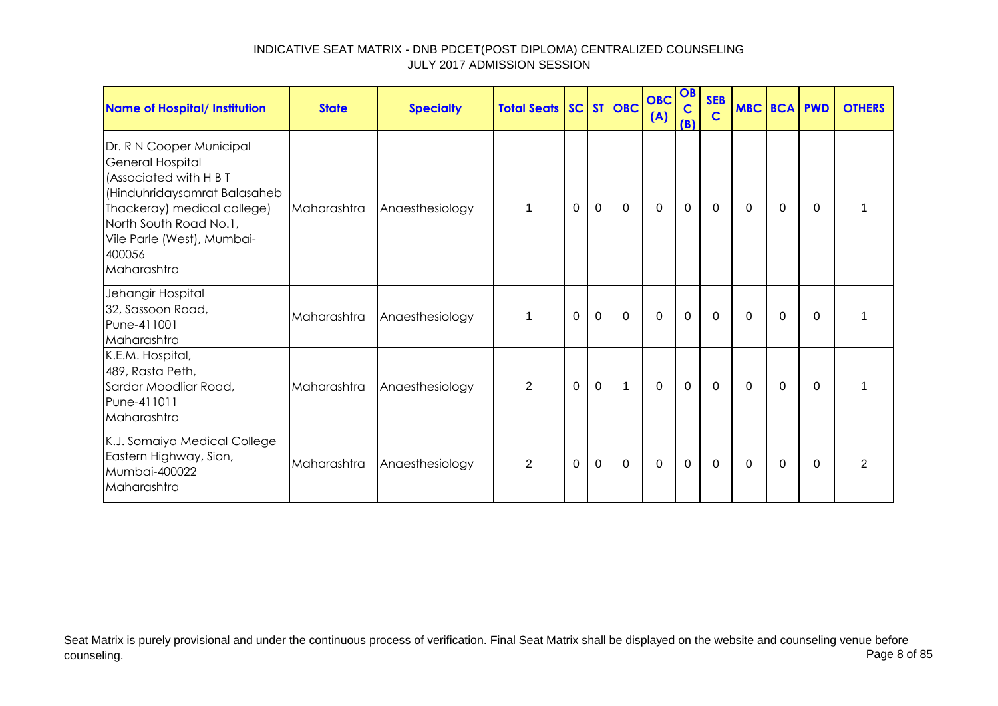| <b>Name of Hospital/ Institution</b>                                                                                                                                                                                   | <b>State</b> | <b>Specialty</b> | <b>Total Seats SC ST OBC</b> |              |                |              | <b>OBC</b><br>(A) | OB<br>$\overline{c}$<br>(B) | <b>SEB</b><br>$\mathbf C$ | MBC BCA PWD |          |          | <b>OTHERS</b>  |
|------------------------------------------------------------------------------------------------------------------------------------------------------------------------------------------------------------------------|--------------|------------------|------------------------------|--------------|----------------|--------------|-------------------|-----------------------------|---------------------------|-------------|----------|----------|----------------|
| Dr. R N Cooper Municipal<br>General Hospital<br>(Associated with H B T<br>(Hinduhridaysamrat Balasaheb<br>Thackeray) medical college)<br>North South Road No.1,<br>Vile Parle (West), Mumbai-<br>400056<br>Maharashtra | Maharashtra  | Anaesthesiology  | 1                            | $\mathbf{0}$ | $\overline{0}$ | $\mathbf 0$  | $\mathbf 0$       | $\mathbf 0$                 | $\mathbf 0$               | $\Omega$    | $\Omega$ | $\Omega$ | 1              |
| Jehangir Hospital<br>32, Sassoon Road,<br>Pune-411001<br>Maharashtra                                                                                                                                                   | Maharashtra  | Anaesthesiology  | 1                            | $\Omega$     | $\Omega$       | $\mathbf 0$  | $\Omega$          | $\mathbf 0$                 | $\Omega$                  | $\Omega$    | $\Omega$ | $\Omega$ |                |
| K.E.M. Hospital,<br>489, Rasta Peth,<br>Sardar Moodliar Road,<br>Pune-411011<br>Maharashtra                                                                                                                            | Maharashtra  | Anaesthesiology  | $\overline{2}$               | $\mathbf{0}$ | $\mathbf 0$    | $\mathbf{1}$ | $\mathbf 0$       | $\mathbf 0$                 | $\overline{0}$            | $\Omega$    | $\Omega$ | $\Omega$ |                |
| K.J. Somaiya Medical College<br>Eastern Highway, Sion,<br>Mumbai-400022<br>Maharashtra                                                                                                                                 | Maharashtra  | Anaesthesiology  | 2                            | $\mathbf{0}$ | $\mathbf{0}$   | $\mathbf{0}$ | $\Omega$          | $\mathbf 0$                 | $\Omega$                  | $\Omega$    | $\Omega$ | $\Omega$ | $\overline{2}$ |

Seat Matrix is purely provisional and under the continuous process of verification. Final Seat Matrix shall be displayed on the website and counseling venue before<br>Page 8 of 85 counseling. Page 8 of 85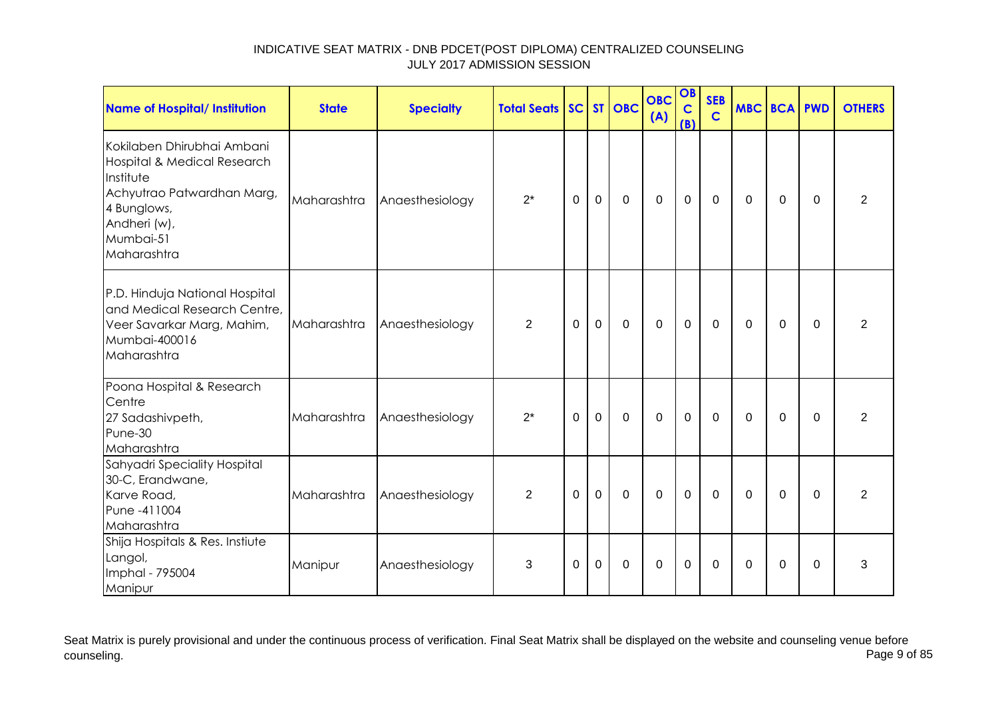| Name of Hospital/ Institution                                                                                                                                   | <b>State</b> | <b>Specialty</b> | <b>Total Seats</b> |          |                | SC ST OBC      | <b>OBC</b><br>(A) | OB<br>$\mathbf C$<br>(B) | <b>SEB</b><br>$\mathbf C$ | <b>MBC BCA PWD</b> |             |             | <b>OTHERS</b>  |
|-----------------------------------------------------------------------------------------------------------------------------------------------------------------|--------------|------------------|--------------------|----------|----------------|----------------|-------------------|--------------------------|---------------------------|--------------------|-------------|-------------|----------------|
| Kokilaben Dhirubhai Ambani<br>Hospital & Medical Research<br>Institute<br>Achyutrao Patwardhan Marg,<br>4 Bunglows,<br>Andheri (w),<br>Mumbai-51<br>Maharashtra | Maharashtra  | Anaesthesiology  | $2^*$              | $\Omega$ | $\mathbf 0$    | $\mathbf 0$    | $\mathbf 0$       | $\mathbf 0$              | $\Omega$                  | $\Omega$           | 0           | $\Omega$    | $\overline{2}$ |
| P.D. Hinduja National Hospital<br>and Medical Research Centre,<br>Veer Savarkar Marg, Mahim,<br>Mumbai-400016<br>Maharashtra                                    | Maharashtra  | Anaesthesiology  | $\overline{2}$     | $\Omega$ | $\mathbf 0$    | $\mathbf 0$    | $\mathbf 0$       | $\mathbf 0$              | $\mathbf 0$               | $\Omega$           | $\mathbf 0$ | $\mathbf 0$ | $\overline{2}$ |
| Poona Hospital & Research<br>Centre<br>27 Sadashivpeth,<br>Pune-30<br>Maharashtra                                                                               | Maharashtra  | Anaesthesiology  | $2^*$              | $\Omega$ | $\overline{0}$ | $\mathbf 0$    | $\mathbf 0$       | $\mathbf 0$              | $\mathbf 0$               | $\Omega$           | $\mathbf 0$ | $\mathbf 0$ | $\overline{2}$ |
| Sahyadri Speciality Hospital<br>30-C, Erandwane,<br>Karve Road,<br>Pune -411004<br>Maharashtra                                                                  | Maharashtra  | Anaesthesiology  | 2                  | $\Omega$ | $\overline{0}$ | $\mathbf 0$    | $\Omega$          | $\mathbf 0$              | $\Omega$                  | $\Omega$           | $\Omega$    | $\Omega$    | $\overline{2}$ |
| Shija Hospitals & Res. Instiute<br>Langol,<br>Imphal - 795004<br>Manipur                                                                                        | Manipur      | Anaesthesiology  | 3                  | $\Omega$ | 0              | $\overline{0}$ | $\Omega$          | $\mathbf 0$              | $\Omega$                  | $\Omega$           | $\Omega$    | $\Omega$    | 3              |

Seat Matrix is purely provisional and under the continuous process of verification. Final Seat Matrix shall be displayed on the website and counseling venue before<br>Page 9 of 85 counseling. Page 9 of 85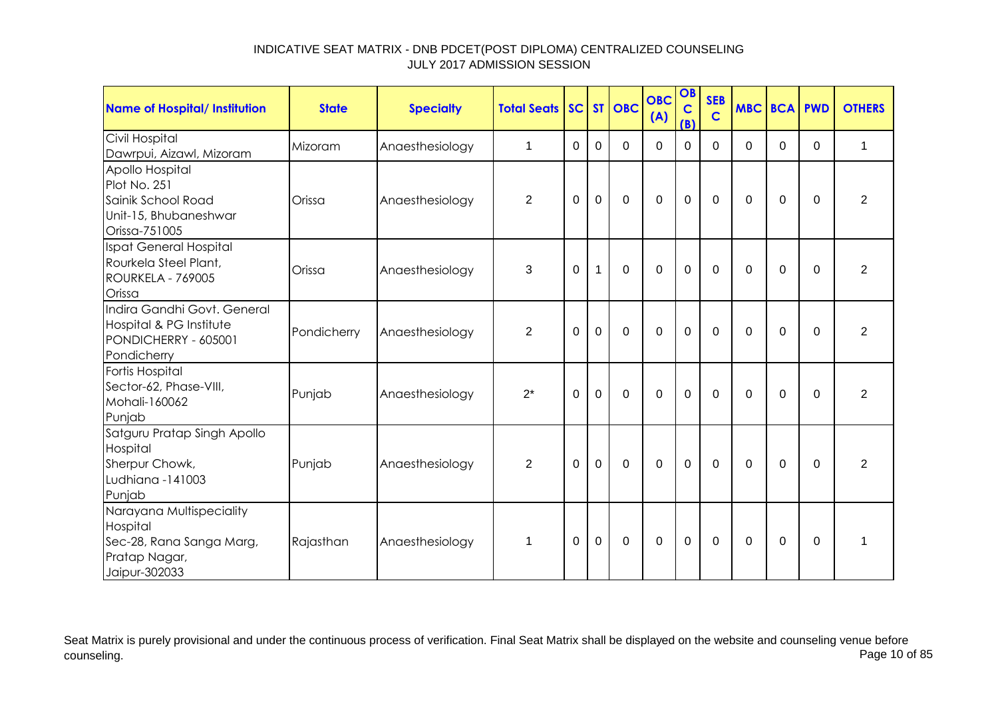| Name of Hospital/ Institution                                                                      | <b>State</b> | <b>Specialty</b> | <b>Total Seats</b> |                |                | SC ST OBC   | <b>OBC</b><br>(A) | OB<br>$\mathbf c$<br>(B) | <b>SEB</b><br>$\mathbf C$ | <b>MBC BCA PWD</b> |             |          | <b>OTHERS</b>  |
|----------------------------------------------------------------------------------------------------|--------------|------------------|--------------------|----------------|----------------|-------------|-------------------|--------------------------|---------------------------|--------------------|-------------|----------|----------------|
| Civil Hospital<br>Dawrpui, Aizawl, Mizoram                                                         | Mizoram      | Anaesthesiology  | $\mathbf 1$        | $\Omega$       | $\mathbf 0$    | $\Omega$    | $\Omega$          | $\Omega$                 | $\Omega$                  | $\Omega$           | 0           | $\Omega$ | $\mathbf{1}$   |
| Apollo Hospital<br>Plot No. 251<br>Sainik School Road<br>Unit-15, Bhubaneshwar<br>Orissa-751005    | Orissa       | Anaesthesiology  | $\overline{2}$     | 0              | $\mathbf 0$    | $\mathbf 0$ | $\mathbf 0$       | $\mathbf 0$              | $\mathbf 0$               | 0                  | 0           | $\Omega$ | $\overline{2}$ |
| Ispat General Hospital<br>Rourkela Steel Plant,<br>ROURKELA - 769005<br>Orissa                     | Orissa       | Anaesthesiology  | 3                  | $\overline{0}$ | $\mathbf{1}$   | $\mathbf 0$ | $\mathbf 0$       | $\mathbf 0$              | $\mathbf 0$               | $\Omega$           | $\Omega$    | $\Omega$ | $\overline{2}$ |
| Indira Gandhi Govt, General<br>Hospital & PG Institute<br>PONDICHERRY - 605001<br>Pondicherry      | Pondicherry  | Anaesthesiology  | $\overline{2}$     | $\Omega$       | $\mathbf 0$    | $\mathbf 0$ | $\mathbf 0$       | $\mathbf 0$              | $\mathbf 0$               | $\Omega$           | 0           | $\Omega$ | $\overline{2}$ |
| Fortis Hospital<br>Sector-62, Phase-VIII,<br>Mohali-160062<br>Punjab                               | Punjab       | Anaesthesiology  | $2^*$              | $\Omega$       | $\overline{0}$ | $\mathbf 0$ | $\mathbf 0$       | 0                        | $\mathbf 0$               | $\Omega$           | $\Omega$    | $\Omega$ | $\overline{2}$ |
| Satguru Pratap Singh Apollo<br>Hospital<br>Sherpur Chowk,<br>Ludhiana -141003<br>Punjab            | Punjab       | Anaesthesiology  | $\overline{2}$     | $\overline{0}$ | $\mathbf{0}$   | $\mathbf 0$ | $\overline{0}$    | $\mathbf 0$              | $\mathbf 0$               | $\Omega$           | $\mathbf 0$ | $\Omega$ | 2              |
| Narayana Multispeciality<br>Hospital<br>Sec-28, Rana Sanga Marg,<br>Pratap Nagar,<br>Jaipur-302033 | Rajasthan    | Anaesthesiology  | $\mathbf 1$        | 0              | $\Omega$       | $\Omega$    | $\mathbf 0$       | $\mathbf 0$              | $\Omega$                  | $\Omega$           | $\Omega$    | $\Omega$ | 1              |

Seat Matrix is purely provisional and under the continuous process of verification. Final Seat Matrix shall be displayed on the website and counseling venue before<br>Page 10 of 85 counseling. Page 10 of 85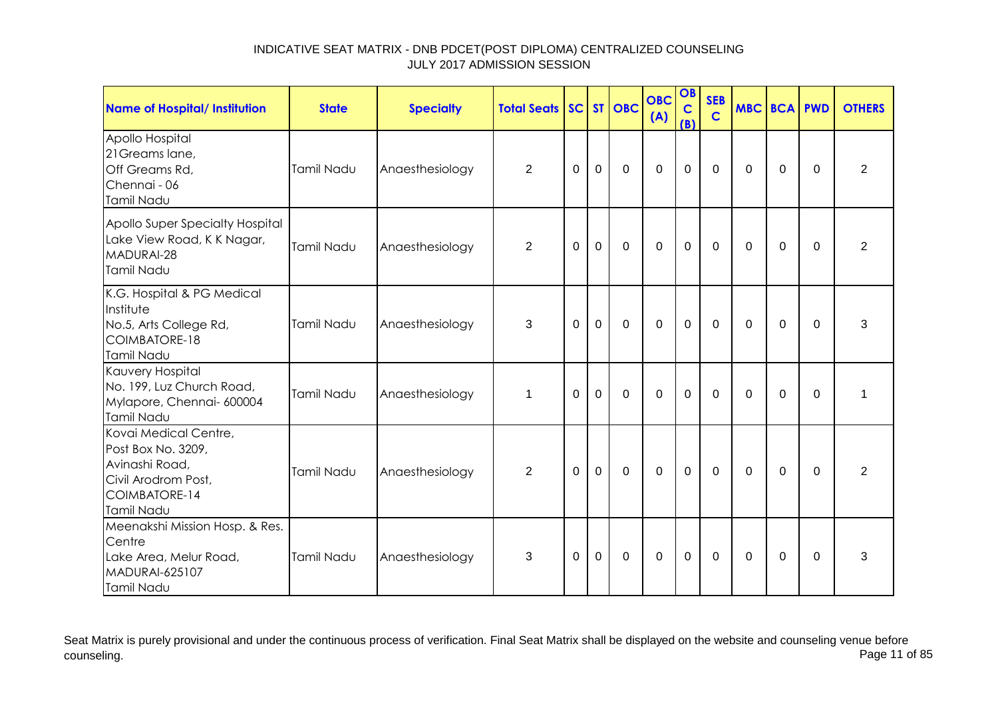| Name of Hospital/ Institution                                                                                       | <b>State</b> | <b>Specialty</b> | <b>Total Seats</b> |             |                | SC ST OBC   | <b>OBC</b><br>(A) | OB<br>$\mathbf C$<br>(B) | <b>SEB</b><br>$\mathbf C$ | <b>MBC BCA PWD</b> |                |             | <b>OTHERS</b>  |
|---------------------------------------------------------------------------------------------------------------------|--------------|------------------|--------------------|-------------|----------------|-------------|-------------------|--------------------------|---------------------------|--------------------|----------------|-------------|----------------|
| Apollo Hospital<br>21 Greams lane,<br>Off Greams Rd,<br>Chennai - 06<br>Tamil Nadu                                  | Tamil Nadu   | Anaesthesiology  | $\overline{2}$     | $\mathbf 0$ | $\mathbf 0$    | $\mathbf 0$ | $\mathbf 0$       | $\mathbf 0$              | $\mathbf 0$               | $\Omega$           | $\overline{0}$ | $\mathbf 0$ | $\overline{2}$ |
| Apollo Super Specialty Hospital<br>Lake View Road, K K Nagar,<br>MADURAI-28<br>Tamil Nadu                           | Tamil Nadu   | Anaesthesiology  | $\overline{2}$     | 0           | $\mathbf 0$    | $\mathbf 0$ | $\mathbf 0$       | $\mathbf 0$              | $\Omega$                  | $\Omega$           | 0              | $\Omega$    | $\overline{2}$ |
| K.G. Hospital & PG Medical<br>Institute<br>No.5, Arts College Rd,<br><b>COIMBATORE-18</b><br>Tamil Nadu             | Tamil Nadu   | Anaesthesiology  | 3                  | $\Omega$    | $\overline{0}$ | $\mathbf 0$ | $\overline{0}$    | $\mathbf 0$              | $\Omega$                  | $\Omega$           | $\Omega$       | $\Omega$    | 3              |
| Kauvery Hospital<br>No. 199, Luz Church Road,<br>Mylapore, Chennai- 600004<br>Tamil Nadu                            | Tamil Nadu   | Anaesthesiology  | $\mathbf 1$        | $\Omega$    | $\mathbf 0$    | $\mathbf 0$ | $\mathbf 0$       | $\overline{0}$           | $\Omega$                  | $\Omega$           | $\overline{0}$ | $\mathbf 0$ | 1              |
| Kovai Medical Centre,<br>Post Box No. 3209,<br>Avinashi Road,<br>Civil Arodrom Post,<br>COIMBATORE-14<br>Tamil Nadu | Tamil Nadu   | Anaesthesiology  | 2                  | $\Omega$    | $\Omega$       | $\mathbf 0$ | $\mathbf 0$       | $\mathbf 0$              | $\Omega$                  | $\Omega$           | $\mathbf 0$    | $\Omega$    | $\overline{2}$ |
| Meenakshi Mission Hosp. & Res.<br>Centre<br>Lake Area, Melur Road,<br><b>MADURAI-625107</b><br>Tamil Nadu           | Tamil Nadu   | Anaesthesiology  | 3                  | $\Omega$    | $\overline{0}$ | $\mathbf 0$ | $\mathbf 0$       | $\mathbf 0$              | 0                         | $\Omega$           | 0              | $\Omega$    | 3              |

Seat Matrix is purely provisional and under the continuous process of verification. Final Seat Matrix shall be displayed on the website and counseling venue before<br>Page 11 of 85 counseling. Page 11 of 85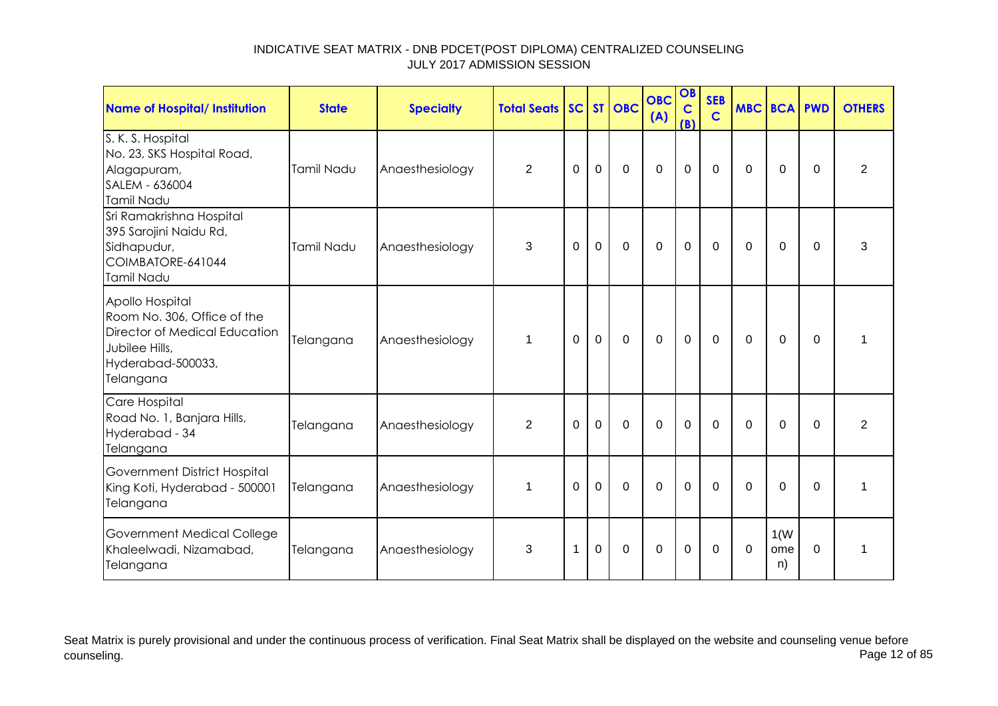| Name of Hospital/ Institution                                                                                                       | <b>State</b> | <b>Specialty</b> | <b>Total Seats SC ST OBC</b> |             |                |                | <b>OBC</b><br>(A) | OB<br>$\mathbf C$<br>(B) | <b>SEB</b><br>$\mathbf C$ | <b>MBC BCA PWD</b> |                   |             | <b>OTHERS</b>  |
|-------------------------------------------------------------------------------------------------------------------------------------|--------------|------------------|------------------------------|-------------|----------------|----------------|-------------------|--------------------------|---------------------------|--------------------|-------------------|-------------|----------------|
| S. K. S. Hospital<br>No. 23, SKS Hospital Road,<br>Alagapuram,<br>SALEM - 636004<br>Tamil Nadu                                      | Tamil Nadu   | Anaesthesiology  | $\overline{2}$               | $\mathbf 0$ | $\mathbf 0$    | $\mathbf 0$    | $\overline{0}$    | $\mathbf 0$              | $\mathbf 0$               | $\Omega$           | $\mathbf 0$       | $\Omega$    | $\overline{2}$ |
| Sri Ramakrishna Hospital<br>395 Sarojini Naidu Rd,<br>Sidhapudur,<br>COIMBATORE-641044<br>Tamil Nadu                                | Tamil Nadu   | Anaesthesiology  | 3                            | 0           | $\mathbf 0$    | $\overline{0}$ | $\overline{0}$    | $\mathbf 0$              | $\mathbf 0$               | 0                  | $\mathbf 0$       | $\mathbf 0$ | 3              |
| Apollo Hospital<br>Room No. 306, Office of the<br>Director of Medical Education<br>Jubilee Hills,<br>Hyderabad-500033,<br>Telangana | Telangana    | Anaesthesiology  | $\mathbf 1$                  | $\mathbf 0$ | $\overline{0}$ | $\mathbf 0$    | $\overline{0}$    | $\mathbf 0$              | $\mathbf 0$               | $\mathbf 0$        | $\mathbf 0$       | $\Omega$    | 1              |
| Care Hospital<br>Road No. 1, Banjara Hills,<br>Hyderabad - 34<br>Telangana                                                          | Telangana    | Anaesthesiology  | $\overline{2}$               | 0           | $\mathbf 0$    | $\mathbf 0$    | $\overline{0}$    | $\mathbf 0$              | $\mathbf 0$               | $\Omega$           | $\mathbf 0$       | $\Omega$    | $\overline{2}$ |
| Government District Hospital<br>King Koti, Hyderabad - 500001<br>Telangana                                                          | Telangana    | Anaesthesiology  | $\mathbf 1$                  | $\mathbf 0$ | $\mathbf 0$    | $\mathbf 0$    | $\overline{0}$    | $\mathbf 0$              | $\Omega$                  | $\Omega$           | $\mathbf 0$       | $\mathbf 0$ | 1              |
| Government Medical College<br>Khaleelwadi, Nizamabad,<br>Telangana                                                                  | Telangana    | Anaesthesiology  | 3                            | 1           | $\mathbf 0$    | $\mathbf 0$    | $\overline{0}$    | $\mathbf 0$              | $\Omega$                  | $\Omega$           | 1(W)<br>ome<br>n) | $\Omega$    | 1              |

Seat Matrix is purely provisional and under the continuous process of verification. Final Seat Matrix shall be displayed on the website and counseling venue before<br>Page 12 of 85 counseling. Page 12 of 85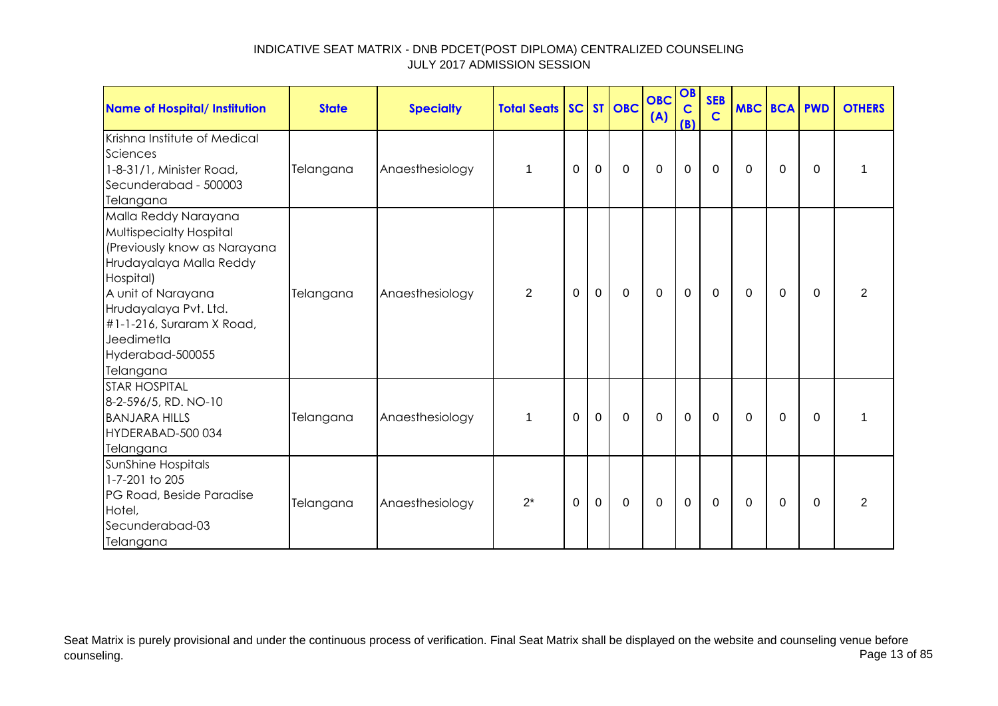| <b>Name of Hospital/ Institution</b>                                                                                                                                                                                                               | <b>State</b> | <b>Specialty</b> | <b>Total Seats SC ST OBC</b> |          |             |             | <b>OBC</b><br>(A) | OB<br>$\mathbf C$<br>(B) | <b>SEB</b><br>$\mathbf C$ | <b>MBC BCA PWD</b> |          |          | <b>OTHERS</b>  |
|----------------------------------------------------------------------------------------------------------------------------------------------------------------------------------------------------------------------------------------------------|--------------|------------------|------------------------------|----------|-------------|-------------|-------------------|--------------------------|---------------------------|--------------------|----------|----------|----------------|
| Krishna Institute of Medical<br>Sciences<br>1-8-31/1, Minister Road,<br>Secunderabad - 500003<br>Telangana                                                                                                                                         | Telangana    | Anaesthesiology  | $\mathbf 1$                  | 0        | 0           | $\mathbf 0$ | $\mathbf 0$       | $\mathbf 0$              | 0                         | 0                  | 0        | $\Omega$ |                |
| Malla Reddy Narayana<br>Multispecialty Hospital<br>(Previously know as Narayana<br>Hrudayalaya Malla Reddy<br>Hospital)<br>A unit of Narayana<br>Hrudayalaya Pvt. Ltd.<br>#1-1-216, Suraram X Road,<br>Jeedimetla<br>Hyderabad-500055<br>Telangana | Telangana    | Anaesthesiology  | $\overline{2}$               | 0        | $\mathbf 0$ | $\mathbf 0$ | $\mathbf 0$       | $\mathbf 0$              | 0                         | 0                  | $\Omega$ | $\Omega$ | $\overline{2}$ |
| <b>STAR HOSPITAL</b><br>8-2-596/5, RD. NO-10<br><b>BANJARA HILLS</b><br>HYDERABAD-500 034<br>Telangana                                                                                                                                             | Telangana    | Anaesthesiology  | 1                            | 0        | $\mathbf 0$ | 0           | $\mathbf 0$       | 0                        | 0                         | $\Omega$           | 0        | $\Omega$ |                |
| SunShine Hospitals<br>1-7-201 to 205<br>PG Road, Beside Paradise<br>Hotel,<br>Secunderabad-03<br>Telangana                                                                                                                                         | Telangana    | Anaesthesiology  | $2^*$                        | $\Omega$ | 0           | 0           | $\mathbf 0$       | $\mathbf 0$              | 0                         | 0                  | 0        | $\Omega$ | $\overline{2}$ |

Seat Matrix is purely provisional and under the continuous process of verification. Final Seat Matrix shall be displayed on the website and counseling venue before<br>Page 13 of 85 counseling. Page 13 of 85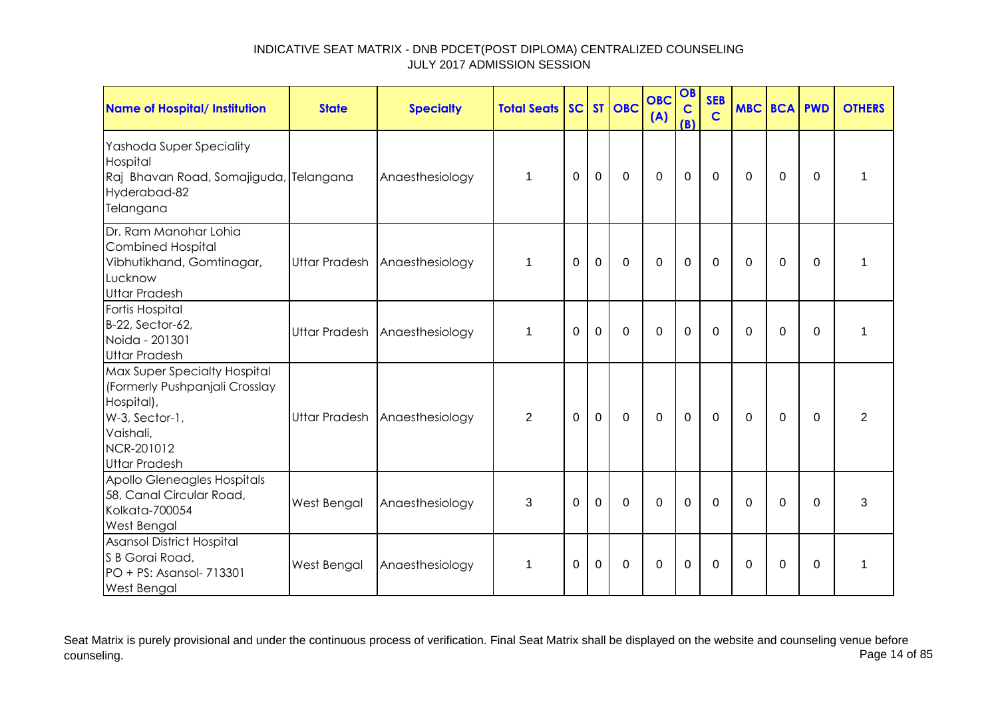| Name of Hospital/ Institution                                                                                                                     | <b>State</b> | <b>Specialty</b>              | <b>Total Seats</b> |          |                | SC ST OBC   | <b>OBC</b><br>(A) | OB<br>$\mathbf C$<br>(B) | <b>SEB</b><br>$\mathbf C$ | <b>MBC BCA PWD</b> |             |             | <b>OTHERS</b>  |
|---------------------------------------------------------------------------------------------------------------------------------------------------|--------------|-------------------------------|--------------------|----------|----------------|-------------|-------------------|--------------------------|---------------------------|--------------------|-------------|-------------|----------------|
| Yashoda Super Speciality<br>Hospital<br>Raj Bhavan Road, Somajiguda, Telangana<br>Hyderabad-82<br>Telangana                                       |              | Anaesthesiology               | $\mathbf 1$        | $\Omega$ | 0              | $\mathbf 0$ | $\mathbf 0$       | $\mathbf 0$              | 0                         | $\Omega$           | 0           | $\Omega$    | 1              |
| Dr. Ram Manohar Lohia<br><b>Combined Hospital</b><br>Vibhutikhand, Gomtinagar,<br>Lucknow<br><b>Uttar Pradesh</b>                                 |              | Uttar Pradesh Anaesthesiology | $\mathbf 1$        | $\Omega$ | $\mathbf 0$    | $\mathbf 0$ | $\mathbf 0$       | $\mathbf 0$              | $\Omega$                  | $\Omega$           | $\mathbf 0$ | $\Omega$    | $\mathbf{1}$   |
| Fortis Hospital<br>B-22, Sector-62,<br>Noida - 201301<br><b>Uttar Pradesh</b>                                                                     |              | Uttar Pradesh Anaesthesiology | 1                  | $\Omega$ | $\overline{0}$ | $\mathbf 0$ | $\overline{0}$    | $\overline{0}$           | $\Omega$                  | $\Omega$           | $\Omega$    | $\Omega$    | 1              |
| Max Super Specialty Hospital<br>(Formerly Pushpanjali Crosslay<br>Hospital),<br>W-3, Sector-1,<br>Vaishali,<br>NCR-201012<br><b>Uttar Pradesh</b> |              | Uttar Pradesh Anaesthesiology | $\overline{2}$     | $\Omega$ | $\mathbf 0$    | $\mathbf 0$ | $\mathbf 0$       | $\mathbf 0$              | $\mathbf 0$               | $\Omega$           | 0           | $\Omega$    | $\overline{2}$ |
| Apollo Gleneagles Hospitals<br>58, Canal Circular Road,<br>Kolkata-700054<br>West Bengal                                                          | West Bengal  | Anaesthesiology               | 3                  | $\Omega$ | $\mathbf 0$    | $\mathbf 0$ | $\overline{0}$    | $\overline{0}$           | $\Omega$                  | $\Omega$           | $\mathbf 0$ | $\mathbf 0$ | 3              |
| Asansol District Hospital<br>S B Gorai Road,<br>PO + PS: Asansol- 713301<br><b>West Bengal</b>                                                    | West Bengal  | Anaesthesiology               | 1                  | 0        | $\Omega$       | $\mathbf 0$ | $\Omega$          | $\mathbf 0$              | $\Omega$                  | $\Omega$           | $\Omega$    | $\Omega$    | 1              |

Seat Matrix is purely provisional and under the continuous process of verification. Final Seat Matrix shall be displayed on the website and counseling venue before<br>Page 14 of 85 counseling. Page 14 of 85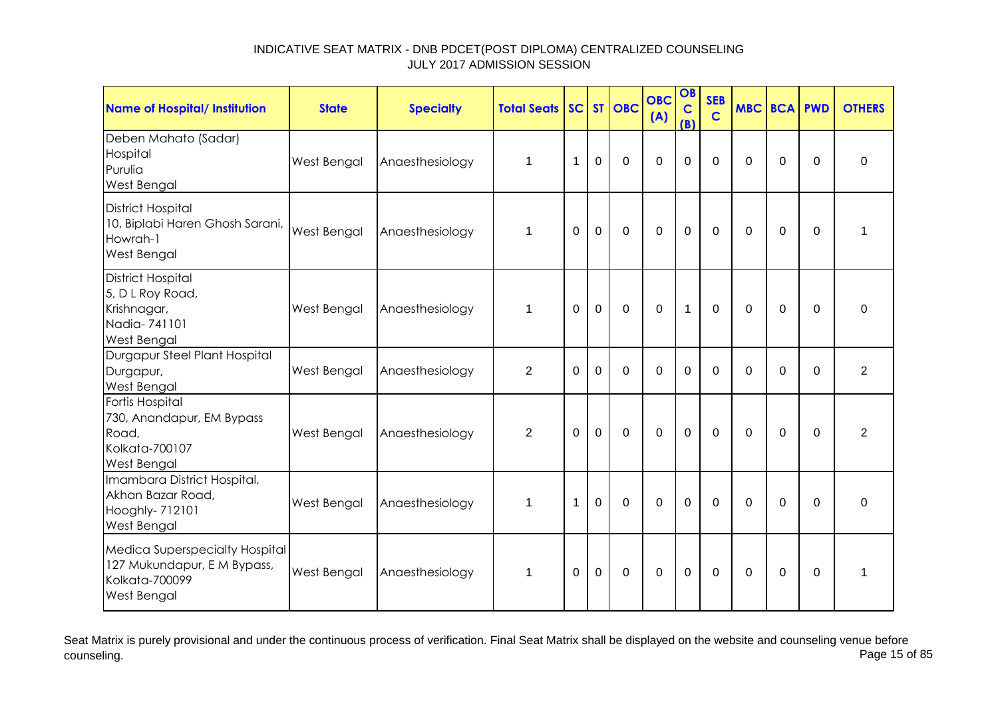| <b>Name of Hospital/ Institution</b>                                                                         | <b>State</b>       | <b>Specialty</b> | <b>Total Seats</b> |          |                | SC ST OBC      | <b>OBC</b><br>(A) | OB<br>$\mathbf c$<br>(B) | <b>SEB</b><br>$\mathbf C$ | <b>MBC BCA PWD</b> |             |             | <b>OTHERS</b>    |
|--------------------------------------------------------------------------------------------------------------|--------------------|------------------|--------------------|----------|----------------|----------------|-------------------|--------------------------|---------------------------|--------------------|-------------|-------------|------------------|
| Deben Mahato (Sadar)<br>Hospital<br>Purulia<br>West Bengal                                                   | West Bengal        | Anaesthesiology  | $\mathbf 1$        | 1        | $\overline{0}$ | $\overline{0}$ | $\overline{0}$    | $\overline{0}$           | $\Omega$                  | $\mathbf 0$        | $\mathbf 0$ | $\mathbf 0$ | 0                |
| <b>District Hospital</b><br>10, Biplabi Haren Ghosh Sarani,<br>Howrah-1<br><b>West Bengal</b>                | West Bengal        | Anaesthesiology  | $\mathbf 1$        | $\Omega$ | $\overline{0}$ | $\overline{0}$ | $\overline{0}$    | $\overline{0}$           | $\mathbf 0$               | $\mathbf 0$        | $\mathbf 0$ | $\mathbf 0$ | 1                |
| <b>District Hospital</b><br>5, D L Roy Road,<br>Krishnagar,<br>Nadia-741101<br><b>West Bengal</b>            | West Bengal        | Anaesthesiology  | 1                  | $\Omega$ | $\mathbf 0$    | $\mathbf 0$    | $\mathbf 0$       | $\mathbf{1}$             | $\mathbf 0$               | $\mathbf 0$        | 0           | $\Omega$    | $\boldsymbol{0}$ |
| Durgapur Steel Plant Hospital<br>Durgapur,<br><b>West Bengal</b>                                             | <b>West Bengal</b> | Anaesthesiology  | $\overline{2}$     | $\Omega$ | $\Omega$       | $\Omega$       | $\Omega$          | $\Omega$                 | $\Omega$                  | $\Omega$           | $\Omega$    | $\Omega$    | $\overline{2}$   |
| Fortis Hospital<br>730, Anandapur, EM Bypass<br>Road,<br>Kolkata-700107<br><b>West Bengal</b>                | <b>West Bengal</b> | Anaesthesiology  | 2                  | $\Omega$ | $\mathbf 0$    | $\mathbf 0$    | $\mathbf 0$       | $\mathbf 0$              | $\Omega$                  | $\Omega$           | 0           | $\Omega$    | $\overline{2}$   |
| Imambara District Hospital,<br>Akhan Bazar Road,<br>Hooghly- 712101<br><b>West Bengal</b>                    | West Bengal        | Anaesthesiology  | 1                  | 1        | $\mathbf 0$    | $\mathbf 0$    | $\mathbf 0$       | $\mathbf 0$              | $\Omega$                  | $\Omega$           | $\mathbf 0$ | $\Omega$    | $\mathbf 0$      |
| <b>Medica Superspecialty Hospital</b><br>127 Mukundapur, E M Bypass,<br>Kolkata-700099<br><b>West Bengal</b> | West Bengal        | Anaesthesiology  | 1                  | $\Omega$ | $\Omega$       | $\overline{0}$ | $\mathbf 0$       | $\mathbf 0$              | $\Omega$                  | $\Omega$           | $\mathbf 0$ | $\Omega$    | 1                |

Seat Matrix is purely provisional and under the continuous process of verification. Final Seat Matrix shall be displayed on the website and counseling venue before<br>Page 15 of 85 counseling. Page 15 of 85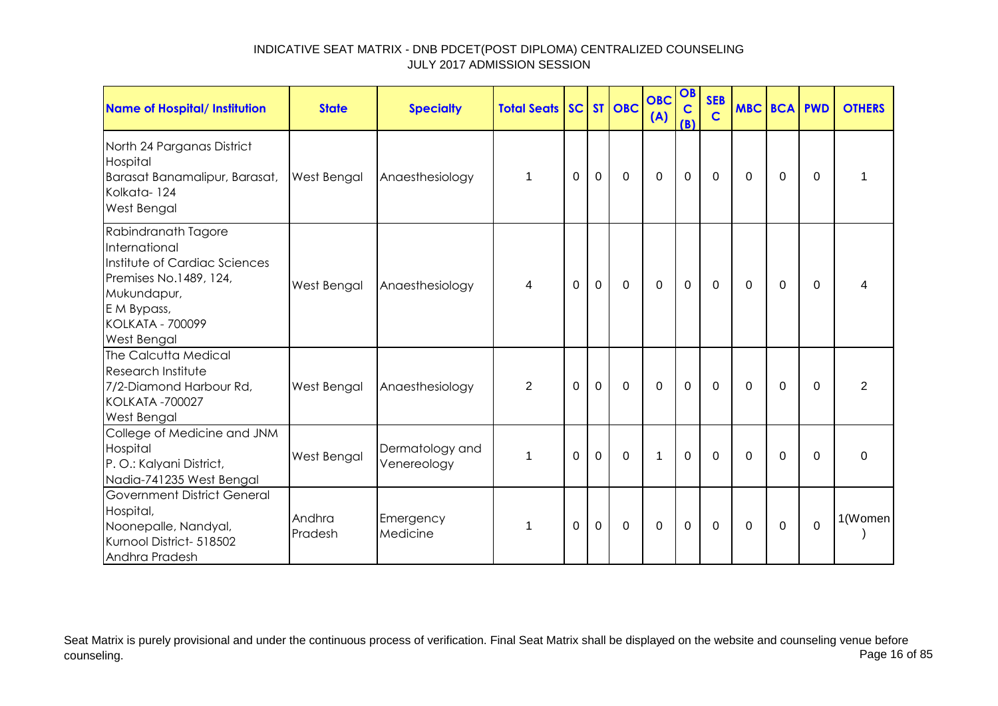| Name of Hospital/ Institution                                                                                                                                           | <b>State</b>       | <b>Specialty</b>               | <b>Total Seats</b> |             |                | SC ST OBC   | <b>OBC</b><br>(A) | OB<br>$\mathbf C$<br>(B) | <b>SEB</b><br>$\mathbf C$ |          | <b>MBC BCA PWD</b> |             | <b>OTHERS</b>  |
|-------------------------------------------------------------------------------------------------------------------------------------------------------------------------|--------------------|--------------------------------|--------------------|-------------|----------------|-------------|-------------------|--------------------------|---------------------------|----------|--------------------|-------------|----------------|
| North 24 Parganas District<br>Hospital<br>Barasat Banamalipur, Barasat,<br>Kolkata-124<br>West Bengal                                                                   | <b>West Bengal</b> | Anaesthesiology                | $\mathbf 1$        | $\Omega$    | $\mathbf 0$    | $\mathbf 0$ | $\overline{0}$    | $\mathbf 0$              | $\Omega$                  | $\Omega$ | $\Omega$           | $\Omega$    | 1              |
| Rabindranath Tagore<br>International<br>Institute of Cardiac Sciences<br>Premises No.1489, 124,<br>Mukundapur,<br>E M Bypass,<br><b>KOLKATA - 700099</b><br>West Bengal | West Bengal        | Anaesthesiology                | 4                  | 0           | $\overline{0}$ | 0           | 0                 | $\mathbf 0$              | $\Omega$                  | $\Omega$ | $\Omega$           | $\Omega$    | 4              |
| The Calcutta Medical<br>Research Institute<br>7/2-Diamond Harbour Rd,<br><b>KOLKATA -700027</b><br>West Bengal                                                          | West Bengal        | Anaesthesiology                | $\overline{2}$     | $\Omega$    | $\overline{0}$ | $\mathbf 0$ | $\mathbf 0$       | $\mathbf 0$              | $\Omega$                  | $\Omega$ | $\Omega$           | $\Omega$    | $\overline{2}$ |
| College of Medicine and JNM<br>Hospital<br>P.O.: Kalyani District,<br>Nadia-741235 West Bengal                                                                          | West Bengal        | Dermatology and<br>Venereology | $\mathbf{1}$       | $\mathbf 0$ | $\mathbf 0$    | $\mathbf 0$ | $\mathbf{1}$      | $\mathbf 0$              | $\mathbf 0$               | $\Omega$ | $\mathbf 0$        | $\Omega$    | $\mathbf 0$    |
| Government District General<br>Hospital,<br>Noonepalle, Nandyal,<br>Kurnool District- 518502<br>Andhra Pradesh                                                          | Andhra<br>Pradesh  | Emergency<br>Medicine          | 1                  | $\Omega$    | $\Omega$       | $\mathbf 0$ | $\Omega$          | $\mathbf 0$              | $\Omega$                  | $\Omega$ | $\Omega$           | $\mathbf 0$ | 1(Women        |

Seat Matrix is purely provisional and under the continuous process of verification. Final Seat Matrix shall be displayed on the website and counseling venue before<br>Page 16 of 85 counseling. Page 16 of 85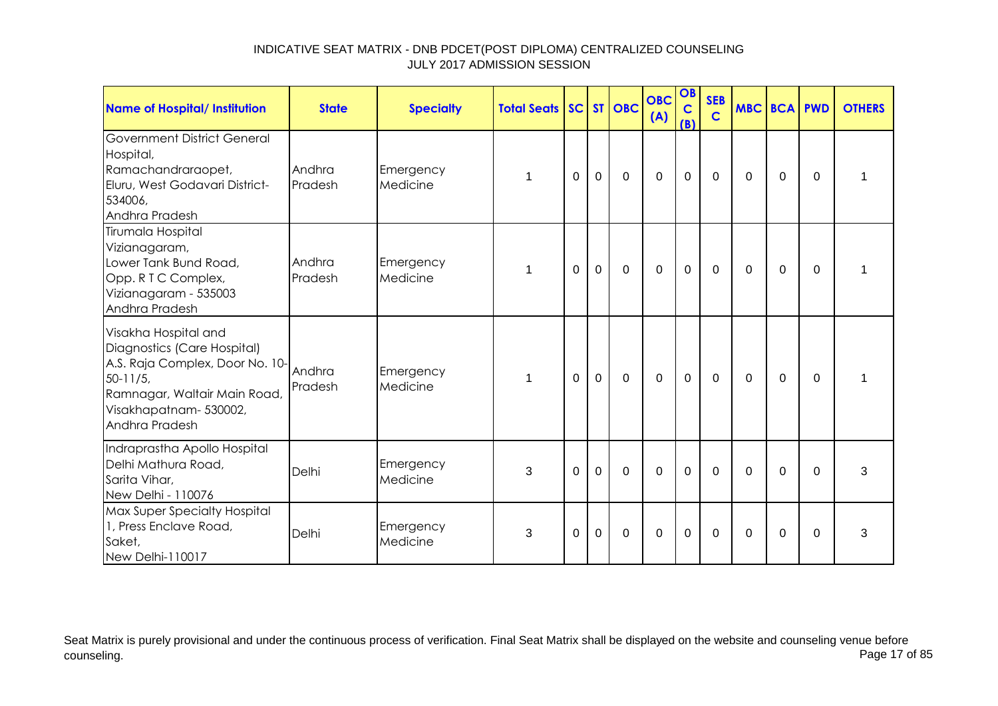| <b>Name of Hospital/ Institution</b>                                                                                                                                                | <b>State</b>      | <b>Specialty</b>      | <b>Total Seats SC ST OBC</b> |                |              |             | <b>OBC</b><br>(A) | OB<br>$\mathbf C$<br>(B) | <b>SEB</b><br>$\mathbf C$ | MBC BCA PWD |                |             | <b>OTHERS</b> |
|-------------------------------------------------------------------------------------------------------------------------------------------------------------------------------------|-------------------|-----------------------|------------------------------|----------------|--------------|-------------|-------------------|--------------------------|---------------------------|-------------|----------------|-------------|---------------|
| <b>Government District General</b><br>Hospital,<br>Ramachandraraopet,<br>Eluru, West Godavari District-<br>534006,<br>Andhra Pradesh                                                | Andhra<br>Pradesh | Emergency<br>Medicine |                              | $\Omega$       | $\mathbf 0$  | $\mathbf 0$ | $\mathbf 0$       | $\mathbf 0$              | $\mathbf{0}$              | $\Omega$    | $\Omega$       | $\Omega$    |               |
| Tirumala Hospital<br>Vizianagaram,<br>Lower Tank Bund Road,<br>Opp. R T C Complex,<br>Vizianagaram - 535003<br>Andhra Pradesh                                                       | Andhra<br>Pradesh | Emergency<br>Medicine |                              | $\overline{0}$ | $\mathbf{0}$ | $\mathbf 0$ | $\overline{0}$    | $\mathbf 0$              | $\mathbf 0$               | 0           | $\mathbf 0$    | $\Omega$    |               |
| Visakha Hospital and<br>Diagnostics (Care Hospital)<br>A.S. Raja Complex, Door No. 10-<br>$50 - 11/5$ ,<br>Ramnagar, Waltair Main Road,<br>Visakhapatnam- 530002,<br>Andhra Pradesh | Andhra<br>Pradesh | Emergency<br>Medicine | 1                            | $\overline{0}$ | $\mathbf 0$  | $\mathbf 0$ | $\overline{0}$    | $\mathbf 0$              | $\mathbf 0$               | $\mathbf 0$ | $\mathbf 0$    | $\mathbf 0$ | 1             |
| Indraprastha Apollo Hospital<br>Delhi Mathura Road,<br>Sarita Vihar,<br>New Delhi - 110076                                                                                          | Delhi             | Emergency<br>Medicine | 3                            | 0              | $\mathbf 0$  | $\mathbf 0$ | $\mathbf 0$       | $\mathbf 0$              | $\mathbf 0$               | $\Omega$    | $\overline{0}$ | $\Omega$    | 3             |
| <b>Max Super Specialty Hospital</b><br>1, Press Enclave Road,<br>Saket,<br>New Delhi-110017                                                                                         | Delhi             | Emergency<br>Medicine | 3                            | $\Omega$       | $\mathbf 0$  | $\mathbf 0$ | $\mathbf 0$       | 0                        | $\mathbf 0$               | $\Omega$    | $\Omega$       | $\Omega$    | 3             |

Seat Matrix is purely provisional and under the continuous process of verification. Final Seat Matrix shall be displayed on the website and counseling venue before<br>Page 17 of 85 counseling. Page 17 of 85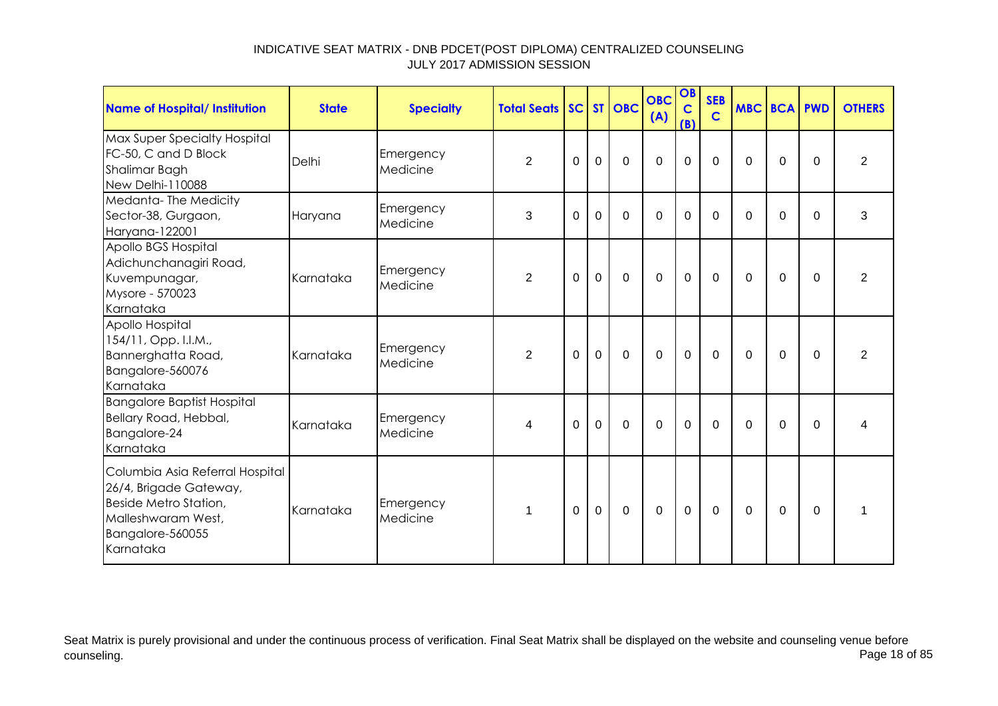| Name of Hospital/ Institution                                                                                                             | <b>State</b> | <b>Specialty</b>      | <b>Total Seats SC ST OBC</b> |             |             |             | <b>OBC</b><br>(A) | OB<br>$\mathbf C$<br>(B) | <b>SEB</b><br>$\mathbf C$ | <b>MBC BCA PWD</b> |             |          | <b>OTHERS</b>  |
|-------------------------------------------------------------------------------------------------------------------------------------------|--------------|-----------------------|------------------------------|-------------|-------------|-------------|-------------------|--------------------------|---------------------------|--------------------|-------------|----------|----------------|
| Max Super Specialty Hospital<br>FC-50, C and D Block<br>Shalimar Bagh<br>New Delhi-110088                                                 | Delhi        | Emergency<br>Medicine | $\overline{2}$               | $\mathbf 0$ | $\mathbf 0$ | $\mathbf 0$ | $\mathbf 0$       | $\mathbf 0$              | $\mathbf 0$               | 0                  | $\mathbf 0$ | $\Omega$ | $\overline{2}$ |
| Medanta-The Medicity<br>Sector-38, Gurgaon,<br>Haryana-122001                                                                             | Haryana      | Emergency<br>Medicine | 3                            | 0           | $\mathbf 0$ | $\Omega$    | $\Omega$          | 0                        | $\Omega$                  | 0                  | 0           | $\Omega$ | 3              |
| Apollo BGS Hospital<br>Adichunchanagiri Road,<br>Kuvempunagar,<br>Mysore - 570023<br>Karnataka                                            | Karnataka    | Emergency<br>Medicine | $\overline{2}$               | $\Omega$    | $\mathbf 0$ | $\mathbf 0$ | $\mathbf 0$       | $\mathbf{0}$             | $\mathbf 0$               | $\Omega$           | $\Omega$    | $\Omega$ | $\overline{2}$ |
| Apollo Hospital<br>154/11, Opp. I.I.M.,<br>Bannerghatta Road,<br>Bangalore-560076<br>Karnataka                                            | Karnataka    | Emergency<br>Medicine | $\overline{2}$               | $\Omega$    | $\mathbf 0$ | $\mathbf 0$ | $\mathbf 0$       | $\mathbf 0$              | $\mathbf{0}$              | $\Omega$           | $\Omega$    | $\Omega$ | $\overline{2}$ |
| <b>Bangalore Baptist Hospital</b><br>Bellary Road, Hebbal,<br>Bangalore-24<br>Karnataka                                                   | Karnataka    | Emergency<br>Medicine | 4                            | $\Omega$    | $\mathbf 0$ | $\Omega$    | $\Omega$          | $\Omega$                 | $\Omega$                  | $\Omega$           | $\Omega$    | $\Omega$ | 4              |
| Columbia Asia Referral Hospital<br>26/4, Brigade Gateway,<br>Beside Metro Station,<br>Malleshwaram West,<br>Bangalore-560055<br>Karnataka | Karnataka    | Emergency<br>Medicine | 1                            | $\Omega$    | $\mathbf 0$ | $\mathbf 0$ | $\mathbf 0$       | $\mathbf 0$              | $\mathbf 0$               | $\Omega$           | $\mathbf 0$ | $\Omega$ | 1              |

Seat Matrix is purely provisional and under the continuous process of verification. Final Seat Matrix shall be displayed on the website and counseling venue before<br>Page 18 of 85 counseling. Page 18 of 85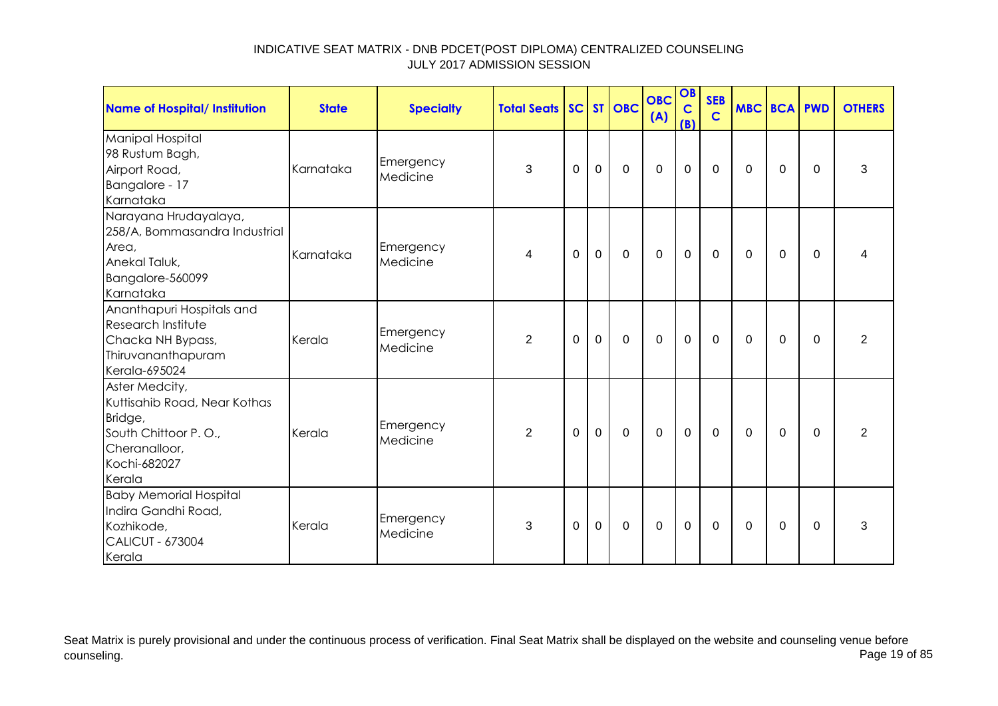| Name of Hospital/ Institution                                                                                                | <b>State</b> | <b>Specialty</b>      | <b>Total Seats SC ST OBC</b> |             |             |             | <b>OBC</b><br>(A) | OB<br>$\mathbf C$<br>(B) | <b>SEB</b><br>$\mathbf C$ | <b>MBC BCA PWD</b> |             |          | <b>OTHERS</b>  |
|------------------------------------------------------------------------------------------------------------------------------|--------------|-----------------------|------------------------------|-------------|-------------|-------------|-------------------|--------------------------|---------------------------|--------------------|-------------|----------|----------------|
| <b>Manipal Hospital</b><br>98 Rustum Bagh,<br>Airport Road,<br>Bangalore - 17<br>Karnataka                                   | Karnataka    | Emergency<br>Medicine | 3                            | $\Omega$    | $\mathbf 0$ | $\Omega$    | $\mathbf 0$       | $\mathbf 0$              | $\mathbf 0$               | $\Omega$           | 0           | $\Omega$ | 3              |
| Narayana Hrudayalaya,<br>258/A, Bommasandra Industrial<br>Area,<br>Anekal Taluk,<br>Bangalore-560099<br>Karnataka            | Karnataka    | Emergency<br>Medicine | 4                            | $\mathbf 0$ | $\mathbf 0$ | $\mathbf 0$ | $\overline{0}$    | $\mathbf 0$              | $\mathbf 0$               | $\Omega$           | $\mathbf 0$ | $\Omega$ | Δ              |
| Ananthapuri Hospitals and<br><b>Research Institute</b><br>Chacka NH Bypass,<br>Thiruvananthapuram<br>Kerala-695024           | Kerala       | Emergency<br>Medicine | 2                            | $\Omega$    | $\mathbf 0$ | $\Omega$    | $\Omega$          | $\mathbf 0$              | 0                         | $\Omega$           | $\Omega$    | $\Omega$ | $\overline{2}$ |
| Aster Medcity,<br>Kuttisahib Road, Near Kothas<br>Bridge,<br>South Chittoor P.O.,<br>Cheranalloor,<br>Kochi-682027<br>Kerala | Kerala       | Emergency<br>Medicine | $\overline{2}$               | $\Omega$    | $\mathbf 0$ | $\mathbf 0$ | $\mathbf 0$       | $\mathbf 0$              | $\Omega$                  | $\Omega$           | $\Omega$    | $\Omega$ | $\overline{2}$ |
| <b>Baby Memorial Hospital</b><br>Indira Gandhi Road,<br>Kozhikode,<br><b>CALICUT - 673004</b><br>Kerala                      | Kerala       | Emergency<br>Medicine | 3                            | $\Omega$    | $\Omega$    | $\mathbf 0$ | $\mathbf 0$       | $\mathbf 0$              | 0                         | $\Omega$           | $\Omega$    | $\Omega$ | 3              |

Seat Matrix is purely provisional and under the continuous process of verification. Final Seat Matrix shall be displayed on the website and counseling venue before<br>Page 19 of 85 counseling. Page 19 of 85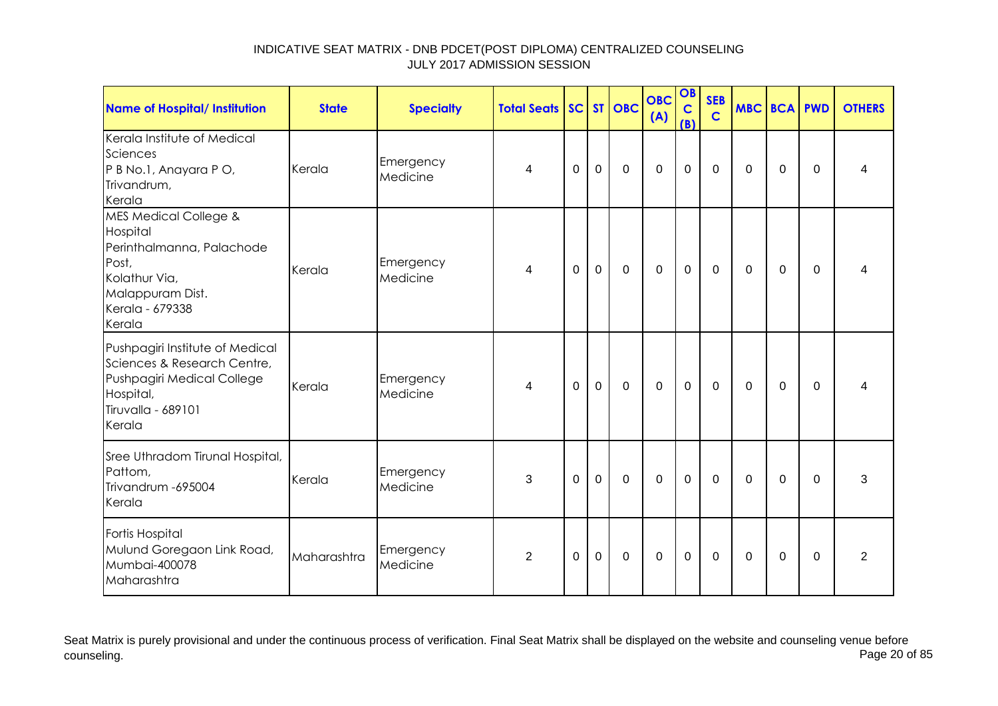| <b>Name of Hospital/ Institution</b>                                                                                                                 | <b>State</b> | <b>Specialty</b>      | <b>Total Seats</b> |          |             | SC ST OBC   | <b>OBC</b><br>(A) | OB<br>$\mathbf C$<br>(B) | <b>SEB</b><br>$\mathbf C$ | <b>MBC BCA PWD</b> |             |          | <b>OTHERS</b>  |
|------------------------------------------------------------------------------------------------------------------------------------------------------|--------------|-----------------------|--------------------|----------|-------------|-------------|-------------------|--------------------------|---------------------------|--------------------|-------------|----------|----------------|
| Kerala Institute of Medical<br>Sciences<br>P B No.1, Anayara P O,<br>Trivandrum,<br>Kerala                                                           | Kerala       | Emergency<br>Medicine | 4                  | 0        | $\mathbf 0$ | $\mathbf 0$ | $\mathbf 0$       | $\mathbf 0$              | $\overline{0}$            | $\Omega$           | $\mathbf 0$ | $\Omega$ | 4              |
| <b>MES Medical College &amp;</b><br>Hospital<br>Perinthalmanna, Palachode<br>Post,<br>Kolathur Via,<br>Malappuram Dist.<br>Kerala - 679338<br>Kerala | Kerala       | Emergency<br>Medicine | 4                  | $\Omega$ | $\mathbf 0$ | $\mathbf 0$ | $\mathbf 0$       | $\mathbf 0$              | $\mathbf 0$               | $\Omega$           | 0           | $\Omega$ | 4              |
| Pushpagiri Institute of Medical<br>Sciences & Research Centre,<br>Pushpagiri Medical College<br>Hospital,<br>Tiruvalla - 689101<br>Kerala            | Kerala       | Emergency<br>Medicine | 4                  | 0        | $\mathbf 0$ | $\mathbf 0$ | $\mathbf 0$       | $\mathbf 0$              | $\overline{0}$            | $\Omega$           | $\mathbf 0$ | 0        |                |
| Sree Uthradom Tirunal Hospital,<br>Pattom,<br>Trivandrum - 695004<br>Kerala                                                                          | Kerala       | Emergency<br>Medicine | 3                  | $\Omega$ | $\mathbf 0$ | $\mathbf 0$ | $\mathbf 0$       | $\mathbf 0$              | $\mathbf 0$               | $\mathbf{0}$       | $\mathbf 0$ | $\Omega$ | 3              |
| Fortis Hospital<br>Mulund Goregaon Link Road,<br>Mumbai-400078<br>Maharashtra                                                                        | Maharashtra  | Emergency<br>Medicine | $\overline{2}$     | 0        | 0           | 0           | $\mathbf 0$       | $\mathbf 0$              | 0                         | $\mathbf 0$        | 0           | 0        | $\overline{2}$ |

Seat Matrix is purely provisional and under the continuous process of verification. Final Seat Matrix shall be displayed on the website and counseling venue before<br>Page 20 of 85 counseling. Page 20 of 85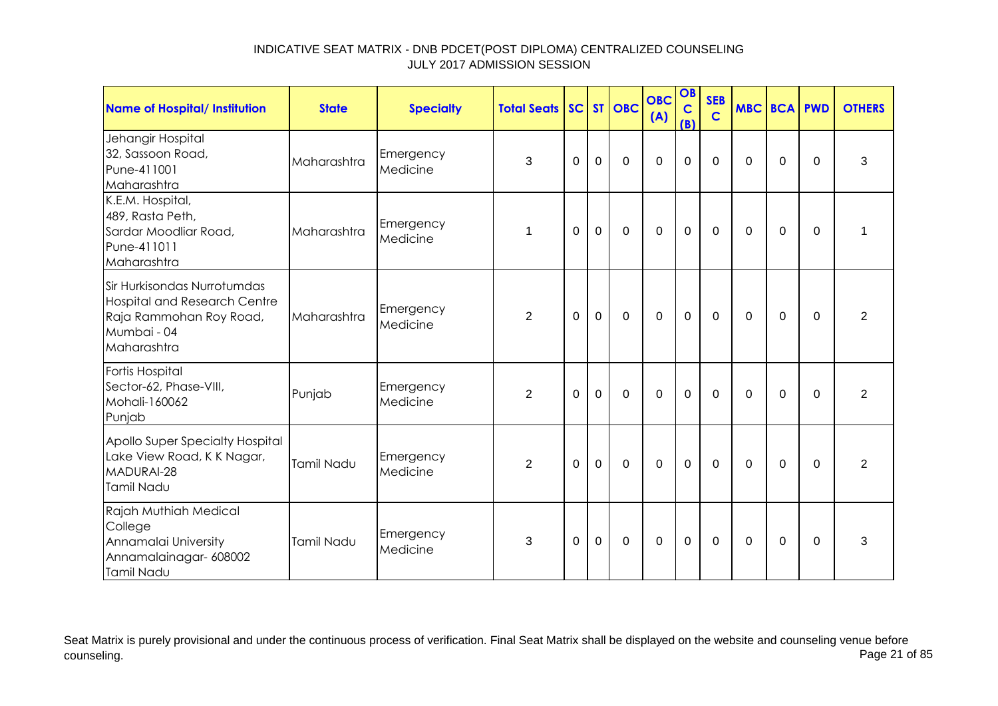| <b>Name of Hospital/ Institution</b>                                                                                 | <b>State</b> | <b>Specialty</b>      | <b>Total Seats SC ST OBC</b> |             |                |                | <b>OBC</b><br>(A) | OB<br>$\mathbf C$<br>(B) | <b>SEB</b><br>$\mathbf C$ | <b>MBC BCA PWD</b> |             |             | <b>OTHERS</b>  |
|----------------------------------------------------------------------------------------------------------------------|--------------|-----------------------|------------------------------|-------------|----------------|----------------|-------------------|--------------------------|---------------------------|--------------------|-------------|-------------|----------------|
| Jehangir Hospital<br>32, Sassoon Road,<br>Pune-411001<br>Maharashtra                                                 | Maharashtra  | Emergency<br>Medicine | 3                            | 0           | 0              | $\Omega$       | $\overline{0}$    | $\mathbf 0$              | $\Omega$                  | $\Omega$           | $\Omega$    | $\Omega$    | 3              |
| K.E.M. Hospital,<br>489, Rasta Peth,<br>Sardar Moodliar Road,<br>Pune-411011<br>Maharashtra                          | Maharashtra  | Emergency<br>Medicine | 1                            | $\mathbf 0$ | $\mathbf 0$    | $\mathbf 0$    | $\mathbf 0$       | $\pmb{0}$                | $\mathbf 0$               | 0                  | $\mathbf 0$ | $\Omega$    | 1              |
| Sir Hurkisondas Nurrotumdas<br>Hospital and Research Centre<br>Raja Rammohan Roy Road,<br>Mumbai - 04<br>Maharashtra | Maharashtra  | Emergency<br>Medicine | 2                            | $\mathbf 0$ | $\mathbf 0$    | $\mathbf 0$    | $\overline{0}$    | $\mathbf 0$              | $\mathbf 0$               | $\Omega$           | $\Omega$    | $\Omega$    | $\overline{2}$ |
| Fortis Hospital<br>Sector-62, Phase-VIII,<br>Mohali-160062<br>Punjab                                                 | Punjab       | Emergency<br>Medicine | $\overline{2}$               | 0           | $\overline{0}$ | $\mathbf 0$    | $\overline{0}$    | $\mathbf 0$              | $\mathbf 0$               | $\Omega$           | $\mathbf 0$ | $\Omega$    | $\overline{2}$ |
| Apollo Super Specialty Hospital<br>Lake View Road, K K Nagar,<br>MADURAI-28<br>Tamil Nadu                            | Tamil Nadu   | Emergency<br>Medicine | $\overline{2}$               | $\mathbf 0$ | $\mathbf 0$    | $\overline{0}$ | $\overline{0}$    | $\mathbf 0$              | $\mathbf 0$               | $\mathbf 0$        | $\mathbf 0$ | $\mathbf 0$ | $\overline{2}$ |
| Rajah Muthiah Medical<br>College<br>Annamalai University<br>Annamalainagar- 608002<br>Tamil Nadu                     | Tamil Nadu   | Emergency<br>Medicine | 3                            | $\Omega$    | $\Omega$       | $\mathbf 0$    | $\overline{0}$    | $\mathbf 0$              | $\Omega$                  | $\Omega$           | $\Omega$    | $\Omega$    | 3              |

Seat Matrix is purely provisional and under the continuous process of verification. Final Seat Matrix shall be displayed on the website and counseling venue before<br>Page 21 of 85 counseling. Page 21 of 85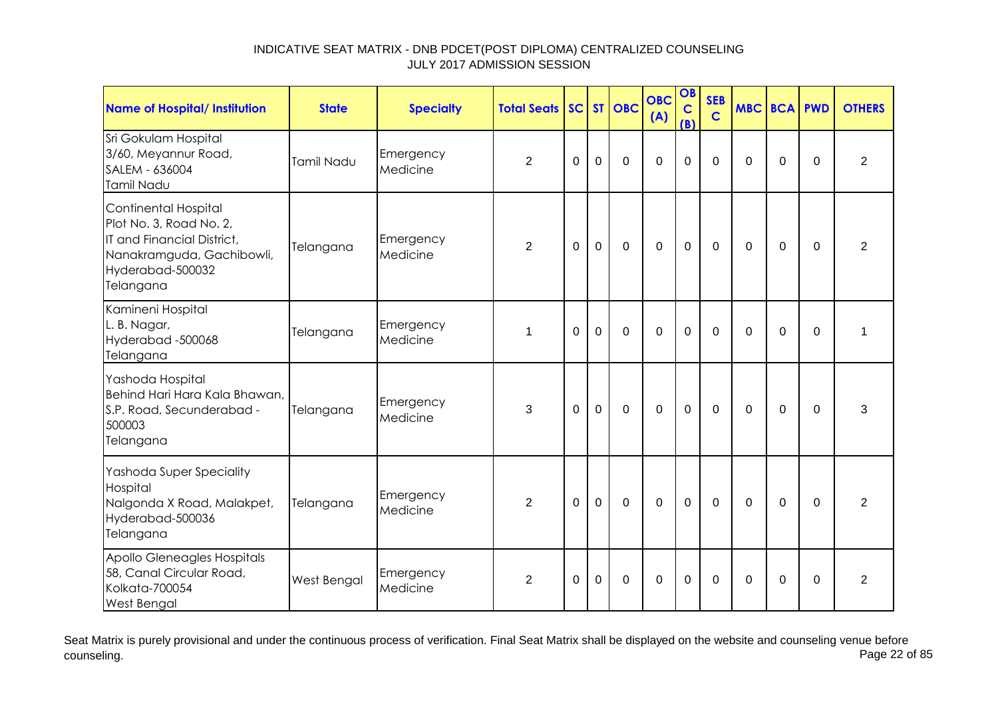| <b>Name of Hospital/ Institution</b>                                                                                                        | <b>State</b> | <b>Specialty</b>      | <b>Total Seats</b> |             |                | SC ST OBC      | <b>OBC</b><br>(A) | OB<br>$\mathbf C$<br>(B) | <b>SEB</b><br>$\mathbf C$ |             | <b>MBC BCA PWD</b> |                | <b>OTHERS</b>  |
|---------------------------------------------------------------------------------------------------------------------------------------------|--------------|-----------------------|--------------------|-------------|----------------|----------------|-------------------|--------------------------|---------------------------|-------------|--------------------|----------------|----------------|
| Sri Gokulam Hospital<br>3/60, Meyannur Road,<br>SALEM - 636004<br>Tamil Nadu                                                                | Tamil Nadu   | Emergency<br>Medicine | $\overline{2}$     | $\Omega$    | $\overline{0}$ | $\Omega$       | $\overline{0}$    | $\Omega$                 | $\Omega$                  | $\Omega$    | $\overline{0}$     | $\Omega$       | $\overline{2}$ |
| Continental Hospital<br>Plot No. 3, Road No. 2,<br>IT and Financial District,<br>Nanakramguda, Gachibowli,<br>Hyderabad-500032<br>Telangana | Telangana    | Emergency<br>Medicine | $\overline{2}$     | $\mathbf 0$ | $\overline{0}$ | $\overline{0}$ | $\overline{0}$    | $\overline{0}$           | $\overline{0}$            | $\Omega$    | $\mathbf 0$        | $\overline{0}$ | $\overline{2}$ |
| Kamineni Hospital<br>L. B. Nagar,<br>Hyderabad -500068<br>Telangana                                                                         | Telangana    | Emergency<br>Medicine | 1                  | $\Omega$    | $\overline{0}$ | $\mathbf 0$    | $\overline{0}$    | $\mathbf 0$              | $\mathbf 0$               | $\Omega$    | $\mathbf 0$        | $\mathbf 0$    | $\mathbf{1}$   |
| Yashoda Hospital<br>Behind Hari Hara Kala Bhawan,<br>S.P. Road, Secunderabad -<br>500003<br>Telangana                                       | Telangana    | Emergency<br>Medicine | 3                  | $\Omega$    | $\overline{0}$ | $\mathbf 0$    | $\overline{0}$    | $\mathbf 0$              | $\mathbf 0$               | $\Omega$    | $\mathbf 0$        | $\Omega$       | 3              |
| Yashoda Super Speciality<br>Hospital<br>Nalgonda X Road, Malakpet,<br>Hyderabad-500036<br>Telangana                                         | Telangana    | Emergency<br>Medicine | $\overline{2}$     | $\mathbf 0$ | $\overline{0}$ | $\overline{0}$ | $\mathbf 0$       | $\mathbf 0$              | $\mathbf 0$               | $\mathbf 0$ | $\mathbf 0$        | $\mathbf 0$    | $\overline{2}$ |
| Apollo Gleneagles Hospitals<br>58, Canal Circular Road,<br>Kolkata-700054<br><b>West Bengal</b>                                             | West Bengal  | Emergency<br>Medicine | $\overline{2}$     | $\mathbf 0$ | $\overline{0}$ | $\overline{0}$ | $\overline{0}$    | $\overline{0}$           | $\mathbf 0$               | $\Omega$    | 0                  | $\mathbf 0$    | $\overline{2}$ |

Seat Matrix is purely provisional and under the continuous process of verification. Final Seat Matrix shall be displayed on the website and counseling venue before<br>Page 22 of 85 counseling. Page 22 of 85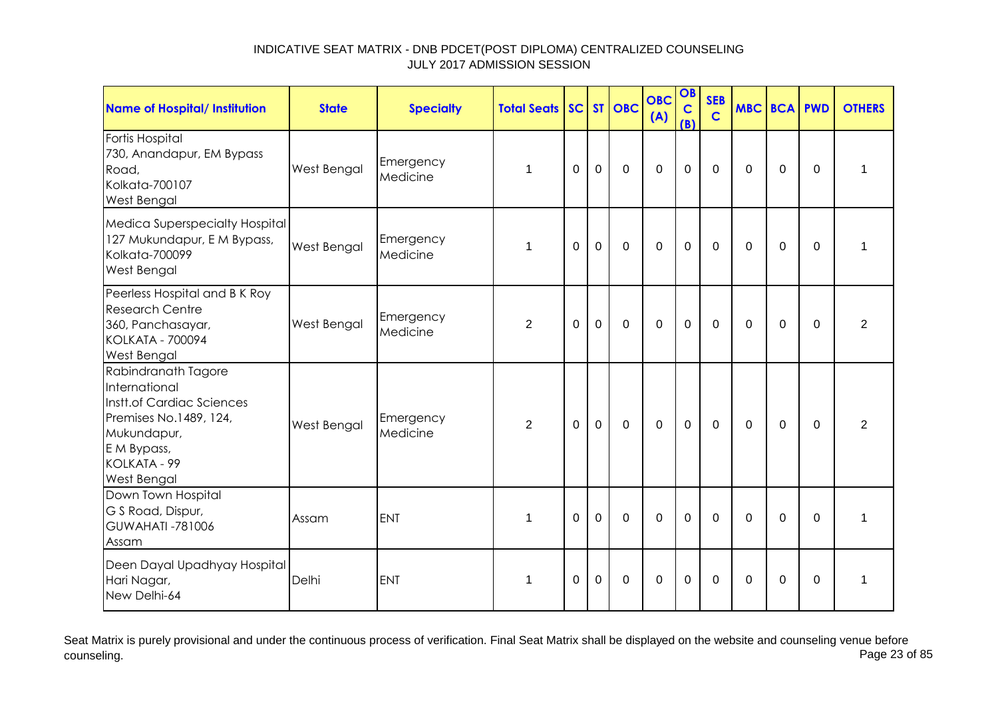| <b>Name of Hospital/ Institution</b>                                                                                                                            | <b>State</b> | <b>Specialty</b>      | <b>Total Seats</b> |             |                | SC ST OBC      | <b>OBC</b><br>(A) | OB<br>$\mathbf C$<br>(B) | <b>SEB</b><br>$\overline{c}$ | <b>MBC BCA PWD</b> |                |             | <b>OTHERS</b>  |
|-----------------------------------------------------------------------------------------------------------------------------------------------------------------|--------------|-----------------------|--------------------|-------------|----------------|----------------|-------------------|--------------------------|------------------------------|--------------------|----------------|-------------|----------------|
| Fortis Hospital<br>730, Anandapur, EM Bypass<br>Road,<br>Kolkata-700107<br><b>West Bengal</b>                                                                   | West Bengal  | Emergency<br>Medicine | 1                  | $\mathbf 0$ | $\mathbf 0$    | $\mathbf 0$    | $\mathbf 0$       | $\mathbf 0$              | $\mathbf 0$                  | $\mathbf 0$        | $\overline{0}$ | $\Omega$    | $\mathbf{1}$   |
| Medica Superspecialty Hospital<br>127 Mukundapur, E M Bypass,<br>Kolkata-700099<br>West Bengal                                                                  | West Bengal  | Emergency<br>Medicine | 1                  | $\mathbf 0$ | $\overline{0}$ | $\mathbf 0$    | $\mathbf 0$       | $\overline{0}$           | $\mathbf 0$                  | $\Omega$           | $\mathbf 0$    | $\mathbf 0$ | $\mathbf{1}$   |
| Peerless Hospital and B K Roy<br><b>Research Centre</b><br>360, Panchasayar,<br><b>KOLKATA - 700094</b><br><b>West Bengal</b>                                   | West Bengal  | Emergency<br>Medicine | $\overline{2}$     | $\Omega$    | $\mathbf 0$    | $\mathbf 0$    | $\mathbf 0$       | $\mathbf 0$              | $\mathbf{0}$                 | $\Omega$           | 0              | $\Omega$    | $\overline{2}$ |
| Rabindranath Tagore<br>International<br>Instt.of Cardiac Sciences<br>Premises No.1489, 124,<br>Mukundapur,<br>E M Bypass,<br>KOLKATA - 99<br><b>West Bengal</b> | West Bengal  | Emergency<br>Medicine | $\overline{2}$     | $\Omega$    | $\mathbf 0$    | $\mathbf 0$    | $\overline{0}$    | $\mathbf 0$              | $\mathbf{0}$                 | $\Omega$           | $\mathbf 0$    | $\mathbf 0$ | $\overline{2}$ |
| Down Town Hospital<br>G S Road, Dispur,<br>GUWAHATI-781006<br>Assam                                                                                             | Assam        | ENT                   | $\mathbf{1}$       | $\Omega$    | $\mathbf 0$    | $\overline{0}$ | $\overline{0}$    | $\mathbf 0$              | $\mathbf 0$                  | $\Omega$           | $\mathbf 0$    | $\Omega$    | $\mathbf{1}$   |
| Deen Dayal Upadhyay Hospital<br>Hari Nagar,<br>New Delhi-64                                                                                                     | Delhi        | <b>ENT</b>            | $\mathbf 1$        | $\Omega$    | $\Omega$       | $\overline{0}$ | $\Omega$          | $\mathbf 0$              | $\Omega$                     | $\Omega$           | $\Omega$       | $\Omega$    | 1              |

Seat Matrix is purely provisional and under the continuous process of verification. Final Seat Matrix shall be displayed on the website and counseling venue before<br>Page 23 of 85 counseling. Page 23 of 85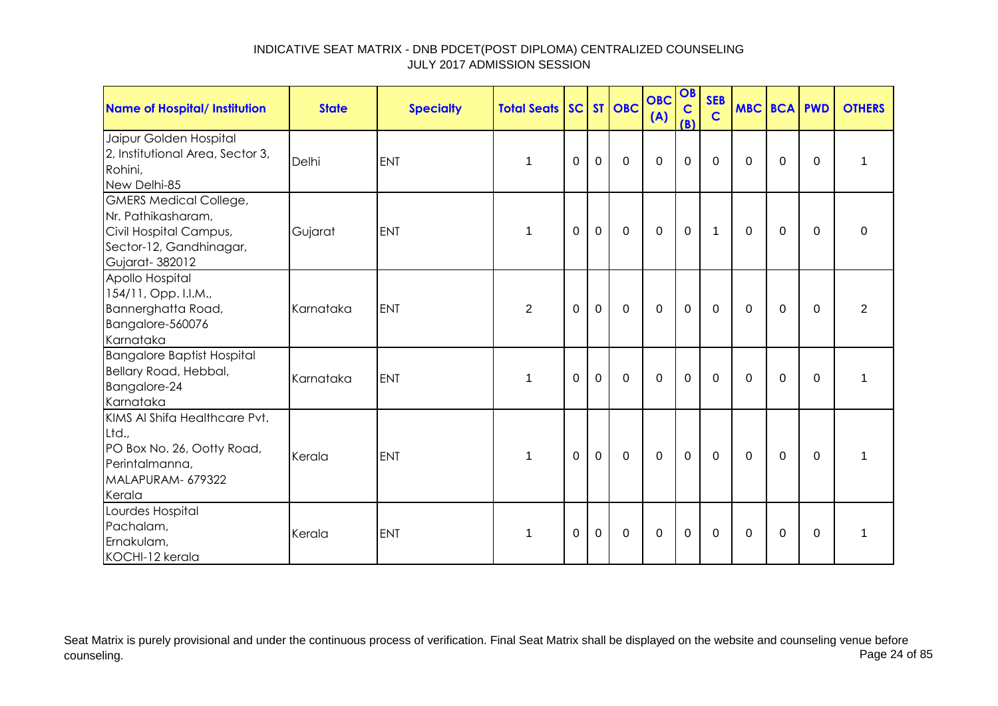| Name of Hospital/ Institution                                                                                              | <b>State</b> | <b>Specialty</b> | <b>Total Seats SC ST OBC</b> |             |              |                | <b>OBC</b><br>(A) | OB<br>$\mathbf C$<br>(B) | <b>SEB</b><br>$\mathbf C$ | <b>MBC BCA PWD</b> |              |             | <b>OTHERS</b>  |
|----------------------------------------------------------------------------------------------------------------------------|--------------|------------------|------------------------------|-------------|--------------|----------------|-------------------|--------------------------|---------------------------|--------------------|--------------|-------------|----------------|
| Jaipur Golden Hospital<br>2, Institutional Area, Sector 3,<br>Rohini,<br>New Delhi-85                                      | Delhi        | <b>ENT</b>       | $\mathbf 1$                  | $\mathbf 0$ | $\mathbf 0$  | $\mathbf 0$    | $\overline{0}$    | $\mathbf 0$              | $\mathbf 0$               | $\Omega$           | $\mathbf 0$  | $\Omega$    | 1              |
| <b>GMERS Medical College,</b><br>Nr. Pathikasharam,<br>Civil Hospital Campus,<br>Sector-12, Gandhinagar,<br>Gujarat-382012 | Gujarat      | <b>ENT</b>       | $\mathbf 1$                  | $\mathbf 0$ | $\mathbf 0$  | $\overline{0}$ | $\overline{0}$    | $\mathbf 0$              | $\mathbf{1}$              | $\mathbf 0$        | $\mathbf 0$  | $\mathbf 0$ | $\mathbf 0$    |
| Apollo Hospital<br>154/11, Opp. I.I.M.,<br>Bannerghatta Road,<br>Bangalore-560076<br>Karnataka                             | Karnataka    | ENT              | $\overline{2}$               | $\mathbf 0$ | $\mathbf 0$  | $\overline{0}$ | $\overline{0}$    | $\mathbf 0$              | $\mathbf 0$               | $\mathbf 0$        | $\mathbf 0$  | $\mathbf 0$ | $\overline{2}$ |
| <b>Bangalore Baptist Hospital</b><br>Bellary Road, Hebbal,<br>Bangalore-24<br>Karnataka                                    | Karnataka    | <b>ENT</b>       | 1                            | $\mathbf 0$ | $\mathbf 0$  | $\mathbf 0$    | $\mathbf 0$       | $\mathbf 0$              | $\mathbf 0$               | 0                  | 0            | 0           | 1              |
| KIMS AI Shifa Healthcare Pvt.<br>Ltd.,<br>PO Box No. 26, Ootty Road,<br>Perintalmanna,<br>MALAPURAM- 679322<br>Kerala      | Kerala       | <b>ENT</b>       | 1                            | $\mathbf 0$ | $\mathbf{0}$ | $\mathbf 0$    | $\mathbf 0$       | $\mathbf 0$              | $\overline{0}$            | $\mathbf 0$        | $\mathbf{0}$ | $\mathbf 0$ | 1              |
| Lourdes Hospital<br>Pachalam,<br>Ernakulam,<br>KOCHI-12 kerala                                                             | Kerala       | <b>ENT</b>       | $\mathbf 1$                  | $\mathbf 0$ | $\mathbf 0$  | $\mathbf 0$    | $\mathbf 0$       | $\mathbf 0$              | $\mathbf 0$               | $\Omega$           | $\mathbf 0$  | $\Omega$    | 1              |

Seat Matrix is purely provisional and under the continuous process of verification. Final Seat Matrix shall be displayed on the website and counseling venue before<br>Page 24 of 85 counseling. Page 24 of 85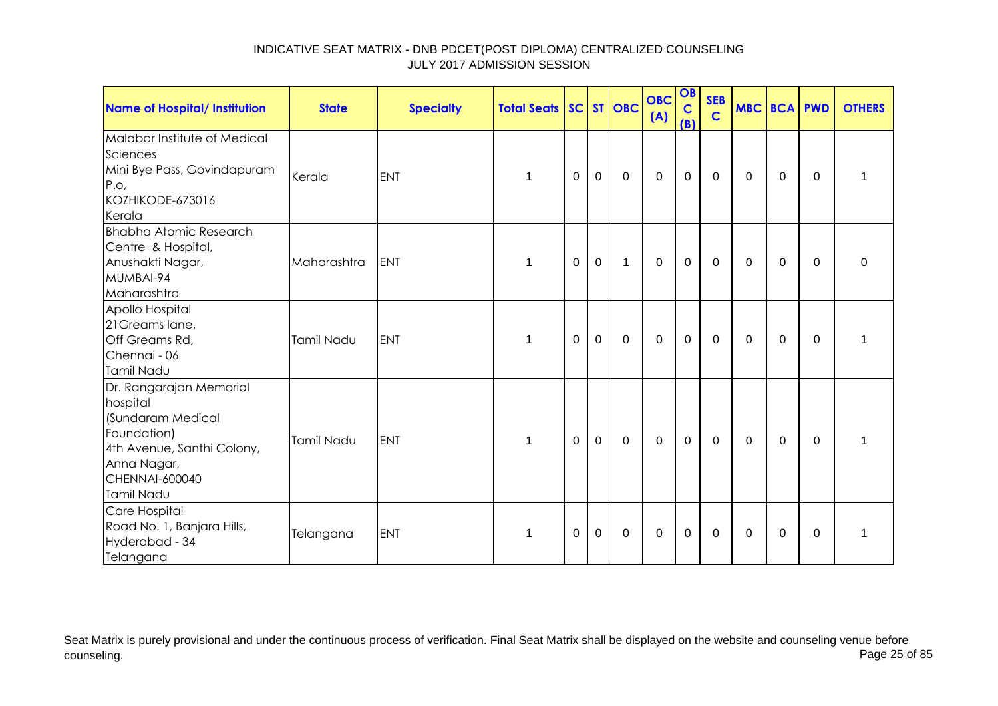| <b>Name of Hospital/ Institution</b>                                                                                                                 | <b>State</b> | <b>Specialty</b> | <b>Total Seats SC ST OBC</b> |             |             |              | <b>OBC</b><br>(A) | OB<br>$\mathbf C$<br>(B) | <b>SEB</b><br>$\mathbf C$ |              | MBC BCA PWD |             | <b>OTHERS</b> |
|------------------------------------------------------------------------------------------------------------------------------------------------------|--------------|------------------|------------------------------|-------------|-------------|--------------|-------------------|--------------------------|---------------------------|--------------|-------------|-------------|---------------|
| Malabar Institute of Medical<br>Sciences<br>Mini Bye Pass, Govindapuram<br>P.o,<br>KOZHIKODE-673016<br>Kerala                                        | Kerala       | <b>ENT</b>       |                              | 0           | $\mathbf 0$ | $\mathbf 0$  | $\mathbf 0$       | $\mathbf 0$              | $\mathbf{0}$              | $\mathbf{0}$ | 0           | $\Omega$    | 1             |
| <b>Bhabha Atomic Research</b><br>Centre & Hospital,<br>Anushakti Nagar,<br>MUMBAI-94<br>Maharashtra                                                  | Maharashtra  | <b>IENT</b>      | 1                            | 0           | $\mathbf 0$ | $\mathbf{1}$ | $\mathbf 0$       | $\mathbf 0$              | $\mathbf 0$               | 0            | 0           | 0           | 0             |
| Apollo Hospital<br>21 Greams lane,<br>Off Greams Rd,<br>Chennai - 06<br>Tamil Nadu                                                                   | Tamil Nadu   | <b>ENT</b>       | 1                            | 0           | $\mathbf 0$ | $\mathbf 0$  | $\mathbf 0$       | $\mathbf 0$              | 0                         | $\Omega$     | 0           | 0           | 1             |
| Dr. Rangarajan Memorial<br>hospital<br>(Sundaram Medical<br>Foundation)<br>4th Avenue, Santhi Colony,<br>Anna Nagar,<br>CHENNAI-600040<br>Tamil Nadu | Tamil Nadu   | <b>ENT</b>       | 1                            | $\mathbf 0$ | $\mathbf 0$ | $\mathbf 0$  | $\overline{0}$    | $\mathbf 0$              | $\overline{0}$            | $\mathbf{0}$ | $\mathbf 0$ | $\mathbf 0$ | 1             |
| Care Hospital<br>Road No. 1, Banjara Hills,<br>Hyderabad - 34<br>Telangana                                                                           | Telangana    | <b>ENT</b>       | 1                            | 0           | $\mathbf 0$ | $\mathbf 0$  | $\mathbf 0$       | $\mathbf 0$              | $\mathbf 0$               | $\mathbf{0}$ | $\mathbf 0$ | $\Omega$    | 1             |

Seat Matrix is purely provisional and under the continuous process of verification. Final Seat Matrix shall be displayed on the website and counseling venue before<br>Page 25 of 85 counseling. Page 25 of 85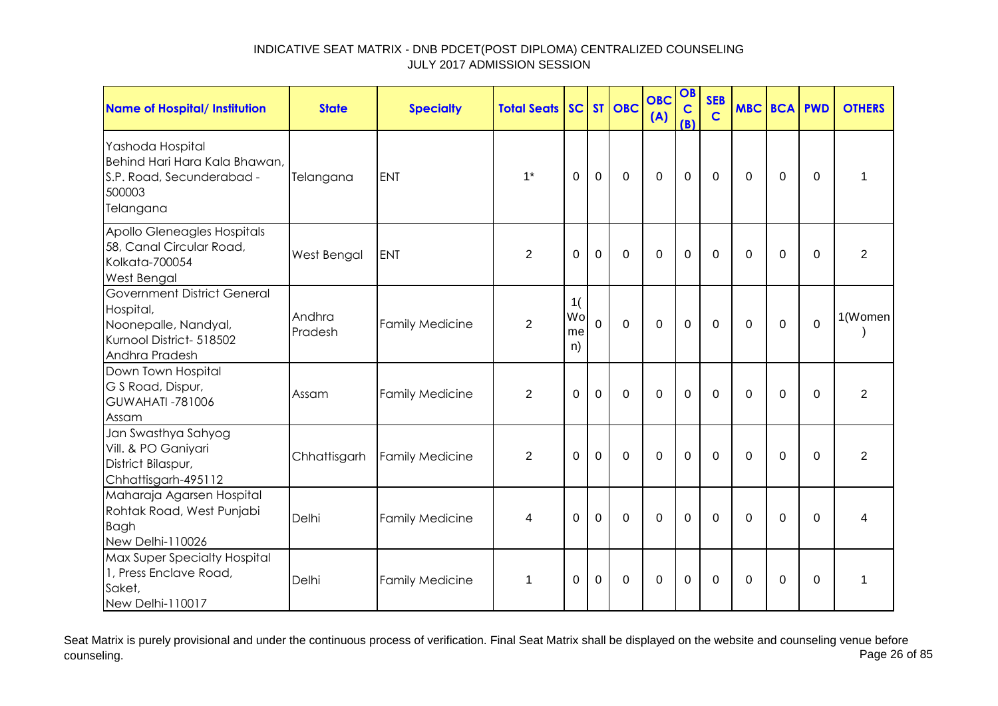| <b>Name of Hospital/ Institution</b>                                                                                  | <b>State</b>      | <b>Specialty</b>       | <b>Total Seats</b> | SC                   |                | ST OBC         | <b>OBC</b><br>(A) | OB<br>$\mathbf C$<br>(B) | <b>SEB</b><br>$\mathbf C$ |             | <b>MBC BCA PWD</b> |             | <b>OTHERS</b>  |
|-----------------------------------------------------------------------------------------------------------------------|-------------------|------------------------|--------------------|----------------------|----------------|----------------|-------------------|--------------------------|---------------------------|-------------|--------------------|-------------|----------------|
| Yashoda Hospital<br>Behind Hari Hara Kala Bhawan,<br>S.P. Road, Secunderabad -<br>500003<br>Telangana                 | Telangana         | <b>ENT</b>             | $1*$               | $\Omega$             | $\overline{0}$ | $\overline{0}$ | $\overline{0}$    | $\mathbf{0}$             | $\mathbf 0$               | $\Omega$    | $\mathbf 0$        | $\mathbf 0$ | 1              |
| Apollo Gleneagles Hospitals<br>58, Canal Circular Road,<br>Kolkata-700054<br>West Bengal                              | West Bengal       | <b>ENT</b>             | $\overline{2}$     | $\Omega$             | $\mathbf 0$    | $\mathbf 0$    | $\mathbf 0$       | $\mathbf 0$              | $\mathbf 0$               | $\Omega$    | $\mathbf 0$        | 0           | $\overline{2}$ |
| <b>Government District General</b><br>Hospital,<br>Noonepalle, Nandyal,<br>Kurnool District- 518502<br>Andhra Pradesh | Andhra<br>Pradesh | <b>Family Medicine</b> | $\overline{2}$     | 1(<br>Wo<br>me<br>n) | $\overline{0}$ | $\mathbf 0$    | $\mathbf 0$       | $\mathbf 0$              | $\Omega$                  | $\Omega$    | $\mathbf 0$        | $\mathbf 0$ | 1(Women        |
| Down Town Hospital<br>G S Road, Dispur,<br><b>GUWAHATI-781006</b><br>Assam                                            | Assam             | <b>Family Medicine</b> | $\overline{2}$     | $\Omega$             | $\mathbf 0$    | $\overline{0}$ | $\mathbf 0$       | $\mathbf 0$              | $\mathbf 0$               | $\Omega$    | $\mathbf 0$        | $\Omega$    | $\overline{2}$ |
| Jan Swasthya Sahyog<br>Vill. & PO Ganiyari<br>District Bilaspur,<br>Chhattisgarh-495112                               | Chhattisgarh      | <b>Family Medicine</b> | $\overline{2}$     | $\Omega$             | $\mathbf 0$    | $\overline{0}$ | $\Omega$          | $\mathbf 0$              | $\mathbf 0$               | $\Omega$    | $\mathbf 0$        | $\mathbf 0$ | $\overline{2}$ |
| Maharaja Agarsen Hospital<br>Rohtak Road, West Punjabi<br><b>Bagh</b><br>New Delhi-110026                             | Delhi             | <b>Family Medicine</b> | 4                  | $\Omega$             | $\mathbf 0$    | $\overline{0}$ | $\mathbf 0$       | $\mathbf 0$              | $\mathbf 0$               | $\mathbf 0$ | $\mathbf 0$        | $\Omega$    | 4              |
| Max Super Specialty Hospital<br>1, Press Enclave Road,<br>Saket,<br>New Delhi-110017                                  | Delhi             | <b>Family Medicine</b> | $\mathbf 1$        | 0                    | $\Omega$       | $\mathbf 0$    | $\Omega$          | $\Omega$                 | $\Omega$                  | $\Omega$    | $\Omega$           | $\Omega$    | 1              |

Seat Matrix is purely provisional and under the continuous process of verification. Final Seat Matrix shall be displayed on the website and counseling venue before<br>Page 26 of 85 counseling. Page 26 of 85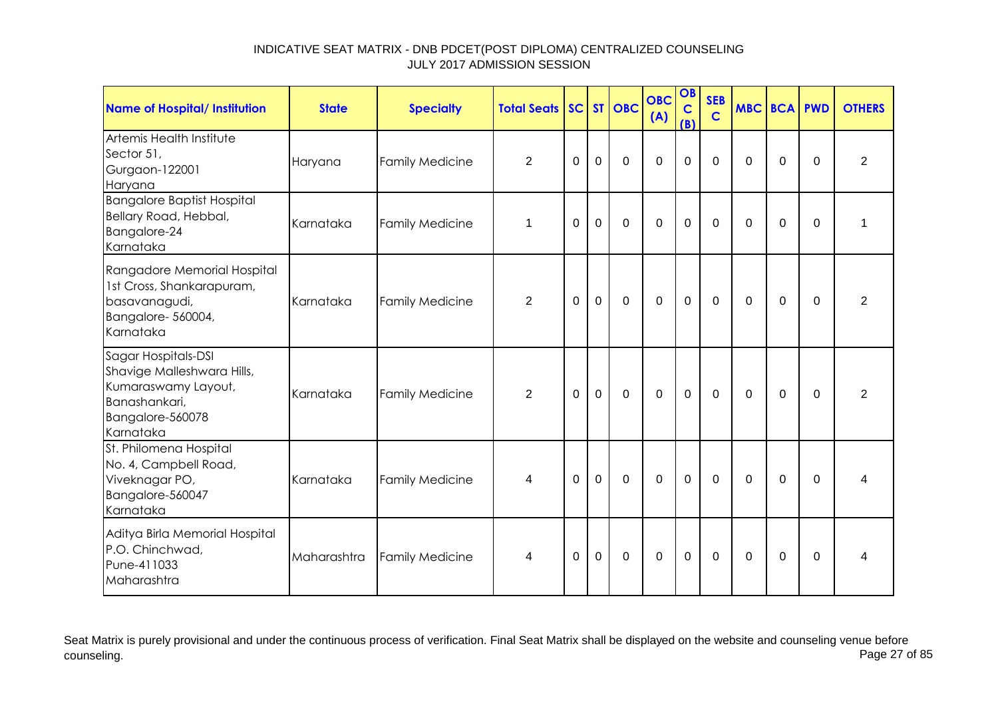| <b>Name of Hospital/ Institution</b>                                                                                       | <b>State</b> | <b>Specialty</b>       | <b>Total Seats</b> |             |                | SC ST OBC   | <b>OBC</b><br>(A) | OB<br>$\mathbf C$<br>(B) | <b>SEB</b><br>$\mathbf C$ | <b>MBC BCA PWD</b> |                |             | <b>OTHERS</b>  |
|----------------------------------------------------------------------------------------------------------------------------|--------------|------------------------|--------------------|-------------|----------------|-------------|-------------------|--------------------------|---------------------------|--------------------|----------------|-------------|----------------|
| Artemis Health Institute<br>Sector 51,<br>Gurgaon-122001<br>Haryana                                                        | Haryana      | <b>Family Medicine</b> | $\overline{2}$     | $\mathbf 0$ | $\mathbf 0$    | $\mathbf 0$ | $\mathbf 0$       | 0                        | $\overline{0}$            | $\Omega$           | $\mathbf 0$    | $\mathbf 0$ | $\overline{2}$ |
| <b>Bangalore Baptist Hospital</b><br>Bellary Road, Hebbal,<br>Bangalore-24<br>Karnataka                                    | Karnataka    | <b>Family Medicine</b> | $\mathbf 1$        | 0           | $\mathbf 0$    | $\mathbf 0$ | $\mathbf 0$       | $\overline{0}$           | $\overline{0}$            | $\Omega$           | $\overline{0}$ | $\mathbf 0$ | 1              |
| Rangadore Memorial Hospital<br>1st Cross, Shankarapuram,<br>basavanagudi,<br>Bangalore-560004,<br>Karnataka                | Karnataka    | <b>Family Medicine</b> | $\overline{2}$     | 0           | $\mathbf 0$    | $\mathbf 0$ | $\mathbf 0$       | $\mathbf 0$              | $\mathbf 0$               | 0                  | 0              | $\Omega$    | $\overline{2}$ |
| Sagar Hospitals-DSI<br>Shavige Malleshwara Hills,<br>Kumaraswamy Layout,<br>Banashankari,<br>Bangalore-560078<br>Karnataka | Karnataka    | <b>Family Medicine</b> | $\overline{2}$     | 0           | $\mathbf 0$    | $\mathbf 0$ | $\mathbf 0$       | $\mathbf 0$              | $\mathbf 0$               | $\mathbf{0}$       | 0              | 0           | $\overline{2}$ |
| St. Philomena Hospital<br>No. 4, Campbell Road,<br>Viveknagar PO,<br>Bangalore-560047<br>Karnataka                         | Karnataka    | <b>Family Medicine</b> | 4                  | $\mathbf 0$ | $\overline{0}$ | $\mathbf 0$ | $\mathbf 0$       | $\mathbf 0$              | $\mathbf 0$               | $\mathbf{0}$       | $\overline{0}$ | $\Omega$    | 4              |
| Aditya Birla Memorial Hospital<br>P.O. Chinchwad,<br>Pune-411033<br>Maharashtra                                            | Maharashtra  | <b>Family Medicine</b> | 4                  | 0           | $\mathbf 0$    | $\mathbf 0$ | $\mathbf 0$       | $\mathbf 0$              | 0                         | $\mathbf{0}$       | 0              | 0           | 4              |

Seat Matrix is purely provisional and under the continuous process of verification. Final Seat Matrix shall be displayed on the website and counseling venue before<br>Page 27 of 85 counseling. Page 27 of 85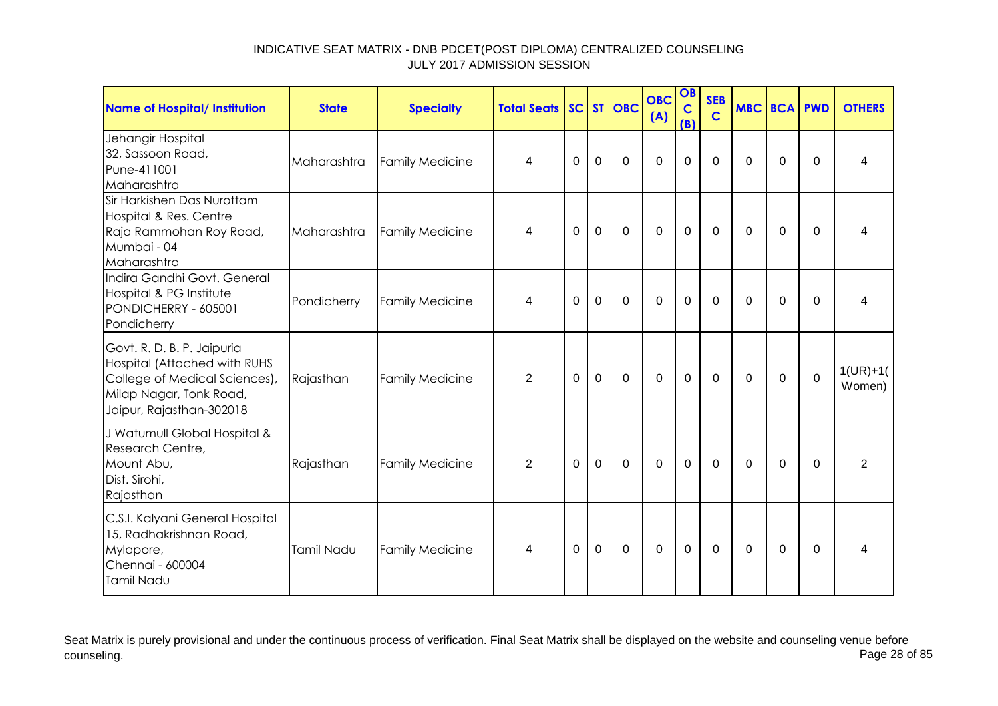| Name of Hospital/ Institution                                                                                                                             | <b>State</b> | <b>Specialty</b>       | <b>Total Seats</b> |             |             | SC ST OBC   | <b>OBC</b><br>(A) | OB<br>$\mathbf C$<br>(B) | <b>SEB</b><br>$\mathbf C$ | <b>MBC BCA PWD</b> |                |             | <b>OTHERS</b>        |
|-----------------------------------------------------------------------------------------------------------------------------------------------------------|--------------|------------------------|--------------------|-------------|-------------|-------------|-------------------|--------------------------|---------------------------|--------------------|----------------|-------------|----------------------|
| Jehangir Hospital<br>32, Sassoon Road,<br>Pune-411001<br>Maharashtra                                                                                      | Maharashtra  | <b>Family Medicine</b> | 4                  | $\mathbf 0$ | $\mathbf 0$ | $\mathbf 0$ | $\Omega$          | $\mathbf 0$              | $\mathbf 0$               | $\Omega$           | $\mathbf 0$    | $\Omega$    | 4                    |
| Sir Harkishen Das Nurottam<br>Hospital & Res. Centre<br>Raja Rammohan Roy Road,<br>Mumbai - 04<br>Maharashtra                                             | Maharashtra  | <b>Family Medicine</b> | 4                  | $\mathbf 0$ | $\mathbf 0$ | $\mathbf 0$ | $\overline{0}$    | $\mathbf 0$              | $\mathbf 0$               | $\Omega$           | 0              | $\Omega$    | 4                    |
| Indira Gandhi Govt. General<br>Hospital & PG Institute<br>PONDICHERRY - 605001<br>Pondicherry                                                             | Pondicherry  | <b>Family Medicine</b> | 4                  | $\mathbf 0$ | $\mathbf 0$ | $\mathbf 0$ | $\overline{0}$    | $\mathbf 0$              | $\Omega$                  | $\mathbf 0$        | $\overline{0}$ | $\Omega$    | 4                    |
| Govt. R. D. B. P. Jaipuria<br><b>Hospital (Attached with RUHS</b><br>College of Medical Sciences),<br>Milap Nagar, Tonk Road,<br>Jaipur, Rajasthan-302018 | Rajasthan    | <b>Family Medicine</b> | 2                  | $\Omega$    | $\mathbf 0$ | $\Omega$    | $\Omega$          | $\mathbf 0$              | $\Omega$                  | $\Omega$           | 0              | $\mathbf 0$ | $1(UR)+1($<br>Women) |
| J Watumull Global Hospital &<br>Research Centre,<br>Mount Abu,<br>Dist. Sirohi,<br>Rajasthan                                                              | Rajasthan    | <b>Family Medicine</b> | 2                  | $\mathbf 0$ | $\mathbf 0$ | $\mathbf 0$ | $\overline{0}$    | $\mathbf 0$              | $\Omega$                  | $\Omega$           | 0              | $\Omega$    | $\overline{2}$       |
| C.S.I. Kalyani General Hospital<br>15, Radhakrishnan Road,<br>Mylapore,<br>Chennai - 600004<br>Tamil Nadu                                                 | Tamil Nadu   | <b>Family Medicine</b> | 4                  | $\Omega$    | $\mathbf 0$ | $\Omega$    | $\Omega$          | $\mathbf 0$              | $\Omega$                  | $\Omega$           | $\Omega$       | $\Omega$    | 4                    |

Seat Matrix is purely provisional and under the continuous process of verification. Final Seat Matrix shall be displayed on the website and counseling venue before<br>Page 28 of 85 counseling. Page 28 of 85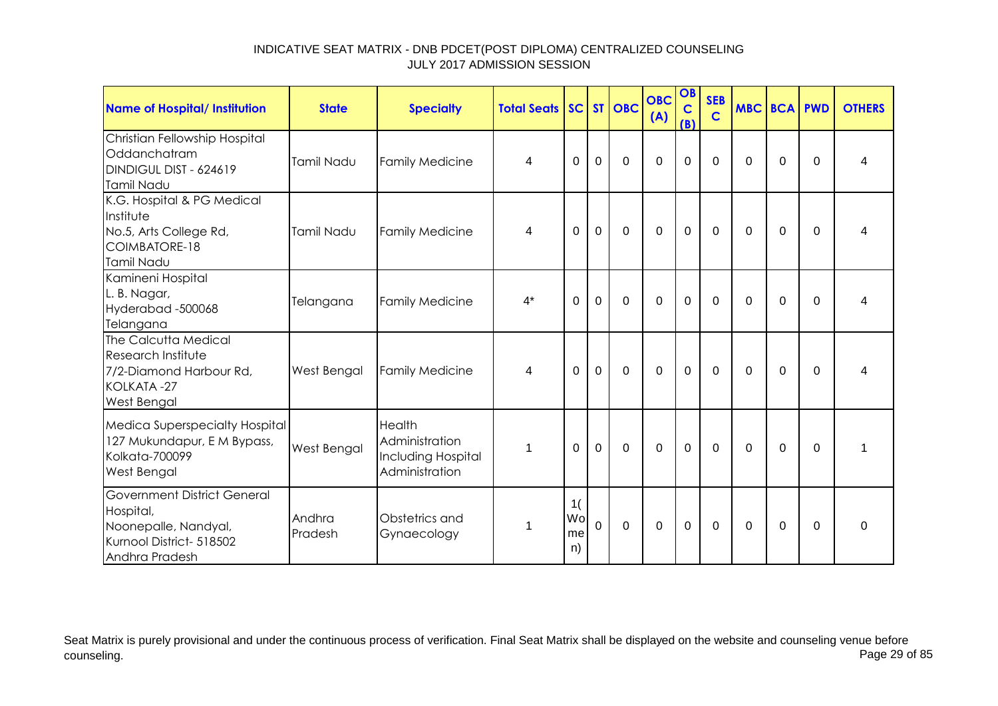| Name of Hospital/ Institution                                                                                         | <b>State</b>       | <b>Specialty</b>                                                 | <b>Total Seats SC ST OBC</b> |                      |             |             | <b>OBC</b><br>(A) | OB<br>$\mathbf C$<br>(B) | <b>SEB</b><br>$\mathbf C$ | <b>MBC BCA PWD</b> |             |          | <b>OTHERS</b> |
|-----------------------------------------------------------------------------------------------------------------------|--------------------|------------------------------------------------------------------|------------------------------|----------------------|-------------|-------------|-------------------|--------------------------|---------------------------|--------------------|-------------|----------|---------------|
| Christian Fellowship Hospital<br>Oddanchatram<br>DINDIGUL DIST - 624619<br>Tamil Nadu                                 | Tamil Nadu         | <b>Family Medicine</b>                                           | 4                            | 0                    | $\mathbf 0$ | $\mathbf 0$ | $\mathbf 0$       | $\mathbf 0$              | $\mathbf 0$               | 0                  | $\mathbf 0$ | $\Omega$ | 4             |
| K.G. Hospital & PG Medical<br>Institute<br>No.5, Arts College Rd,<br>COIMBATORE-18<br>Tamil Nadu                      | Tamil Nadu         | <b>Family Medicine</b>                                           | 4                            | 0                    | $\mathbf 0$ | $\mathbf 0$ | $\overline{0}$    | $\mathbf 0$              | 0                         | 0                  | 0           | $\Omega$ | 4             |
| Kamineni Hospital<br>L. B. Nagar,<br>Hyderabad-500068<br>Telangana                                                    | Telangana          | <b>Family Medicine</b>                                           | $4^*$                        | $\Omega$             | $\mathbf 0$ | $\mathbf 0$ | $\Omega$          | $\mathbf 0$              | $\Omega$                  | $\Omega$           | $\Omega$    | $\Omega$ | 4             |
| The Calcutta Medical<br>Research Institute<br>7/2-Diamond Harbour Rd,<br>KOLKATA-27<br>West Bengal                    | <b>West Bengal</b> | <b>Family Medicine</b>                                           | 4                            | 0                    | $\mathbf 0$ | $\mathbf 0$ | $\overline{0}$    | $\mathbf 0$              | $\Omega$                  | 0                  | 0           | $\Omega$ | 4             |
| Medica Superspecialty Hospital<br>127 Mukundapur, E M Bypass,<br>Kolkata-700099<br><b>West Bengal</b>                 | West Bengal        | Health<br>Administration<br>Including Hospital<br>Administration | 1                            | 0                    | $\mathbf 0$ | $\mathbf 0$ | $\overline{0}$    | $\mathbf 0$              | $\Omega$                  | $\Omega$           | $\Omega$    | $\Omega$ | 1             |
| <b>Government District General</b><br>Hospital,<br>Noonepalle, Nandyal,<br>Kurnool District- 518502<br>Andhra Pradesh | Andhra<br>Pradesh  | Obstetrics and<br>Gynaecology                                    | 1                            | 1(<br>Wo<br>me<br>n) | $\Omega$    | $\mathbf 0$ | $\overline{0}$    | $\mathbf 0$              | $\Omega$                  | $\Omega$           | $\Omega$    | $\Omega$ | $\Omega$      |

Seat Matrix is purely provisional and under the continuous process of verification. Final Seat Matrix shall be displayed on the website and counseling venue before<br>Page 29 of 85 counseling. Page 29 of 85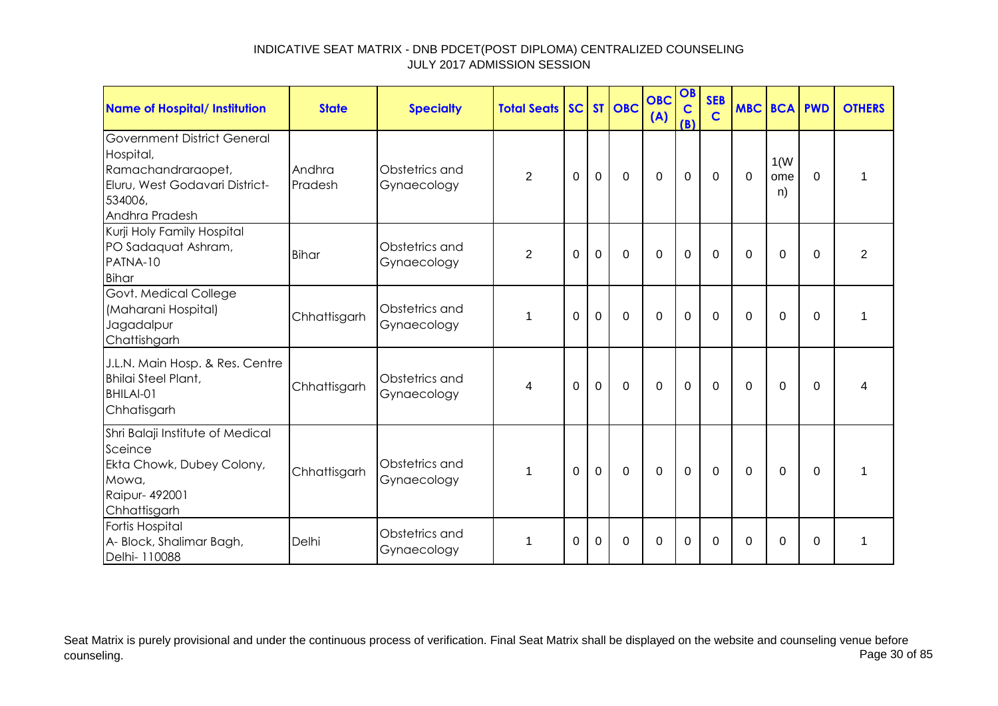| <b>Name of Hospital/ Institution</b>                                                                                          | <b>State</b>      | <b>Specialty</b>              | <b>Total Seats   SC   ST   OBC</b> |          |             |                | <b>OBC</b><br>(A) | OB<br>$\mathbf C$<br>(B) | <b>SEB</b><br>$\mathbf C$ | <b>MBC BCA</b> |                   | <b>PWD</b>  | <b>OTHERS</b>           |
|-------------------------------------------------------------------------------------------------------------------------------|-------------------|-------------------------------|------------------------------------|----------|-------------|----------------|-------------------|--------------------------|---------------------------|----------------|-------------------|-------------|-------------------------|
| Government District General<br>Hospital,<br>Ramachandraraopet,<br>Eluru, West Godavari District-<br>534006,<br>Andhra Pradesh | Andhra<br>Pradesh | Obstetrics and<br>Gynaecology | $\overline{2}$                     | $\Omega$ | $\mathbf 0$ | $\mathbf 0$    | $\overline{0}$    | $\mathbf 0$              | 0                         | $\mathbf 0$    | 1(W)<br>ome<br>n) | $\Omega$    | 1                       |
| Kurji Holy Family Hospital<br>PO Sadaquat Ashram,<br>PATNA-10<br><b>Bihar</b>                                                 | Bihar             | Obstetrics and<br>Gynaecology | $\overline{2}$                     | $\Omega$ | $\mathbf 0$ | $\overline{0}$ | 0                 | $\mathbf 0$              | $\Omega$                  | $\Omega$       | 0                 | 0           | $\overline{2}$          |
| Govt. Medical College<br>(Maharani Hospital)<br>Jagadalpur<br>Chattishgarh                                                    | Chhattisgarh      | Obstetrics and<br>Gynaecology | 1                                  | $\Omega$ | $\mathbf 0$ | $\Omega$       | $\Omega$          | $\mathbf 0$              | $\Omega$                  | $\Omega$       | $\Omega$          | $\Omega$    | 1                       |
| J.L.N. Main Hosp. & Res. Centre<br>Bhilai Steel Plant,<br>BHILAI-01<br>Chhatisgarh                                            | Chhattisgarh      | Obstetrics and<br>Gynaecology | 4                                  | $\Omega$ | $\mathbf 0$ | $\overline{0}$ | $\overline{0}$    | $\mathbf 0$              | $\mathbf 0$               | $\Omega$       | $\overline{0}$    | $\mathbf 0$ | $\overline{\mathbf{4}}$ |
| Shri Balaji Institute of Medical<br>Sceince<br>Ekta Chowk, Dubey Colony,<br>Mowa,<br><b>Raipur-492001</b><br>Chhattisgarh     | Chhattisgarh      | Obstetrics and<br>Gynaecology | 1                                  | $\Omega$ | $\mathbf 0$ | $\overline{0}$ | $\Omega$          | $\mathbf 0$              | $\Omega$                  | $\Omega$       | $\mathbf 0$       | $\Omega$    | 1                       |
| Fortis Hospital<br>A- Block, Shalimar Bagh,<br>Delhi- 110088                                                                  | Delhi             | Obstetrics and<br>Gynaecology | 1                                  | $\Omega$ | $\Omega$    | $\Omega$       | $\Omega$          | 0                        | 0                         | $\Omega$       | $\Omega$          | $\Omega$    | 1                       |

Seat Matrix is purely provisional and under the continuous process of verification. Final Seat Matrix shall be displayed on the website and counseling venue before<br>Page 30 of 85 counseling. Page 30 of 85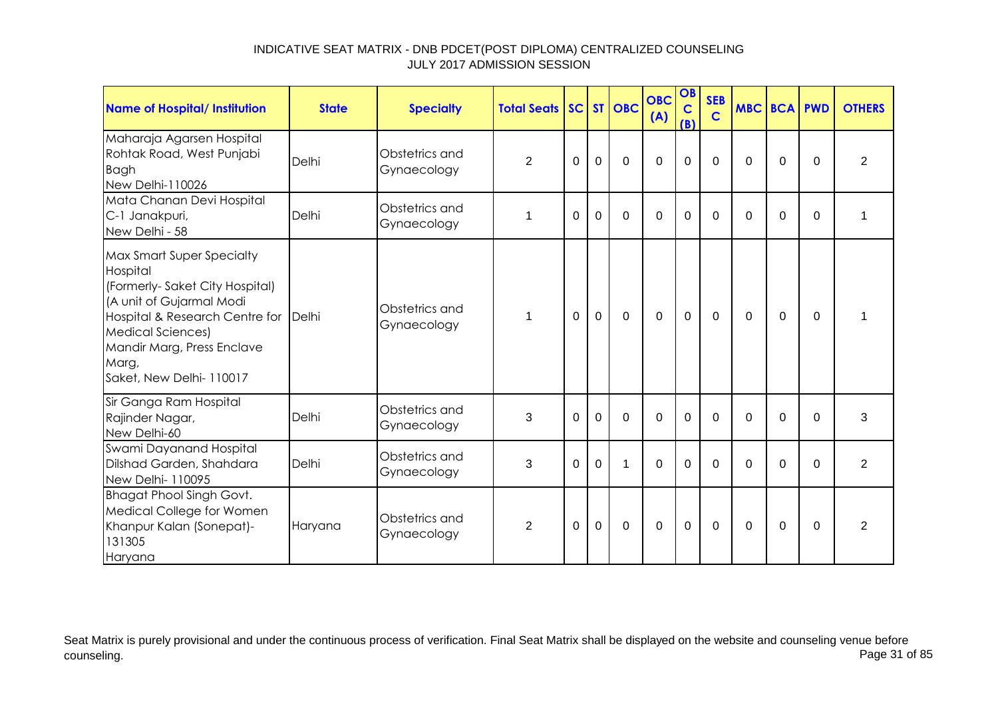| <b>Name of Hospital/ Institution</b>                                                                                                                                                                                                             | <b>State</b> | <b>Specialty</b>              | <b>Total Seats   SC   ST   OBC</b> |          |             |             | <b>OBC</b><br>(A) | OB<br>$\mathbf C$<br>(B) | <b>SEB</b><br>$\mathbf C$ | <b>MBC BCA</b> |          | <b>PWD</b> | <b>OTHERS</b>  |
|--------------------------------------------------------------------------------------------------------------------------------------------------------------------------------------------------------------------------------------------------|--------------|-------------------------------|------------------------------------|----------|-------------|-------------|-------------------|--------------------------|---------------------------|----------------|----------|------------|----------------|
| Maharaja Agarsen Hospital<br>Rohtak Road, West Punjabi<br><b>Bagh</b><br>New Delhi-110026                                                                                                                                                        | Delhi        | Obstetrics and<br>Gynaecology | $\overline{2}$                     | 0        | $\mathbf 0$ | $\mathbf 0$ | $\mathbf 0$       | $\mathbf 0$              | $\Omega$                  | $\Omega$       | 0        | $\Omega$   | $\overline{2}$ |
| Mata Chanan Devi Hospital<br>C-1 Janakpuri,<br>New Delhi - 58                                                                                                                                                                                    | Delhi        | Obstetrics and<br>Gynaecology | 1                                  | 0        | $\Omega$    | $\Omega$    | $\Omega$          | $\Omega$                 | $\Omega$                  | $\Omega$       | $\Omega$ | $\Omega$   | 1              |
| <b>Max Smart Super Specialty</b><br>Hospital<br>(Formerly-Saket City Hospital)<br>(A unit of Gujarmal Modi<br>Hospital & Research Centre for Delhi<br><b>Medical Sciences)</b><br>Mandir Marg, Press Enclave<br>Marg,<br>Saket, New Delhi-110017 |              | Obstetrics and<br>Gynaecology | 1                                  | $\Omega$ | $\mathbf 0$ | $\mathbf 0$ | $\mathbf 0$       | $\mathbf{0}$             | $\Omega$                  | $\Omega$       | $\Omega$ | $\Omega$   | 1              |
| Sir Ganga Ram Hospital<br>Rajinder Nagar,<br>New Delhi-60                                                                                                                                                                                        | Delhi        | Obstetrics and<br>Gynaecology | 3                                  | $\Omega$ | $\Omega$    | $\mathbf 0$ | $\mathbf 0$       | $\mathbf 0$              | $\Omega$                  | $\Omega$       | $\Omega$ | $\Omega$   | 3              |
| Swami Dayanand Hospital<br>Dilshad Garden, Shahdara<br>New Delhi- 110095                                                                                                                                                                         | Delhi        | Obstetrics and<br>Gynaecology | 3                                  | $\Omega$ | $\Omega$    | 1           | $\Omega$          | $\Omega$                 | $\Omega$                  | $\Omega$       | $\Omega$ | $\Omega$   | $\overline{2}$ |
| <b>Bhagat Phool Singh Govt.</b><br>Medical College for Women<br>Khanpur Kalan (Sonepat)-<br>131305<br>Haryana                                                                                                                                    | Haryana      | Obstetrics and<br>Gynaecology | $\overline{2}$                     | 0        | $\Omega$    | $\mathbf 0$ | 0                 | $\mathbf 0$              | $\Omega$                  | $\Omega$       | 0        | $\Omega$   | 2              |

Seat Matrix is purely provisional and under the continuous process of verification. Final Seat Matrix shall be displayed on the website and counseling venue before<br>Page 31 of 85 counseling. Page 31 of 85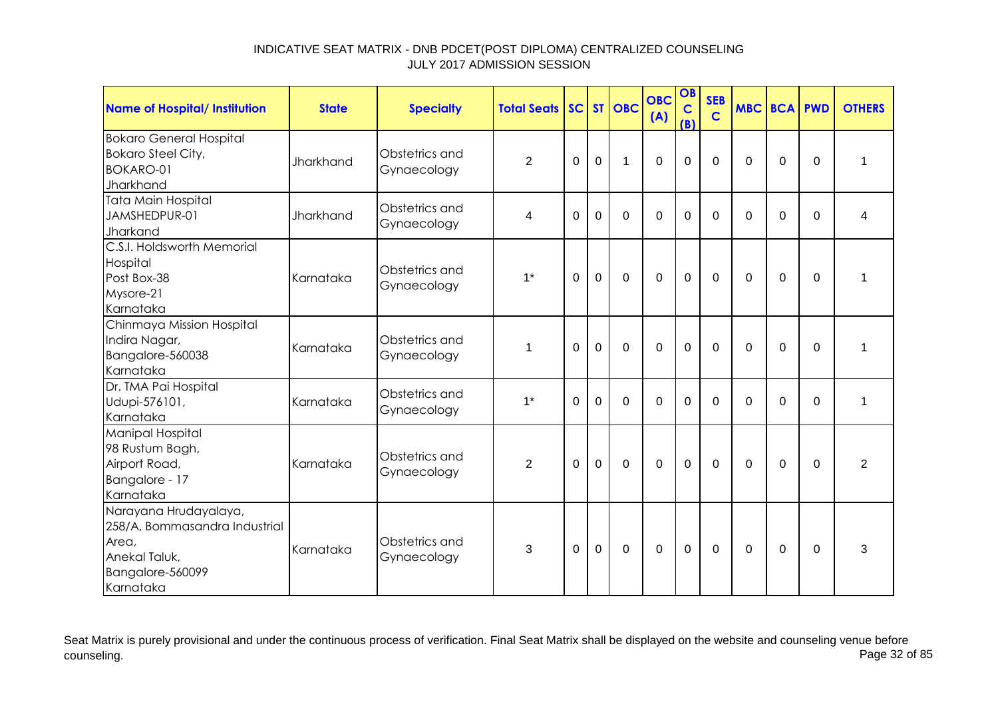| Name of Hospital/ Institution                                                                                     | <b>State</b> | <b>Specialty</b>              | <b>Total Seats SC ST OBC</b> |             |             |             | <b>OBC</b><br>(A) | OB<br>$\mathbf C$<br>(B) | <b>SEB</b><br>$\mathbf C$ | <b>MBC BCA PWD</b> |             |             | <b>OTHERS</b>  |
|-------------------------------------------------------------------------------------------------------------------|--------------|-------------------------------|------------------------------|-------------|-------------|-------------|-------------------|--------------------------|---------------------------|--------------------|-------------|-------------|----------------|
| <b>Bokaro General Hospital</b><br><b>Bokaro Steel City,</b><br><b>BOKARO-01</b><br>Jharkhand                      | Jharkhand    | Obstetrics and<br>Gynaecology | $\overline{2}$               | 0           | $\mathbf 0$ | 1           | $\Omega$          | $\mathbf 0$              | $\mathbf 0$               | $\mathbf 0$        | $\mathbf 0$ | $\mathbf 0$ | 1              |
| <b>Tata Main Hospital</b><br>JAMSHEDPUR-01<br>Jharkand                                                            | Jharkhand    | Obstetrics and<br>Gynaecology | 4                            | $\Omega$    | $\Omega$    | $\Omega$    | $\Omega$          | $\mathbf 0$              | $\Omega$                  | $\Omega$           | $\Omega$    | $\Omega$    | 4              |
| C.S.I. Holdsworth Memorial<br>Hospital<br>Post Box-38<br>Mysore-21<br>Karnataka                                   | Karnataka    | Obstetrics and<br>Gynaecology | $1^*$                        | 0           | $\mathbf 0$ | $\mathbf 0$ | $\overline{0}$    | $\mathbf 0$              | $\mathbf 0$               | $\Omega$           | 0           | $\Omega$    | 1              |
| Chinmaya Mission Hospital<br>Indira Nagar,<br>Bangalore-560038<br>Karnataka                                       | Karnataka    | Obstetrics and<br>Gynaecology | 1                            | 0           | $\Omega$    | $\Omega$    | $\Omega$          | $\mathbf 0$              | $\Omega$                  | $\Omega$           | 0           | $\Omega$    | 1              |
| Dr. TMA Pai Hospital<br>Udupi-576101,<br>Karnataka                                                                | Karnataka    | Obstetrics and<br>Gynaecology | $1*$                         | $\Omega$    | $\Omega$    | $\Omega$    | $\Omega$          | $\mathbf 0$              | $\Omega$                  | 0                  | $\Omega$    | $\Omega$    | 1              |
| <b>Manipal Hospital</b><br>98 Rustum Bagh,<br>Airport Road,<br>Bangalore - 17<br>Karnataka                        | Karnataka    | Obstetrics and<br>Gynaecology | $\overline{2}$               | $\mathbf 0$ | $\mathbf 0$ | $\mathbf 0$ | $\overline{0}$    | $\mathbf 0$              | $\Omega$                  | 0                  | $\Omega$    | $\Omega$    | $\overline{2}$ |
| Narayana Hrudayalaya,<br>258/A, Bommasandra Industrial<br>Area,<br>Anekal Taluk,<br>Bangalore-560099<br>Karnataka | Karnataka    | Obstetrics and<br>Gynaecology | 3                            | $\Omega$    | $\mathbf 0$ | $\Omega$    | $\Omega$          | $\mathbf 0$              | $\Omega$                  | $\Omega$           | $\Omega$    | $\Omega$    | 3              |

Seat Matrix is purely provisional and under the continuous process of verification. Final Seat Matrix shall be displayed on the website and counseling venue before<br>Page 32 of 85 counseling. Page 32 of 85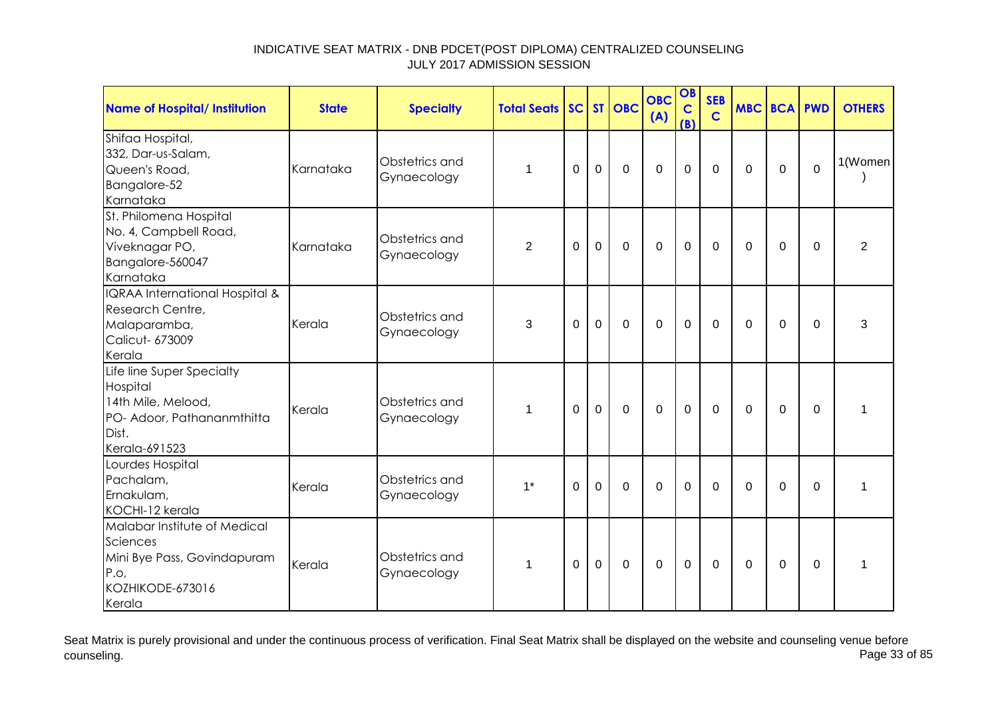| <b>Name of Hospital/ Institution</b>                                                                                | <b>State</b> | <b>Specialty</b>              | <b>Total Seats</b> |             |                | SC ST OBC   | <b>OBC</b><br>(A) | OB<br>$\mathbf C$<br>(B) | <b>SEB</b><br>$\mathsf{C}$ | <b>MBC BCA PWD</b> |                |             | <b>OTHERS</b>  |
|---------------------------------------------------------------------------------------------------------------------|--------------|-------------------------------|--------------------|-------------|----------------|-------------|-------------------|--------------------------|----------------------------|--------------------|----------------|-------------|----------------|
| Shifaa Hospital,<br>332, Dar-us-Salam,<br>Queen's Road,<br>Bangalore-52<br>Karnataka                                | Karnataka    | Obstetrics and<br>Gynaecology | 1                  | $\mathbf 0$ | $\mathbf 0$    | $\mathbf 0$ | $\mathbf 0$       | $\mathbf 0$              | $\mathbf 0$                | $\Omega$           | $\mathbf 0$    | $\mathbf 0$ | 1(Women        |
| St. Philomena Hospital<br>No. 4, Campbell Road,<br>Viveknagar PO,<br>Bangalore-560047<br>Karnataka                  | Karnataka    | Obstetrics and<br>Gynaecology | $\overline{2}$     | $\Omega$    | $\mathbf 0$    | $\mathbf 0$ | $\mathbf 0$       | $\mathbf 0$              | $\mathbf 0$                | $\Omega$           | $\mathbf 0$    | $\mathbf 0$ | $\overline{2}$ |
| IQRAA International Hospital &<br>Research Centre,<br>Malaparamba,<br>Calicut- 673009<br>Kerala                     | Kerala       | Obstetrics and<br>Gynaecology | 3                  | 0           | $\mathbf 0$    | 0           | $\mathbf 0$       | $\mathbf 0$              | 0                          | 0                  | 0              | 0           | 3              |
| Life line Super Specialty<br>Hospital<br>14th Mile, Melood,<br>PO- Adoor, Pathananmthitta<br>Dist.<br>Kerala-691523 | Kerala       | Obstetrics and<br>Gynaecology | 1                  | $\Omega$    | $\overline{0}$ | $\mathbf 0$ | $\overline{0}$    | $\mathbf 0$              | $\mathbf 0$                | $\Omega$           | $\overline{0}$ | $\Omega$    | $\mathbf{1}$   |
| Lourdes Hospital<br>Pachalam,<br>Ernakulam,<br>KOCHI-12 kerala                                                      | Kerala       | Obstetrics and<br>Gynaecology | $1^*$              | $\Omega$    | $\overline{0}$ | $\mathbf 0$ | $\overline{0}$    | $\mathbf 0$              | $\Omega$                   | $\Omega$           | $\overline{0}$ | $\mathbf 0$ | $\mathbf{1}$   |
| Malabar Institute of Medical<br>Sciences<br>Mini Bye Pass, Govindapuram<br>P.O.<br>KOZHIKODE-673016<br>Kerala       | Kerala       | Obstetrics and<br>Gynaecology | 1                  | $\Omega$    | $\mathbf 0$    | $\mathbf 0$ | $\mathbf 0$       | $\mathbf 0$              | $\overline{0}$             | $\Omega$           | $\mathbf 0$    | 0           | 1              |

Seat Matrix is purely provisional and under the continuous process of verification. Final Seat Matrix shall be displayed on the website and counseling venue before<br>Page 33 of 85 counseling. Page 33 of 85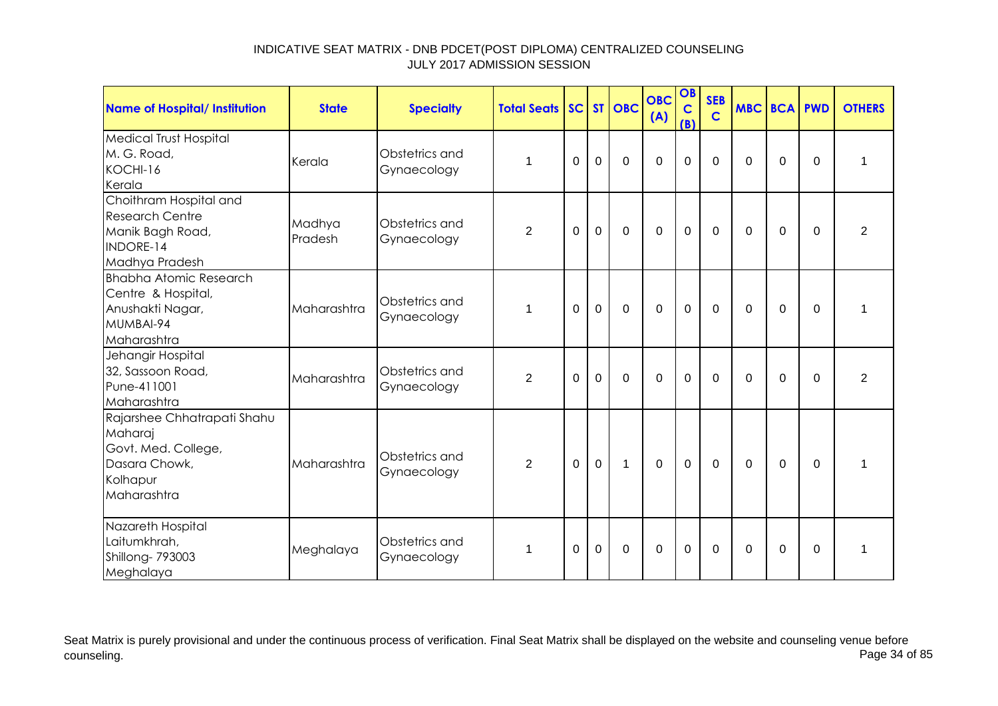| <b>Name of Hospital/ Institution</b>                                                                      | <b>State</b>      | <b>Specialty</b>              | <b>Total Seats SC ST OBC</b> |             |             |              | <b>OBC</b><br>(A) | OB<br>$\mathbf C$<br>(B) | <b>SEB</b><br>$\mathbf C$ | <b>MBC BCA PWD</b> |             |             | <b>OTHERS</b>  |
|-----------------------------------------------------------------------------------------------------------|-------------------|-------------------------------|------------------------------|-------------|-------------|--------------|-------------------|--------------------------|---------------------------|--------------------|-------------|-------------|----------------|
| <b>Medical Trust Hospital</b><br>M. G. Road,<br>KOCHI-16<br>Kerala                                        | Kerala            | Obstetrics and<br>Gynaecology | 1                            | $\Omega$    | $\Omega$    | $\Omega$     | $\overline{0}$    | $\mathbf 0$              | $\Omega$                  | $\Omega$           | $\mathbf 0$ | $\Omega$    | 1              |
| Choithram Hospital and<br><b>Research Centre</b><br>Manik Bagh Road,<br>INDORE-14<br>Madhya Pradesh       | Madhya<br>Pradesh | Obstetrics and<br>Gynaecology | $\overline{2}$               | $\mathbf 0$ | $\mathbf 0$ | $\mathbf 0$  | $\mathbf 0$       | $\mathbf 0$              | $\mathbf 0$               | 0                  | $\mathbf 0$ | $\Omega$    | $\overline{2}$ |
| <b>Bhabha Atomic Research</b><br>Centre & Hospital,<br>Anushakti Nagar,<br>MUMBAI-94<br>Maharashtra       | Maharashtra       | Obstetrics and<br>Gynaecology | $\mathbf 1$                  | $\Omega$    | $\mathbf 0$ | $\mathbf 0$  | $\overline{0}$    | $\mathbf 0$              | 0                         | 0                  | 0           | $\Omega$    | 1              |
| Jehangir Hospital<br>32, Sassoon Road,<br>Pune-411001<br>Maharashtra                                      | Maharashtra       | Obstetrics and<br>Gynaecology | $\overline{2}$               | $\mathbf 0$ | $\mathbf 0$ | $\mathbf 0$  | $\mathbf 0$       | $\mathbf 0$              | $\mathbf 0$               | 0                  | $\mathbf 0$ | $\Omega$    | $\overline{2}$ |
| Rajarshee Chhatrapati Shahu<br>Maharaj<br>Govt. Med. College,<br>Dasara Chowk,<br>Kolhapur<br>Maharashtra | Maharashtra       | Obstetrics and<br>Gynaecology | $\overline{2}$               | $\mathbf 0$ | $\mathbf 0$ | $\mathbf{1}$ | $\Omega$          | $\mathbf 0$              | $\mathbf 0$               | $\mathbf 0$        | $\mathbf 0$ | $\mathbf 0$ | $\mathbf 1$    |
| Nazareth Hospital<br>Laitumkhrah,<br>Shillong-793003<br>Meghalaya                                         | Meghalaya         | Obstetrics and<br>Gynaecology | 1                            | 0           | 0           | 0            | 0                 | $\mathbf 0$              | 0                         | $\Omega$           | 0           | $\Omega$    | 1              |

Seat Matrix is purely provisional and under the continuous process of verification. Final Seat Matrix shall be displayed on the website and counseling venue before<br>Page 34 of 85 counseling. Page 34 of 85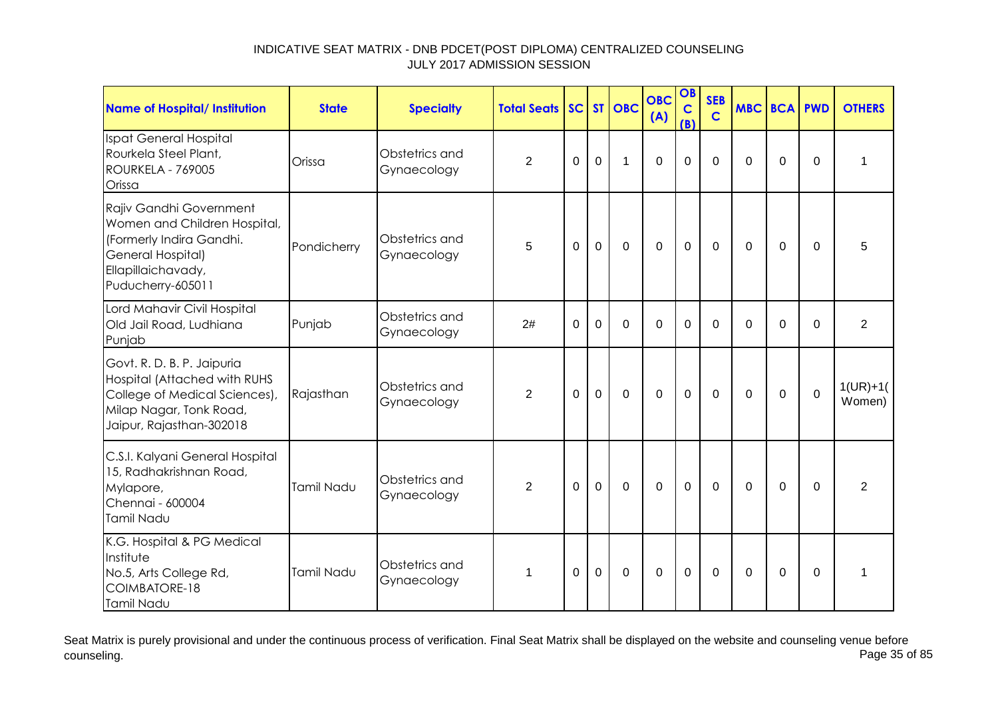| Name of Hospital/ Institution                                                                                                                       | <b>State</b> | <b>Specialty</b>              | <b>Total Seats</b> |          |                | SC ST OBC      | <b>OBC</b><br>(A) | OB<br>$\mathbf C$<br>(B) | <b>SEB</b><br>$\mathbf C$ | <b>MBC BCA PWD</b> |          |             | <b>OTHERS</b>        |
|-----------------------------------------------------------------------------------------------------------------------------------------------------|--------------|-------------------------------|--------------------|----------|----------------|----------------|-------------------|--------------------------|---------------------------|--------------------|----------|-------------|----------------------|
| Ispat General Hospital<br>Rourkela Steel Plant,<br><b>ROURKELA - 769005</b><br>Orissa                                                               | Orissa       | Obstetrics and<br>Gynaecology | $\overline{2}$     | 0        | $\mathbf 0$    | $\mathbf 1$    | $\overline{0}$    | $\mathbf 0$              | $\Omega$                  | $\Omega$           | 0        | $\mathbf 0$ | 1                    |
| Rajiv Gandhi Government<br>Women and Children Hospital,<br>(Formerly Indira Gandhi.<br>General Hospital)<br>Ellapillaichavady,<br>Puducherry-605011 | Pondicherry  | Obstetrics and<br>Gynaecology | 5                  | $\Omega$ | $\overline{0}$ | $\mathbf 0$    | $\overline{0}$    | $\mathbf 0$              | $\mathbf 0$               | $\Omega$           | 0        | $\mathbf 0$ | 5                    |
| Lord Mahavir Civil Hospital<br>Old Jail Road, Ludhiana<br>Punjab                                                                                    | Punjab       | Obstetrics and<br>Gynaecology | 2#                 | 0        | 0              | $\mathbf 0$    | $\mathbf 0$       | $\mathbf 0$              | $\Omega$                  | $\Omega$           | 0        | $\Omega$    | $\overline{2}$       |
| Govt. R. D. B. P. Jaipuria<br>Hospital (Attached with RUHS<br>College of Medical Sciences),<br>Milap Nagar, Tonk Road,<br>Jaipur, Rajasthan-302018  | Rajasthan    | Obstetrics and<br>Gynaecology | $\overline{2}$     | $\Omega$ | $\mathbf 0$    | $\overline{0}$ | $\mathbf 0$       | $\mathbf 0$              | 0                         | $\Omega$           | 0        | $\mathbf 0$ | $1(UR)+1($<br>Women) |
| C.S.I. Kalyani General Hospital<br>15, Radhakrishnan Road,<br>Mylapore,<br>Chennai - 600004<br><b>Tamil Nadu</b>                                    | Tamil Nadu   | Obstetrics and<br>Gynaecology | $\overline{2}$     | $\Omega$ | $\Omega$       | $\Omega$       | $\mathbf 0$       | $\mathbf 0$              | $\Omega$                  | $\Omega$           | $\Omega$ | $\Omega$    | $\overline{2}$       |
| K.G. Hospital & PG Medical<br>Institute<br>No.5, Arts College Rd,<br>COIMBATORE-18<br>Tamil Nadu                                                    | Tamil Nadu   | Obstetrics and<br>Gynaecology | 1                  | $\Omega$ | 0              | $\mathbf 0$    | $\mathbf 0$       | $\mathbf 0$              | 0                         | $\Omega$           | 0        | 0           | 1                    |

Seat Matrix is purely provisional and under the continuous process of verification. Final Seat Matrix shall be displayed on the website and counseling venue before<br>Page 35 of 85 counseling. Page 35 of 85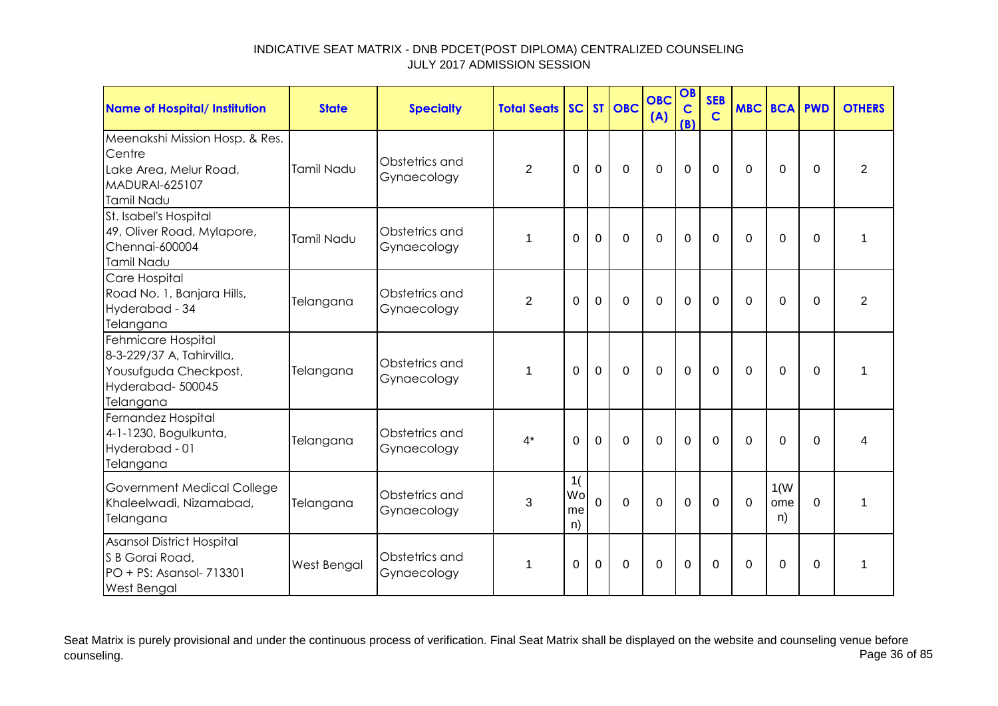| Name of Hospital/ Institution                                                                             | <b>State</b>      | <b>Specialty</b>              | <b>Total Seats</b> |                       |                | SC ST OBC      | <b>OBC</b><br>(A) | OB<br>$\overline{C}$<br>(B) | <b>SEB</b><br>$\mathbf C$ |          | <b>MBC BCA PWD</b> |          | <b>OTHERS</b>           |
|-----------------------------------------------------------------------------------------------------------|-------------------|-------------------------------|--------------------|-----------------------|----------------|----------------|-------------------|-----------------------------|---------------------------|----------|--------------------|----------|-------------------------|
| Meenakshi Mission Hosp. & Res.<br>Centre<br>Lake Area, Melur Road,<br><b>MADURAI-625107</b><br>Tamil Nadu | <b>Tamil Nadu</b> | Obstetrics and<br>Gynaecology | $\overline{2}$     | $\Omega$              | $\mathbf 0$    | $\mathbf 0$    | $\overline{0}$    | $\mathbf 0$                 | $\Omega$                  | $\Omega$ | $\overline{0}$     | $\Omega$ | $\overline{2}$          |
| St. Isabel's Hospital<br>49, Oliver Road, Mylapore,<br>Chennai-600004<br>Tamil Nadu                       | Tamil Nadu        | Obstetrics and<br>Gynaecology | 1                  | $\Omega$              | $\overline{0}$ | $\mathbf 0$    | 0                 | $\overline{0}$              | $\Omega$                  | $\Omega$ | $\Omega$           | $\Omega$ | 1                       |
| Care Hospital<br>Road No. 1, Banjara Hills,<br>Hyderabad - 34<br>Telangana                                | Telangana         | Obstetrics and<br>Gynaecology | $\overline{2}$     | $\Omega$              | $\mathbf 0$    | $\mathbf 0$    | $\overline{0}$    | $\mathbf 0$                 | $\Omega$                  | $\Omega$ | $\Omega$           | $\Omega$ | $\overline{2}$          |
| Fehmicare Hospital<br>8-3-229/37 A, Tahirvilla,<br>Yousufguda Checkpost,<br>Hyderabad-500045<br>Telangana | Telangana         | Obstetrics and<br>Gynaecology | 1                  | $\Omega$              | $\overline{0}$ | $\mathbf 0$    | $\overline{0}$    | $\mathbf 0$                 | $\Omega$                  | $\Omega$ | $\mathbf 0$        | $\Omega$ | $\mathbf{1}$            |
| Fernandez Hospital<br>4-1-1230, Bogulkunta,<br>Hyderabad - 01<br>Telangana                                | Telangana         | Obstetrics and<br>Gynaecology | $4^*$              | $\Omega$              | $\Omega$       | $\Omega$       | $\Omega$          | $\Omega$                    | $\Omega$                  | $\Omega$ | $\Omega$           | $\Omega$ | $\overline{\mathbf{4}}$ |
| <b>Government Medical College</b><br>Khaleelwadi, Nizamabad,<br>Telangana                                 | Telangana         | Obstetrics and<br>Gynaecology | 3                  | 1(<br>Wol<br>me<br>n) | $\Omega$       | $\overline{0}$ | $\overline{0}$    | $\overline{0}$              | $\Omega$                  | $\Omega$ | 1(W)<br>ome<br>n)  | $\Omega$ | 1                       |
| Asansol District Hospital<br>S B Gorai Road,<br>PO + PS: Asansol- 713301<br><b>West Bengal</b>            | West Bengal       | Obstetrics and<br>Gynaecology | 1                  | $\Omega$              | $\overline{0}$ | $\mathbf 0$    | $\Omega$          | $\overline{0}$              | $\Omega$                  | $\Omega$ | $\overline{0}$     | $\Omega$ | 1                       |

Seat Matrix is purely provisional and under the continuous process of verification. Final Seat Matrix shall be displayed on the website and counseling venue before<br>Page 36 of 85 counseling. Page 36 of 85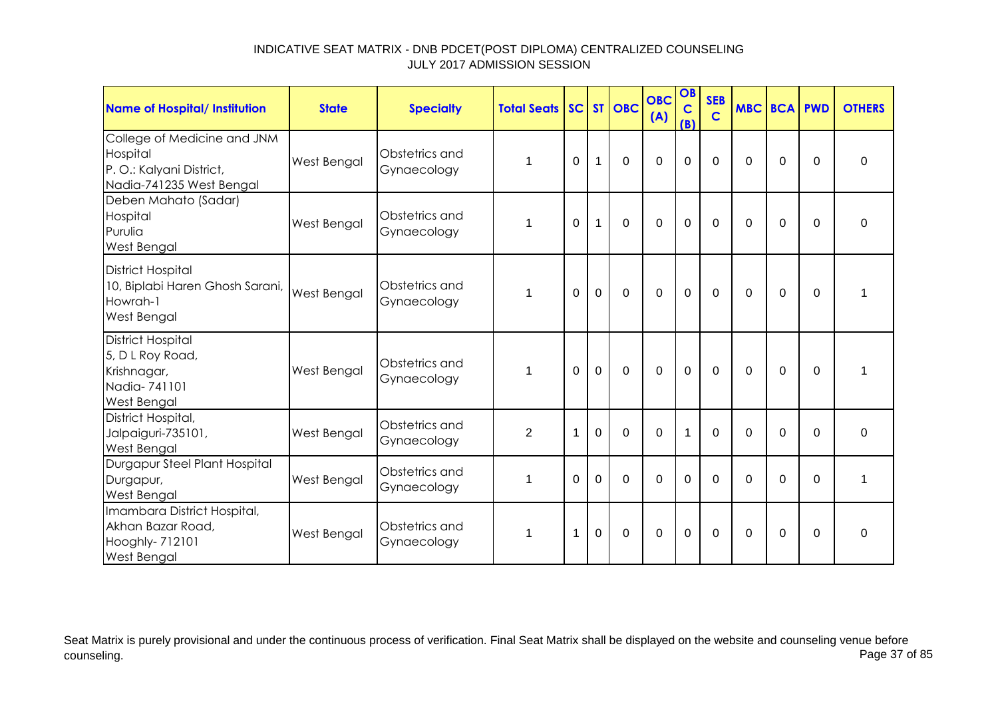| <b>Name of Hospital/ Institution</b>                                                           | <b>State</b>       | <b>Specialty</b>              | <b>Total Seats</b> |             |              | SC ST OBC   | <b>OBC</b><br>(A) | OB<br>$\mathbf C$<br>(B) | <b>SEB</b><br>$\mathbf C$ | <b>MBC BCA</b> |                | <b>PWD</b> | <b>OTHERS</b> |
|------------------------------------------------------------------------------------------------|--------------------|-------------------------------|--------------------|-------------|--------------|-------------|-------------------|--------------------------|---------------------------|----------------|----------------|------------|---------------|
| College of Medicine and JNM<br>Hospital<br>P.O.: Kalyani District,<br>Nadia-741235 West Bengal | <b>West Bengal</b> | Obstetrics and<br>Gynaecology | 1                  | 0           | $\mathbf{1}$ | $\mathbf 0$ | $\mathbf 0$       | $\mathbf 0$              | $\mathbf 0$               | 0              | 0              | $\Omega$   | $\mathbf 0$   |
| Deben Mahato (Sadar)<br>Hospital<br>Purulia<br>West Bengal                                     | West Bengal        | Obstetrics and<br>Gynaecology | 1                  | $\Omega$    | 1            | $\mathbf 0$ | $\mathbf 0$       | $\mathbf 0$              | $\mathbf{0}$              | $\Omega$       | $\Omega$       | $\Omega$   | $\pmb{0}$     |
| <b>District Hospital</b><br>10, Biplabi Haren Ghosh Sarani,<br>Howrah-1<br>West Bengal         | <b>West Bengal</b> | Obstetrics and<br>Gynaecology |                    | $\Omega$    | $\mathbf 0$  | $\mathbf 0$ | $\mathbf 0$       | $\mathbf 0$              | $\mathbf 0$               | $\Omega$       | $\overline{0}$ | $\Omega$   | 1             |
| <b>District Hospital</b><br>5, D L Roy Road,<br>Krishnagar,<br>Nadia-741101<br>West Bengal     | West Bengal        | Obstetrics and<br>Gynaecology |                    | $\Omega$    | $\Omega$     | $\mathbf 0$ | $\mathbf 0$       | $\mathbf 0$              | $\Omega$                  | $\Omega$       | $\Omega$       | $\Omega$   | 1             |
| District Hospital,<br>Jalpaiguri-735101,<br>West Bengal                                        | West Bengal        | Obstetrics and<br>Gynaecology | 2                  | $\mathbf 1$ | $\mathbf 0$  | $\Omega$    | $\Omega$          | 1                        | $\Omega$                  | $\Omega$       | $\Omega$       | $\Omega$   | $\Omega$      |
| Durgapur Steel Plant Hospital<br>Durgapur,<br>West Bengal                                      | <b>West Bengal</b> | Obstetrics and<br>Gynaecology | 1                  | $\Omega$    | $\Omega$     | $\mathbf 0$ | $\mathbf 0$       | $\mathbf 0$              | $\mathbf{0}$              | $\Omega$       | $\mathbf 0$    | $\Omega$   | 1             |
| Imambara District Hospital,<br>Akhan Bazar Road,<br>Hooghly- 712101<br>West Bengal             | West Bengal        | Obstetrics and<br>Gynaecology | 1                  | 1           | $\mathbf 0$  | $\mathbf 0$ | $\mathbf 0$       | $\mathbf 0$              | $\mathbf 0$               | $\Omega$       | 0              | $\Omega$   | $\mathbf 0$   |

Seat Matrix is purely provisional and under the continuous process of verification. Final Seat Matrix shall be displayed on the website and counseling venue before<br>Page 37 of 85 counseling. Page 37 of 85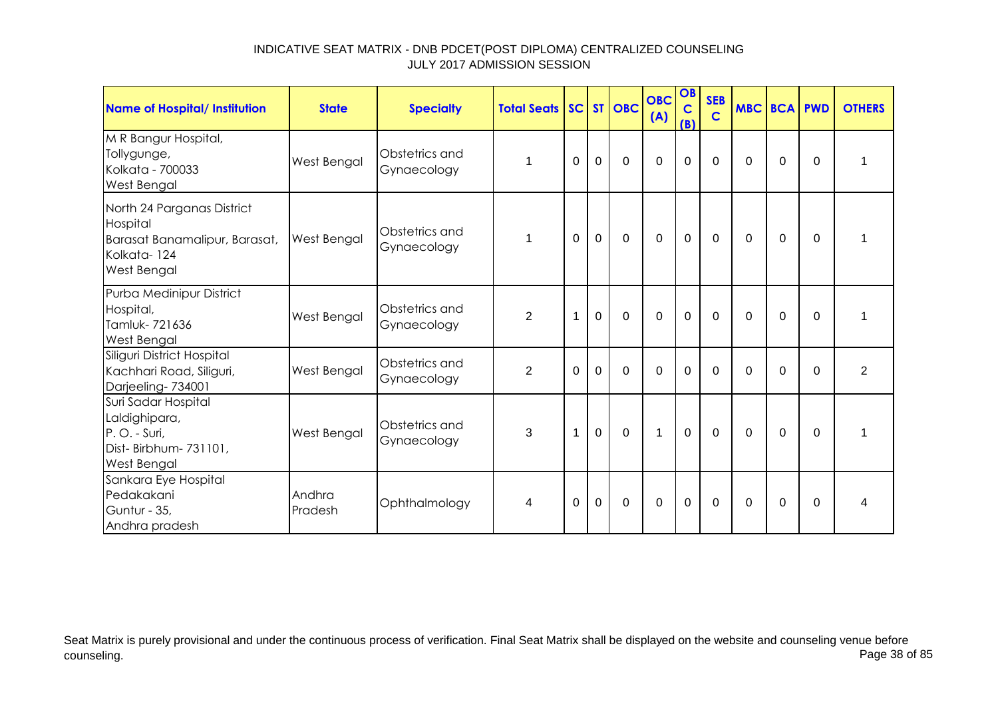| <b>Name of Hospital/ Institution</b>                                                                         | <b>State</b>       | <b>Specialty</b>              | <b>Total Seats</b> |          |                | SC ST OBC      | <b>OBC</b><br>(A) | OB<br>$\mathbf C$<br>(B) | <b>SEB</b><br>$\mathbf C$ | <b>MBC BCA PWD</b> |          |          | <b>OTHERS</b>  |
|--------------------------------------------------------------------------------------------------------------|--------------------|-------------------------------|--------------------|----------|----------------|----------------|-------------------|--------------------------|---------------------------|--------------------|----------|----------|----------------|
| M R Bangur Hospital,<br>Tollygunge,<br>Kolkata - 700033<br><b>West Bengal</b>                                | West Bengal        | Obstetrics and<br>Gynaecology | 1                  | 0        | $\overline{0}$ | $\mathbf 0$    | $\mathbf 0$       | $\mathbf 0$              | $\overline{0}$            | 0                  | 0        | $\Omega$ | 1              |
| North 24 Parganas District<br>Hospital<br>Barasat Banamalipur, Barasat,<br>Kolkata-124<br><b>West Bengal</b> | <b>West Bengal</b> | Obstetrics and<br>Gynaecology | 1                  | $\Omega$ | $\mathbf 0$    | $\mathbf 0$    | $\mathbf 0$       | $\mathbf 0$              | $\mathbf 0$               | $\mathbf{0}$       | 0        | $\Omega$ | 1              |
| Purba Medinipur District<br>Hospital,<br>Tamluk-721636<br><b>West Bengal</b>                                 | West Bengal        | Obstetrics and<br>Gynaecology | $\overline{2}$     | 1        | $\overline{0}$ | $\Omega$       | $\Omega$          | $\Omega$                 | $\Omega$                  | $\Omega$           | $\Omega$ | $\Omega$ | 1              |
| Siliguri District Hospital<br>Kachhari Road, Siliguri,<br>Darjeeling-734001                                  | West Bengal        | Obstetrics and<br>Gynaecology | $\overline{2}$     | $\Omega$ | $\overline{0}$ | $\overline{0}$ | $\mathbf 0$       | $\overline{0}$           | $\overline{0}$            | $\Omega$           | $\Omega$ | $\Omega$ | $\overline{2}$ |
| Suri Sadar Hospital<br>Laldighipara,<br>P.O. - Suri,<br>Dist-Birbhum-731101,<br><b>West Bengal</b>           | West Bengal        | Obstetrics and<br>Gynaecology | 3                  | 1        | $\mathbf 0$    | $\mathbf 0$    | $\mathbf{1}$      | $\mathbf 0$              | $\mathbf 0$               | $\mathbf{0}$       | $\Omega$ | $\Omega$ | 1              |
| Sankara Eye Hospital<br>Pedakakani<br>Guntur - 35,<br>Andhra pradesh                                         | Andhra<br>Pradesh  | Ophthalmology                 | 4                  | 0        | 0              | $\Omega$       | 0                 | $\mathbf 0$              | $\Omega$                  | $\mathbf{0}$       | 0        | $\Omega$ | 4              |

Seat Matrix is purely provisional and under the continuous process of verification. Final Seat Matrix shall be displayed on the website and counseling venue before<br>Page 38 of 85 counseling. Page 38 of 85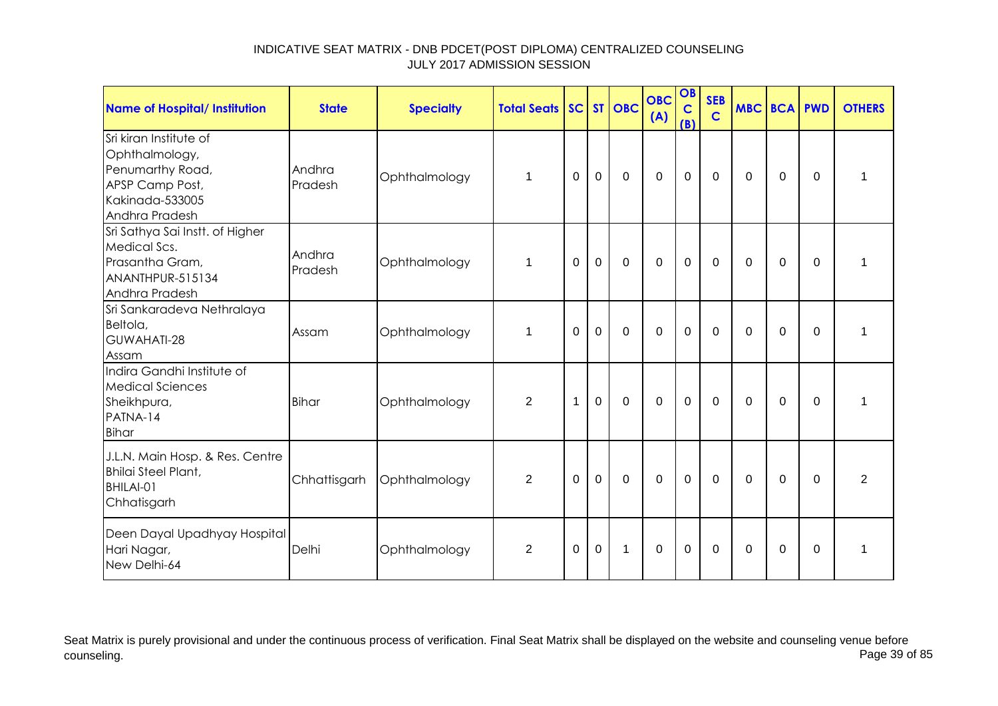| <b>Name of Hospital/ Institution</b>                                                                                 | <b>State</b>      | <b>Specialty</b> | <b>Total Seats</b> |          |                | SC ST OBC    | <b>OBC</b><br>(A) | OB<br>$\mathbf C$<br>(B) | <b>SEB</b><br>$\mathbf C$ | <b>MBC BCA PWD</b> |             |             | <b>OTHERS</b>  |
|----------------------------------------------------------------------------------------------------------------------|-------------------|------------------|--------------------|----------|----------------|--------------|-------------------|--------------------------|---------------------------|--------------------|-------------|-------------|----------------|
| Sri kiran Institute of<br>Ophthalmology,<br>Penumarthy Road,<br>APSP Camp Post,<br>Kakinada-533005<br>Andhra Pradesh | Andhra<br>Pradesh | Ophthalmology    | $\mathbf{1}$       | 0        | $\mathbf 0$    | $\mathbf 0$  | $\mathbf 0$       | $\mathbf 0$              | $\mathbf 0$               | 0                  | $\mathbf 0$ | $\mathbf 0$ | $\mathbf{1}$   |
| Sri Sathya Sai Instt. of Higher<br>Medical Scs.<br>Prasantha Gram,<br>ANANTHPUR-515134<br>Andhra Pradesh             | Andhra<br>Pradesh | Ophthalmology    | $\overline{1}$     | $\Omega$ | $\mathbf 0$    | $\mathbf 0$  | $\mathbf 0$       | $\mathbf 0$              | $\Omega$                  | $\Omega$           | 0           | $\Omega$    | 1              |
| Sri Sankaradeva Nethralaya<br>Beltola,<br>GUWAHATI-28<br>Assam                                                       | Assam             | Ophthalmology    | 1                  | $\Omega$ | $\overline{0}$ | $\mathbf 0$  | $\mathbf 0$       | $\mathbf 0$              | $\mathbf 0$               | $\Omega$           | $\mathbf 0$ | $\mathbf 0$ | $\mathbf{1}$   |
| Indira Gandhi Institute of<br><b>Medical Sciences</b><br>Sheikhpura,<br>PATNA-14<br><b>Bihar</b>                     | <b>Bihar</b>      | Ophthalmology    | 2                  | 1        | $\mathbf 0$    | $\mathbf 0$  | 0                 | $\mathbf 0$              | 0                         | $\Omega$           | 0           | 0           | 1              |
| J.L.N. Main Hosp. & Res. Centre<br><b>Bhilai Steel Plant,</b><br>BHILAI-01<br>Chhatisgarh                            | Chhattisgarh      | Ophthalmology    | $\overline{2}$     | $\Omega$ | $\overline{0}$ | $\mathbf{0}$ | $\Omega$          | $\mathbf 0$              | $\mathbf{0}$              | $\Omega$           | $\Omega$    | $\Omega$    | $\overline{2}$ |
| Deen Dayal Upadhyay Hospital<br>Hari Nagar,<br>New Delhi-64                                                          | Delhi             | Ophthalmology    | $\overline{2}$     | 0        | 0              | 1            | 0                 | $\mathbf 0$              | 0                         | $\Omega$           | 0           | 0           | 1              |

Seat Matrix is purely provisional and under the continuous process of verification. Final Seat Matrix shall be displayed on the website and counseling venue before<br>Page 39 of 85 counseling. Page 39 of 85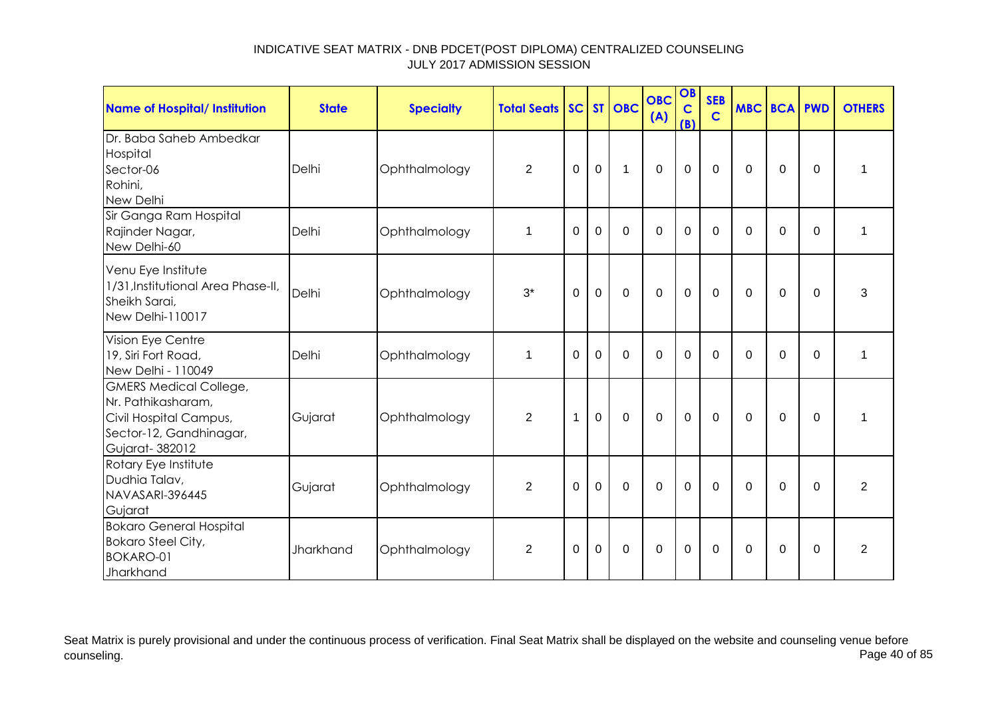| <b>Name of Hospital/ Institution</b>                                                                                       | <b>State</b> | <b>Specialty</b> | <b>Total Seats</b> |          |                | SC ST OBC   | <b>OBC</b><br>(A) | OB<br>$\mathbf C$<br>(B) | <b>SEB</b><br>$\mathbf C$ | <b>MBC BCA PWD</b> |             |             | <b>OTHERS</b>  |
|----------------------------------------------------------------------------------------------------------------------------|--------------|------------------|--------------------|----------|----------------|-------------|-------------------|--------------------------|---------------------------|--------------------|-------------|-------------|----------------|
| Dr. Baba Saheb Ambedkar<br>Hospital<br>Sector-06<br>Rohini,<br>New Delhi                                                   | Delhi        | Ophthalmology    | $\overline{2}$     | $\Omega$ | $\mathbf 0$    | $\mathbf 1$ | $\mathbf 0$       | $\mathbf 0$              | $\mathbf 0$               | $\Omega$           | $\mathbf 0$ | $\Omega$    | 1              |
| Sir Ganga Ram Hospital<br>Rajinder Nagar,<br>New Delhi-60                                                                  | Delhi        | Ophthalmology    | $\mathbf 1$        | $\Omega$ | $\mathbf 0$    | $\Omega$    | $\mathbf 0$       | 0                        | $\mathbf{0}$              | $\Omega$           | $\Omega$    | $\Omega$    | 1              |
| Venu Eye Institute<br>1/31, Institutional Area Phase-II,<br>Sheikh Sarai,<br>New Delhi-110017                              | Delhi        | Ophthalmology    | $3^*$              | $\Omega$ | $\mathbf 0$    | $\mathbf 0$ | $\mathbf 0$       | $\mathbf 0$              | $\mathbf 0$               | 0                  | 0           | $\Omega$    | 3              |
| Vision Eye Centre<br>19, Siri Fort Road,<br>New Delhi - 110049                                                             | Delhi        | Ophthalmology    | 1                  | $\Omega$ | $\Omega$       | $\Omega$    | $\Omega$          | $\Omega$                 | $\Omega$                  | $\Omega$           | $\Omega$    | $\Omega$    | 1              |
| <b>GMERS Medical College,</b><br>Nr. Pathikasharam,<br>Civil Hospital Campus,<br>Sector-12, Gandhinagar,<br>Gujarat-382012 | Gujarat      | Ophthalmology    | $\overline{2}$     | 1        | $\overline{0}$ | $\mathbf 0$ | $\overline{0}$    | $\mathbf 0$              | $\mathbf 0$               | 0                  | $\mathbf 0$ | $\mathbf 0$ | 1              |
| Rotary Eye Institute<br>Dudhia Talav,<br>NAVASARI-396445<br>Gujarat                                                        | Gujarat      | Ophthalmology    | $\overline{2}$     | $\Omega$ | $\mathbf 0$    | $\Omega$    | $\mathbf 0$       | $\overline{0}$           | $\mathbf 0$               | 0                  | 0           | $\mathbf 0$ | $\overline{2}$ |
| <b>Bokaro General Hospital</b><br><b>Bokaro Steel City,</b><br><b>BOKARO-01</b><br>Jharkhand                               | Jharkhand    | Ophthalmology    | 2                  | $\Omega$ | $\mathbf 0$    | $\Omega$    | $\mathbf 0$       | 0                        | $\Omega$                  | $\Omega$           | $\Omega$    | $\Omega$    | $\overline{2}$ |

Seat Matrix is purely provisional and under the continuous process of verification. Final Seat Matrix shall be displayed on the website and counseling venue before<br>Page 40 of 85 counseling. Page 40 of 85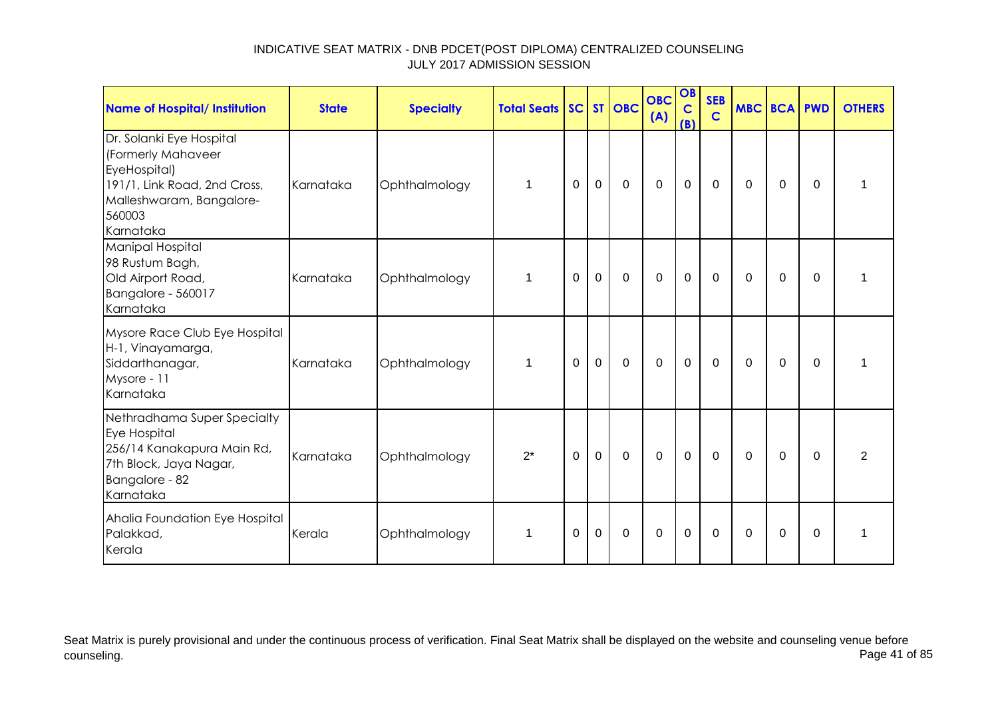| <b>Name of Hospital/ Institution</b>                                                                                                              | <b>State</b> | <b>Specialty</b> | <b>Total Seats SC ST OBC</b> |          |             |             | <b>OBC</b><br>(A) | OB<br>$\mathbf C$<br>(B) | <b>SEB</b><br>$\mathbf C$ | <b>MBC BCA PWD</b> |          |          | <b>OTHERS</b> |
|---------------------------------------------------------------------------------------------------------------------------------------------------|--------------|------------------|------------------------------|----------|-------------|-------------|-------------------|--------------------------|---------------------------|--------------------|----------|----------|---------------|
| Dr. Solanki Eye Hospital<br>(Formerly Mahaveer<br>EyeHospital)<br>191/1, Link Road, 2nd Cross,<br>Malleshwaram, Bangalore-<br>560003<br>Karnataka | Karnataka    | Ophthalmology    | $\mathbf{1}$                 | 0        | $\mathbf 0$ | $\mathbf 0$ | $\overline{0}$    | $\mathbf 0$              | 0                         | 0                  | 0        | 0        | 1             |
| Manipal Hospital<br>98 Rustum Bagh,<br>Old Airport Road,<br>Bangalore - 560017<br>Karnataka                                                       | Karnataka    | Ophthalmology    | $\mathbf 1$                  | 0        | $\mathbf 0$ | $\mathbf 0$ | $\mathbf 0$       | $\mathbf 0$              | $\mathbf 0$               | 0                  | 0        | 0        | 1             |
| Mysore Race Club Eye Hospital<br>H-1, Vinayamarga,<br>Siddarthanagar,<br>Mysore - 11<br>Karnataka                                                 | Karnataka    | Ophthalmology    | $\mathbf 1$                  | $\Omega$ | $\mathbf 0$ | $\Omega$    | $\mathbf 0$       | $\mathbf 0$              | 0                         | $\Omega$           | $\Omega$ | $\Omega$ |               |
| Nethradhama Super Specialty<br>Eye Hospital<br>256/14 Kanakapura Main Rd,<br>7th Block, Jaya Nagar,<br>Bangalore - 82<br>Karnataka                | Karnataka    | Ophthalmology    | $2^*$                        | $\Omega$ | $\mathbf 0$ | $\mathbf 0$ | $\mathbf 0$       | $\mathbf 0$              | $\Omega$                  | $\Omega$           | $\Omega$ | $\Omega$ | 2             |
| Ahalia Foundation Eye Hospital<br>Palakkad,<br>Kerala                                                                                             | Kerala       | Ophthalmology    | $\mathbf 1$                  | $\Omega$ | $\mathbf 0$ | $\mathbf 0$ | $\overline{0}$    | $\mathbf 0$              | $\mathbf 0$               | $\Omega$           | $\Omega$ | $\Omega$ | 1             |

Seat Matrix is purely provisional and under the continuous process of verification. Final Seat Matrix shall be displayed on the website and counseling venue before<br>Page 41 of 85 counseling. Page 41 of 85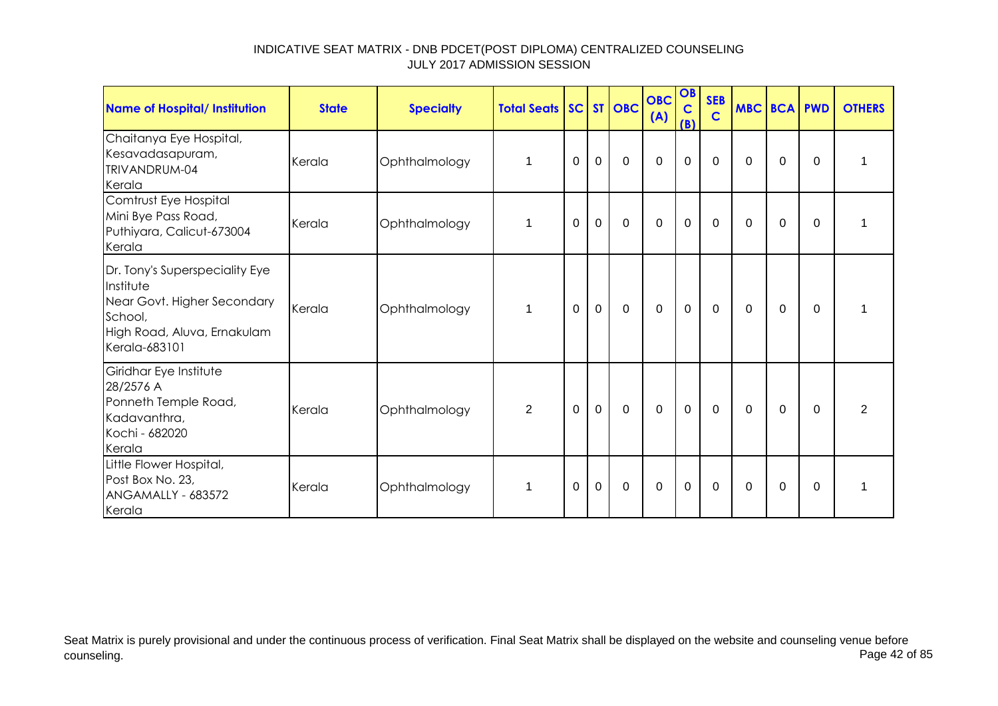| Name of Hospital/ Institution                                                                                                         | <b>State</b> | <b>Specialty</b> | <b>Total Seats SC</b> |          |             | $ST$ OBC    | <b>OBC</b><br>(A) | OB<br>$\mathbf C$<br>(B) | <b>SEB</b><br>$\overline{c}$ |          | <b>MBC BCA PWD</b> |             | <b>OTHERS</b> |
|---------------------------------------------------------------------------------------------------------------------------------------|--------------|------------------|-----------------------|----------|-------------|-------------|-------------------|--------------------------|------------------------------|----------|--------------------|-------------|---------------|
| Chaitanya Eye Hospital,<br>Kesavadasapuram,<br>TRIVANDRUM-04<br>Kerala                                                                | Kerala       | Ophthalmology    | 1                     | $\Omega$ | $\mathbf 0$ | $\mathbf 0$ | $\mathbf 0$       | $\mathbf 0$              | $\Omega$                     | $\Omega$ | 0                  | $\Omega$    |               |
| Comtrust Eye Hospital<br>Mini Bye Pass Road,<br>Puthiyara, Calicut-673004<br>Kerala                                                   | Kerala       | Ophthalmology    | 1                     | $\Omega$ | $\mathbf 0$ | $\mathbf 0$ | $\mathbf 0$       | $\mathbf 0$              | $\mathbf 0$                  | 0        | 0                  | 0           |               |
| Dr. Tony's Superspeciality Eye<br>Institute<br>Near Govt. Higher Secondary<br>School,<br>High Road, Aluva, Ernakulam<br>Kerala-683101 | Kerala       | Ophthalmology    | 1                     | 0        | $\mathbf 0$ | $\mathbf 0$ | $\mathbf 0$       | $\mathbf 0$              | 0                            | 0        | 0                  | $\Omega$    |               |
| Giridhar Eye Institute<br>28/2576 A<br>Ponneth Temple Road,<br>Kadavanthra,<br>Kochi - 682020<br>Kerala                               | Kerala       | Ophthalmology    | $\overline{2}$        | $\Omega$ | $\mathbf 0$ | $\mathbf 0$ | $\mathbf{0}$      | $\mathbf 0$              | $\mathbf 0$                  | $\Omega$ | 0                  | $\Omega$    | 2             |
| Little Flower Hospital,<br>Post Box No. 23,<br>ANGAMALLY - 683572<br>Kerala                                                           | Kerala       | Ophthalmology    | 1                     | 0        | $\mathbf 0$ | $\mathbf 0$ | $\mathbf 0$       | $\pmb{0}$                | 0                            | $\Omega$ | $\mathbf 0$        | $\mathbf 0$ |               |

Seat Matrix is purely provisional and under the continuous process of verification. Final Seat Matrix shall be displayed on the website and counseling venue before<br>Page 42 of 85 counseling. Page 42 of 85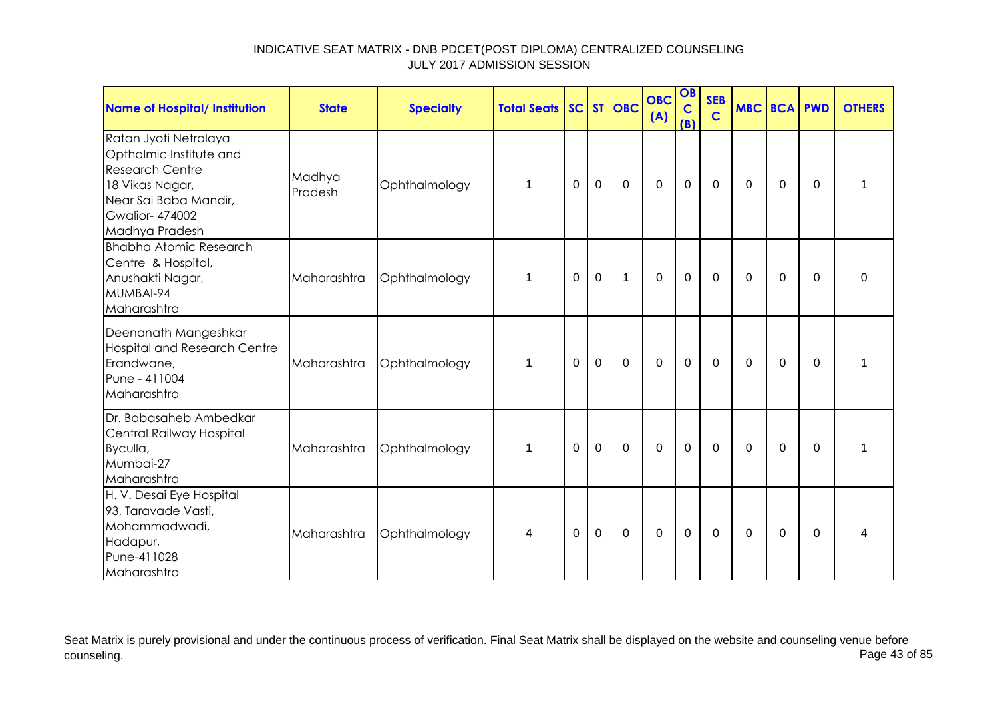| <b>Name of Hospital/ Institution</b>                                                                                                                              | <b>State</b>      | <b>Specialty</b> | <b>Total Seats</b> |          |             | SC ST OBC   | <b>OBC</b><br>(A) | OB<br>$\mathbf C$<br>(B) | <b>SEB</b><br>$\mathbf C$ | <b>MBC BCA PWD</b> |             |          | <b>OTHERS</b> |
|-------------------------------------------------------------------------------------------------------------------------------------------------------------------|-------------------|------------------|--------------------|----------|-------------|-------------|-------------------|--------------------------|---------------------------|--------------------|-------------|----------|---------------|
| Ratan Jyoti Netralaya<br>Opthalmic Institute and<br><b>Research Centre</b><br>18 Vikas Nagar,<br>Near Sai Baba Mandir,<br><b>Gwalior-474002</b><br>Madhya Pradesh | Madhya<br>Pradesh | Ophthalmology    | 1                  | 0        | $\mathbf 0$ | $\mathbf 0$ | $\mathbf 0$       | $\mathbf 0$              | $\mathbf 0$               | $\mathbf{0}$       | $\mathbf 0$ | 0        | 1             |
| <b>Bhabha Atomic Research</b><br>Centre & Hospital,<br>Anushakti Nagar,<br>MUMBAI-94<br>Maharashtra                                                               | Maharashtra       | Ophthalmology    | 1                  | $\Omega$ | $\mathbf 0$ | 1           | $\mathbf 0$       | $\mathbf 0$              | $\mathbf 0$               | $\mathbf{0}$       | 0           | $\Omega$ | $\mathbf 0$   |
| Deenanath Mangeshkar<br><b>Hospital and Research Centre</b><br>Erandwane,<br>Pune - 411004<br>Maharashtra                                                         | Maharashtra       | Ophthalmology    | $\mathbf 1$        | $\Omega$ | $\mathbf 0$ | $\mathbf 0$ | $\mathbf 0$       | $\mathbf 0$              | $\mathbf 0$               | $\mathbf{0}$       | 0           | $\Omega$ | 1             |
| Dr. Babasaheb Ambedkar<br>Central Railway Hospital<br>Byculla,<br>Mumbai-27<br>Maharashtra                                                                        | Maharashtra       | Ophthalmology    | 1                  | 0        | $\Omega$    | $\mathbf 0$ | $\mathbf 0$       | $\mathbf 0$              | $\Omega$                  | $\Omega$           | $\Omega$    | $\Omega$ | 1             |
| H. V. Desai Eye Hospital<br>93, Taravade Vasti,<br>Mohammadwadi,<br>Hadapur,<br>Pune-411028<br>Maharashtra                                                        | Maharashtra       | Ophthalmology    | 4                  | $\Omega$ | $\mathbf 0$ | $\mathbf 0$ | $\mathbf 0$       | $\mathbf 0$              | $\mathbf 0$               | $\mathbf{0}$       | $\mathbf 0$ | $\Omega$ | 4             |

Seat Matrix is purely provisional and under the continuous process of verification. Final Seat Matrix shall be displayed on the website and counseling venue before<br>Page 43 of 85 counseling. Page 43 of 85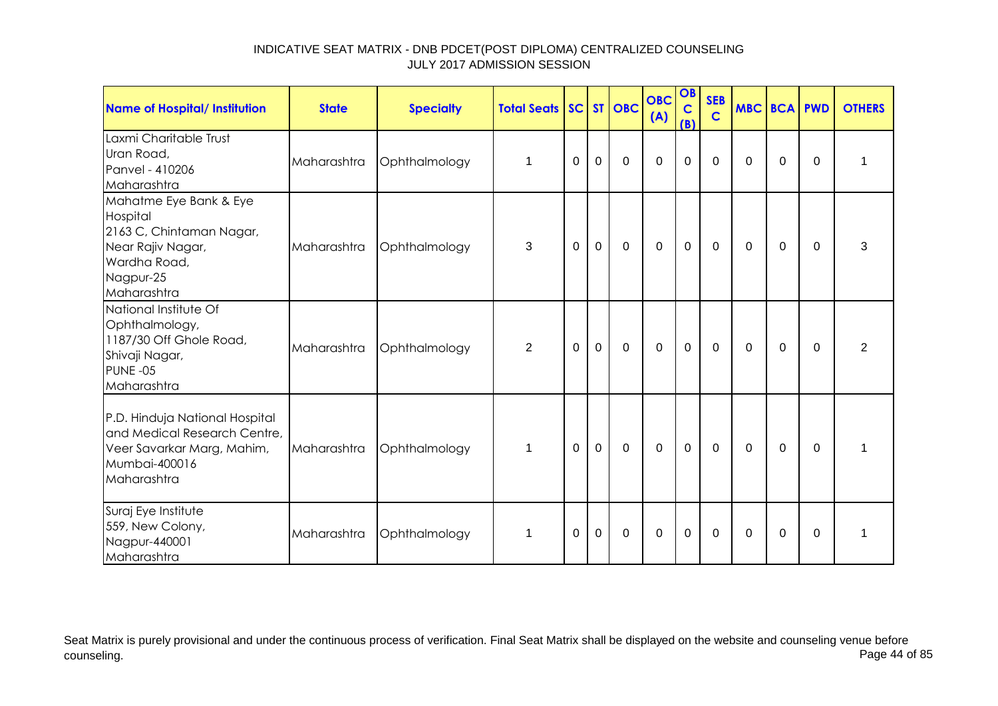| <b>Name of Hospital/ Institution</b>                                                                                            | <b>State</b> | <b>Specialty</b> | <b>Total Seats</b> |          |              | SC ST OBC   | <b>OBC</b><br>(A) | OB<br>$\mathbf C$<br>(B) | <b>SEB</b><br>$\mathbf C$ | <b>MBC BCA PWD</b> |             |             | <b>OTHERS</b> |
|---------------------------------------------------------------------------------------------------------------------------------|--------------|------------------|--------------------|----------|--------------|-------------|-------------------|--------------------------|---------------------------|--------------------|-------------|-------------|---------------|
| Laxmi Charitable Trust<br>Uran Road,<br>Panvel - 410206<br>Maharashtra                                                          | Maharashtra  | Ophthalmology    | $\mathbf{1}$       | 0        | $\mathbf 0$  | $\mathbf 0$ | $\mathbf 0$       | $\mathbf 0$              | $\mathbf 0$               | $\mathbf{0}$       | $\mathbf 0$ | 0           | 1             |
| Mahatme Eye Bank & Eye<br>Hospital<br>2163 C, Chintaman Nagar,<br>Near Rajiv Nagar,<br>Wardha Road,<br>Nagpur-25<br>Maharashtra | Maharashtra  | Ophthalmology    | 3                  | $\Omega$ | $\mathbf 0$  | $\mathbf 0$ | $\mathbf 0$       | $\mathbf 0$              | $\mathbf 0$               | $\Omega$           | 0           | $\Omega$    | 3             |
| National Institute Of<br>Ophthalmology,<br>1187/30 Off Ghole Road,<br>Shivaji Nagar,<br>PUNE-05<br>Maharashtra                  | Maharashtra  | Ophthalmology    | $\overline{2}$     | $\Omega$ | $\mathbf 0$  | $\mathbf 0$ | $\mathbf 0$       | $\mathbf{0}$             | $\mathbf 0$               | $\Omega$           | $\Omega$    | $\Omega$    | 2             |
| P.D. Hinduja National Hospital<br>and Medical Research Centre,<br>Veer Savarkar Marg, Mahim,<br>Mumbai-400016<br>Maharashtra    | Maharashtra  | Ophthalmology    | $\mathbf 1$        | 0        | $\mathbf{0}$ | $\mathbf 0$ | $\overline{0}$    | $\mathbf 0$              | $\mathbf 0$               | $\Omega$           | 0           | $\mathbf 0$ | 1             |
| Suraj Eye Institute<br>559, New Colony,<br>Nagpur-440001<br>Maharashtra                                                         | Maharashtra  | Ophthalmology    | $\mathbf{1}$       | 0        | $\mathbf 0$  | $\mathbf 0$ | $\mathbf 0$       | $\mathbf 0$              | $\mathbf 0$               | $\mathbf{0}$       | $\mathbf 0$ | $\Omega$    | 1             |

Seat Matrix is purely provisional and under the continuous process of verification. Final Seat Matrix shall be displayed on the website and counseling venue before<br>Page 44 of 85 counseling. Page 44 of 85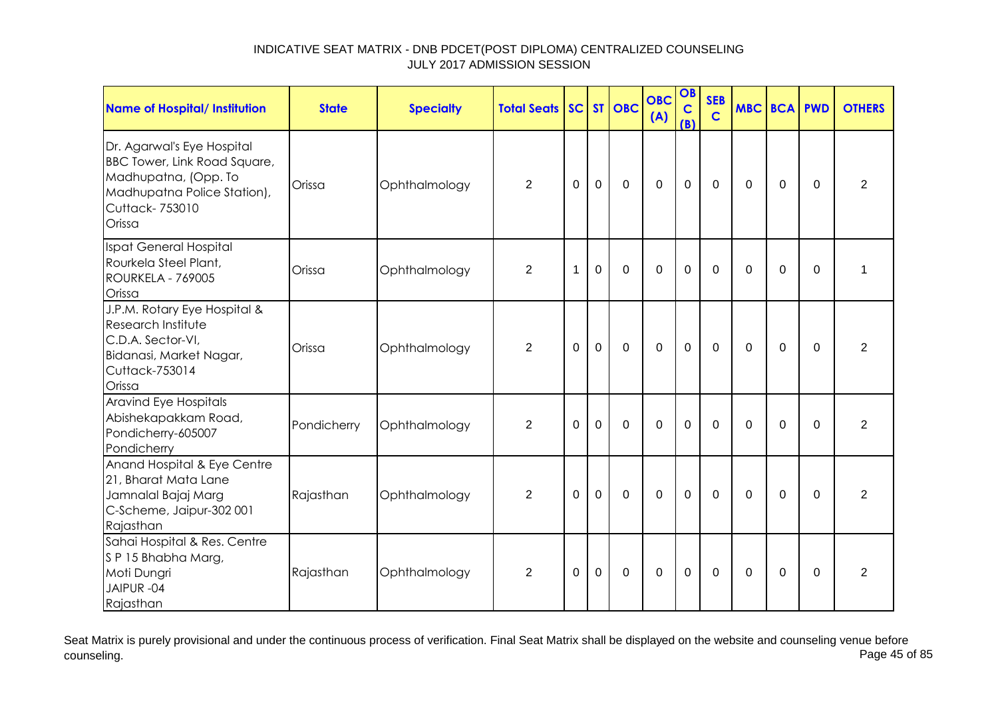| <b>Name of Hospital/ Institution</b>                                                                                                                 | <b>State</b> | <b>Specialty</b> | <b>Total Seats</b> |          |             | SC ST OBC   | <b>OBC</b><br>(A) | OB<br>$\mathbf C$<br>(B) | <b>SEB</b><br>$\mathbf C$ | <b>MBC BCA PWD</b> |             |          | <b>OTHERS</b>  |
|------------------------------------------------------------------------------------------------------------------------------------------------------|--------------|------------------|--------------------|----------|-------------|-------------|-------------------|--------------------------|---------------------------|--------------------|-------------|----------|----------------|
| Dr. Agarwal's Eye Hospital<br><b>BBC Tower, Link Road Square,</b><br>Madhupatna, (Opp. To<br>Madhupatna Police Station),<br>Cuttack-753010<br>Orissa | Orissa       | Ophthalmology    | $\overline{2}$     | $\Omega$ | $\mathbf 0$ | $\mathbf 0$ | $\mathbf 0$       | $\mathbf 0$              | $\mathbf 0$               | $\Omega$           | $\mathbf 0$ | $\Omega$ | $\overline{2}$ |
| Ispat General Hospital<br>Rourkela Steel Plant,<br><b>ROURKELA - 769005</b><br>Orissa                                                                | Orissa       | Ophthalmology    | $\overline{2}$     | 1        | $\mathbf 0$ | $\mathbf 0$ | 0                 | $\overline{0}$           | $\Omega$                  | $\Omega$           | $\Omega$    | $\Omega$ | 1              |
| J.P.M. Rotary Eye Hospital &<br>Research Institute<br>C.D.A. Sector-VI,<br>Bidanasi, Market Nagar,<br>Cuttack-753014<br>Orissa                       | Orissa       | Ophthalmology    | $\overline{2}$     | $\Omega$ | $\Omega$    | $\mathbf 0$ | $\mathbf 0$       | $\mathbf 0$              | $\Omega$                  | $\Omega$           | $\Omega$    | $\Omega$ | $\overline{2}$ |
| Aravind Eye Hospitals<br>Abishekapakkam Road,<br>Pondicherry-605007<br>Pondicherry                                                                   | Pondicherry  | Ophthalmology    | 2                  | $\Omega$ | $\Omega$    | $\Omega$    | $\Omega$          | $\mathbf 0$              | $\Omega$                  | $\Omega$           | $\Omega$    | $\Omega$ | $\overline{2}$ |
| Anand Hospital & Eye Centre<br>21, Bharat Mata Lane<br>Jamnalal Bajaj Marg<br>C-Scheme, Jaipur-302 001<br>Rajasthan                                  | Rajasthan    | Ophthalmology    | $\overline{2}$     | 0        | $\mathbf 0$ | $\Omega$    | $\mathbf 0$       | $\mathbf 0$              | $\Omega$                  | $\Omega$           | $\Omega$    | $\Omega$ | $\overline{2}$ |
| Sahai Hospital & Res. Centre<br>SP 15 Bhabha Marg,<br>Moti Dungri<br>JAIPUR-04<br>Rajasthan                                                          | Rajasthan    | Ophthalmology    | 2                  | 0        | $\Omega$    | $\Omega$    | $\Omega$          | $\mathbf 0$              | 0                         | $\Omega$           | 0           | $\Omega$ | $\overline{2}$ |

Seat Matrix is purely provisional and under the continuous process of verification. Final Seat Matrix shall be displayed on the website and counseling venue before<br>Page 45 of 85 counseling. Page 45 of 85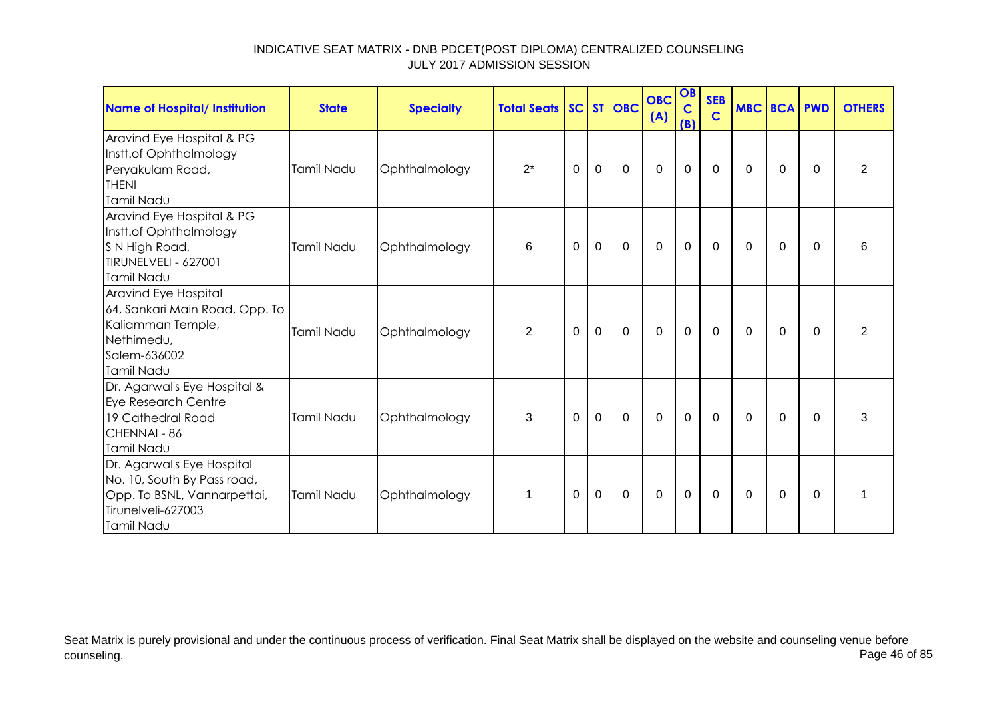| Name of Hospital/ Institution                                                                                                | <b>State</b> | <b>Specialty</b> | <b>Total Seats SC ST OBC</b> |          |              |                | <b>OBC</b><br>(A) | OB<br>$\mathbf C$<br>(B) | <b>SEB</b><br>$\mathbf C$ | <b>MBC BCA PWD</b> |          |          | <b>OTHERS</b>  |
|------------------------------------------------------------------------------------------------------------------------------|--------------|------------------|------------------------------|----------|--------------|----------------|-------------------|--------------------------|---------------------------|--------------------|----------|----------|----------------|
| Aravind Eye Hospital & PG<br>Instt.of Ophthalmology<br>Peryakulam Road,<br><b>THENI</b><br>Tamil Nadu                        | Tamil Nadu   | Ophthalmology    | $2^*$                        | 0        | $\mathbf 0$  | $\mathbf 0$    | $\mathbf 0$       | $\mathbf 0$              | $\mathbf 0$               | 0                  | 0        | $\Omega$ | $\overline{2}$ |
| Aravind Eye Hospital & PG<br>Instt.of Ophthalmology<br>S N High Road,<br>TIRUNELVELI - 627001<br>Tamil Nadu                  | Tamil Nadu   | Ophthalmology    | 6                            | $\Omega$ | $\mathbf 0$  | $\mathbf 0$    | $\overline{0}$    | $\mathbf 0$              | $\mathbf 0$               | $\Omega$           | $\Omega$ | $\Omega$ | 6              |
| Aravind Eye Hospital<br>64, Sankari Main Road, Opp. To<br>Kaliamman Temple,<br>Nethimedu,<br>Salem-636002<br>Tamil Nadu      | Tamil Nadu   | Ophthalmology    | $\overline{2}$               | $\Omega$ | $\mathbf{0}$ | $\overline{0}$ | $\mathbf 0$       | $\mathbf 0$              | $\mathbf 0$               | $\Omega$           | $\Omega$ | $\Omega$ | $\overline{2}$ |
| Dr. Agarwal's Eye Hospital &<br>Eye Research Centre<br>19 Cathedral Road<br>CHENNAI - 86<br>Tamil Nadu                       | Tamil Nadu   | Ophthalmology    | 3                            | $\Omega$ | $\mathbf 0$  | $\mathbf 0$    | $\mathbf 0$       | $\mathbf 0$              | $\mathbf 0$               | $\Omega$           | $\Omega$ | $\Omega$ | 3              |
| Dr. Agarwal's Eye Hospital<br>No. 10, South By Pass road,<br>Opp. To BSNL, Vannarpettai,<br>Tirunelveli-627003<br>Tamil Nadu | Tamil Nadu   | Ophthalmology    | 1                            | 0        | $\mathbf 0$  | $\mathbf 0$    | $\mathbf 0$       | $\mathbf 0$              | $\mathbf 0$               | $\Omega$           | 0        | $\Omega$ | 1              |

Seat Matrix is purely provisional and under the continuous process of verification. Final Seat Matrix shall be displayed on the website and counseling venue before<br>Page 46 of 85 counseling. Page 46 of 85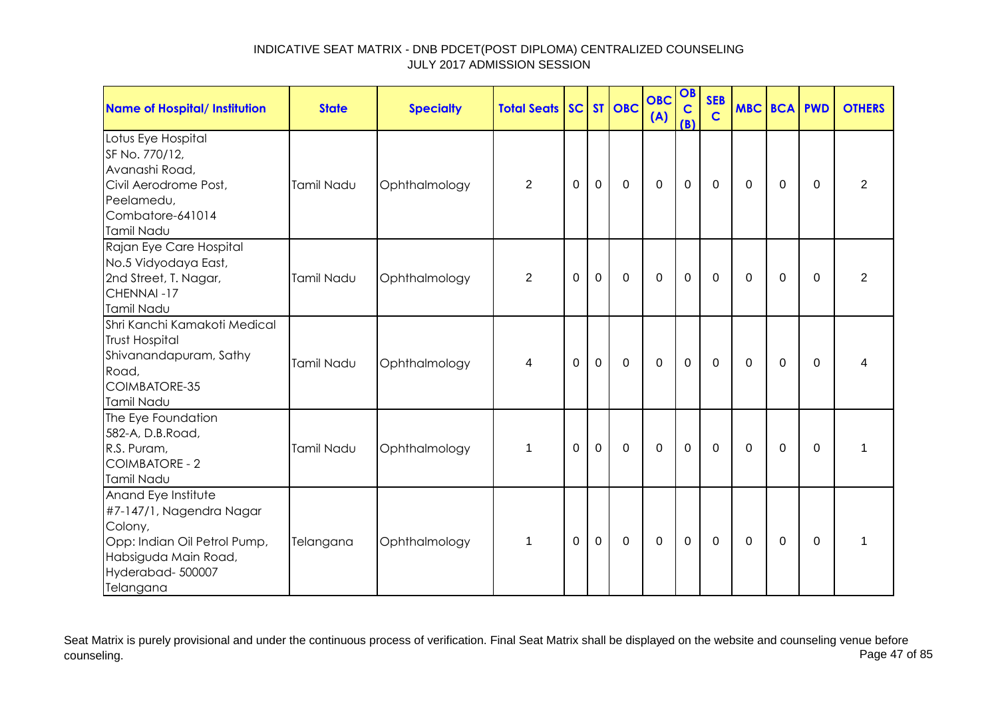| <b>Name of Hospital/ Institution</b>                                                                                                                | <b>State</b> | <b>Specialty</b> | <b>Total Seats</b> |          |                | SC ST OBC   | <b>OBC</b><br>(A) | OB<br>$\mathbf C$<br>(B) | <b>SEB</b><br>$\mathbf C$ | <b>MBC BCA PWD</b> |             |             | <b>OTHERS</b>  |
|-----------------------------------------------------------------------------------------------------------------------------------------------------|--------------|------------------|--------------------|----------|----------------|-------------|-------------------|--------------------------|---------------------------|--------------------|-------------|-------------|----------------|
| Lotus Eye Hospital<br>SF No. 770/12,<br>Avanashi Road,<br>Civil Aerodrome Post,<br>Peelamedu,<br>Combatore-641014<br>Tamil Nadu                     | Tamil Nadu   | Ophthalmology    | $\overline{2}$     | $\Omega$ | $\mathbf 0$    | $\mathbf 0$ | $\mathbf 0$       | $\mathbf 0$              | $\mathbf 0$               | $\Omega$           | $\Omega$    | $\Omega$    | $\overline{2}$ |
| Rajan Eye Care Hospital<br>No.5 Vidyodaya East,<br>2nd Street, T. Nagar,<br>CHENNAI-17<br>Tamil Nadu                                                | Tamil Nadu   | Ophthalmology    | $\overline{2}$     | 0        | $\overline{0}$ | $\mathbf 0$ | $\mathbf 0$       | $\mathbf 0$              | $\mathbf 0$               | $\Omega$           | $\mathbf 0$ | $\Omega$    | $\overline{2}$ |
| Shri Kanchi Kamakoti Medical<br><b>Trust Hospital</b><br>Shivanandapuram, Sathy<br>Road,<br>COIMBATORE-35<br>Tamil Nadu                             | Tamil Nadu   | Ophthalmology    | 4                  | 0        | $\mathbf 0$    | $\mathbf 0$ | $\mathbf 0$       | $\mathbf 0$              | $\mathbf{0}$              | $\Omega$           | 0           | $\Omega$    | 4              |
| The Eye Foundation<br>582-A, D.B.Road,<br>R.S. Puram,<br><b>COIMBATORE - 2</b><br>Tamil Nadu                                                        | Tamil Nadu   | Ophthalmology    | $\mathbf 1$        | $\Omega$ | $\mathbf 0$    | $\mathbf 0$ | $\mathbf 0$       | $\mathbf 0$              | $\mathbf 0$               | $\Omega$           | $\mathbf 0$ | $\Omega$    | 1              |
| Anand Eye Institute<br>#7-147/1, Nagendra Nagar<br>Colony,<br>Opp: Indian Oil Petrol Pump,<br>Habsiguda Main Road,<br>Hyderabad-500007<br>Telangana | Telangana    | Ophthalmology    | $\mathbf 1$        | $\Omega$ | $\mathbf 0$    | $\mathbf 0$ | $\mathbf 0$       | $\mathbf 0$              | $\mathbf 0$               | $\overline{0}$     | $\mathbf 0$ | $\mathbf 0$ | $\mathbf{1}$   |

Seat Matrix is purely provisional and under the continuous process of verification. Final Seat Matrix shall be displayed on the website and counseling venue before<br>Page 47 of 85 counseling. Page 47 of 85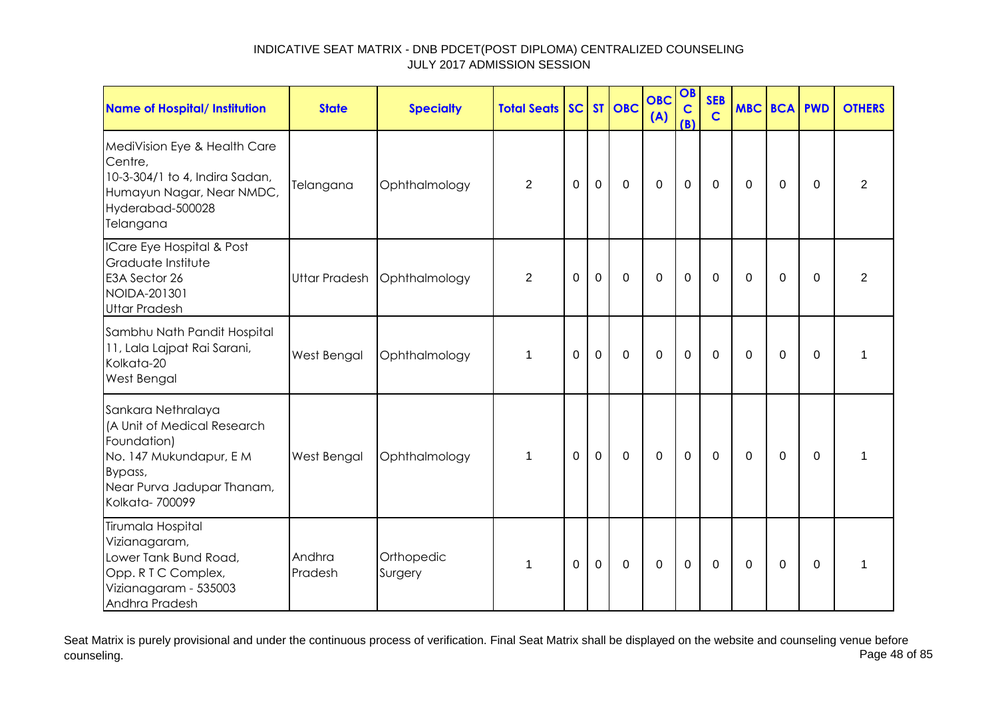| <b>Name of Hospital/ Institution</b>                                                                                                                   | <b>State</b>         | <b>Specialty</b>      | <b>Total Seats</b> |             |             | SC ST OBC   | <b>OBC</b><br>(A) | OB<br>$\mathbf C$<br>(B) | <b>SEB</b><br>$\mathbf C$ | <b>MBC BCA PWD</b> |             |          | <b>OTHERS</b>  |
|--------------------------------------------------------------------------------------------------------------------------------------------------------|----------------------|-----------------------|--------------------|-------------|-------------|-------------|-------------------|--------------------------|---------------------------|--------------------|-------------|----------|----------------|
| MediVision Eye & Health Care<br>Centre,<br>10-3-304/1 to 4, Indira Sadan,<br>Humayun Nagar, Near NMDC,<br>Hyderabad-500028<br>Telangana                | Telangana            | Ophthalmology         | $\overline{2}$     | $\mathbf 0$ | $\mathbf 0$ | $\mathbf 0$ | $\mathbf 0$       | $\mathbf 0$              | $\Omega$                  | $\Omega$           | $\mathbf 0$ | $\Omega$ | $\overline{2}$ |
| ICare Eye Hospital & Post<br>Graduate Institute<br>E3A Sector 26<br>NOIDA-201301<br><b>Uttar Pradesh</b>                                               | <b>Uttar Pradesh</b> | Ophthalmology         | $\overline{2}$     | 0           | $\Omega$    | $\Omega$    | $\mathbf 0$       | $\mathbf 0$              | $\Omega$                  | $\Omega$           | $\Omega$    | $\Omega$ | $\overline{2}$ |
| Sambhu Nath Pandit Hospital<br>11, Lala Lajpat Rai Sarani,<br>Kolkata-20<br>West Bengal                                                                | West Bengal          | Ophthalmology         | 1                  | 0           | $\mathbf 0$ | $\mathbf 0$ | $\mathbf 0$       | $\mathbf 0$              | $\Omega$                  | $\Omega$           | 0           | 0        | 1              |
| Sankara Nethralaya<br>(A Unit of Medical Research<br>Foundation)<br>No. 147 Mukundapur, E M<br>Bypass,<br>Near Purva Jadupar Thanam,<br>Kolkata-700099 | West Bengal          | Ophthalmology         | $\mathbf 1$        | $\Omega$    | $\mathbf 0$ | $\mathbf 0$ | $\mathbf 0$       | $\mathbf 0$              | $\mathbf 0$               | $\Omega$           | 0           | $\Omega$ | 1              |
| Tirumala Hospital<br>Vizianagaram,<br>Lower Tank Bund Road,<br>Opp. R T C Complex,<br>Vizianagaram - 535003<br>Andhra Pradesh                          | Andhra<br>Pradesh    | Orthopedic<br>Surgery | -1                 | 0           | $\mathbf 0$ | $\Omega$    | $\Omega$          | $\mathbf 0$              | $\Omega$                  | $\Omega$           | $\Omega$    | $\Omega$ | 1              |

Seat Matrix is purely provisional and under the continuous process of verification. Final Seat Matrix shall be displayed on the website and counseling venue before<br>Page 48 of 85 counseling. Page 48 of 85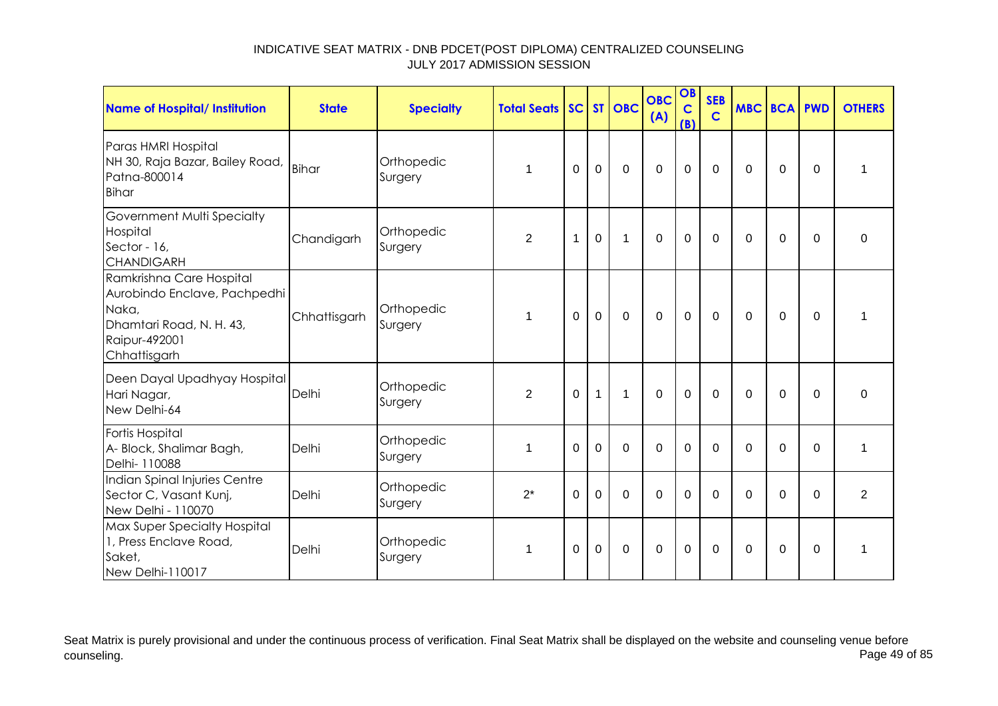| Name of Hospital/ Institution                                                                                                  | <b>State</b> | <b>Specialty</b>      | <b>Total Seats SC ST OBC</b> |             |              |                | <b>OBC</b><br>(A) | OB<br>$\mathbf C$<br>(B) | <b>SEB</b><br>$\mathbf C$ | <b>MBC BCA PWD</b> |             |             | <b>OTHERS</b>  |
|--------------------------------------------------------------------------------------------------------------------------------|--------------|-----------------------|------------------------------|-------------|--------------|----------------|-------------------|--------------------------|---------------------------|--------------------|-------------|-------------|----------------|
| Paras HMRI Hospital<br>NH 30, Raja Bazar, Bailey Road,<br>Patna-800014<br><b>Bihar</b>                                         | <b>Bihar</b> | Orthopedic<br>Surgery | 1                            | 0           | $\mathbf 0$  | $\mathbf 0$    | $\overline{0}$    | $\mathbf 0$              | $\mathbf 0$               | $\Omega$           | $\mathbf 0$ | $\Omega$    | 1              |
| Government Multi Specialty<br>Hospital<br>Sector - 16,<br><b>CHANDIGARH</b>                                                    | Chandigarh   | Orthopedic<br>Surgery | $\overline{2}$               | 1           | $\mathbf 0$  | 1              | $\overline{0}$    | $\mathbf 0$              | $\Omega$                  | $\Omega$           | $\mathbf 0$ | $\Omega$    | $\Omega$       |
| Ramkrishna Care Hospital<br>Aurobindo Enclave, Pachpedhi<br>Naka,<br>Dhamtari Road, N. H. 43,<br>Raipur-492001<br>Chhattisgarh | Chhattisgarh | Orthopedic<br>Surgery | 1                            | $\mathbf 0$ | $\mathbf 0$  | $\overline{0}$ | $\overline{0}$    | $\mathbf 0$              | $\mathbf 0$               | $\mathbf 0$        | $\mathbf 0$ | $\mathbf 0$ | 1              |
| Deen Dayal Upadhyay Hospital<br>Hari Nagar,<br>New Delhi-64                                                                    | Delhi        | Orthopedic<br>Surgery | $\overline{2}$               | $\mathbf 0$ | $\mathbf{1}$ | 1              | $\overline{0}$    | $\mathbf 0$              | $\mathbf 0$               | $\mathbf 0$        | $\mathbf 0$ | $\Omega$    | $\mathbf 0$    |
| Fortis Hospital<br>A- Block, Shalimar Bagh,<br>Delhi- 110088                                                                   | Delhi        | Orthopedic<br>Surgery | 1                            | $\Omega$    | $\Omega$     | $\Omega$       | $\Omega$          | $\mathbf 0$              | $\Omega$                  | $\Omega$           | $\Omega$    | $\Omega$    | 1              |
| Indian Spinal Injuries Centre<br>Sector C, Vasant Kunj,<br>New Delhi - 110070                                                  | Delhi        | Orthopedic<br>Surgery | $2^*$                        | $\Omega$    | $\mathbf 0$  | $\mathbf 0$    | $\overline{0}$    | $\mathbf 0$              | $\Omega$                  | $\Omega$           | $\mathbf 0$ | $\Omega$    | $\overline{2}$ |
| Max Super Specialty Hospital<br>1, Press Enclave Road,<br>Saket,<br>New Delhi-110017                                           | Delhi        | Orthopedic<br>Surgery | $\overline{1}$               | $\Omega$    | $\mathbf 0$  | $\Omega$       | $\overline{0}$    | $\mathbf 0$              | $\mathbf{0}$              | $\Omega$           | $\Omega$    | $\Omega$    | 1              |

Seat Matrix is purely provisional and under the continuous process of verification. Final Seat Matrix shall be displayed on the website and counseling venue before<br>Page 49 of 85 counseling. Page 49 of 85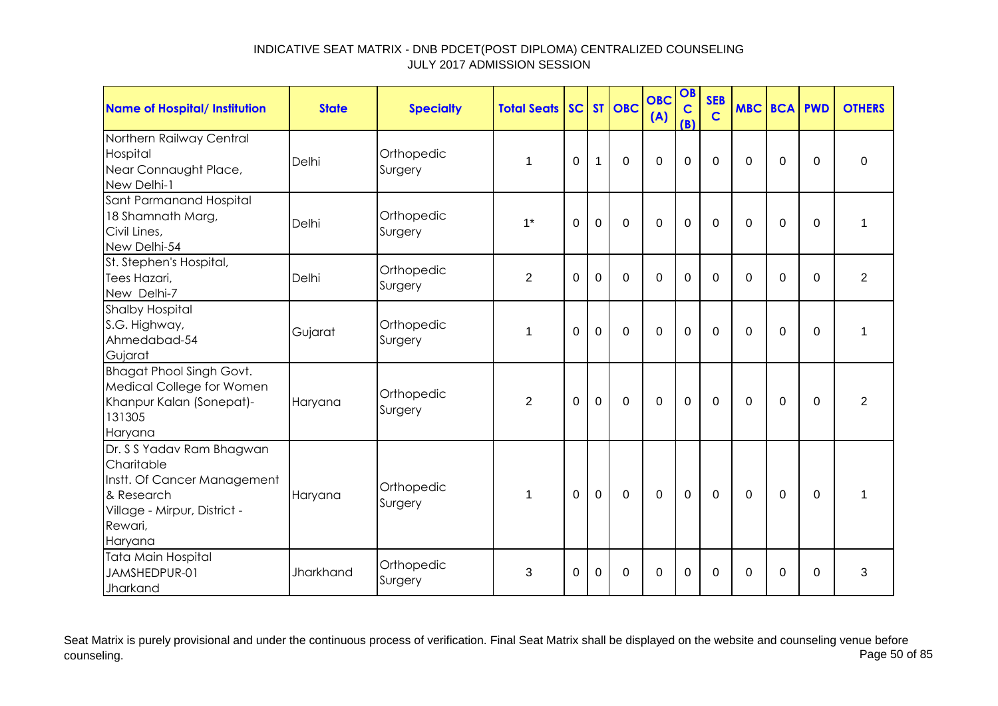| <b>Name of Hospital/ Institution</b>                                                                                                       | <b>State</b> | <b>Specialty</b>      | <b>Total Seats</b> |                |                | SC ST OBC   | <b>OBC</b><br>(A) | OB<br>$\mathbf C$<br>(B) | <b>SEB</b><br>$\mathbf C$ | <b>MBC BCA PWD</b> |             |                | <b>OTHERS</b> |
|--------------------------------------------------------------------------------------------------------------------------------------------|--------------|-----------------------|--------------------|----------------|----------------|-------------|-------------------|--------------------------|---------------------------|--------------------|-------------|----------------|---------------|
| Northern Railway Central<br>Hospital<br>Near Connaught Place,<br>New Delhi-1                                                               | Delhi        | Orthopedic<br>Surgery | 1                  | 0              | 1              | $\mathbf 0$ | $\mathbf 0$       | 0                        | $\overline{0}$            | $\Omega$           | $\mathbf 0$ | $\overline{0}$ | $\mathbf 0$   |
| Sant Parmanand Hospital<br>18 Shamnath Marg,<br>Civil Lines,<br>New Delhi-54                                                               | Delhi        | Orthopedic<br>Surgery | $1*$               | $\overline{0}$ | $\overline{0}$ | $\Omega$    | $\Omega$          | $\overline{0}$           | $\Omega$                  | $\Omega$           | $\mathbf 0$ | $\overline{0}$ | 1             |
| St. Stephen's Hospital,<br>Tees Hazari,<br>New Delhi-7                                                                                     | Delhi        | Orthopedic<br>Surgery | $\overline{2}$     | $\Omega$       | $\overline{0}$ | $\mathbf 0$ | $\mathbf 0$       | 0                        | $\Omega$                  | $\Omega$           | $\mathbf 0$ | $\Omega$       | 2             |
| <b>Shalby Hospital</b><br>S.G. Highway,<br>Ahmedabad-54<br>Gujarat                                                                         | Gujarat      | Orthopedic<br>Surgery | 1                  | 0              | $\mathbf 0$    | $\mathbf 0$ | $\mathbf 0$       | 0                        | $\overline{0}$            | $\Omega$           | $\mathbf 0$ | $\Omega$       | 1             |
| <b>Bhagat Phool Singh Govt.</b><br>Medical College for Women<br>Khanpur Kalan (Sonepat)-<br>131305<br>Haryana                              | Haryana      | Orthopedic<br>Surgery | 2                  | 0              | $\mathbf 0$    | $\mathbf 0$ | $\mathbf 0$       | $\mathbf 0$              | $\mathbf 0$               | $\Omega$           | 0           | $\Omega$       | 2             |
| Dr. S S Yadav Ram Bhagwan<br>Charitable<br>Instt. Of Cancer Management<br>& Research<br>Village - Mirpur, District -<br>Rewari,<br>Haryana | Haryana      | Orthopedic<br>Surgery | $\mathbf 1$        | $\Omega$       | $\mathbf 0$    | $\Omega$    | $\mathbf 0$       | $\mathbf 0$              | $\Omega$                  | $\Omega$           | $\Omega$    | $\Omega$       | 1             |
| <b>Tata Main Hospital</b><br>JAMSHEDPUR-01<br>Jharkand                                                                                     | Jharkhand    | Orthopedic<br>Surgery | 3                  | 0              | $\Omega$       | $\mathbf 0$ | $\mathbf 0$       | $\Omega$                 | $\Omega$                  | $\Omega$           | $\Omega$    | 0              | 3             |

Seat Matrix is purely provisional and under the continuous process of verification. Final Seat Matrix shall be displayed on the website and counseling venue before<br>Page 50 of 85 counseling. Page 50 of 85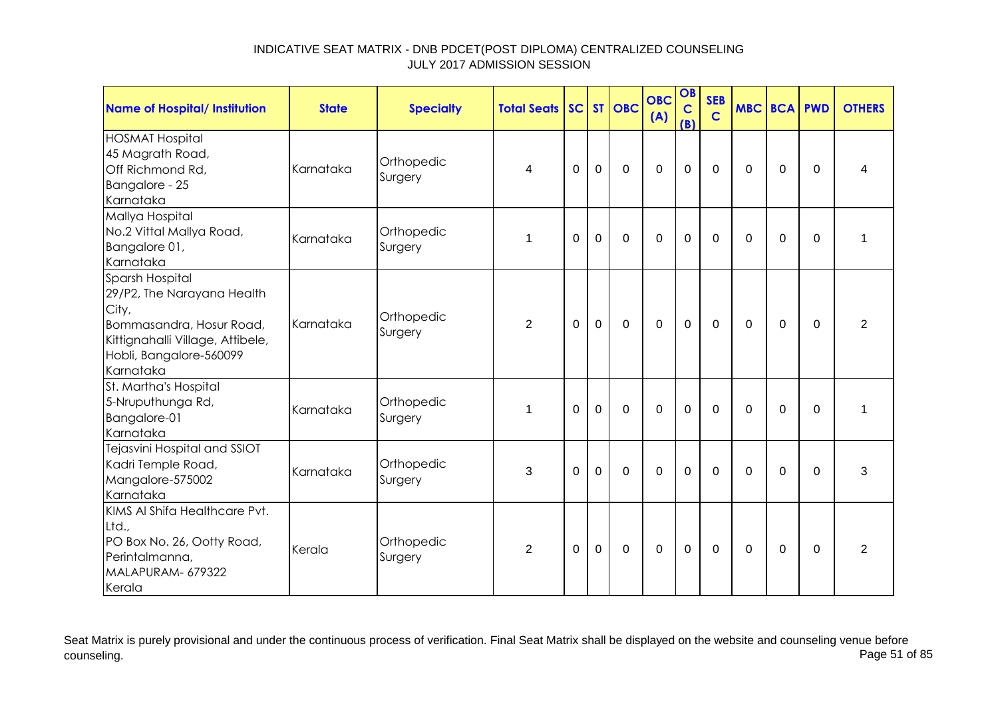| <b>Name of Hospital/ Institution</b>                                                                                                                           | <b>State</b> | <b>Specialty</b>      | <b>Total Seats SC ST OBC</b> |             |             |              | <b>OBC</b><br>(A) | OB<br>$\mathbf C$<br>(B) | <b>SEB</b><br>$\mathbf C$ | <b>MBC BCA</b> |             | <b>PWD</b>     | <b>OTHERS</b>  |
|----------------------------------------------------------------------------------------------------------------------------------------------------------------|--------------|-----------------------|------------------------------|-------------|-------------|--------------|-------------------|--------------------------|---------------------------|----------------|-------------|----------------|----------------|
| <b>HOSMAT Hospital</b><br>45 Magrath Road,<br>Off Richmond Rd,<br>Bangalore - 25<br>Karnataka                                                                  | Karnataka    | Orthopedic<br>Surgery | 4                            | $\mathbf 0$ | $\mathbf 0$ | $\mathbf 0$  | $\mathbf 0$       | 0                        | $\mathbf 0$               | $\mathbf 0$    | $\mathbf 0$ | $\mathbf 0$    | 4              |
| Mallya Hospital<br>No.2 Vittal Mallya Road,<br>Bangalore 01,<br>Karnataka                                                                                      | Karnataka    | Orthopedic<br>Surgery | 1                            | 0           | $\mathbf 0$ | $\mathbf 0$  | $\mathbf 0$       | 0                        | 0                         | $\Omega$       | 0           | 0              | 1              |
| Sparsh Hospital<br>29/P2, The Narayana Health<br>City,<br>Bommasandra, Hosur Road,<br>Kittignahalli Village, Attibele,<br>Hobli, Bangalore-560099<br>Karnataka | Karnataka    | Orthopedic<br>Surgery | 2                            | $\Omega$    | $\mathbf 0$ | $\mathbf 0$  | $\mathbf 0$       | $\mathbf 0$              | $\mathbf 0$               | $\Omega$       | $\Omega$    | $\Omega$       | 2              |
| St. Martha's Hospital<br>5-Nruputhunga Rd,<br>Bangalore-01<br>Karnataka                                                                                        | Karnataka    | Orthopedic<br>Surgery | $\mathbf 1$                  | $\mathbf 0$ | $\mathbf 0$ | $\mathbf 0$  | $\mathbf 0$       | $\mathbf 0$              | $\mathbf 0$               | $\Omega$       | $\mathbf 0$ | $\overline{0}$ | 1              |
| Tejasvini Hospital and SSIOT<br>Kadri Temple Road,<br>Mangalore-575002<br>Karnataka                                                                            | Karnataka    | Orthopedic<br>Surgery | 3                            | $\Omega$    | $\Omega$    | $\Omega$     | $\Omega$          | 0                        | $\Omega$                  | $\Omega$       | $\mathbf 0$ | $\Omega$       | 3              |
| KIMS AI Shifa Healthcare Pvt.<br>Ltd.,<br>PO Box No. 26, Ootty Road,<br>Perintalmanna,<br>MALAPURAM- 679322<br>Kerala                                          | Kerala       | Orthopedic<br>Surgery | 2                            | $\Omega$    | $\mathbf 0$ | $\mathbf{0}$ | $\mathbf 0$       | $\mathbf 0$              | $\mathbf{0}$              | $\Omega$       | 0           | $\Omega$       | $\overline{2}$ |

Seat Matrix is purely provisional and under the continuous process of verification. Final Seat Matrix shall be displayed on the website and counseling venue before<br>Page 51 of 85 counseling. Page 51 of 85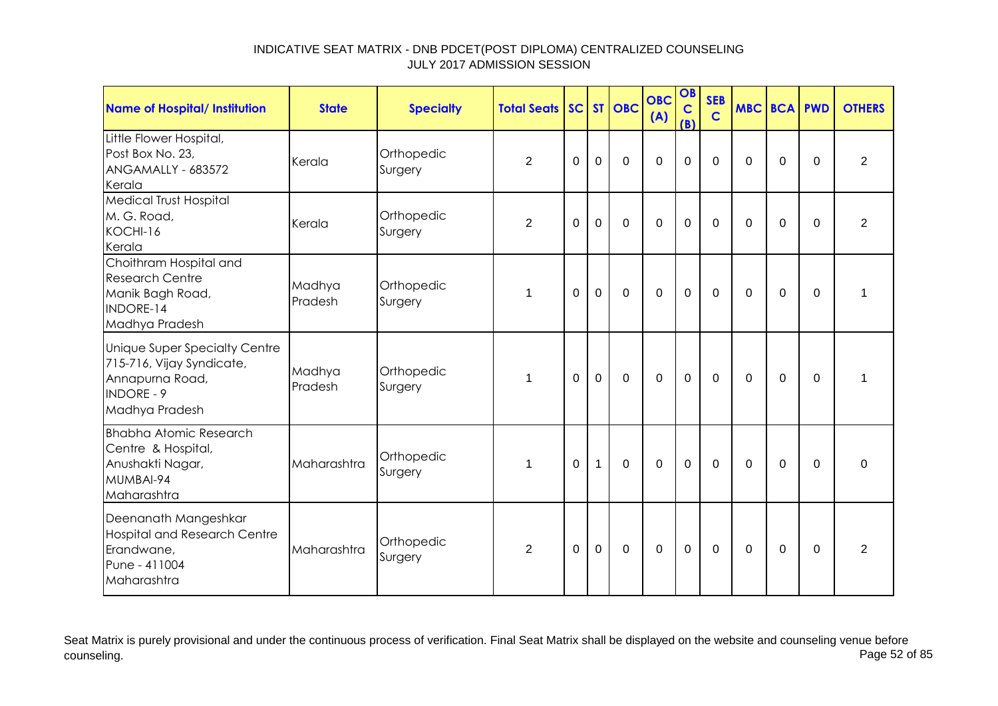| Name of Hospital/ Institution                                                                                        | <b>State</b>      | <b>Specialty</b>      | <b>Total Seats SC ST OBC</b> |             |              |                | <b>OBC</b><br>(A) | OB<br>$\mathbf C$<br>(B) | <b>SEB</b><br>$\mathbf C$ | <b>MBC BCA PWD</b> |             |          | <b>OTHERS</b>  |
|----------------------------------------------------------------------------------------------------------------------|-------------------|-----------------------|------------------------------|-------------|--------------|----------------|-------------------|--------------------------|---------------------------|--------------------|-------------|----------|----------------|
| Little Flower Hospital,<br>Post Box No. 23,<br>ANGAMALLY - 683572<br>Kerala                                          | Kerala            | Orthopedic<br>Surgery | $\overline{2}$               | 0           | $\Omega$     | $\Omega$       | $\Omega$          | $\mathbf 0$              | $\Omega$                  | $\Omega$           | $\mathbf 0$ | $\Omega$ | 2              |
| <b>Medical Trust Hospital</b><br>M. G. Road,<br>KOCHI-16<br>Kerala                                                   | Kerala            | Orthopedic<br>Surgery | 2                            | 0           | $\mathbf 0$  | $\mathbf 0$    | $\overline{0}$    | $\mathbf 0$              | $\mathbf 0$               | $\Omega$           | $\mathbf 0$ | $\Omega$ | $\overline{2}$ |
| Choithram Hospital and<br><b>Research Centre</b><br>Manik Bagh Road,<br><b>INDORE-14</b><br>Madhya Pradesh           | Madhya<br>Pradesh | Orthopedic<br>Surgery | 1                            | $\Omega$    | $\mathbf 0$  | $\mathbf 0$    | $\overline{0}$    | $\mathbf 0$              | 0                         | $\Omega$           | 0           | $\Omega$ | 1              |
| Unique Super Specialty Centre<br>715-716, Vijay Syndicate,<br>Annapurna Road,<br><b>INDORE - 9</b><br>Madhya Pradesh | Madhya<br>Pradesh | Orthopedic<br>Surgery | $\mathbf{1}$                 | $\Omega$    | $\mathbf 0$  | $\overline{0}$ | $\overline{0}$    | $\mathbf 0$              | $\mathbf 0$               | $\mathbf 0$        | $\Omega$    | $\Omega$ | 1              |
| <b>Bhabha Atomic Research</b><br>Centre & Hospital,<br>Anushakti Nagar,<br>MUMBAI-94<br>Maharashtra                  | Maharashtra       | Orthopedic<br>Surgery | $\mathbf 1$                  | $\mathbf 0$ | $\mathbf{1}$ | $\mathbf 0$    | $\overline{0}$    | $\mathbf 0$              | $\mathbf 0$               | $\Omega$           | $\mathbf 0$ | $\Omega$ | 0              |
| Deenanath Mangeshkar<br><b>Hospital and Research Centre</b><br>Erandwane,<br>Pune - 411004<br>Maharashtra            | Maharashtra       | Orthopedic<br>Surgery | 2                            | $\Omega$    | $\mathbf 0$  | $\mathbf 0$    | $\overline{0}$    | $\mathbf 0$              | $\Omega$                  | $\Omega$           | $\Omega$    | $\Omega$ | 2              |

Seat Matrix is purely provisional and under the continuous process of verification. Final Seat Matrix shall be displayed on the website and counseling venue before<br>Page 52 of 85 counseling. Page 52 of 85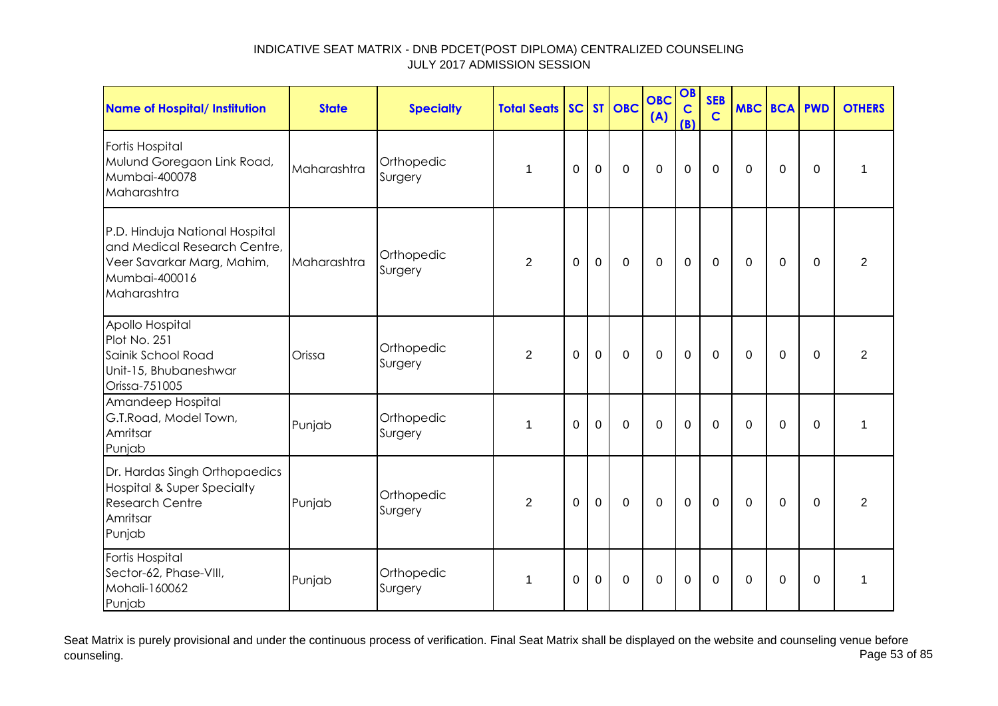| <b>Name of Hospital/ Institution</b>                                                                                         | <b>State</b> | <b>Specialty</b>      | <b>Total Seats</b> |             |                | SC ST OBC      | <b>OBC</b><br>(A) | OB<br>$\mathbf c$<br>(B) | <b>SEB</b><br>$\mathsf{C}$ | <b>MBC BCA PWD</b> |             |             | <b>OTHERS</b>  |
|------------------------------------------------------------------------------------------------------------------------------|--------------|-----------------------|--------------------|-------------|----------------|----------------|-------------------|--------------------------|----------------------------|--------------------|-------------|-------------|----------------|
| Fortis Hospital<br>Mulund Goregaon Link Road,<br>Mumbai-400078<br>Maharashtra                                                | Maharashtra  | Orthopedic<br>Surgery | 1                  | $\Omega$    | $\mathbf 0$    | $\mathbf 0$    | $\mathbf 0$       | $\mathbf 0$              | $\mathbf 0$                | $\Omega$           | 0           | $\Omega$    | 1              |
| P.D. Hinduja National Hospital<br>and Medical Research Centre,<br>Veer Savarkar Marg, Mahim,<br>Mumbai-400016<br>Maharashtra | Maharashtra  | Orthopedic<br>Surgery | $\overline{2}$     | $\mathbf 0$ | $\mathbf 0$    | $\mathbf 0$    | $\mathbf 0$       | $\overline{0}$           | $\mathbf 0$                | $\Omega$           | $\mathbf 0$ | $\mathbf 0$ | $\overline{2}$ |
| Apollo Hospital<br>Plot No. 251<br>Sainik School Road<br>Unit-15, Bhubaneshwar<br>Orissa-751005                              | Orissa       | Orthopedic<br>Surgery | $\overline{2}$     | $\Omega$    | $\overline{0}$ | $\mathbf 0$    | $\overline{0}$    | $\mathbf 0$              | $\Omega$                   | $\Omega$           | $\Omega$    | $\Omega$    | $\overline{2}$ |
| Amandeep Hospital<br>G.T.Road, Model Town,<br>Amritsar<br>Punjab                                                             | Punjab       | Orthopedic<br>Surgery | 1                  | $\mathbf 0$ | $\mathbf 0$    | $\overline{0}$ | $\mathbf 0$       | $\mathbf 0$              | $\mathbf 0$                | $\Omega$           | $\mathbf 0$ | $\mathbf 0$ | $\mathbf{1}$   |
| Dr. Hardas Singh Orthopaedics<br><b>Hospital &amp; Super Specialty</b><br><b>Research Centre</b><br>Amritsar<br>Punjab       | Punjab       | Orthopedic<br>Surgery | $\overline{2}$     | $\Omega$    | $\mathbf 0$    | $\Omega$       | $\mathbf 0$       | $\mathbf 0$              | $\mathbf 0$                | $\Omega$           | $\mathbf 0$ | $\Omega$    | $\overline{2}$ |
| Fortis Hospital<br>Sector-62, Phase-VIII,<br>Mohali-160062<br>Punjab                                                         | Punjab       | Orthopedic<br>Surgery | 1                  | 0           | $\mathbf 0$    | $\mathbf 0$    | $\mathbf 0$       | $\mathbf 0$              | $\Omega$                   | 0                  | 0           | 0           | 1              |

Seat Matrix is purely provisional and under the continuous process of verification. Final Seat Matrix shall be displayed on the website and counseling venue before<br>Page 53 of 85 counseling. Page 53 of 85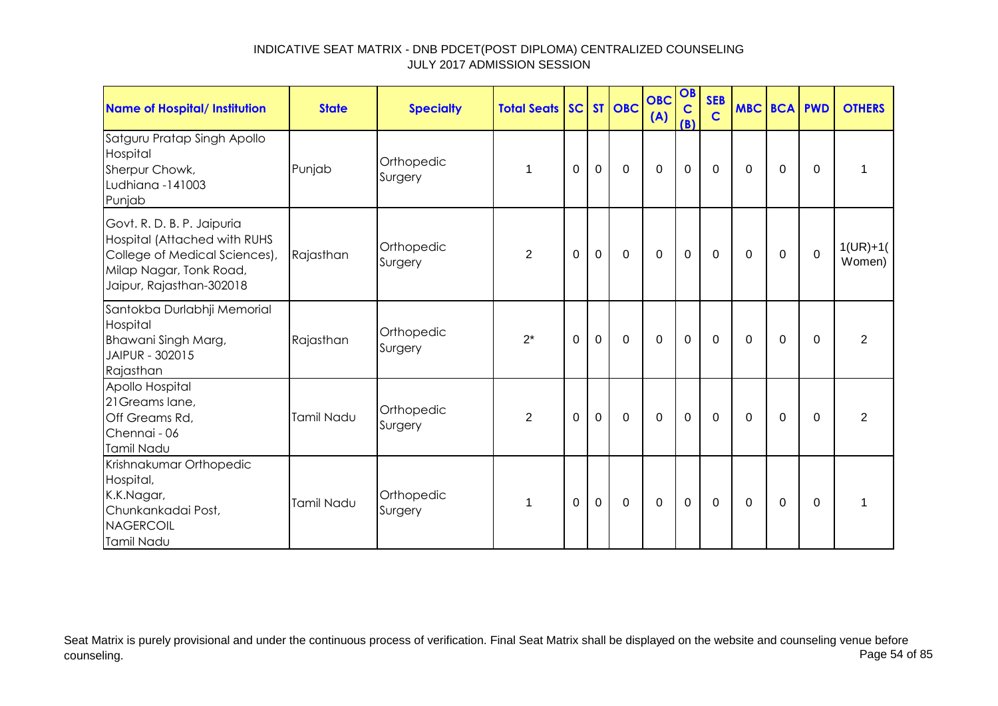| <b>Name of Hospital/ Institution</b>                                                                                                               | <b>State</b> | <b>Specialty</b>      | <b>Total Seats SC ST OBC</b> |             |                |             | <b>OBC</b><br>(A) | OB<br>$\mathbf C$<br>(B) | <b>SEB</b><br>$\mathbf C$ | <b>MBC BCA PWD</b> |             |             | <b>OTHERS</b>        |
|----------------------------------------------------------------------------------------------------------------------------------------------------|--------------|-----------------------|------------------------------|-------------|----------------|-------------|-------------------|--------------------------|---------------------------|--------------------|-------------|-------------|----------------------|
| Satguru Pratap Singh Apollo<br>Hospital<br>Sherpur Chowk,<br>Ludhiana -141003<br>Punjab                                                            | Punjab       | Orthopedic<br>Surgery | 1                            | 0           | 0              | $\mathbf 0$ | $\mathbf 0$       | $\mathbf 0$              | 0                         | 0                  | 0           | $\Omega$    | 1                    |
| Govt. R. D. B. P. Jaipuria<br>Hospital (Attached with RUHS<br>College of Medical Sciences),<br>Milap Nagar, Tonk Road,<br>Jaipur, Rajasthan-302018 | Rajasthan    | Orthopedic<br>Surgery | $\overline{2}$               | 0           | $\mathbf 0$    | $\mathbf 0$ | $\mathbf 0$       | $\mathbf 0$              | $\mathbf 0$               | $\mathbf 0$        | $\mathbf 0$ | $\mathbf 0$ | $1(UR)+1($<br>Women) |
| Santokba Durlabhji Memorial<br>Hospital<br>Bhawani Singh Marg,<br>JAIPUR - 302015<br>Rajasthan                                                     | Rajasthan    | Orthopedic<br>Surgery | $2^*$                        | $\Omega$    | $\overline{0}$ | $\mathbf 0$ | $\mathbf 0$       | $\mathbf 0$              | $\mathbf 0$               | $\Omega$           | $\mathbf 0$ | $\Omega$    | $\overline{2}$       |
| Apollo Hospital<br>21 Greams lane,<br>Off Greams Rd,<br>Chennai - 06<br>Tamil Nadu                                                                 | Tamil Nadu   | Orthopedic<br>Surgery | $\overline{2}$               | $\mathbf 0$ | $\mathbf 0$    | $\mathbf 0$ | $\mathbf 0$       | $\mathbf 0$              | $\mathbf 0$               | $\Omega$           | $\mathbf 0$ | $\Omega$    | $\overline{2}$       |
| Krishnakumar Orthopedic<br>Hospital,<br>K.K.Nagar,<br>Chunkankadai Post,<br>NAGERCOIL<br>Tamil Nadu                                                | Tamil Nadu   | Orthopedic<br>Surgery | 1                            | $\Omega$    | $\mathbf 0$    | $\Omega$    | $\mathbf 0$       | $\mathbf 0$              | $\Omega$                  | $\Omega$           | $\Omega$    | $\Omega$    | 1                    |

Seat Matrix is purely provisional and under the continuous process of verification. Final Seat Matrix shall be displayed on the website and counseling venue before<br>Page 54 of 85 counseling. Page 54 of 85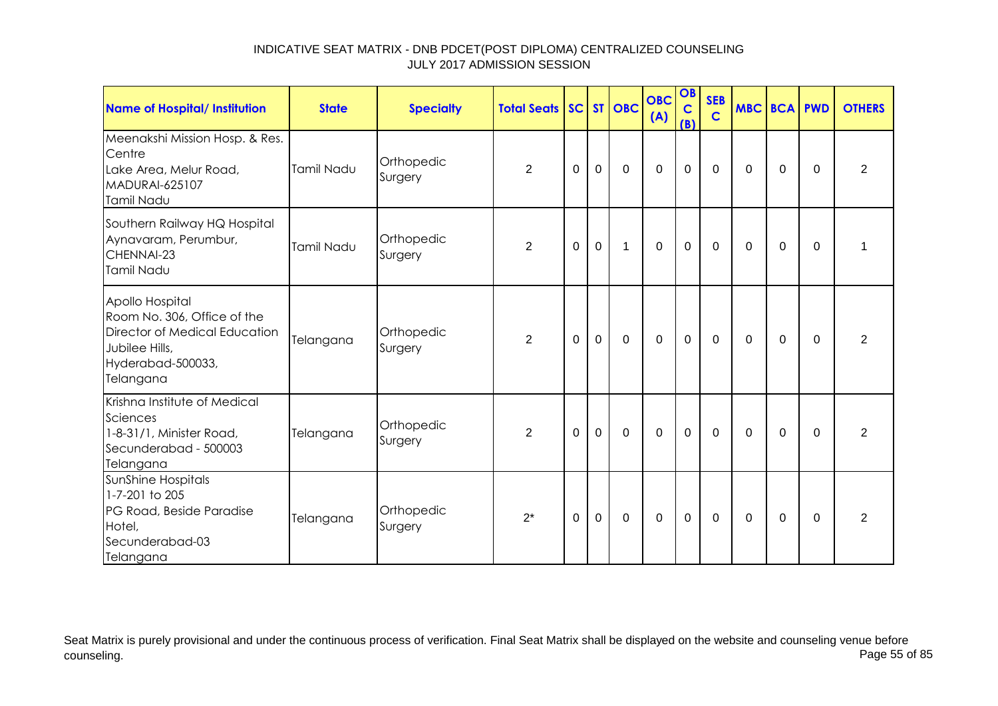| Name of Hospital/ Institution                                                                                                       | <b>State</b> | <b>Specialty</b>      | <b>Total Seats</b> |          |              | SC ST OBC   | <b>OBC</b><br>(A) | OB<br>$\mathbf C$<br>(B) | <b>SEB</b><br>$\mathbf C$ | <b>MBC BCA PWD</b> |          |          | <b>OTHERS</b>  |
|-------------------------------------------------------------------------------------------------------------------------------------|--------------|-----------------------|--------------------|----------|--------------|-------------|-------------------|--------------------------|---------------------------|--------------------|----------|----------|----------------|
| Meenakshi Mission Hosp. & Res.<br>Centre<br>Lake Area, Melur Road,<br>MADURAI-625107<br>Tamil Nadu                                  | Tamil Nadu   | Orthopedic<br>Surgery | $\overline{2}$     | $\Omega$ | $\mathbf 0$  | $\mathbf 0$ | $\mathbf 0$       | $\mathbf 0$              | $\mathbf 0$               | 0                  | 0        | $\Omega$ | $\overline{2}$ |
| Southern Railway HQ Hospital<br>Aynavaram, Perumbur,<br>CHENNAI-23<br>Tamil Nadu                                                    | Tamil Nadu   | Orthopedic<br>Surgery | $\overline{2}$     | $\Omega$ | $\mathbf 0$  | 1           | $\mathbf 0$       | $\mathbf 0$              | $\mathbf 0$               | $\Omega$           | $\Omega$ | $\Omega$ |                |
| Apollo Hospital<br>Room No. 306, Office of the<br>Director of Medical Education<br>Jubilee Hills,<br>Hyderabad-500033,<br>Telangana | Telangana    | Orthopedic<br>Surgery | $\overline{2}$     | $\Omega$ | $\mathbf 0$  | $\mathbf 0$ | $\mathbf 0$       | $\mathbf 0$              | 0                         | 0                  | 0        | $\Omega$ | $\overline{2}$ |
| Krishna Institute of Medical<br>Sciences<br>1-8-31/1, Minister Road,<br>Secunderabad - 500003<br>Telangana                          | Telangana    | Orthopedic<br>Surgery | $\overline{2}$     | $\Omega$ | $\mathbf{0}$ | $\mathbf 0$ | $\mathbf 0$       | $\mathbf 0$              | $\mathbf 0$               | $\Omega$           | $\Omega$ | $\Omega$ | $\overline{2}$ |
| SunShine Hospitals<br>1-7-201 to 205<br>PG Road, Beside Paradise<br>Hotel,<br>Secunderabad-03<br>Telangana                          | Telangana    | Orthopedic<br>Surgery | $2^*$              | 0        | $\mathbf 0$  | $\mathbf 0$ | $\mathbf 0$       | $\mathbf 0$              | $\mathbf 0$               | 0                  | 0        | $\Omega$ | $\overline{2}$ |

Seat Matrix is purely provisional and under the continuous process of verification. Final Seat Matrix shall be displayed on the website and counseling venue before<br>Page 55 of 85 counseling. Page 55 of 85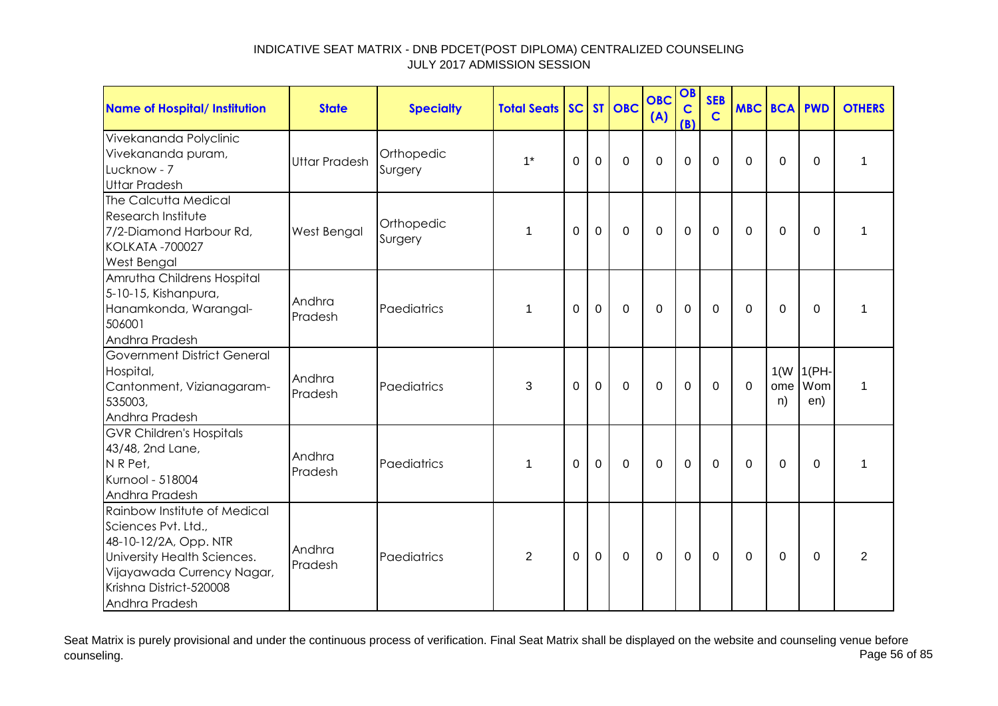| <b>Name of Hospital/ Institution</b>                                                                                                                                                   | <b>State</b>         | <b>Specialty</b>      | <b>Total Seats</b> |          |                | SC ST OBC   | <b>OBC</b><br>(A) | OB<br>$\mathbf C$<br>(B) | <b>SEB</b><br>$\mathbf C$ |             | <b>MBC BCA PWD</b> |                             | <b>OTHERS</b>  |
|----------------------------------------------------------------------------------------------------------------------------------------------------------------------------------------|----------------------|-----------------------|--------------------|----------|----------------|-------------|-------------------|--------------------------|---------------------------|-------------|--------------------|-----------------------------|----------------|
| Vivekananda Polyclinic<br>Vivekananda puram,<br>Lucknow - 7<br><b>Uttar Pradesh</b>                                                                                                    | <b>Uttar Pradesh</b> | Orthopedic<br>Surgery | $1^*$              | 0        | $\mathbf 0$    | $\mathbf 0$ | $\mathbf 0$       | $\mathbf 0$              | $\Omega$                  | $\Omega$    | 0                  | $\mathbf 0$                 | 1              |
| The Calcutta Medical<br>Research Institute<br>7/2-Diamond Harbour Rd,<br><b>KOLKATA -700027</b><br>West Bengal                                                                         | West Bengal          | Orthopedic<br>Surgery | 1                  | $\Omega$ | $\mathbf 0$    | $\mathbf 0$ | $\overline{0}$    | $\mathbf 0$              | $\mathbf 0$               | $\Omega$    | $\overline{0}$     | $\mathbf 0$                 | $\mathbf{1}$   |
| Amrutha Childrens Hospital<br>5-10-15, Kishanpura,<br>Hanamkonda, Warangal-<br>506001<br>Andhra Pradesh                                                                                | Andhra<br>Pradesh    | Paediatrics           | $\mathbf 1$        | $\Omega$ | $\mathbf 0$    | $\mathbf 0$ | $\mathbf 0$       | $\mathbf 0$              | $\Omega$                  | $\Omega$    | $\Omega$           | $\Omega$                    | 1              |
| <b>Government District General</b><br>Hospital,<br>Cantonment, Vizianagaram-<br>535003,<br>Andhra Pradesh                                                                              | Andhra<br>Pradesh    | Paediatrics           | 3                  | $\Omega$ | $\overline{0}$ | $\mathbf 0$ | $\mathbf 0$       | $\mathbf 0$              | $\mathbf 0$               | $\mathbf 0$ | ome<br>n)          | $1(W   1(PH-$<br>Wom<br>en) | 1              |
| <b>GVR Children's Hospitals</b><br>43/48, 2nd Lane,<br>NR Pet,<br>Kurnool - 518004<br>Andhra Pradesh                                                                                   | Andhra<br>Pradesh    | Paediatrics           | 1                  | 0        | $\mathbf 0$    | $\mathbf 0$ | $\mathbf 0$       | $\mathbf 0$              | $\Omega$                  | 0           | 0                  | 0                           | 1              |
| Rainbow Institute of Medical<br>Sciences Pvt. Ltd.,<br>48-10-12/2A, Opp. NTR<br>University Health Sciences.<br>Vijayawada Currency Nagar,<br>Krishna District-520008<br>Andhra Pradesh | Andhra<br>Pradesh    | Paediatrics           | $\overline{2}$     | $\Omega$ | $\mathbf 0$    | $\mathbf 0$ | $\mathbf 0$       | $\mathbf 0$              | 0                         | $\Omega$    | 0                  | $\Omega$                    | $\overline{2}$ |

Seat Matrix is purely provisional and under the continuous process of verification. Final Seat Matrix shall be displayed on the website and counseling venue before<br>Page 56 of 85 counseling. Page 56 of 85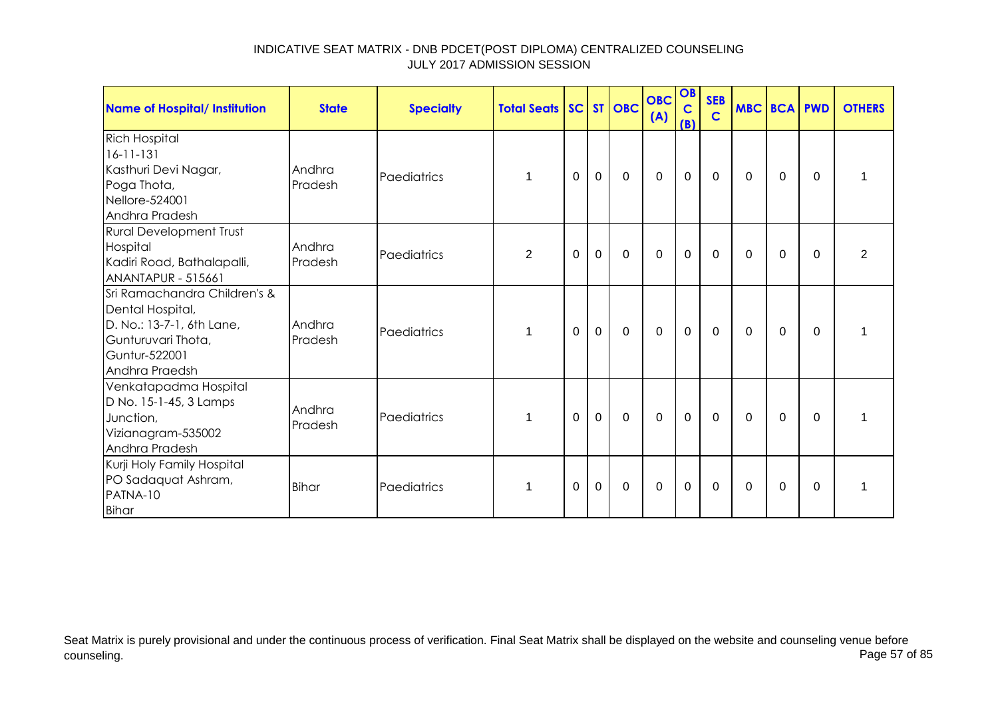| <b>Name of Hospital/ Institution</b>                                                                                                   | <b>State</b>      | <b>Specialty</b> | <b>Total Seats SC ST OBC</b> |          |             |             | <b>OBC</b><br>(A) | OB<br>$\mathbf C$<br>(B) | <b>SEB</b><br>$\mathbf C$ | <b>MBC BCA PWD</b> |          |          | <b>OTHERS</b>  |
|----------------------------------------------------------------------------------------------------------------------------------------|-------------------|------------------|------------------------------|----------|-------------|-------------|-------------------|--------------------------|---------------------------|--------------------|----------|----------|----------------|
| <b>Rich Hospital</b><br>$16 - 11 - 131$<br>Kasthuri Devi Nagar,<br>Poga Thota,<br>Nellore-524001<br>Andhra Pradesh                     | Andhra<br>Pradesh | Paediatrics      |                              | 0        | $\mathbf 0$ | $\mathbf 0$ | $\mathbf 0$       | $\mathbf 0$              | 0                         | 0                  | 0        | $\Omega$ |                |
| <b>Rural Development Trust</b><br>Hospital<br>Kadiri Road, Bathalapalli,<br>ANANTAPUR - 515661                                         | Andhra<br>Pradesh | Paediatrics      | $\overline{2}$               | $\Omega$ | $\mathbf 0$ | $\Omega$    | $\Omega$          | $\mathbf 0$              | $\Omega$                  | $\Omega$           | $\Omega$ | $\Omega$ | $\overline{2}$ |
| Sri Ramachandra Children's &<br>Dental Hospital,<br>D. No.: 13-7-1, 6th Lane,<br>Gunturuvari Thota,<br>Guntur-522001<br>Andhra Praedsh | Andhra<br>Pradesh | Paediatrics      |                              | $\Omega$ | $\mathbf 0$ | $\mathbf 0$ | $\mathbf 0$       | $\mathbf 0$              | $\mathbf 0$               | $\Omega$           | $\Omega$ | $\Omega$ | 1              |
| Venkatapadma Hospital<br>D No. 15-1-45, 3 Lamps<br>Junction,<br>Vizianagram-535002<br>Andhra Pradesh                                   | Andhra<br>Pradesh | Paediatrics      |                              | 0        | $\mathbf 0$ | $\Omega$    | $\mathbf 0$       | $\mathbf 0$              | $\mathbf{0}$              | $\Omega$           | $\Omega$ | $\Omega$ |                |
| Kurji Holy Family Hospital<br>PO Sadaquat Ashram,<br>PATNA-10<br><b>Bihar</b>                                                          | <b>Bihar</b>      | Paediatrics      |                              | 0        | $\mathbf 0$ | 0           | $\mathbf 0$       | $\mathbf 0$              | 0                         | $\Omega$           | 0        | $\Omega$ |                |

Seat Matrix is purely provisional and under the continuous process of verification. Final Seat Matrix shall be displayed on the website and counseling venue before<br>Page 57 of 85 counseling. Page 57 of 85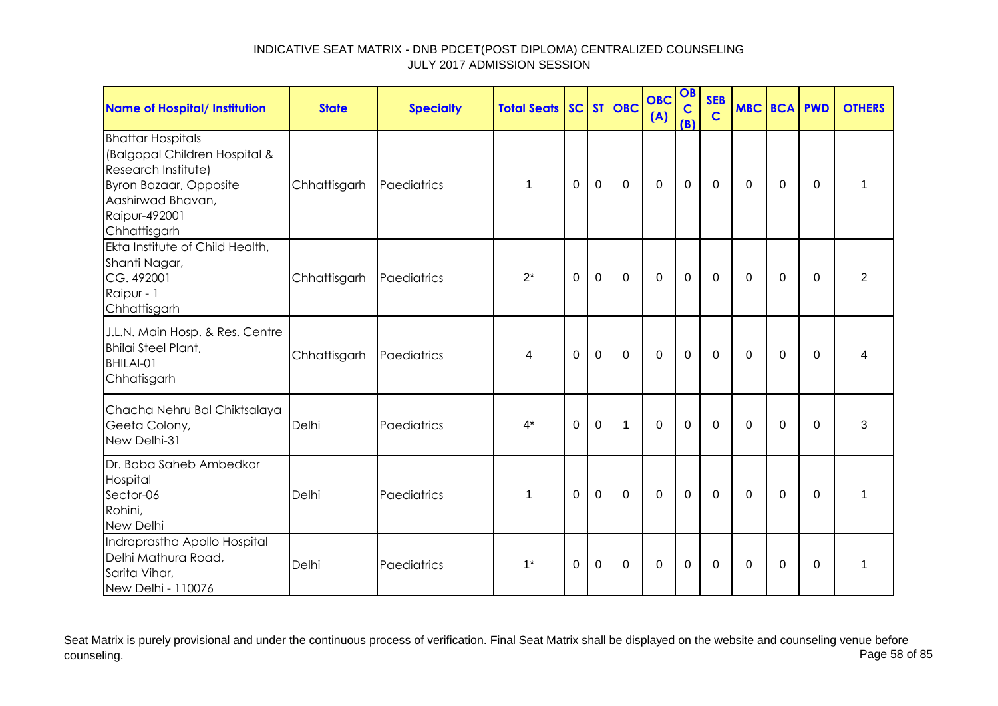| <b>Name of Hospital/ Institution</b>                                                                                                                                    | <b>State</b> | <b>Specialty</b> | <b>Total Seats</b> |          |             | SC ST OBC    | <b>OBC</b><br>(A) | OB<br>$\mathbf C$<br>(B) | <b>SEB</b><br>$\mathbf C$ | <b>MBC BCA PWD</b> |                |             | <b>OTHERS</b>  |
|-------------------------------------------------------------------------------------------------------------------------------------------------------------------------|--------------|------------------|--------------------|----------|-------------|--------------|-------------------|--------------------------|---------------------------|--------------------|----------------|-------------|----------------|
| <b>Bhattar Hospitals</b><br>(Balgopal Children Hospital &<br>Research Institute)<br><b>Byron Bazaar, Opposite</b><br>Aashirwad Bhavan,<br>Raipur-492001<br>Chhattisgarh | Chhattisgarh | Paediatrics      | 1                  | $\Omega$ | $\mathbf 0$ | $\mathbf 0$  | $\overline{0}$    | $\mathbf 0$              | $\mathbf 0$               | $\Omega$           | $\Omega$       | $\mathbf 0$ | $\mathbf{1}$   |
| Ekta Institute of Child Health,<br>Shanti Nagar,<br>CG. 492001<br>Raipur - 1<br>Chhattisgarh                                                                            | Chhattisgarh | Paediatrics      | $2^*$              | $\Omega$ | $\mathbf 0$ | $\mathbf 0$  | $\overline{0}$    | $\mathbf 0$              | $\Omega$                  | $\Omega$           | $\overline{0}$ | $\mathbf 0$ | $\overline{2}$ |
| J.L.N. Main Hosp. & Res. Centre<br>Bhilai Steel Plant,<br>BHILAI-01<br>Chhatisgarh                                                                                      | Chhattisgarh | Paediatrics      | 4                  | $\Omega$ | $\mathbf 0$ | $\mathbf 0$  | $\mathbf 0$       | $\mathbf 0$              | $\mathbf 0$               | 0                  | $\mathbf 0$    | $\mathbf 0$ | 4              |
| Chacha Nehru Bal Chiktsalaya<br>Geeta Colony,<br>New Delhi-31                                                                                                           | Delhi        | Paediatrics      | $4^*$              | $\Omega$ | $\mathbf 0$ | $\mathbf{1}$ | $\mathbf 0$       | $\mathbf 0$              | $\mathbf{0}$              | $\Omega$           | $\Omega$       | $\Omega$    | 3              |
| Dr. Baba Saheb Ambedkar<br>Hospital<br>Sector-06<br>Rohini,<br>New Delhi                                                                                                | Delhi        | Paediatrics      | 1                  | $\Omega$ | $\mathbf 0$ | $\mathbf 0$  | $\overline{0}$    | $\mathbf 0$              | $\mathbf{0}$              | $\Omega$           | $\Omega$       | $\Omega$    | 1              |
| Indraprastha Apollo Hospital<br>Delhi Mathura Road,<br>Sarita Vihar,<br>New Delhi - 110076                                                                              | Delhi        | Paediatrics      | $1^*$              | $\Omega$ | $\mathbf 0$ | $\mathbf 0$  | $\Omega$          | $\mathbf 0$              | $\Omega$                  | $\Omega$           | $\mathbf 0$    | $\Omega$    | 1              |

Seat Matrix is purely provisional and under the continuous process of verification. Final Seat Matrix shall be displayed on the website and counseling venue before<br>Page 58 of 85 counseling. Page 58 of 85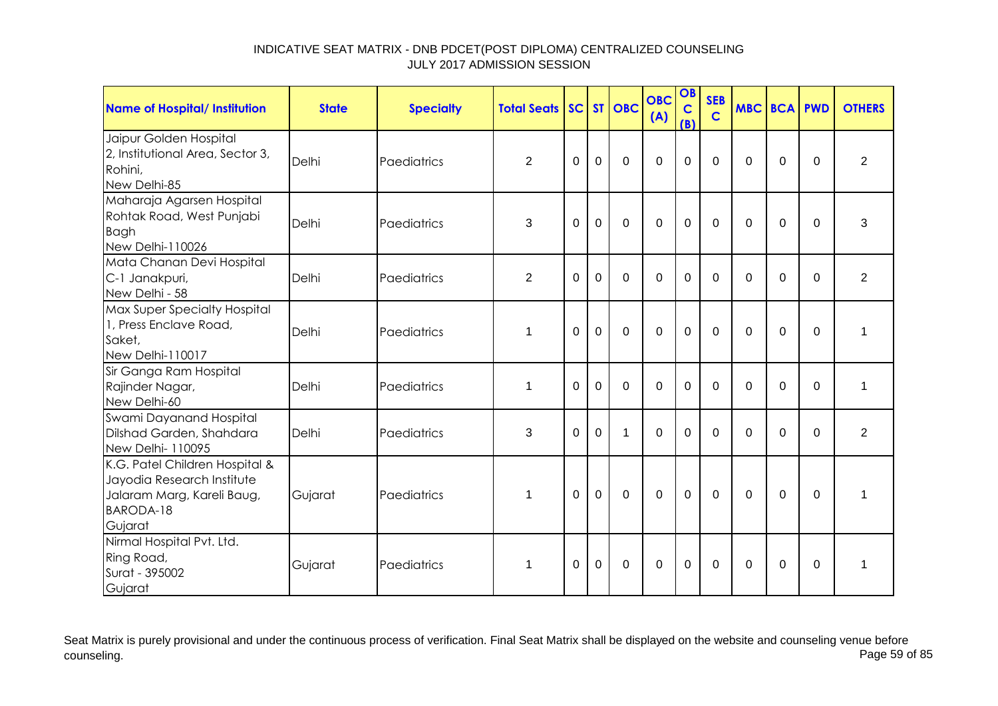| <b>Name of Hospital/ Institution</b>                                                                                      | <b>State</b> | <b>Specialty</b> | <b>Total Seats</b> |             |                | SC ST OBC   | <b>OBC</b><br>(A) | OB<br>$\mathbf C$<br>(B) | <b>SEB</b><br>$\mathbf C$ |          | <b>MBC BCA PWD</b> |             | <b>OTHERS</b>  |
|---------------------------------------------------------------------------------------------------------------------------|--------------|------------------|--------------------|-------------|----------------|-------------|-------------------|--------------------------|---------------------------|----------|--------------------|-------------|----------------|
| Jaipur Golden Hospital<br>2, Institutional Area, Sector 3,<br>Rohini,<br>New Delhi-85                                     | Delhi        | Paediatrics      | $\overline{2}$     | $\mathbf 0$ | $\overline{0}$ | $\mathbf 0$ | $\mathbf 0$       | 0                        | $\overline{0}$            | $\Omega$ | $\mathbf 0$        | $\mathbf 0$ | $\overline{2}$ |
| Maharaja Agarsen Hospital<br>Rohtak Road, West Punjabi<br>Bagh<br>New Delhi-110026                                        | Delhi        | Paediatrics      | 3                  | 0           | $\overline{0}$ | $\Omega$    | $\Omega$          | $\overline{0}$           | $\Omega$                  | $\Omega$ | $\mathbf 0$        | $\Omega$    | 3              |
| Mata Chanan Devi Hospital<br>C-1 Janakpuri,<br>New Delhi - 58                                                             | Delhi        | Paediatrics      | $\overline{2}$     | 0           | $\Omega$       | $\mathbf 0$ | $\mathbf 0$       | 0                        | $\Omega$                  | $\Omega$ | $\mathbf 0$        | $\mathbf 0$ | $\overline{2}$ |
| Max Super Specialty Hospital<br>1, Press Enclave Road,<br>Saket,<br>New Delhi-110017                                      | Delhi        | Paediatrics      | 1                  | $\Omega$    | $\overline{0}$ | $\mathbf 0$ | $\mathbf 0$       | 0                        | $\Omega$                  | $\Omega$ | $\mathbf 0$        | $\mathbf 0$ | 1              |
| Sir Ganga Ram Hospital<br>Rajinder Nagar,<br>New Delhi-60                                                                 | Delhi        | Paediatrics      | $\mathbf 1$        | 0           | $\mathbf 0$    | $\mathbf 0$ | $\mathbf 0$       | 0                        | $\Omega$                  | $\Omega$ | $\mathbf 0$        | $\mathbf 0$ | $\mathbf 1$    |
| Swami Dayanand Hospital<br>Dilshad Garden, Shahdara<br>New Delhi- 110095                                                  | Delhi        | Paediatrics      | 3                  | $\Omega$    | $\Omega$       | 1           | $\Omega$          | $\Omega$                 | $\Omega$                  | $\Omega$ | $\Omega$           | $\Omega$    | $\overline{2}$ |
| K.G. Patel Children Hospital &<br>Jayodia Research Institute<br>Jalaram Marg, Kareli Baug,<br><b>BARODA-18</b><br>Gujarat | Gujarat      | Paediatrics      | 1                  | $\Omega$    | $\overline{0}$ | $\mathbf 0$ | $\mathbf 0$       | $\mathbf 0$              | $\Omega$                  | $\Omega$ | $\Omega$           | $\Omega$    | 1              |
| Nirmal Hospital Pvt. Ltd.<br>Ring Road,<br>Surat - 395002<br>Gujarat                                                      | Gujarat      | Paediatrics      | 1                  | $\Omega$    | $\mathbf 0$    | $\mathbf 0$ | $\mathbf 0$       | $\mathbf 0$              | $\Omega$                  | $\Omega$ | $\mathbf 0$        | $\Omega$    | 1              |

Seat Matrix is purely provisional and under the continuous process of verification. Final Seat Matrix shall be displayed on the website and counseling venue before<br>Page 59 of 85 counseling. Page 59 of 85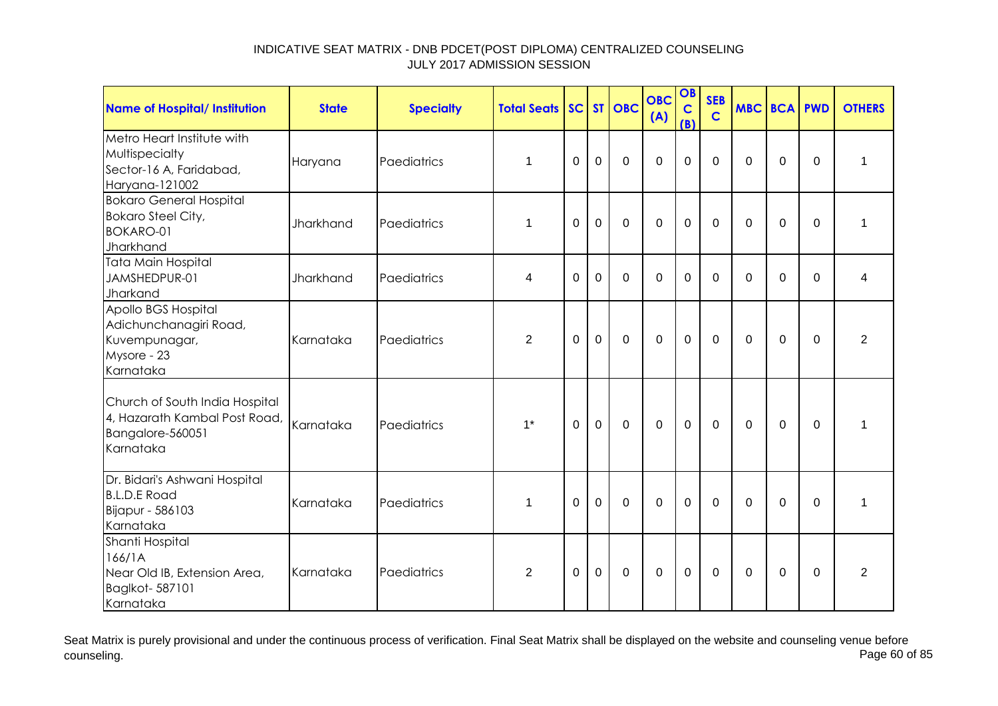| <b>Name of Hospital/ Institution</b>                                                             | <b>State</b> | <b>Specialty</b> | <b>Total Seats</b> | SC       |             | ST OBC         | <b>OBC</b><br>(A) | OB<br>$\mathbf C$<br>(B) | <b>SEB</b><br>$\mathbf C$ |          | <b>MBC BCA PWD</b> |             | <b>OTHERS</b>  |
|--------------------------------------------------------------------------------------------------|--------------|------------------|--------------------|----------|-------------|----------------|-------------------|--------------------------|---------------------------|----------|--------------------|-------------|----------------|
| Metro Heart Institute with<br>Multispecialty<br>Sector-16 A, Faridabad,<br>Haryana-121002        | Haryana      | Paediatrics      | $\mathbf 1$        | $\Omega$ | $\mathbf 0$ | $\overline{0}$ | $\overline{0}$    | $\mathbf 0$              | $\Omega$                  | $\Omega$ | $\Omega$           | $\mathbf 0$ | 1              |
| <b>Bokaro General Hospital</b><br><b>Bokaro Steel City,</b><br><b>BOKARO-01</b><br>Jharkhand     | Jharkhand    | Paediatrics      | 1                  | $\Omega$ | $\mathbf 0$ | $\mathbf 0$    | $\overline{0}$    | $\mathbf 0$              | $\Omega$                  | $\Omega$ | 0                  | $\Omega$    | $\mathbf{1}$   |
| Tata Main Hospital<br>JAMSHEDPUR-01<br>Jharkand                                                  | Jharkhand    | Paediatrics      | 4                  | 0        | 0           | 0              | $\Omega$          | 0                        | $\Omega$                  | $\Omega$ | 0                  | 0           | 4              |
| Apollo BGS Hospital<br>Adichunchanagiri Road,<br>Kuvempunagar,<br>Mysore - 23<br>Karnataka       | Karnataka    | Paediatrics      | $\overline{2}$     | $\Omega$ | $\mathbf 0$ | $\mathbf 0$    | $\overline{0}$    | $\mathbf 0$              | $\mathbf 0$               | $\Omega$ | $\mathbf 0$        | $\Omega$    | $\overline{2}$ |
| Church of South India Hospital<br>4, Hazarath Kambal Post Road,<br>Bangalore-560051<br>Karnataka | Karnataka    | Paediatrics      | $1^*$              | $\Omega$ | $\mathbf 0$ | $\mathbf 0$    | $\overline{0}$    | $\mathbf 0$              | $\mathbf 0$               | $\Omega$ | $\mathbf 0$        | $\mathbf 0$ | 1              |
| Dr. Bidari's Ashwani Hospital<br><b>B.L.D.E Road</b><br>Bijapur - 586103<br>Karnataka            | Karnataka    | Paediatrics      | $\mathbf 1$        | $\Omega$ | $\mathbf 0$ | $\mathbf 0$    | $\overline{0}$    | $\mathbf 0$              | $\Omega$                  | $\Omega$ | $\mathbf 0$        | $\mathbf 0$ | 1              |
| Shanti Hospital<br>166/1A<br>Near Old IB, Extension Area,<br>Baglkot-587101<br>Karnataka         | Karnataka    | Paediatrics      | $\overline{2}$     | $\Omega$ | $\mathbf 0$ | 0              | $\Omega$          | 0                        | $\Omega$                  | $\Omega$ | 0                  | 0           | $\overline{2}$ |

Seat Matrix is purely provisional and under the continuous process of verification. Final Seat Matrix shall be displayed on the website and counseling venue before<br>Page 60 of 85 counseling. Page 60 of 85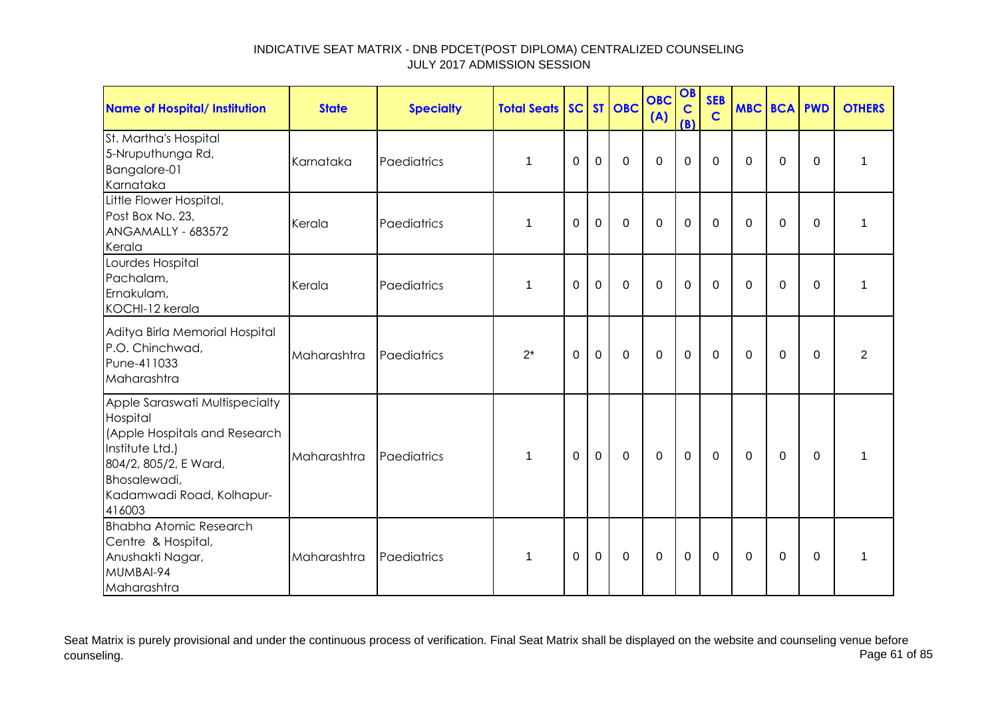| <b>Name of Hospital/ Institution</b>                                                                                                                                           | <b>State</b> | <b>Specialty</b> | <b>Total Seats</b> |          |                | SC ST OBC   | <b>OBC</b><br>(A) | OB<br>$\mathbf C$<br>(B) | <b>SEB</b><br>$\mathbf C$ | <b>MBC BCA PWD</b> |             |             | <b>OTHERS</b>  |
|--------------------------------------------------------------------------------------------------------------------------------------------------------------------------------|--------------|------------------|--------------------|----------|----------------|-------------|-------------------|--------------------------|---------------------------|--------------------|-------------|-------------|----------------|
| St. Martha's Hospital<br>5-Nruputhunga Rd,<br>Bangalore-01<br>Karnataka                                                                                                        | Karnataka    | Paediatrics      | $\mathbf 1$        | 0        | $\mathbf 0$    | $\mathbf 0$ | $\mathbf 0$       | $\mathbf 0$              | $\overline{0}$            | $\Omega$           | $\mathbf 0$ | $\mathbf 0$ | 1              |
| Little Flower Hospital,<br>Post Box No. 23,<br>ANGAMALLY - 683572<br>Kerala                                                                                                    | Kerala       | Paediatrics      | 1                  | $\Omega$ | $\overline{0}$ | $\mathbf 0$ | $\mathbf 0$       | $\mathbf 0$              | $\Omega$                  | $\Omega$           | $\mathbf 0$ | $\Omega$    | 1              |
| Lourdes Hospital<br>Pachalam,<br>Ernakulam,<br>KOCHI-12 kerala                                                                                                                 | Kerala       | Paediatrics      | $\mathbf 1$        | $\Omega$ | $\mathbf 0$    | $\mathbf 0$ | $\mathbf 0$       | $\mathbf 0$              | $\Omega$                  | $\Omega$           | $\mathbf 0$ | $\mathbf 0$ | 1              |
| Aditya Birla Memorial Hospital<br>P.O. Chinchwad,<br>Pune-411033<br>Maharashtra                                                                                                | Maharashtra  | Paediatrics      | $2^*$              | 0        | $\mathbf 0$    | $\mathbf 0$ | $\mathbf 0$       | $\mathbf 0$              | $\mathbf 0$               | 0                  | 0           | 0           | $\overline{2}$ |
| Apple Saraswati Multispecialty<br>Hospital<br>(Apple Hospitals and Research<br>Institute Ltd.)<br>804/2, 805/2, E Ward,<br>Bhosalewadi,<br>Kadamwadi Road, Kolhapur-<br>416003 | Maharashtra  | Paediatrics      | 1                  | 0        | 0              | $\mathbf 0$ | $\mathbf 0$       | $\mathbf 0$              | 0                         | $\Omega$           | 0           | 0           | 1              |
| <b>Bhabha Atomic Research</b><br>Centre & Hospital,<br>Anushakti Nagar,<br>MUMBAI-94<br>Maharashtra                                                                            | Maharashtra  | Paediatrics      | 1                  | 0        | $\mathbf 0$    | 0           | 0                 | $\mathbf 0$              | 0                         | 0                  | 0           | 0           | 1              |

Seat Matrix is purely provisional and under the continuous process of verification. Final Seat Matrix shall be displayed on the website and counseling venue before<br>Page 61 of 85 counseling. Page 61 of 85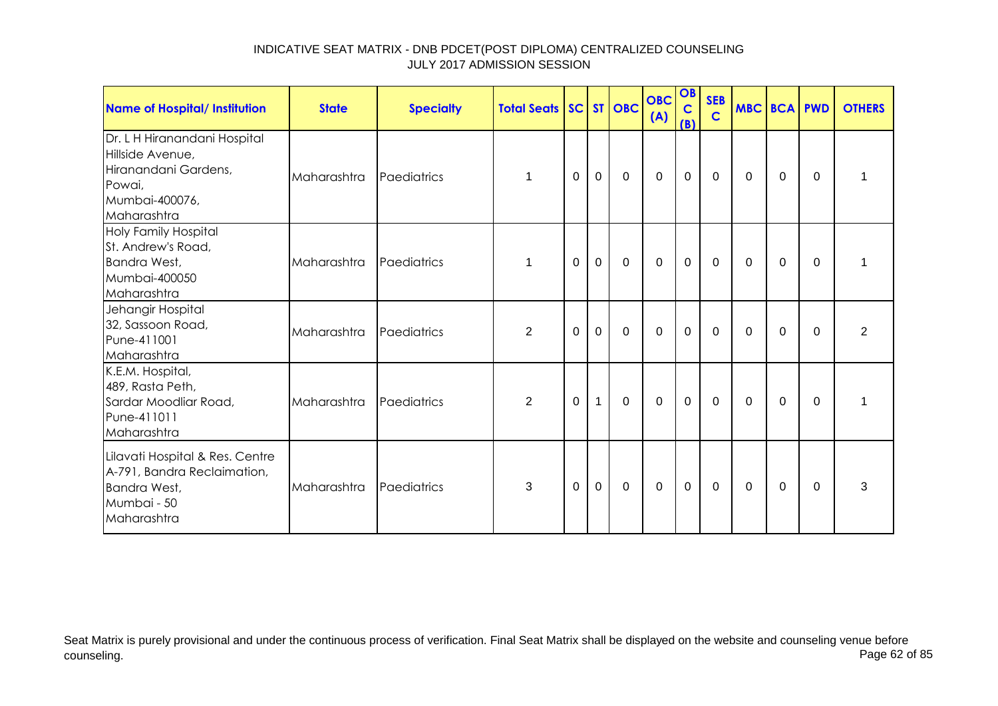| <b>Name of Hospital/ Institution</b>                                                                                | <b>State</b> | <b>Specialty</b> | <b>Total Seats SC ST OBC</b> |          |                |             | <b>OBC</b><br>(A) | OB<br>$\mathbf C$<br>(B) | <b>SEB</b><br>$\mathbf C$ | MBC BCA PWD |             |          | <b>OTHERS</b>  |
|---------------------------------------------------------------------------------------------------------------------|--------------|------------------|------------------------------|----------|----------------|-------------|-------------------|--------------------------|---------------------------|-------------|-------------|----------|----------------|
| Dr. L H Hiranandani Hospital<br>Hillside Avenue,<br>Hiranandani Gardens,<br>Powai,<br>Mumbai-400076,<br>Maharashtra | Maharashtra  | Paediatrics      | 1                            | 0        | $\overline{0}$ | $\Omega$    | $\mathbf 0$       | $\mathbf 0$              | $\mathbf{0}$              | $\Omega$    | $\Omega$    | $\Omega$ |                |
| <b>Holy Family Hospital</b><br>St. Andrew's Road,<br>Bandra West,<br>Mumbai-400050<br>Maharashtra                   | Maharashtra  | Paediatrics      | 1                            | 0        | $\mathbf 0$    | $\mathbf 0$ | $\mathbf 0$       | $\mathbf 0$              | $\mathbf 0$               | $\mathbf 0$ | 0           | 0        |                |
| Jehangir Hospital<br>32, Sassoon Road,<br>Pune-411001<br>Maharashtra                                                | Maharashtra  | Paediatrics      | $\overline{2}$               | $\Omega$ | $\overline{0}$ | $\mathbf 0$ | $\mathbf 0$       | $\mathbf 0$              | $\mathbf 0$               | $\Omega$    | $\Omega$    | $\Omega$ | $\overline{2}$ |
| K.E.M. Hospital,<br>489, Rasta Peth,<br>Sardar Moodliar Road,<br>Pune-411011<br>Maharashtra                         | Maharashtra  | Paediatrics      | $\overline{2}$               | 0        | $\mathbf{1}$   | $\mathbf 0$ | $\Omega$          | $\mathbf 0$              | $\mathbf 0$               | $\Omega$    | $\Omega$    | $\Omega$ | 1              |
| Lilavati Hospital & Res. Centre<br>A-791, Bandra Reclaimation,<br>Bandra West,<br>Mumbai - 50<br>Maharashtra        | Maharashtra  | Paediatrics      | 3                            | 0        | $\mathbf 0$    | $\mathbf 0$ | $\mathbf 0$       | $\mathbf 0$              | $\mathbf 0$               | $\Omega$    | $\mathbf 0$ | 0        | 3              |

Seat Matrix is purely provisional and under the continuous process of verification. Final Seat Matrix shall be displayed on the website and counseling venue before<br>Page 62 of 85 counseling. Page 62 of 85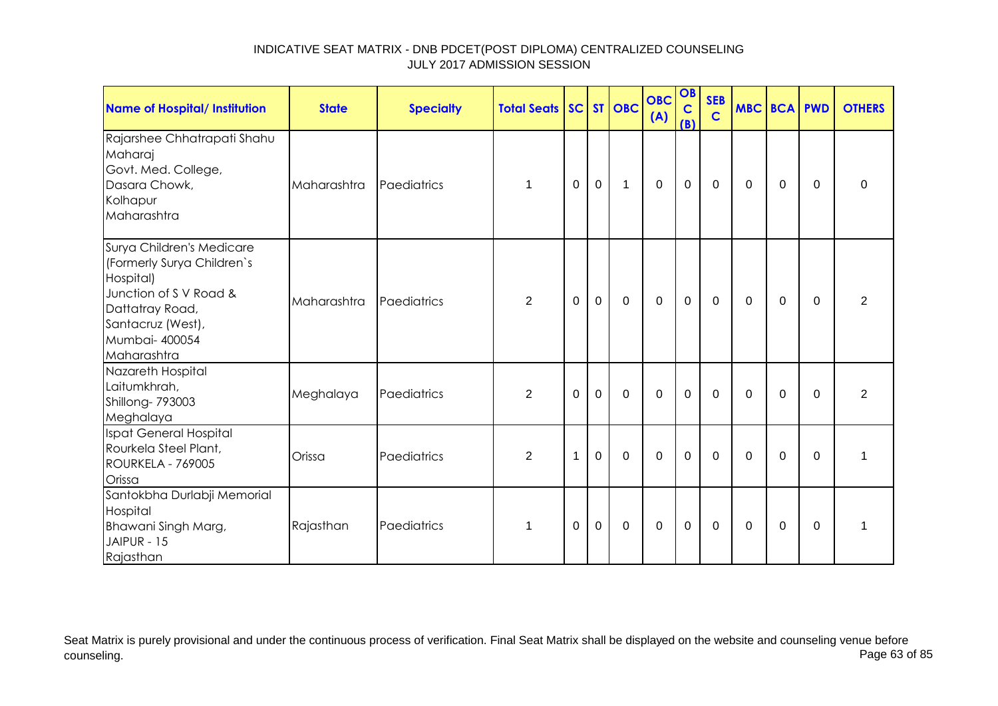| <b>Name of Hospital/ Institution</b>                                                                                                                                    | <b>State</b> | <b>Specialty</b> | <b>Total Seats SC ST OBC</b> |              |             |              | <b>OBC</b><br>(A) | OB<br>$\mathbf C$<br>(B) | <b>SEB</b><br>$\mathbf C$ | <b>MBC BCA PWD</b> |             |          | <b>OTHERS</b>    |
|-------------------------------------------------------------------------------------------------------------------------------------------------------------------------|--------------|------------------|------------------------------|--------------|-------------|--------------|-------------------|--------------------------|---------------------------|--------------------|-------------|----------|------------------|
| Rajarshee Chhatrapati Shahu<br>Maharaj<br>Govt. Med. College,<br>Dasara Chowk,<br>Kolhapur<br>Maharashtra                                                               | Maharashtra  | Paediatrics      | $\mathbf{1}$                 | 0            | $\mathbf 0$ | $\mathbf{1}$ | $\mathbf 0$       | $\mathbf 0$              | 0                         | 0                  | 0           | $\Omega$ | $\boldsymbol{0}$ |
| Surya Children's Medicare<br>(Formerly Surya Children's<br>Hospital)<br>Junction of S V Road &<br>Dattatray Road,<br>Santacruz (West),<br>Mumbai- 400054<br>Maharashtra | Maharashtra  | Paediatrics      | $\overline{2}$               | 0            | $\mathbf 0$ | $\mathbf 0$  | 0                 | $\pmb{0}$                | 0                         | 0                  | 0           | 0        | 2                |
| Nazareth Hospital<br>Laitumkhrah,<br>Shillong- 793003<br>Meghalaya                                                                                                      | Meghalaya    | Paediatrics      | $\overline{2}$               | $\Omega$     | $\mathbf 0$ | $\mathbf 0$  | $\overline{0}$    | $\mathbf 0$              | $\Omega$                  | $\Omega$           | $\Omega$    | $\Omega$ | 2                |
| Ispat General Hospital<br>Rourkela Steel Plant,<br><b>ROURKELA - 769005</b><br>Orissa                                                                                   | Orissa       | Paediatrics      | $\overline{2}$               | $\mathbf{1}$ | $\mathbf 0$ | $\mathbf 0$  | $\mathbf 0$       | $\mathbf 0$              | $\mathbf 0$               | $\mathbf 0$        | $\mathbf 0$ | $\Omega$ | $\mathbf 1$      |
| Santokbha Durlabji Memorial<br>Hospital<br>Bhawani Singh Marg,<br>JAIPUR - 15<br>Rajasthan                                                                              | Rajasthan    | Paediatrics      | $\mathbf 1$                  | 0            | $\mathbf 0$ | 0            | $\mathbf 0$       | $\pmb{0}$                | 0                         | 0                  | 0           | $\Omega$ | 1                |

Seat Matrix is purely provisional and under the continuous process of verification. Final Seat Matrix shall be displayed on the website and counseling venue before<br>Page 63 of 85 counseling. Page 63 of 85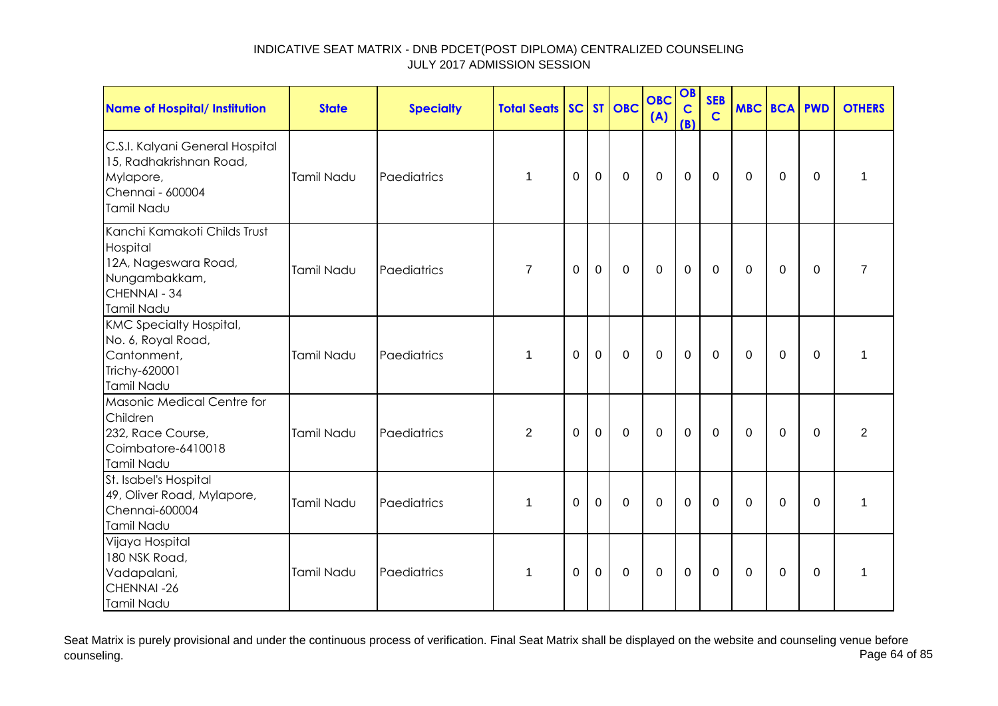| <b>Name of Hospital/ Institution</b>                                                                            | <b>State</b> | <b>Specialty</b> | <b>Total Seats SC ST OBC</b> |              |             |             | <b>OBC</b><br>(A) | OB<br>$\mathbf C$<br>(B) | <b>SEB</b><br>$\mathbf C$ | MBC BCA PWD |             |             | <b>OTHERS</b>  |
|-----------------------------------------------------------------------------------------------------------------|--------------|------------------|------------------------------|--------------|-------------|-------------|-------------------|--------------------------|---------------------------|-------------|-------------|-------------|----------------|
| C.S.I. Kalyani General Hospital<br>15, Radhakrishnan Road,<br>Mylapore,<br>Chennai - 600004<br>Tamil Nadu       | Tamil Nadu   | Paediatrics      | 1                            | 0            | $\mathbf 0$ | $\mathbf 0$ | $\mathbf 0$       | $\mathbf 0$              | $\mathbf 0$               | $\mathbf 0$ | 0           | $\mathbf 0$ | 1              |
| Kanchi Kamakoti Childs Trust<br>Hospital<br>12A, Nageswara Road,<br>Nungambakkam,<br>CHENNAI - 34<br>Tamil Nadu | Tamil Nadu   | Paediatrics      | $\overline{7}$               | $\mathbf 0$  | $\mathbf 0$ | $\mathbf 0$ | $\mathbf 0$       | $\mathbf 0$              | $\mathbf 0$               | $\mathbf 0$ | $\mathbf 0$ | $\mathbf 0$ | $\overline{7}$ |
| <b>KMC Specialty Hospital,</b><br>No. 6, Royal Road,<br>Cantonment,<br>Trichy-620001<br>Tamil Nadu              | Tamil Nadu   | Paediatrics      | 1                            | $\mathbf{0}$ | $\mathbf 0$ | $\mathbf 0$ | $\mathbf 0$       | $\mathbf 0$              | $\mathbf 0$               | $\mathbf 0$ | 0           | $\mathbf 0$ | 1              |
| Masonic Medical Centre for<br>Children<br>232, Race Course,<br>Coimbatore-6410018<br>Tamil Nadu                 | Tamil Nadu   | Paediatrics      | $\overline{2}$               | $\mathbf 0$  | 0           | $\mathbf 0$ | $\mathbf 0$       | $\overline{0}$           | $\mathbf 0$               | $\mathbf 0$ | 0           | $\Omega$    | $\overline{2}$ |
| St. Isabel's Hospital<br>49, Oliver Road, Mylapore,<br>Chennai-600004<br>Tamil Nadu                             | Tamil Nadu   | Paediatrics      | 1                            | $\mathbf{0}$ | $\Omega$    | $\mathbf 0$ | $\mathbf 0$       | $\overline{0}$           | $\mathbf{0}$              | $\Omega$    | $\Omega$    | $\Omega$    | 1              |
| Vijaya Hospital<br>180 NSK Road,<br>Vadapalani,<br>CHENNAI-26<br>Tamil Nadu                                     | Tamil Nadu   | Paediatrics      | 1                            | $\mathbf{0}$ | $\Omega$    | $\mathbf 0$ | $\mathbf 0$       | $\Omega$                 | 0                         | $\Omega$    | 0           | 0           | 1              |

Seat Matrix is purely provisional and under the continuous process of verification. Final Seat Matrix shall be displayed on the website and counseling venue before<br>Page 64 of 85 counseling. Page 64 of 85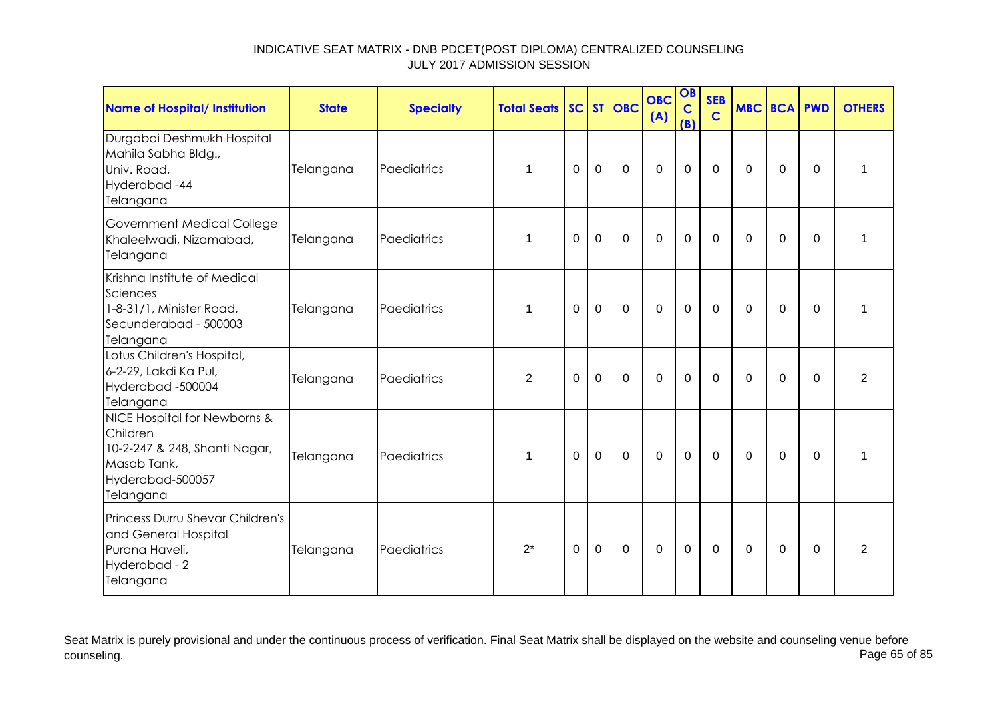| <b>Name of Hospital/ Institution</b>                                                                                      | <b>State</b> | <b>Specialty</b> | <b>Total Seats</b> |          |                | SC ST OBC   | <b>OBC</b><br>(A) | OB<br>$\mathbf C$<br>(B) | <b>SEB</b><br>$\mathbf C$ | <b>MBC BCA PWD</b> |                |             | <b>OTHERS</b>  |
|---------------------------------------------------------------------------------------------------------------------------|--------------|------------------|--------------------|----------|----------------|-------------|-------------------|--------------------------|---------------------------|--------------------|----------------|-------------|----------------|
| Durgabai Deshmukh Hospital<br>Mahila Sabha Bldg.,<br>Univ. Road,<br>Hyderabad-44<br>Telangana                             | Telangana    | Paediatrics      | 1                  | $\Omega$ | $\mathbf 0$    | $\mathbf 0$ | $\overline{0}$    | $\mathbf 0$              | $\Omega$                  | $\Omega$           | $\mathbf 0$    | $\Omega$    | 1              |
| Government Medical College<br>Khaleelwadi, Nizamabad,<br>Telangana                                                        | Telangana    | Paediatrics      | 1                  | $\Omega$ | $\overline{0}$ | $\mathbf 0$ | $\overline{0}$    | $\mathbf 0$              | $\Omega$                  | $\Omega$           | $\Omega$       | $\Omega$    | 1              |
| Krishna Institute of Medical<br>Sciences<br>1-8-31/1, Minister Road,<br>Secunderabad - 500003<br>Telangana                | Telangana    | Paediatrics      | 1                  | $\Omega$ | $\overline{0}$ | $\mathbf 0$ | $\overline{0}$    | $\overline{0}$           | $\mathbf 0$               | $\Omega$           | $\mathbf 0$    | $\mathbf 0$ | 1              |
| Lotus Children's Hospital,<br>6-2-29, Lakdi Ka Pul,<br>Hyderabad -500004<br>Telangana                                     | Telangana    | Paediatrics      | 2                  | $\Omega$ | $\overline{0}$ | $\Omega$    | $\Omega$          | $\mathbf 0$              | $\Omega$                  | $\Omega$           | $\Omega$       | $\Omega$    | $\overline{2}$ |
| NICE Hospital for Newborns &<br>Children<br>10-2-247 & 248, Shanti Nagar,<br>Masab Tank,<br>Hyderabad-500057<br>Telangana | Telangana    | Paediatrics      | 1                  | $\Omega$ | $\mathbf 0$    | $\mathbf 0$ | $\mathbf 0$       | $\mathbf 0$              | $\mathbf 0$               | $\Omega$           | $\overline{0}$ | $\Omega$    | 1              |
| Princess Durru Shevar Children's<br>and General Hospital<br>Purana Haveli,<br>Hyderabad - 2<br>Telangana                  | Telangana    | Paediatrics      | $2^*$              | $\Omega$ | $\overline{0}$ | $\Omega$    | $\Omega$          | $\mathbf 0$              | $\Omega$                  | $\Omega$           | $\Omega$       | $\Omega$    | $\overline{2}$ |

Seat Matrix is purely provisional and under the continuous process of verification. Final Seat Matrix shall be displayed on the website and counseling venue before<br>Page 65 of 85 counseling. Page 65 of 85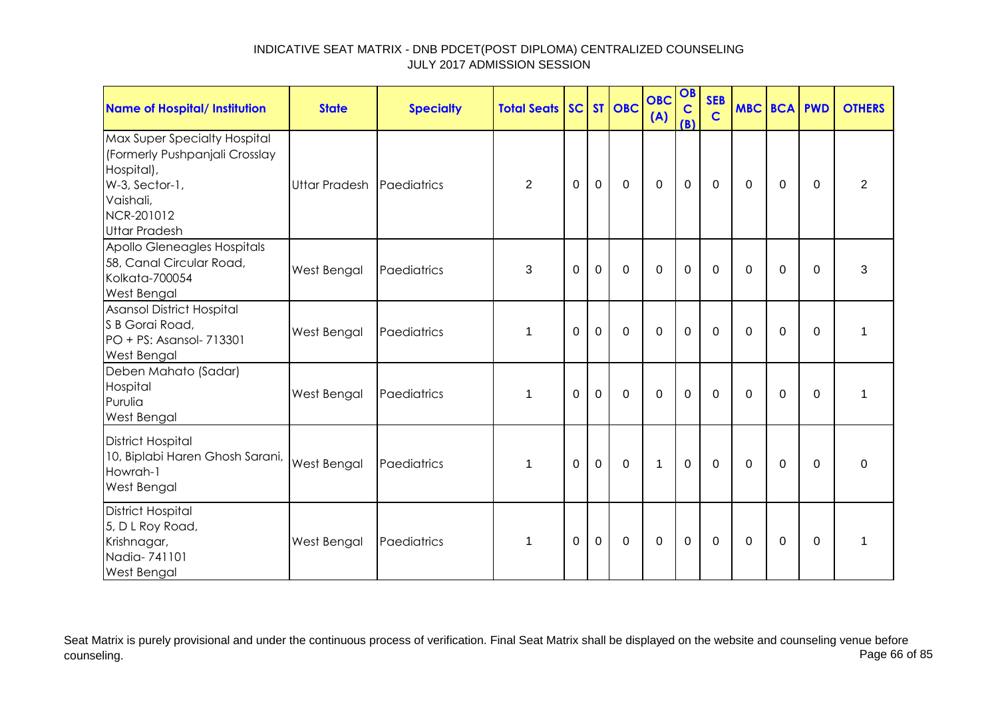| <b>Name of Hospital/ Institution</b>                                                                                                              | <b>State</b>              | <b>Specialty</b> | <b>Total Seats SC ST OBC</b> |             |                |                | <b>OBC</b><br>(A) | OB<br>$\mathbf C$<br>(B) | <b>SEB</b><br>$\mathbf C$ | <b>MBC BCA PWD</b> |             |                | <b>OTHERS</b>  |
|---------------------------------------------------------------------------------------------------------------------------------------------------|---------------------------|------------------|------------------------------|-------------|----------------|----------------|-------------------|--------------------------|---------------------------|--------------------|-------------|----------------|----------------|
| Max Super Specialty Hospital<br>(Formerly Pushpanjali Crosslay<br>Hospital),<br>W-3, Sector-1,<br>Vaishali,<br>NCR-201012<br><b>Uttar Pradesh</b> | Uttar Pradesh Paediatrics |                  | $\overline{2}$               | 0           | $\mathbf 0$    | $\mathbf 0$    | $\mathbf 0$       | $\mathbf 0$              | $\mathbf 0$               | 0                  | $\mathbf 0$ | $\overline{0}$ | $\overline{2}$ |
| Apollo Gleneagles Hospitals<br>58, Canal Circular Road,<br>Kolkata-700054<br>West Bengal                                                          | West Bengal               | Paediatrics      | 3                            | $\mathbf 0$ | $\mathbf 0$    | $\mathbf 0$    | $\overline{0}$    | $\mathbf 0$              | $\mathbf 0$               | $\Omega$           | $\mathbf 0$ | $\Omega$       | 3              |
| <b>Asansol District Hospital</b><br>S B Gorai Road,<br>PO + PS: Asansol- 713301<br><b>West Bengal</b>                                             | West Bengal               | Paediatrics      | $\mathbf 1$                  | $\Omega$    | $\mathbf 0$    | $\mathbf 0$    | $\overline{0}$    | $\mathbf 0$              | $\mathbf 0$               | 0                  | $\mathbf 0$ | $\Omega$       | 1              |
| Deben Mahato (Sadar)<br>Hospital<br>Purulia<br>West Bengal                                                                                        | West Bengal               | Paediatrics      | $\mathbf 1$                  | 0           | $\overline{0}$ | $\mathbf 0$    | $\overline{0}$    | $\mathbf 0$              | $\mathbf 0$               | $\Omega$           | $\mathbf 0$ | $\Omega$       | 1              |
| <b>District Hospital</b><br>10, Biplabi Haren Ghosh Sarani,<br>Howrah-1<br>West Bengal                                                            | <b>West Bengal</b>        | Paediatrics      | $\mathbf 1$                  | $\mathbf 0$ | $\mathbf 0$    | $\overline{0}$ | $\mathbf{1}$      | $\mathbf 0$              | $\mathbf 0$               | $\mathbf 0$        | $\mathbf 0$ | $\mathbf 0$    | $\mathbf 0$    |
| <b>District Hospital</b><br>5, D L Roy Road,<br>Krishnagar,<br>Nadia-741101<br><b>West Bengal</b>                                                 | West Bengal               | Paediatrics      | 1                            | $\Omega$    | $\Omega$       | $\mathbf 0$    | $\overline{0}$    | $\mathbf 0$              | $\Omega$                  | $\Omega$           | $\Omega$    | $\Omega$       | 1              |

Seat Matrix is purely provisional and under the continuous process of verification. Final Seat Matrix shall be displayed on the website and counseling venue before<br>Page 66 of 85 counseling. Page 66 of 85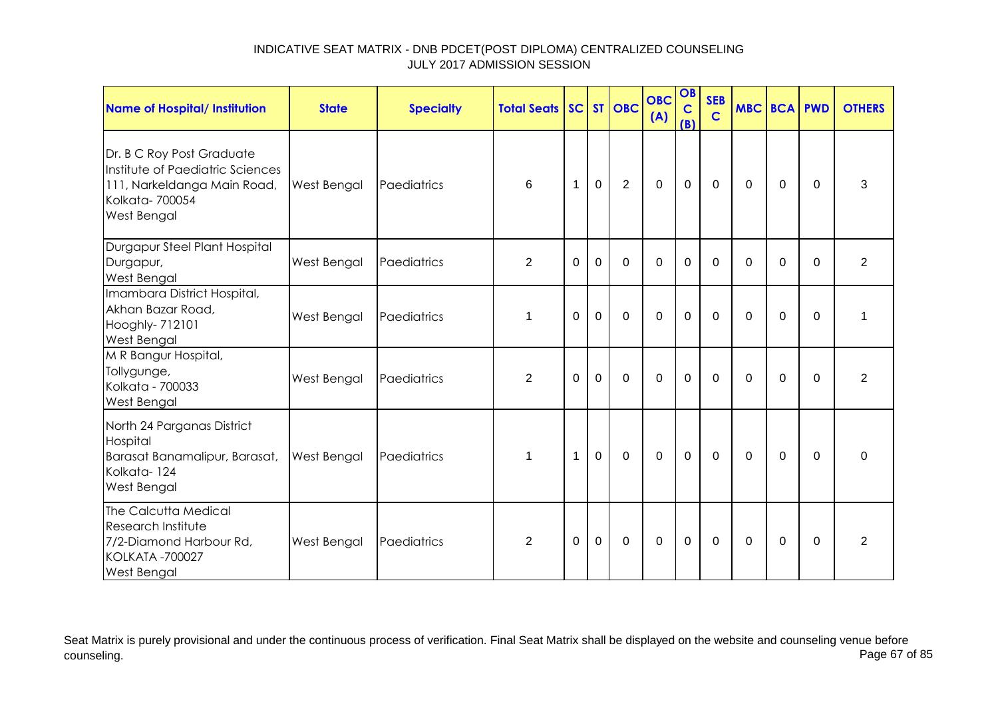| Name of Hospital/ Institution                                                                                                 | <b>State</b>       | <b>Specialty</b> | <b>Total Seats</b> |              |              | SC ST OBC   | <b>OBC</b><br>(A) | OB<br>$\mathbf C$<br>(B) | <b>SEB</b><br>$\mathbf C$ | <b>MBC BCA PWD</b> |             |          | <b>OTHERS</b>  |
|-------------------------------------------------------------------------------------------------------------------------------|--------------------|------------------|--------------------|--------------|--------------|-------------|-------------------|--------------------------|---------------------------|--------------------|-------------|----------|----------------|
| Dr. B C Roy Post Graduate<br>Institute of Paediatric Sciences<br>111, Narkeldanga Main Road,<br>Kolkata-700054<br>West Bengal | <b>West Bengal</b> | Paediatrics      | 6                  | 1            | $\mathbf{0}$ | 2           | $\mathbf 0$       | $\mathbf{0}$             | $\overline{0}$            | $\mathbf{0}$       | $\mathbf 0$ | $\Omega$ | 3              |
| Durgapur Steel Plant Hospital<br>Durgapur,<br>West Bengal                                                                     | West Bengal        | Paediatrics      | $\overline{2}$     | $\Omega$     | $\Omega$     | $\Omega$    | $\Omega$          | $\Omega$                 | $\Omega$                  | $\Omega$           | $\Omega$    | $\Omega$ | 2              |
| Imambara District Hospital,<br>Akhan Bazar Road,<br>Hooghly- 712101<br>West Bengal                                            | West Bengal        | Paediatrics      | $\mathbf 1$        | $\Omega$     | $\mathbf 0$  | $\Omega$    | $\mathbf 0$       | $\mathbf 0$              | $\Omega$                  | $\Omega$           | $\Omega$    | $\Omega$ | 1              |
| M R Bangur Hospital,<br>Tollygunge,<br>Kolkata - 700033<br>West Bengal                                                        | West Bengal        | Paediatrics      | $\overline{2}$     | $\mathbf 0$  | $\mathbf 0$  | $\mathbf 0$ | $\overline{0}$    | $\mathbf 0$              | $\mathbf 0$               | $\Omega$           | 0           | $\Omega$ | $\overline{2}$ |
| North 24 Parganas District<br>Hospital<br>Barasat Banamalipur, Barasat,<br>Kolkata-124<br>West Bengal                         | <b>West Bengal</b> | Paediatrics      | 1                  | $\mathbf{1}$ | $\mathbf 0$  | $\mathbf 0$ | $\mathbf 0$       | $\mathbf 0$              | $\mathbf 0$               | $\mathbf{0}$       | 0           | $\Omega$ | 0              |
| The Calcutta Medical<br>Research Institute<br>7/2-Diamond Harbour Rd,<br><b>KOLKATA -700027</b><br><b>West Bengal</b>         | <b>West Bengal</b> | Paediatrics      | 2                  | $\Omega$     | $\Omega$     | $\Omega$    | $\Omega$          | $\mathbf 0$              | $\Omega$                  | $\Omega$           | $\Omega$    | 0        | 2              |

Seat Matrix is purely provisional and under the continuous process of verification. Final Seat Matrix shall be displayed on the website and counseling venue before<br>Page 67 of 85 counseling. Page 67 of 85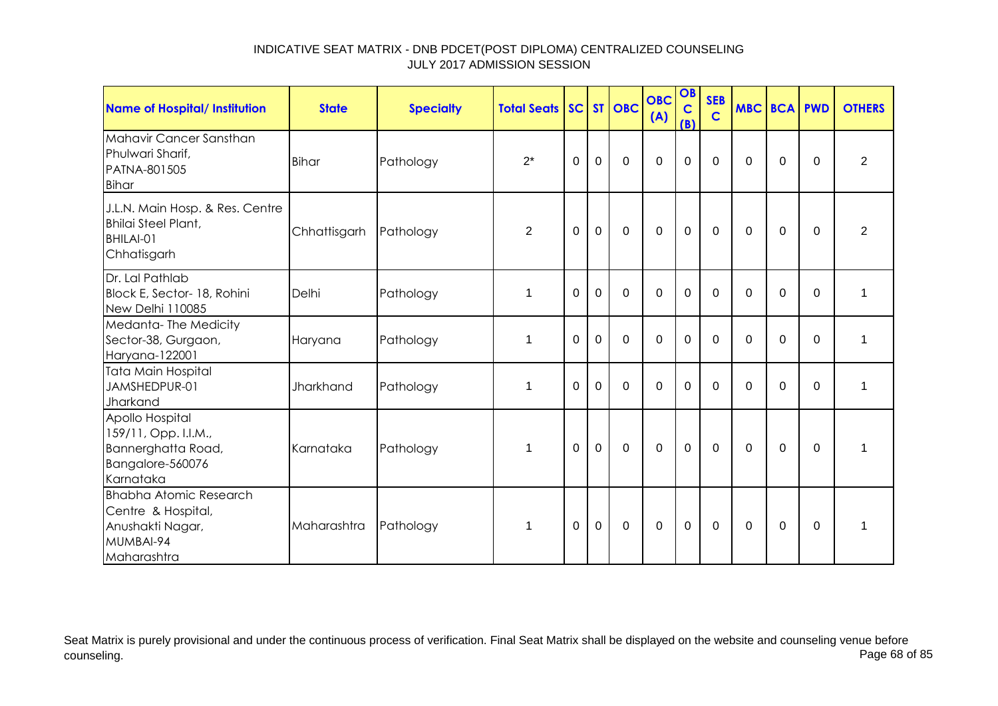| <b>Name of Hospital/ Institution</b>                                                                | <b>State</b>     | <b>Specialty</b> | <b>Total Seats SC ST OBC</b> |                |              |             | <b>OBC</b><br>(A) | OB<br>$\mathbf C$<br>(B) | <b>SEB</b><br>$\mathbf C$ | <b>MBC BCA PWD</b> |                |             | <b>OTHERS</b>  |
|-----------------------------------------------------------------------------------------------------|------------------|------------------|------------------------------|----------------|--------------|-------------|-------------------|--------------------------|---------------------------|--------------------|----------------|-------------|----------------|
| Mahavir Cancer Sansthan<br>Phulwari Sharif,<br>PATNA-801505<br>Bihar                                | <b>Bihar</b>     | Pathology        | $2^*$                        | $\Omega$       | $\mathbf{0}$ | $\mathbf 0$ | $\mathbf 0$       | $\mathbf 0$              | $\mathbf 0$               | $\Omega$           | $\Omega$       | $\Omega$    | 2              |
| J.L.N. Main Hosp. & Res. Centre<br>Bhilai Steel Plant,<br>BHILAI-01<br>Chhatisgarh                  | Chhattisgarh     | Pathology        | $\overline{2}$               | $\overline{0}$ | $\mathbf 0$  | $\mathbf 0$ | $\mathbf 0$       | $\mathbf 0$              | $\mathbf 0$               | 0                  | $\mathbf 0$    | $\Omega$    | $\overline{2}$ |
| Dr. Lal Pathlab<br>Block E, Sector- 18, Rohini<br>New Delhi 110085                                  | Delhi            | Pathology        | $\mathbf 1$                  | $\Omega$       | $\mathbf 0$  | $\mathbf 0$ | $\Omega$          | 0                        | $\Omega$                  | $\Omega$           | $\mathbf 0$    | $\mathbf 0$ | 1              |
| Medanta-The Medicity<br>Sector-38, Gurgaon,<br>Haryana-122001                                       | Haryana          | Pathology        | $\mathbf 1$                  | 0              | $\mathbf 0$  | $\mathbf 0$ | $\mathbf 0$       | 0                        | $\mathbf 0$               | 0                  | 0              | $\Omega$    | 1              |
| Tata Main Hospital<br>JAMSHEDPUR-01<br>Jharkand                                                     | <b>Jharkhand</b> | Pathology        | $\mathbf 1$                  | $\Omega$       | $\Omega$     | $\Omega$    | $\Omega$          | 0                        | $\Omega$                  | $\Omega$           | $\overline{0}$ | $\Omega$    | $\mathbf{1}$   |
| Apollo Hospital<br>159/11, Opp. I.I.M.,<br>Bannerghatta Road,<br>Bangalore-560076<br>Karnataka      | Karnataka        | Pathology        | 1                            | $\Omega$       | $\mathbf 0$  | $\mathbf 0$ | $\mathbf 0$       | $\mathbf 0$              | $\mathbf 0$               | 0                  | 0              | $\Omega$    | $\mathbf 1$    |
| <b>Bhabha Atomic Research</b><br>Centre & Hospital,<br>Anushakti Nagar,<br>MUMBAI-94<br>Maharashtra | Maharashtra      | Pathology        | 1                            | $\mathbf 0$    | $\mathbf 0$  | $\mathbf 0$ | $\mathbf 0$       | $\mathbf 0$              | $\mathbf 0$               | 0                  | 0              | $\Omega$    | 1              |

Seat Matrix is purely provisional and under the continuous process of verification. Final Seat Matrix shall be displayed on the website and counseling venue before<br>Page 68 of 85 counseling. Page 68 of 85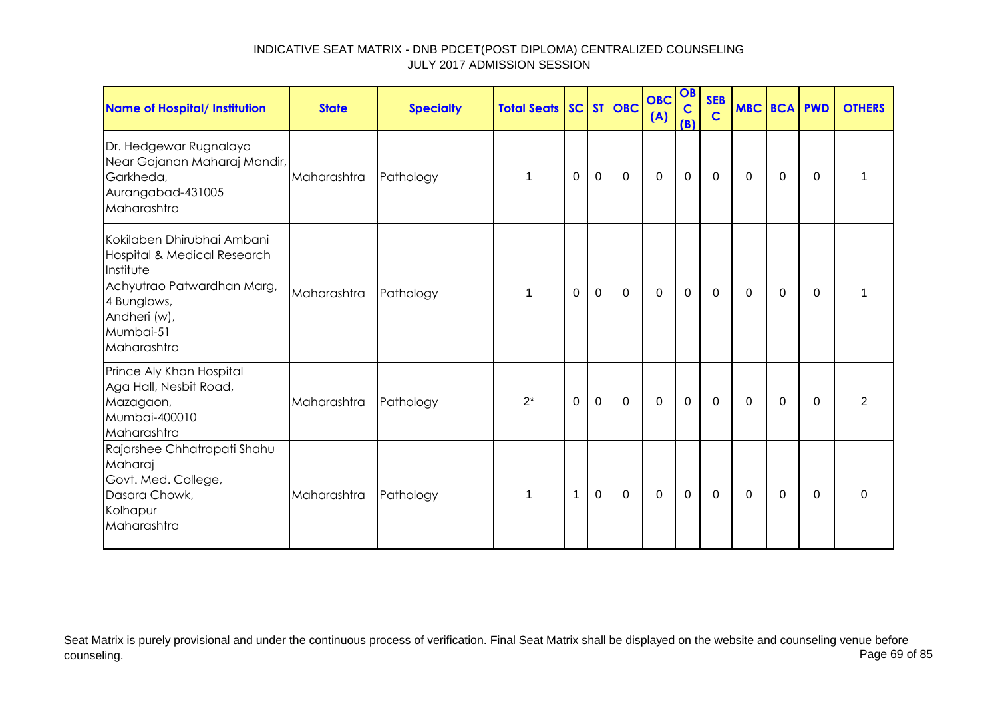| Name of Hospital/ Institution                                                                                                                                   | <b>State</b> | <b>Specialty</b> | <b>Total Seats SC ST OBC</b> |   |             |             | <b>OBC</b><br>(A) | OB<br>$\mathbf C$<br>(B) | <b>SEB</b><br>$\mathbf C$ | <b>MBC BCA</b> |          | <b>PWD</b> | <b>OTHERS</b>  |
|-----------------------------------------------------------------------------------------------------------------------------------------------------------------|--------------|------------------|------------------------------|---|-------------|-------------|-------------------|--------------------------|---------------------------|----------------|----------|------------|----------------|
| Dr. Hedgewar Rugnalaya<br>Near Gajanan Maharaj Mandir,<br>Garkheda,<br>Aurangabad-431005<br>Maharashtra                                                         | Maharashtra  | Pathology        | 1                            | 0 | $\mathbf 0$ | 0           | $\mathbf 0$       | $\mathbf 0$              | $\mathbf 0$               | 0              | 0        | $\Omega$   | 1              |
| Kokilaben Dhirubhai Ambani<br>Hospital & Medical Research<br>Institute<br>Achyutrao Patwardhan Marg,<br>4 Bunglows,<br>Andheri (w),<br>Mumbai-51<br>Maharashtra | Maharashtra  | Pathology        | 1                            | 0 | $\mathbf 0$ | $\mathbf 0$ | $\mathbf 0$       | $\mathbf 0$              | 0                         | $\mathbf 0$    | 0        | 0          | 1              |
| Prince Aly Khan Hospital<br>Aga Hall, Nesbit Road,<br>Mazagaon,<br>Mumbai-400010<br>Maharashtra                                                                 | Maharashtra  | Pathology        | $2^*$                        | 0 | $\mathbf 0$ | $\mathbf 0$ | $\mathbf 0$       | $\mathbf 0$              | $\mathbf 0$               | $\mathbf 0$    | 0        | 0          | $\overline{2}$ |
| Rajarshee Chhatrapati Shahu<br>Maharaj<br>Govt. Med. College,<br>Dasara Chowk,<br>Kolhapur<br>Maharashtra                                                       | Maharashtra  | Pathology        | $\mathbf 1$                  | 1 | $\mathbf 0$ | $\mathbf 0$ | $\mathbf 0$       | $\mathbf 0$              | $\mathbf 0$               | $\mathbf 0$    | $\Omega$ | $\Omega$   | $\mathbf 0$    |

Seat Matrix is purely provisional and under the continuous process of verification. Final Seat Matrix shall be displayed on the website and counseling venue before<br>Page 69 of 85 counseling. Page 69 of 85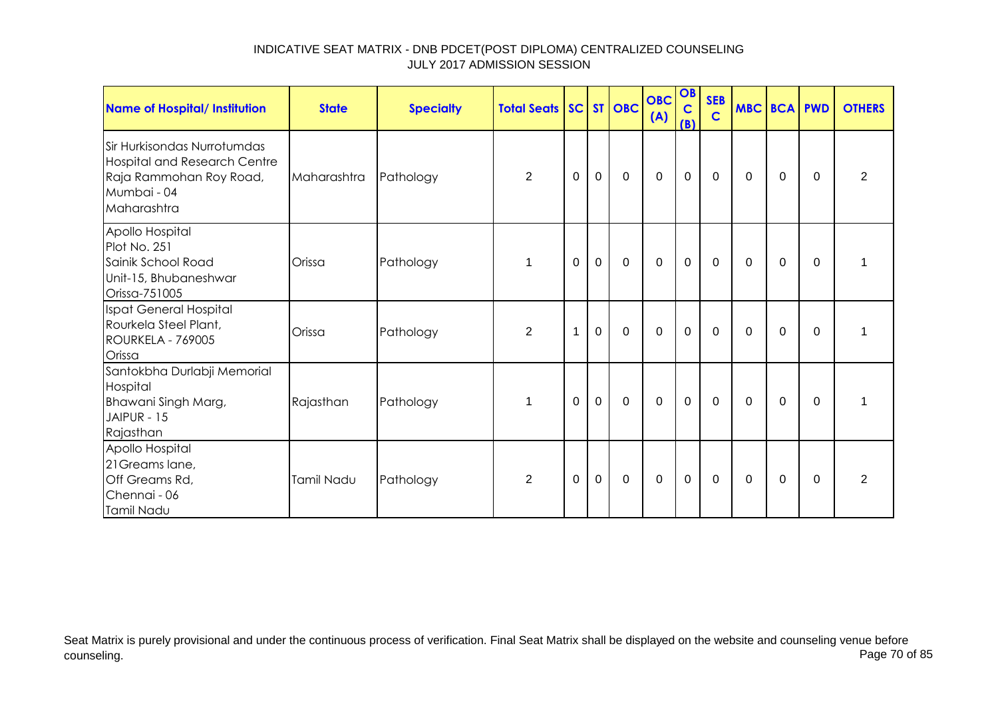| Name of Hospital/ Institution                                                                                               | <b>State</b> | <b>Specialty</b> | <b>Total Seats   SC   ST   OBC  </b> |             |             |             | <b>OBC</b><br>(A) | OB<br>$\mathbf C$<br>(B) | <b>SEB</b><br>$\mathbf C$ | <b>MBC BCA PWD</b> |          |          | <b>OTHERS</b>  |
|-----------------------------------------------------------------------------------------------------------------------------|--------------|------------------|--------------------------------------|-------------|-------------|-------------|-------------------|--------------------------|---------------------------|--------------------|----------|----------|----------------|
| Sir Hurkisondas Nurrotumdas<br><b>Hospital and Research Centre</b><br>Raja Rammohan Roy Road,<br>Mumbai - 04<br>Maharashtra | Maharashtra  | Pathology        | 2                                    | $\mathbf 0$ | $\mathbf 0$ | $\mathbf 0$ | $\mathbf 0$       | $\mathbf 0$              | $\mathbf 0$               | 0                  | 0        | 0        | $\overline{2}$ |
| Apollo Hospital<br>Plot No. 251<br>Sainik School Road<br>Unit-15, Bhubaneshwar<br>Orissa-751005                             | Orissa       | Pathology        | 1                                    | $\Omega$    | $\mathbf 0$ | $\mathbf 0$ | $\overline{0}$    | $\overline{0}$           | $\Omega$                  | $\Omega$           | $\Omega$ | $\Omega$ | 1              |
| Ispat General Hospital<br>Rourkela Steel Plant,<br><b>ROURKELA - 769005</b><br>Orissa                                       | Orissa       | Pathology        | $\overline{2}$                       | 1           | $\mathbf 0$ | $\Omega$    | $\mathbf 0$       | $\mathbf 0$              | $\Omega$                  | $\Omega$           | $\Omega$ | $\Omega$ | 1              |
| Santokbha Durlabji Memorial<br>Hospital<br>Bhawani Singh Marg,<br>JAIPUR - 15<br>Rajasthan                                  | Rajasthan    | Pathology        | 1                                    | 0           | $\mathbf 0$ | $\mathbf 0$ | $\mathbf 0$       | $\pmb{0}$                | 0                         | $\Omega$           | 0        | $\Omega$ |                |
| Apollo Hospital<br>21 Greams lane,<br>Off Greams Rd,<br>Chennai - 06<br>Tamil Nadu                                          | Tamil Nadu   | Pathology        | $\overline{2}$                       | $\mathbf 0$ | $\mathbf 0$ | $\mathbf 0$ | $\mathbf 0$       | $\mathbf 0$              | $\mathbf 0$               | $\Omega$           | $\Omega$ | $\Omega$ | $\overline{2}$ |

Seat Matrix is purely provisional and under the continuous process of verification. Final Seat Matrix shall be displayed on the website and counseling venue before<br>Page 70 of 85 counseling. Page 70 of 85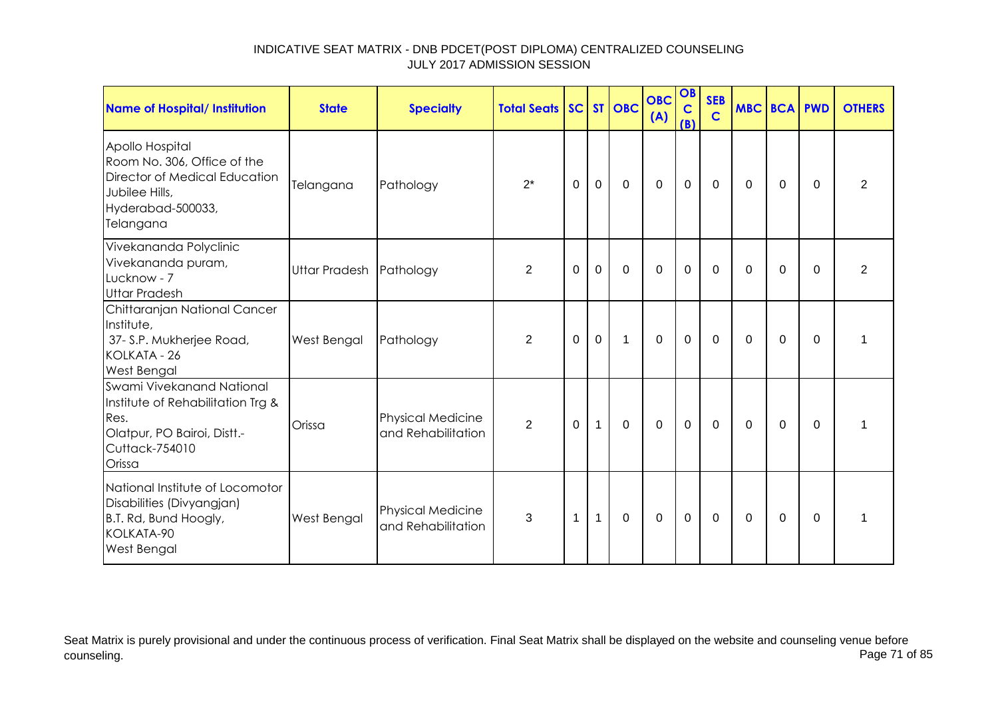| Name of Hospital/ Institution                                                                                                              | <b>State</b>            | <b>Specialty</b>                               | <b>Total Seats SC ST OBC</b> |             |              |              | <b>OBC</b><br>(A) | OB<br>$\mathbf C$<br>(B) | <b>SEB</b><br>$\mathsf{C}$ | <b>MBC BCA PWD</b> |             |          | <b>OTHERS</b>  |
|--------------------------------------------------------------------------------------------------------------------------------------------|-------------------------|------------------------------------------------|------------------------------|-------------|--------------|--------------|-------------------|--------------------------|----------------------------|--------------------|-------------|----------|----------------|
| Apollo Hospital<br>Room No. 306, Office of the<br><b>Director of Medical Education</b><br>Jubilee Hills,<br>Hyderabad-500033,<br>Telangana | Telangana               | Pathology                                      | $2^*$                        | $\Omega$    | $\mathbf 0$  | $\mathbf 0$  | $\mathbf 0$       | $\mathbf 0$              | $\mathbf 0$                | $\Omega$           | $\Omega$    | $\Omega$ | $\overline{2}$ |
| Vivekananda Polyclinic<br>Vivekananda puram,<br>Lucknow - 7<br><b>Uttar Pradesh</b>                                                        | Uttar Pradesh Pathology |                                                | $\overline{2}$               | $\mathbf 0$ | $\mathbf 0$  | $\mathbf 0$  | $\overline{0}$    | $\mathbf 0$              | $\mathbf 0$                | $\Omega$           | $\mathbf 0$ | $\Omega$ | $\overline{2}$ |
| Chittaranjan National Cancer<br>Institute,<br>37- S.P. Mukherjee Road,<br>KOLKATA - 26<br><b>West Bengal</b>                               | West Bengal             | Pathology                                      | $\overline{2}$               | 0           | $\mathbf 0$  | $\mathbf{1}$ | $\overline{0}$    | $\mathbf 0$              | 0                          | 0                  | $\Omega$    | $\Omega$ | 1              |
| Swami Vivekanand National<br>Institute of Rehabilitation Trg &<br>Res.<br>Olatpur, PO Bairoi, Distt.-<br>Cuttack-754010<br>Orissa          | Orissa                  | Physical Medicine<br>and Rehabilitation        | $\overline{2}$               | $\mathbf 0$ | $\mathbf{1}$ | $\mathbf 0$  | $\mathbf 0$       | $\mathbf 0$              | $\mathbf 0$                | $\Omega$           | $\mathbf 0$ | $\Omega$ |                |
| National Institute of Locomotor<br>Disabilities (Divyangjan)<br>B.T. Rd, Bund Hoogly,<br>KOLKATA-90<br>West Bengal                         | West Bengal             | <b>Physical Medicine</b><br>and Rehabilitation | 3                            | $\mathbf 1$ | $\mathbf{1}$ | $\mathbf 0$  | $\mathbf 0$       | $\mathbf 0$              | $\mathbf 0$                | 0                  | 0           | 0        | 1              |

Seat Matrix is purely provisional and under the continuous process of verification. Final Seat Matrix shall be displayed on the website and counseling venue before<br>Page 71 of 85 counseling. Page 71 of 85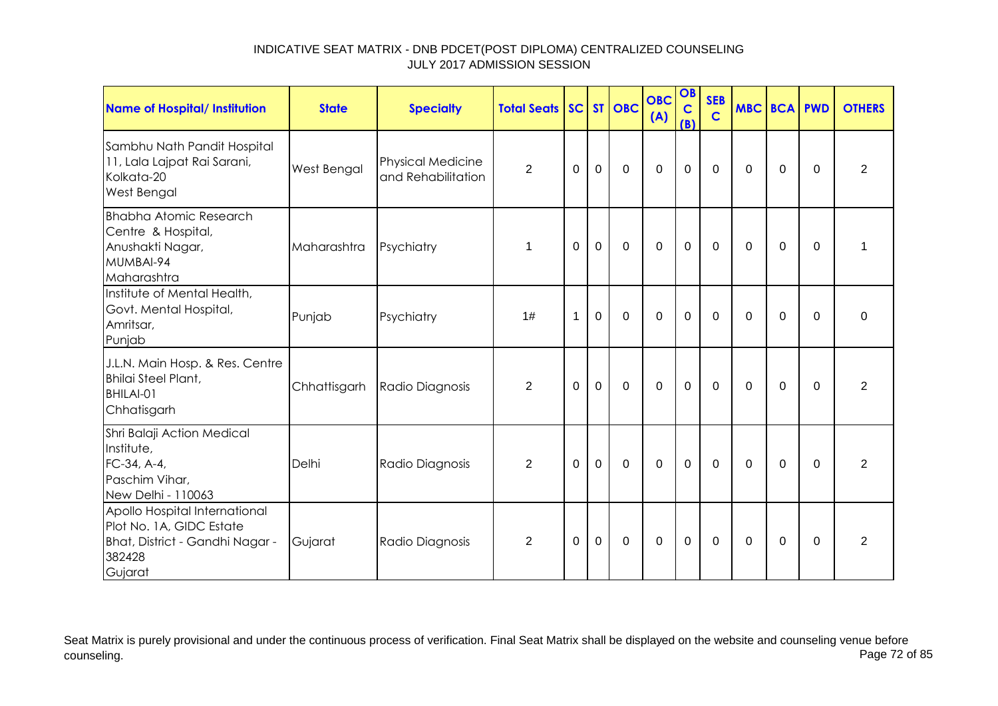| Name of Hospital/ Institution                                                                                     | <b>State</b> | <b>Specialty</b>                               | <b>Total Seats</b> |             |             | SC ST OBC      | <b>OBC</b><br>(A) | OB<br>$\mathbf C$<br>(B) | <b>SEB</b><br>$\mathbf C$ | <b>MBC</b>  | <b>BCA PWD</b> |          | <b>OTHERS</b> |
|-------------------------------------------------------------------------------------------------------------------|--------------|------------------------------------------------|--------------------|-------------|-------------|----------------|-------------------|--------------------------|---------------------------|-------------|----------------|----------|---------------|
| Sambhu Nath Pandit Hospital<br>11, Lala Lajpat Rai Sarani,<br>Kolkata-20<br>West Bengal                           | West Bengal  | <b>Physical Medicine</b><br>and Rehabilitation | $\overline{2}$     | $\Omega$    | $\mathbf 0$ | 0              | $\mathbf 0$       | $\mathbf 0$              | 0                         | 0           | 0              | $\Omega$ | 2             |
| <b>Bhabha Atomic Research</b><br>Centre & Hospital,<br>Anushakti Nagar,<br>MUMBAI-94<br>Maharashtra               | Maharashtra  | Psychiatry                                     | 1                  | 0           | $\mathbf 0$ | $\mathbf 0$    | $\mathbf 0$       | $\mathbf 0$              | $\mathbf 0$               | 0           | $\mathbf 0$    | $\Omega$ | -1            |
| Institute of Mental Health,<br>Govt. Mental Hospital,<br>Amritsar,<br>Punjab                                      | Punjab       | Psychiatry                                     | 1#                 | $\mathbf 1$ | $\mathbf 0$ | $\overline{0}$ | $\mathbf 0$       | $\mathbf 0$              | $\mathbf 0$               | $\mathbf 0$ | $\mathbf 0$    | $\Omega$ | $\mathbf 0$   |
| J.L.N. Main Hosp. & Res. Centre<br><b>Bhilai Steel Plant,</b><br>BHILAI-01<br>Chhatisgarh                         | Chhattisgarh | Radio Diagnosis                                | 2                  | $\Omega$    | $\mathbf 0$ | $\mathbf 0$    | $\mathbf 0$       | $\overline{0}$           | $\mathbf{0}$              | $\Omega$    | $\Omega$       | $\Omega$ | 2             |
| Shri Balaji Action Medical<br>Institute,<br>FC-34, A-4,<br>Paschim Vihar,<br>New Delhi - 110063                   | Delhi        | Radio Diagnosis                                | $\overline{2}$     | 0           | $\mathbf 0$ | $\mathbf 0$    | $\mathbf{0}$      | $\mathbf 0$              | $\mathbf 0$               | $\mathbf 0$ | $\mathbf 0$    | $\Omega$ | 2             |
| Apollo Hospital International<br>Plot No. 1A, GIDC Estate<br>Bhat, District - Gandhi Nagar -<br>382428<br>Gujarat | Gujarat      | Radio Diagnosis                                | 2                  | $\Omega$    | $\Omega$    | $\mathbf 0$    | $\mathbf 0$       | $\mathbf 0$              | $\mathbf 0$               | $\Omega$    | $\mathbf 0$    | $\Omega$ | 2             |

Seat Matrix is purely provisional and under the continuous process of verification. Final Seat Matrix shall be displayed on the website and counseling venue before<br>Page 72 of 85 counseling. Page 72 of 85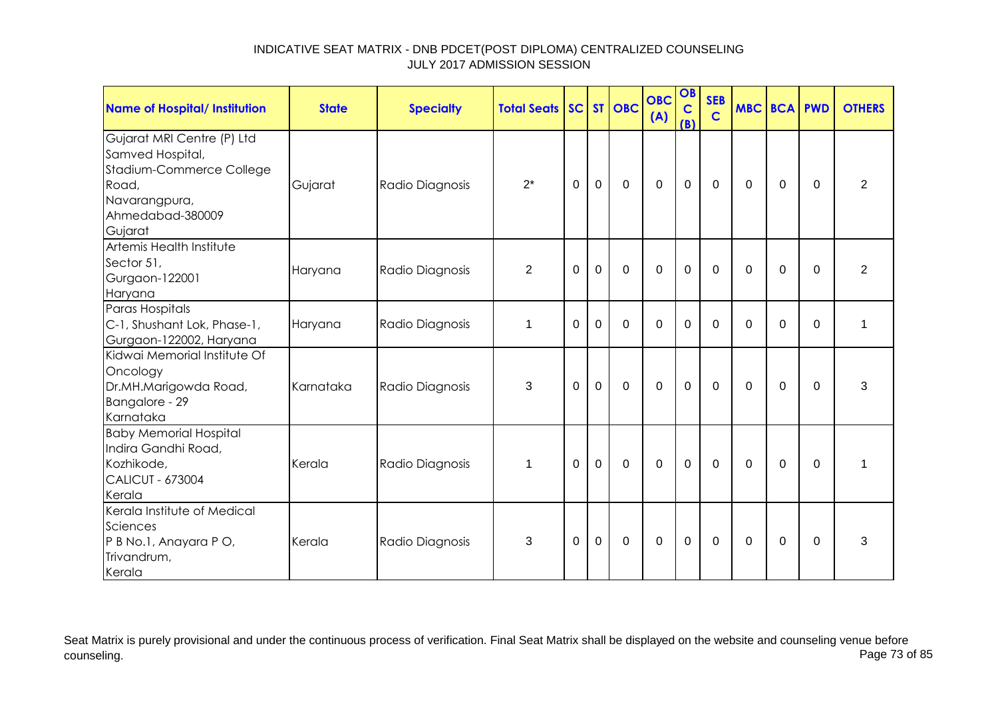| <b>Name of Hospital/ Institution</b>                                                                                                | <b>State</b> | <b>Specialty</b> | <b>Total Seats SC ST OBC</b> |             |             |                | <b>OBC</b><br>(A) | OB<br>$\mathbf c$<br>(B) | <b>SEB</b><br>$\mathbf C$ | <b>MBC BCA PWD</b> |             |             | <b>OTHERS</b>  |
|-------------------------------------------------------------------------------------------------------------------------------------|--------------|------------------|------------------------------|-------------|-------------|----------------|-------------------|--------------------------|---------------------------|--------------------|-------------|-------------|----------------|
| Gujarat MRI Centre (P) Ltd<br>Samved Hospital,<br>Stadium-Commerce College<br>Road,<br>Navarangpura,<br>Ahmedabad-380009<br>Gujarat | Gujarat      | Radio Diagnosis  | $2^*$                        | $\mathbf 0$ | $\mathbf 0$ | $\overline{0}$ | $\overline{0}$    | $\mathbf 0$              | $\mathbf 0$               | 0                  | $\mathbf 0$ | $\mathbf 0$ | $\overline{2}$ |
| Artemis Health Institute<br>Sector 51,<br>Gurgaon-122001<br>Haryana                                                                 | Haryana      | Radio Diagnosis  | $\overline{2}$               | $\Omega$    | $\mathbf 0$ | $\mathbf 0$    | $\overline{0}$    | $\mathbf 0$              | $\mathbf 0$               | $\Omega$           | $\Omega$    | $\Omega$    | $\overline{2}$ |
| Paras Hospitals<br>C-1, Shushant Lok, Phase-1,<br>Gurgaon-122002, Haryana                                                           | Haryana      | Radio Diagnosis  | $\mathbf 1$                  | $\Omega$    | $\Omega$    | $\mathbf 0$    | $\overline{0}$    | $\mathbf 0$              | $\Omega$                  | $\Omega$           | $\Omega$    | $\Omega$    | 1              |
| Kidwai Memorial Institute Of<br>Oncology<br>Dr.MH.Marigowda Road,<br>Bangalore - 29<br>Karnataka                                    | Karnataka    | Radio Diagnosis  | 3                            | $\Omega$    | $\mathbf 0$ | $\mathbf 0$    | $\Omega$          | $\mathbf 0$              | $\mathbf 0$               | $\mathbf 0$        | $\mathbf 0$ | $\Omega$    | 3              |
| <b>Baby Memorial Hospital</b><br>Indira Gandhi Road,<br>Kozhikode,<br><b>CALICUT - 673004</b><br>Kerala                             | Kerala       | Radio Diagnosis  | $\mathbf 1$                  | $\Omega$    | $\mathbf 0$ | $\mathbf 0$    | $\overline{0}$    | $\mathbf 0$              | $\mathbf 0$               | $\Omega$           | 0           | $\Omega$    | 1              |
| Kerala Institute of Medical<br>Sciences<br>P B No.1, Anayara P O,<br>Trivandrum,<br>Kerala                                          | Kerala       | Radio Diagnosis  | 3                            | $\Omega$    | $\Omega$    | $\Omega$       | $\Omega$          | $\mathbf 0$              | $\mathbf{0}$              | $\Omega$           | $\Omega$    | $\Omega$    | 3              |

Seat Matrix is purely provisional and under the continuous process of verification. Final Seat Matrix shall be displayed on the website and counseling venue before<br>Page 73 of 85 counseling. Page 73 of 85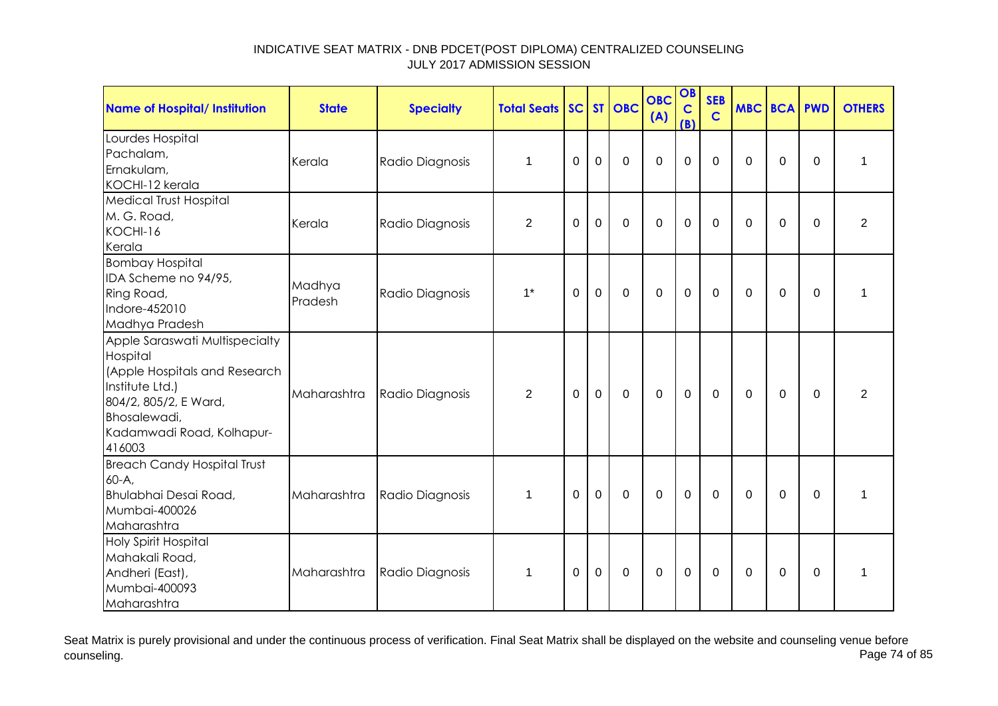| Name of Hospital/ Institution                                                                                                                                                  | <b>State</b>      | <b>Specialty</b> | <b>Total Seats</b> |          |             | SC ST OBC   | <b>OBC</b><br>(A) | OB<br>$\mathbf C$<br>(B) | <b>SEB</b><br>$\mathbf C$ | <b>MBC BCA PWD</b> |             |          | <b>OTHERS</b>  |
|--------------------------------------------------------------------------------------------------------------------------------------------------------------------------------|-------------------|------------------|--------------------|----------|-------------|-------------|-------------------|--------------------------|---------------------------|--------------------|-------------|----------|----------------|
| Lourdes Hospital<br>Pachalam,<br>Ernakulam,<br>KOCHI-12 kerala                                                                                                                 | Kerala            | Radio Diagnosis  | 1                  | 0        | $\mathbf 0$ | $\mathbf 0$ | $\mathbf 0$       | $\mathbf 0$              | $\Omega$                  | $\Omega$           | 0           | 0        | 1              |
| <b>Medical Trust Hospital</b><br>M. G. Road,<br>KOCHI-16<br>Kerala                                                                                                             | Kerala            | Radio Diagnosis  | $\overline{2}$     | $\Omega$ | $\mathbf 0$ | $\mathbf 0$ | $\mathbf 0$       | $\mathbf 0$              | $\Omega$                  | $\Omega$           | $\Omega$    | $\Omega$ | $\overline{2}$ |
| <b>Bombay Hospital</b><br>IDA Scheme no 94/95,<br>Ring Road,<br>Indore-452010<br>Madhya Pradesh                                                                                | Madhya<br>Pradesh | Radio Diagnosis  | $1^*$              | 0        | $\mathbf 0$ | $\mathbf 0$ | $\mathbf 0$       | $\mathbf 0$              | 0                         | 0                  | $\mathbf 0$ | 0        | 1              |
| Apple Saraswati Multispecialty<br>Hospital<br>(Apple Hospitals and Research<br>Institute Ltd.)<br>804/2, 805/2, E Ward,<br>Bhosalewadi,<br>Kadamwadi Road, Kolhapur-<br>416003 | Maharashtra       | Radio Diagnosis  | $\overline{2}$     | $\Omega$ | $\mathbf 0$ | $\mathbf 0$ | $\mathbf 0$       | $\mathbf 0$              | 0                         | 0                  | 0           | $\Omega$ | $\overline{2}$ |
| <b>Breach Candy Hospital Trust</b><br>$60-A$<br>Bhulabhai Desai Road,<br>Mumbai-400026<br>Maharashtra                                                                          | Maharashtra       | Radio Diagnosis  | $\mathbf 1$        | $\Omega$ | $\mathbf 0$ | $\mathbf 0$ | $\mathbf 0$       | $\mathbf 0$              | $\mathbf{0}$              | $\Omega$           | $\mathbf 0$ | $\Omega$ | 1              |
| <b>Holy Spirit Hospital</b><br>Mahakali Road,<br>Andheri (East),<br>Mumbai-400093<br>Maharashtra                                                                               | Maharashtra       | Radio Diagnosis  | 1                  | 0        | 0           | 0           | $\mathbf 0$       | $\mathbf 0$              | 0                         | 0                  | 0           | 0        | 1              |

Seat Matrix is purely provisional and under the continuous process of verification. Final Seat Matrix shall be displayed on the website and counseling venue before<br>Page 74 of 85 counseling. Page 74 of 85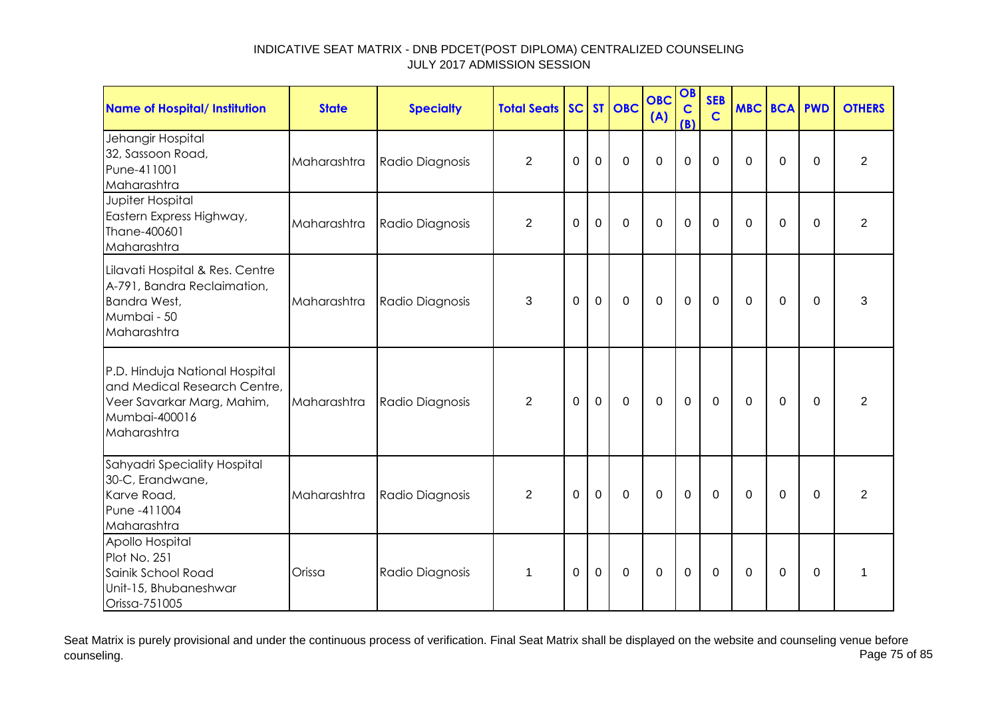| <b>Name of Hospital/ Institution</b>                                                                                         | <b>State</b> | <b>Specialty</b> | <b>Total Seats</b> |          |                | SC ST OBC   | <b>OBC</b><br>(A) | OB<br>$\mathbf C$<br>(B) | <b>SEB</b><br>$\mathbf C$ | <b>MBC BCA PWD</b> |             |             | <b>OTHERS</b>  |
|------------------------------------------------------------------------------------------------------------------------------|--------------|------------------|--------------------|----------|----------------|-------------|-------------------|--------------------------|---------------------------|--------------------|-------------|-------------|----------------|
| Jehangir Hospital<br>32, Sassoon Road,<br>Pune-411001<br>Maharashtra                                                         | Maharashtra  | Radio Diagnosis  | $\overline{2}$     | 0        | $\mathbf 0$    | $\mathbf 0$ | $\overline{0}$    | $\overline{0}$           | $\Omega$                  | $\Omega$           | 0           | $\mathbf 0$ | $\overline{2}$ |
| Jupiter Hospital<br>Eastern Express Highway,<br>Thane-400601<br>Maharashtra                                                  | Maharashtra  | Radio Diagnosis  | $\overline{2}$     | 0        | $\mathbf 0$    | $\mathbf 0$ | $\mathbf 0$       | $\mathbf 0$              | $\mathbf 0$               | 0                  | 0           | $\Omega$    | $\overline{2}$ |
| Lilavati Hospital & Res. Centre<br>A-791, Bandra Reclaimation,<br>Bandra West,<br>Mumbai - 50<br>Maharashtra                 | Maharashtra  | Radio Diagnosis  | 3                  | $\Omega$ | $\mathbf 0$    | $\mathbf 0$ | $\overline{0}$    | $\mathbf 0$              | $\mathbf 0$               | $\Omega$           | 0           | $\Omega$    | 3              |
| P.D. Hinduja National Hospital<br>and Medical Research Centre,<br>Veer Savarkar Marg, Mahim,<br>Mumbai-400016<br>Maharashtra | Maharashtra  | Radio Diagnosis  | $\overline{2}$     | $\Omega$ | $\mathbf 0$    | $\mathbf 0$ | $\mathbf 0$       | $\mathbf 0$              | $\mathbf 0$               | $\mathbf 0$        | $\mathbf 0$ | $\mathbf 0$ | $\overline{2}$ |
| Sahyadri Speciality Hospital<br>30-C, Erandwane,<br>Karve Road,<br>Pune -411004<br>Maharashtra                               | Maharashtra  | Radio Diagnosis  | $\overline{2}$     | $\Omega$ | $\mathbf 0$    | $\mathbf 0$ | $\overline{0}$    | $\mathbf 0$              | $\mathbf 0$               | $\Omega$           | $\mathbf 0$ | $\Omega$    | $\overline{2}$ |
| Apollo Hospital<br>Plot No. 251<br>Sainik School Road<br>Unit-15, Bhubaneshwar<br>Orissa-751005                              | Orissa       | Radio Diagnosis  | 1                  | $\Omega$ | $\overline{0}$ | $\mathbf 0$ | $\overline{0}$    | $\mathbf 0$              | $\mathbf 0$               | $\Omega$           | $\mathbf 0$ | $\mathbf 0$ | 1              |

Seat Matrix is purely provisional and under the continuous process of verification. Final Seat Matrix shall be displayed on the website and counseling venue before<br>Page 75 of 85 counseling. Page 75 of 85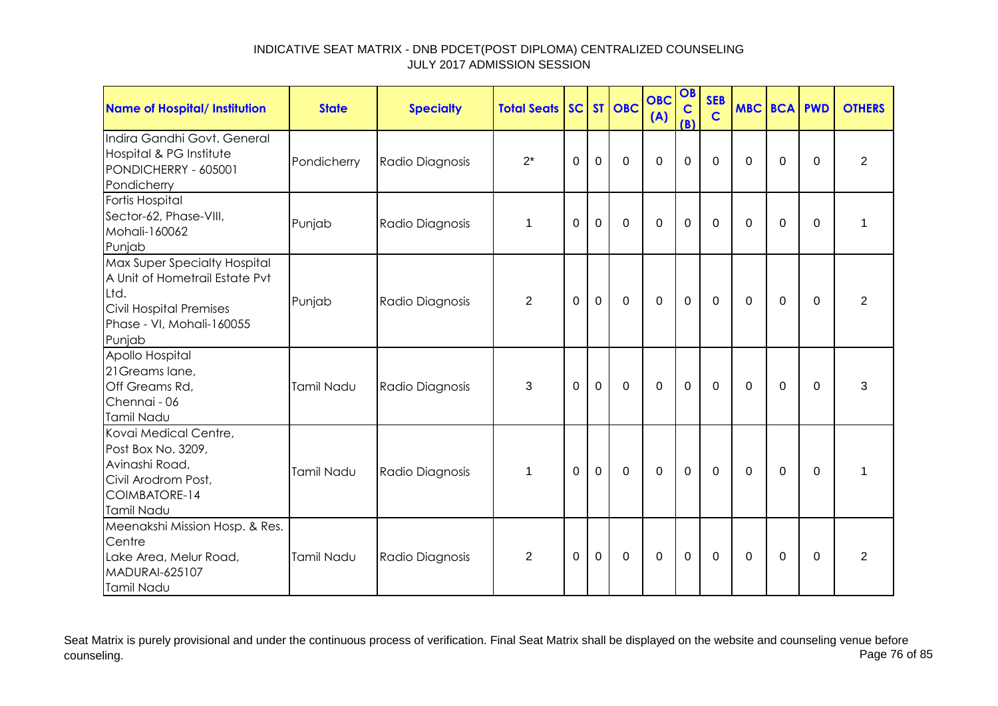| <b>Name of Hospital/ Institution</b>                                                                                                            | <b>State</b> | <b>Specialty</b> | <b>Total Seats</b> |          |                | SC ST OBC   | <b>OBC</b><br>(A) | OB<br>$\mathbf C$<br>(B) | <b>SEB</b><br>$\mathbf C$ | <b>MBC BCA PWD</b> |          |          | <b>OTHERS</b>  |
|-------------------------------------------------------------------------------------------------------------------------------------------------|--------------|------------------|--------------------|----------|----------------|-------------|-------------------|--------------------------|---------------------------|--------------------|----------|----------|----------------|
| Indira Gandhi Govt. General<br>Hospital & PG Institute<br>PONDICHERRY - 605001<br>Pondicherry                                                   | Pondicherry  | Radio Diagnosis  | $2^*$              | 0        | $\mathbf 0$    | $\Omega$    | $\Omega$          | 0                        | $\Omega$                  | $\Omega$           | $\Omega$ | 0        | $\overline{2}$ |
| Fortis Hospital<br>Sector-62, Phase-VIII,<br>Mohali-160062<br>Punjab                                                                            | Punjab       | Radio Diagnosis  | $\mathbf 1$        | 0        | $\mathbf 0$    | $\mathbf 0$ | $\mathbf 0$       | $\mathbf 0$              | $\Omega$                  | $\Omega$           | 0        | 0        | 1              |
| Max Super Specialty Hospital<br>A Unit of Hometrail Estate Pvt<br>Ltd.<br><b>Civil Hospital Premises</b><br>Phase - VI, Mohali-160055<br>Punjab | Punjab       | Radio Diagnosis  | $\overline{2}$     | $\Omega$ | $\mathbf 0$    | $\mathbf 0$ | $\mathbf 0$       | $\mathbf 0$              | $\mathbf 0$               | $\Omega$           | $\Omega$ | $\Omega$ | $\overline{2}$ |
| Apollo Hospital<br>21 Greams lane,<br>Off Greams Rd,<br>Chennai - 06<br>Tamil Nadu                                                              | Tamil Nadu   | Radio Diagnosis  | 3                  | $\Omega$ | $\overline{0}$ | $\mathbf 0$ | $\mathbf 0$       | $\mathbf 0$              | $\Omega$                  | $\Omega$           | $\Omega$ | $\Omega$ | 3              |
| Kovai Medical Centre,<br>Post Box No. 3209,<br>Avinashi Road,<br>Civil Arodrom Post,<br>COIMBATORE-14<br>Tamil Nadu                             | Tamil Nadu   | Radio Diagnosis  | $\mathbf 1$        | $\Omega$ | $\mathbf 0$    | $\mathbf 0$ | $\mathbf 0$       | $\mathbf 0$              | $\mathbf 0$               | $\Omega$           | $\Omega$ | $\Omega$ | 1              |
| Meenakshi Mission Hosp. & Res.<br>Centre<br>Lake Area, Melur Road,<br><b>MADURAI-625107</b><br>Tamil Nadu                                       | Tamil Nadu   | Radio Diagnosis  | 2                  | $\Omega$ | $\mathbf 0$    | 0           | 0                 | $\mathbf 0$              | 0                         | $\Omega$           | 0        | 0        | $\overline{2}$ |

Seat Matrix is purely provisional and under the continuous process of verification. Final Seat Matrix shall be displayed on the website and counseling venue before<br>Page 76 of 85 counseling. Page 76 of 85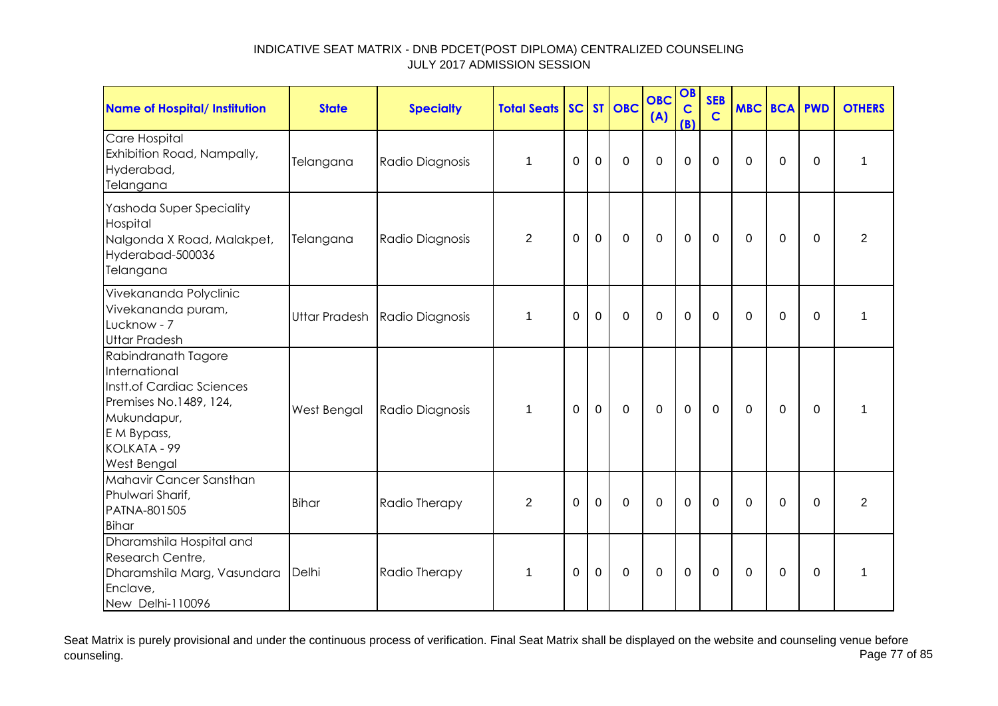| <b>Name of Hospital/ Institution</b>                                                                                                                            | <b>State</b> | <b>Specialty</b>              | <b>Total Seats</b> | SC <sub>1</sub> |             | ST OBC         | <b>OBC</b><br>(A) | OB<br>$\mathbf C$<br>(B) | <b>SEB</b><br>$\mathbf C$ |             | <b>MBC BCA PWD</b> |             | <b>OTHERS</b>  |
|-----------------------------------------------------------------------------------------------------------------------------------------------------------------|--------------|-------------------------------|--------------------|-----------------|-------------|----------------|-------------------|--------------------------|---------------------------|-------------|--------------------|-------------|----------------|
| Care Hospital<br>Exhibition Road, Nampally,<br>Hyderabad,<br>Telangana                                                                                          | Telangana    | Radio Diagnosis               | $\mathbf 1$        | $\Omega$        | $\mathbf 0$ | $\overline{0}$ | $\overline{0}$    | $\mathbf 0$              | $\Omega$                  | $\Omega$    | 0                  | $\Omega$    | 1              |
| Yashoda Super Speciality<br>Hospital<br>Nalgonda X Road, Malakpet,<br>Hyderabad-500036<br>Telangana                                                             | Telangana    | Radio Diagnosis               | $\overline{2}$     | $\Omega$        | $\mathbf 0$ | $\mathbf 0$    | $\mathbf 0$       | $\mathbf 0$              | $\mathbf{0}$              | 0           | 0                  | $\Omega$    | $\overline{2}$ |
| Vivekananda Polyclinic<br>Vivekananda puram,<br>Lucknow - 7<br><b>Uttar Pradesh</b>                                                                             |              | Uttar Pradesh Radio Diagnosis | $\mathbf 1$        | $\Omega$        | $\mathbf 0$ | $\overline{0}$ | $\overline{0}$    | $\mathbf 0$              | $\Omega$                  | $\Omega$    | $\Omega$           | $\mathbf 0$ | $\mathbf{1}$   |
| Rabindranath Tagore<br>International<br>Instt.of Cardiac Sciences<br>Premises No.1489, 124,<br>Mukundapur,<br>E M Bypass,<br>KOLKATA - 99<br><b>West Bengal</b> | West Bengal  | Radio Diagnosis               | $\mathbf 1$        | $\Omega$        | $\mathbf 0$ | $\mathbf 0$    | $\mathbf 0$       | $\mathbf 0$              | $\mathbf 0$               | $\mathbf 0$ | 0                  | $\mathbf 0$ | $\mathbf{1}$   |
| Mahavir Cancer Sansthan<br>Phulwari Sharif,<br>PATNA-801505<br><b>Bihar</b>                                                                                     | Bihar        | Radio Therapy                 | $\overline{2}$     | $\Omega$        | $\Omega$    | $\overline{0}$ | $\Omega$          | $\mathbf 0$              | $\Omega$                  | $\Omega$    | 0                  | $\Omega$    | $\overline{2}$ |
| Dharamshila Hospital and<br>Research Centre,<br>Dharamshila Marg, Vasundara<br>Enclave,<br>New Delhi-110096                                                     | Delhi        | Radio Therapy                 | 1                  | 0               | $\mathbf 0$ | $\mathbf 0$    | $\mathbf 0$       | $\mathbf 0$              | 0                         | 0           | 0                  | $\mathbf 0$ | 1              |

Seat Matrix is purely provisional and under the continuous process of verification. Final Seat Matrix shall be displayed on the website and counseling venue before<br>Page 77 of 85 counseling. Page 77 of 85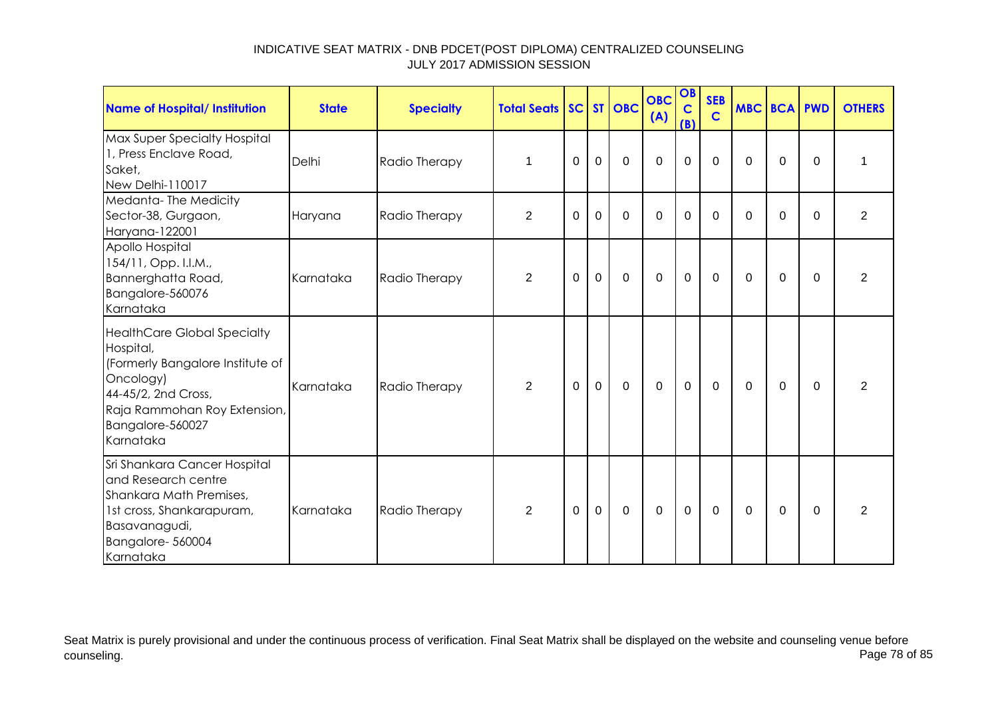| Name of Hospital/ Institution                                                                                                                                                            | <b>State</b> | <b>Specialty</b> | <b>Total Seats   SC   ST   OBC</b> |             |              |             | <b>OBC</b><br>(A) | OB<br>$\mathbf C$<br>(B) | <b>SEB</b><br>$\mathbf C$ | <b>MBC BCA PWD</b> |             |          | <b>OTHERS</b>  |
|------------------------------------------------------------------------------------------------------------------------------------------------------------------------------------------|--------------|------------------|------------------------------------|-------------|--------------|-------------|-------------------|--------------------------|---------------------------|--------------------|-------------|----------|----------------|
| Max Super Specialty Hospital<br>1, Press Enclave Road,<br>Saket,<br>New Delhi-110017                                                                                                     | Delhi        | Radio Therapy    | $\mathbf{1}$                       | $\mathbf 0$ | $\mathbf 0$  | $\mathbf 0$ | $\mathbf 0$       | $\pmb{0}$                | $\mathbf 0$               | 0                  | $\mathbf 0$ | $\Omega$ | 1              |
| Medanta-The Medicity<br>Sector-38, Gurgaon,<br>Haryana-122001                                                                                                                            | Haryana      | Radio Therapy    | $\overline{2}$                     | 0           | $\mathbf 0$  | $\Omega$    | $\mathbf 0$       | $\mathbf 0$              | $\Omega$                  | 0                  | 0           | $\Omega$ | $\overline{2}$ |
| Apollo Hospital<br>154/11, Opp. I.I.M.,<br>Bannerghatta Road,<br>Bangalore-560076<br>Karnataka                                                                                           | Karnataka    | Radio Therapy    | $\overline{2}$                     | $\Omega$    | $\mathbf 0$  | $\Omega$    | $\mathbf 0$       | $\mathbf 0$              | $\Omega$                  | $\Omega$           | $\Omega$    | $\Omega$ | 2              |
| <b>HealthCare Global Specialty</b><br>Hospital,<br>(Formerly Bangalore Institute of<br>Oncology)<br>44-45/2, 2nd Cross,<br>Raja Rammohan Roy Extension,<br>Bangalore-560027<br>Karnataka | Karnataka    | Radio Therapy    | $\overline{2}$                     | $\Omega$    | $\mathbf{0}$ | $\mathbf 0$ | $\mathbf 0$       | $\mathbf 0$              | $\mathbf 0$               | $\Omega$           | $\mathbf 0$ | $\Omega$ | $\overline{2}$ |
| Sri Shankara Cancer Hospital<br>and Research centre<br>Shankara Math Premises,<br>1st cross, Shankarapuram,<br>Basavanagudi,<br>Bangalore-560004<br>Karnataka                            | Karnataka    | Radio Therapy    | $\overline{2}$                     | $\Omega$    | $\mathbf 0$  | $\mathbf 0$ | $\mathbf 0$       | $\mathbf 0$              | $\Omega$                  | $\Omega$           | $\Omega$    | $\Omega$ | 2              |

Seat Matrix is purely provisional and under the continuous process of verification. Final Seat Matrix shall be displayed on the website and counseling venue before<br>Page 78 of 85 counseling. Page 78 of 85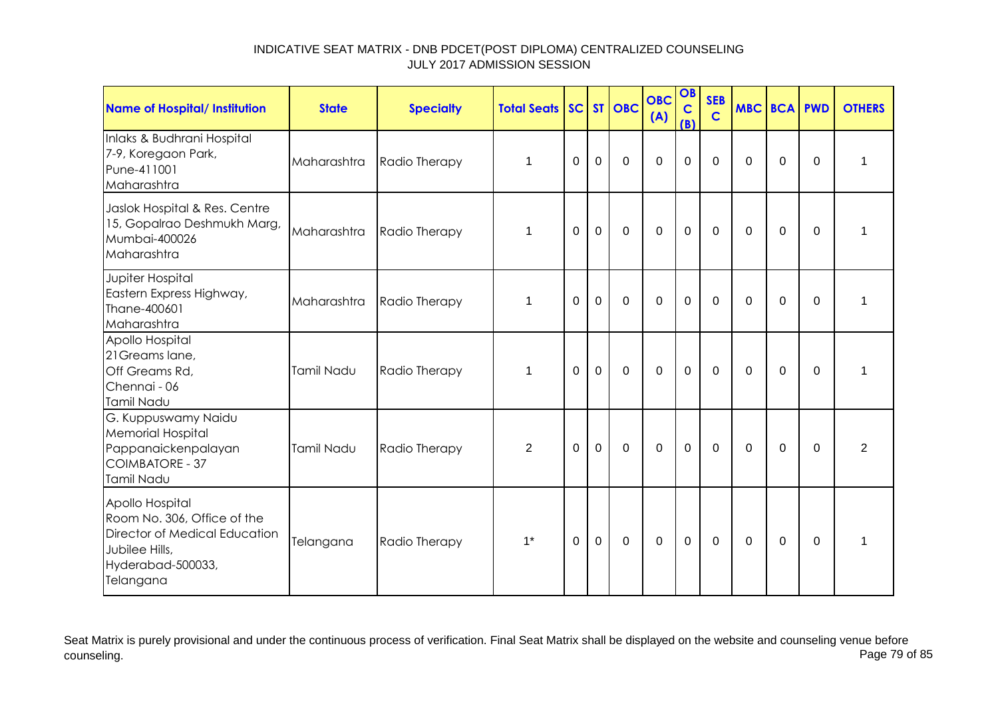| Name of Hospital/ Institution                                                                                                              | <b>State</b> | <b>Specialty</b> | <b>Total Seats</b> |          |                | SC ST OBC   | <b>OBC</b><br>(A) | OB<br>$\mathbf C$<br>(B) | <b>SEB</b><br>$\mathbf C$ | <b>MBC BCA PWD</b> |             |             | <b>OTHERS</b>  |
|--------------------------------------------------------------------------------------------------------------------------------------------|--------------|------------------|--------------------|----------|----------------|-------------|-------------------|--------------------------|---------------------------|--------------------|-------------|-------------|----------------|
| Inlaks & Budhrani Hospital<br>7-9, Koregaon Park,<br>Pune-411001<br>Maharashtra                                                            | Maharashtra  | Radio Therapy    | 1                  | $\Omega$ | $\overline{0}$ | $\mathbf 0$ | $\overline{0}$    | $\mathbf 0$              | $\overline{0}$            | $\Omega$           | $\mathbf 0$ | $\mathbf 0$ | 1              |
| Jaslok Hospital & Res. Centre<br>15, Gopalrao Deshmukh Marg,<br>Mumbai-400026<br>Maharashtra                                               | Maharashtra  | Radio Therapy    | 1                  | $\Omega$ | $\mathbf 0$    | $\mathbf 0$ | $\mathbf 0$       | $\mathbf 0$              | $\mathbf 0$               | $\Omega$           | $\mathbf 0$ | $\Omega$    | 1              |
| Jupiter Hospital<br>Eastern Express Highway,<br>Thane-400601<br>Maharashtra                                                                | Maharashtra  | Radio Therapy    | 1                  | $\Omega$ | $\mathbf 0$    | $\mathbf 0$ | $\mathbf 0$       | $\mathbf 0$              | $\mathbf 0$               | $\Omega$           | $\Omega$    | $\Omega$    | 1              |
| Apollo Hospital<br>21 Greams lane,<br>Off Greams Rd,<br>Chennai - 06<br>Tamil Nadu                                                         | Tamil Nadu   | Radio Therapy    | $\mathbf 1$        | $\Omega$ | $\mathbf 0$    | $\mathbf 0$ | $\mathbf 0$       | $\mathbf 0$              | $\mathbf 0$               | $\Omega$           | $\mathbf 0$ | $\Omega$    | 1              |
| G. Kuppuswamy Naidu<br><b>Memorial Hospital</b><br>Pappanaickenpalayan<br><b>COIMBATORE - 37</b><br>Tamil Nadu                             | Tamil Nadu   | Radio Therapy    | $\overline{2}$     | 0        | $\mathbf 0$    | $\mathbf 0$ | $\overline{0}$    | $\mathbf 0$              | 0                         | $\Omega$           | $\mathbf 0$ | $\Omega$    | $\overline{2}$ |
| Apollo Hospital<br>Room No. 306, Office of the<br><b>Director of Medical Education</b><br>Jubilee Hills,<br>Hyderabad-500033,<br>Telangana | Telangana    | Radio Therapy    | $1^*$              | $\Omega$ | $\mathbf 0$    | $\mathbf 0$ | $\mathbf 0$       | $\overline{0}$           | $\mathbf 0$               | $\Omega$           | $\mathbf 0$ | $\mathbf 0$ | $\mathbf{1}$   |

Seat Matrix is purely provisional and under the continuous process of verification. Final Seat Matrix shall be displayed on the website and counseling venue before<br>Page 79 of 85 counseling. Page 79 of 85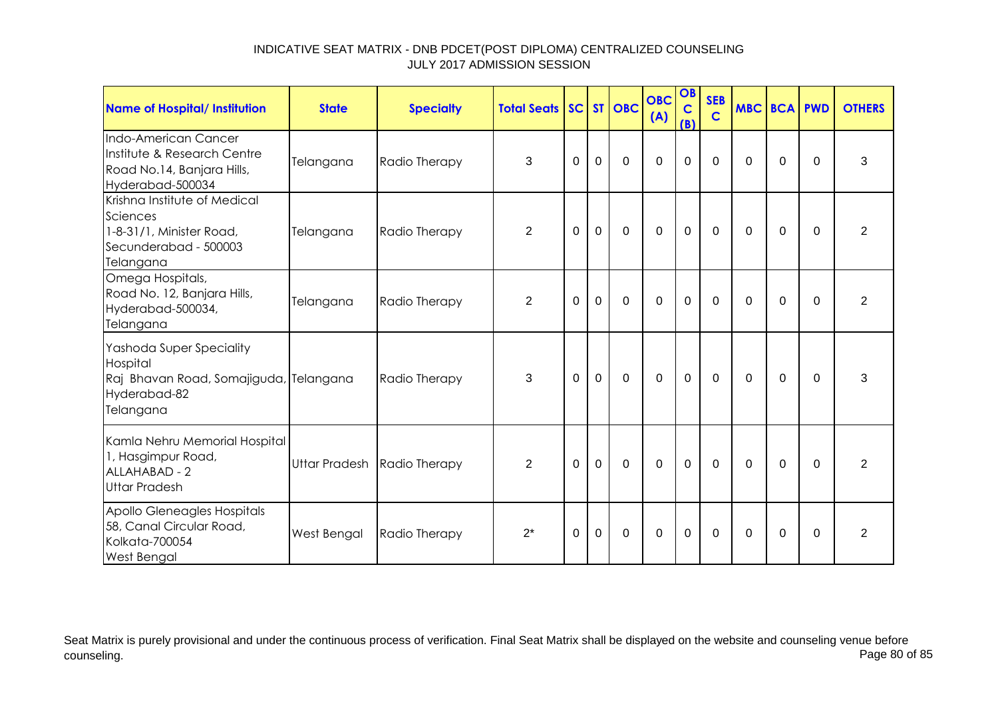| <b>Name of Hospital/ Institution</b>                                                                        | <b>State</b> | <b>Specialty</b>            | <b>Total Seats SC ST OBC</b> |             |             |             | <b>OBC</b><br>(A) | OB<br>$\mathbf C$<br>(B) | <b>SEB</b><br>$\mathbf C$ | <b>MBC BCA PWD</b> |             |          | <b>OTHERS</b>  |
|-------------------------------------------------------------------------------------------------------------|--------------|-----------------------------|------------------------------|-------------|-------------|-------------|-------------------|--------------------------|---------------------------|--------------------|-------------|----------|----------------|
| Indo-American Cancer<br>Institute & Research Centre<br>Road No.14, Banjara Hills,<br>Hyderabad-500034       | Telangana    | Radio Therapy               | 3                            | 0           | $\mathbf 0$ | $\mathbf 0$ | $\mathbf 0$       | $\mathbf 0$              | $\mathbf 0$               | 0                  | $\mathbf 0$ | $\Omega$ | 3              |
| Krishna Institute of Medical<br>Sciences<br>1-8-31/1, Minister Road,<br>Secunderabad - 500003<br>Telangana  | Telangana    | Radio Therapy               | $\overline{2}$               | $\Omega$    | $\mathbf 0$ | $\mathbf 0$ | $\overline{0}$    | $\mathbf 0$              | $\mathbf 0$               | $\Omega$           | $\Omega$    | $\Omega$ | $\overline{2}$ |
| Omega Hospitals,<br>Road No. 12, Banjara Hills,<br>Hyderabad-500034,<br>Telangana                           | Telangana    | Radio Therapy               | $\overline{2}$               | $\mathbf 0$ | $\mathbf 0$ | $\Omega$    | $\overline{0}$    | $\mathbf 0$              | $\Omega$                  | $\mathbf 0$        | $\mathbf 0$ | $\Omega$ | $\overline{2}$ |
| Yashoda Super Speciality<br>Hospital<br>Raj Bhavan Road, Somajiguda, Telangana<br>Hyderabad-82<br>Telangana |              | Radio Therapy               | 3                            | $\mathbf 0$ | $\mathbf 0$ | $\mathbf 0$ | $\mathbf 0$       | $\mathbf 0$              | $\mathbf 0$               | $\mathbf 0$        | $\mathbf 0$ | $\Omega$ | 3              |
| Kamla Nehru Memorial Hospital<br>1, Hasgimpur Road,<br>ALLAHABAD - 2<br><b>Uttar Pradesh</b>                |              | Uttar Pradesh Radio Therapy | 2                            | $\Omega$    | $\Omega$    | $\Omega$    | $\Omega$          | $\mathbf 0$              | $\Omega$                  | $\Omega$           | $\mathbf 0$ | $\Omega$ | $\overline{2}$ |
| Apollo Gleneagles Hospitals<br>58, Canal Circular Road,<br>Kolkata-700054<br><b>West Bengal</b>             | West Bengal  | Radio Therapy               | $2^*$                        | 0           | $\mathbf 0$ | $\mathbf 0$ | $\overline{0}$    | $\mathbf 0$              | $\mathbf 0$               | $\Omega$           | $\mathbf 0$ | $\Omega$ | $\overline{2}$ |

Seat Matrix is purely provisional and under the continuous process of verification. Final Seat Matrix shall be displayed on the website and counseling venue before<br>Page 80 of 85 counseling. Page 80 of 85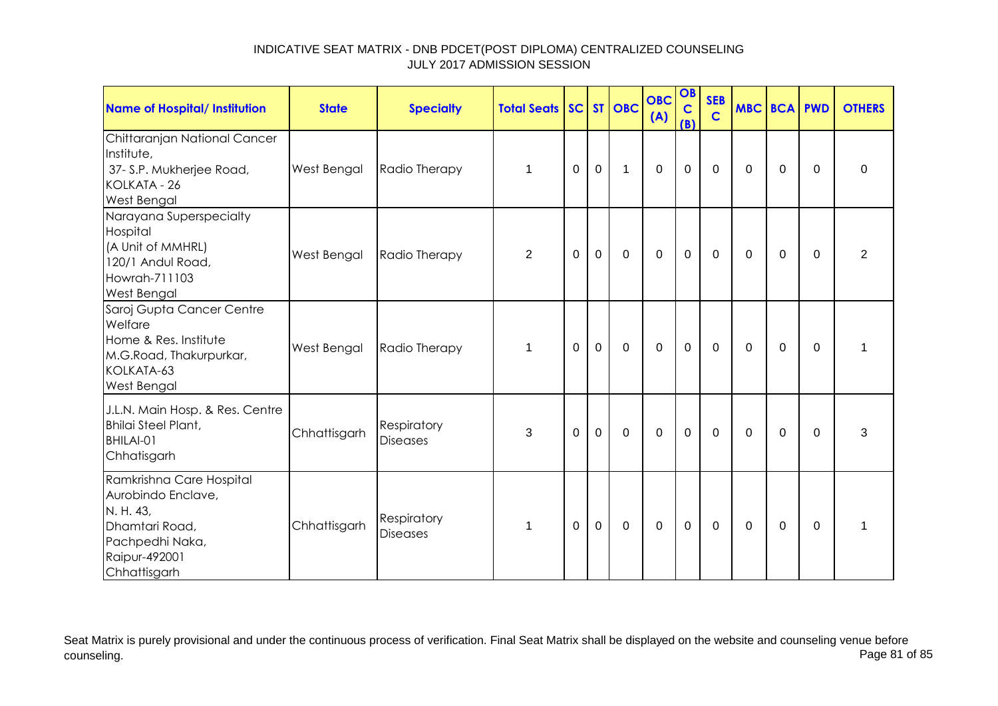| <b>Name of Hospital/ Institution</b>                                                                                              | <b>State</b>       | <b>Specialty</b>               | <b>Total Seats</b> |          |             | SC ST OBC   | <b>OBC</b><br>(A) | OB<br>$\mathbf c$<br>(B) | <b>SEB</b><br>$\mathbf C$ | <b>MBC BCA PWD</b> |          |          | <b>OTHERS</b>  |
|-----------------------------------------------------------------------------------------------------------------------------------|--------------------|--------------------------------|--------------------|----------|-------------|-------------|-------------------|--------------------------|---------------------------|--------------------|----------|----------|----------------|
| Chittaranjan National Cancer<br>Institute,<br>37- S.P. Mukherjee Road,<br>KOLKATA - 26<br><b>West Bengal</b>                      | West Bengal        | Radio Therapy                  | $\mathbf 1$        | $\Omega$ | $\mathbf 0$ | 1           | $\mathbf 0$       | $\mathbf 0$              | $\mathbf{0}$              | $\Omega$           | $\Omega$ | $\Omega$ | $\Omega$       |
| Narayana Superspecialty<br>Hospital<br>(A Unit of MMHRL)<br>120/1 Andul Road,<br>Howrah-711103<br><b>West Bengal</b>              | <b>West Bengal</b> | Radio Therapy                  | 2                  | 0        | $\mathbf 0$ | $\mathbf 0$ | $\mathbf 0$       | $\mathbf 0$              | $\mathbf{0}$              | $\Omega$           | $\Omega$ | $\Omega$ | $\overline{2}$ |
| Saroj Gupta Cancer Centre<br>Welfare<br>Home & Res. Institute<br>M.G.Road, Thakurpurkar,<br>KOLKATA-63<br><b>West Bengal</b>      | West Bengal        | Radio Therapy                  | $\mathbf 1$        | $\Omega$ | $\mathbf 0$ | $\Omega$    | $\mathbf 0$       | $\mathbf 0$              | $\mathbf{0}$              | $\Omega$           | $\Omega$ | $\Omega$ |                |
| J.L.N. Main Hosp. & Res. Centre<br><b>Bhilai Steel Plant,</b><br>BHILAI-01<br>Chhatisgarh                                         | Chhattisgarh       | Respiratory<br><b>Diseases</b> | 3                  | $\Omega$ | $\mathbf 0$ | $\Omega$    | $\Omega$          | $\mathbf 0$              | $\mathbf{0}$              | $\Omega$           | $\Omega$ | $\Omega$ | 3              |
| Ramkrishna Care Hospital<br>Aurobindo Enclave,<br>N. H. 43,<br>Dhamtari Road,<br>Pachpedhi Naka,<br>Raipur-492001<br>Chhattisgarh | Chhattisgarh       | Respiratory<br><b>Diseases</b> | 1                  | $\Omega$ | $\mathbf 0$ | $\mathbf 0$ | $\mathbf 0$       | $\mathbf 0$              | $\mathbf{0}$              | $\Omega$           | $\Omega$ | $\Omega$ | 1              |

Seat Matrix is purely provisional and under the continuous process of verification. Final Seat Matrix shall be displayed on the website and counseling venue before<br>Page 81 of 85 counseling. Page 81 of 85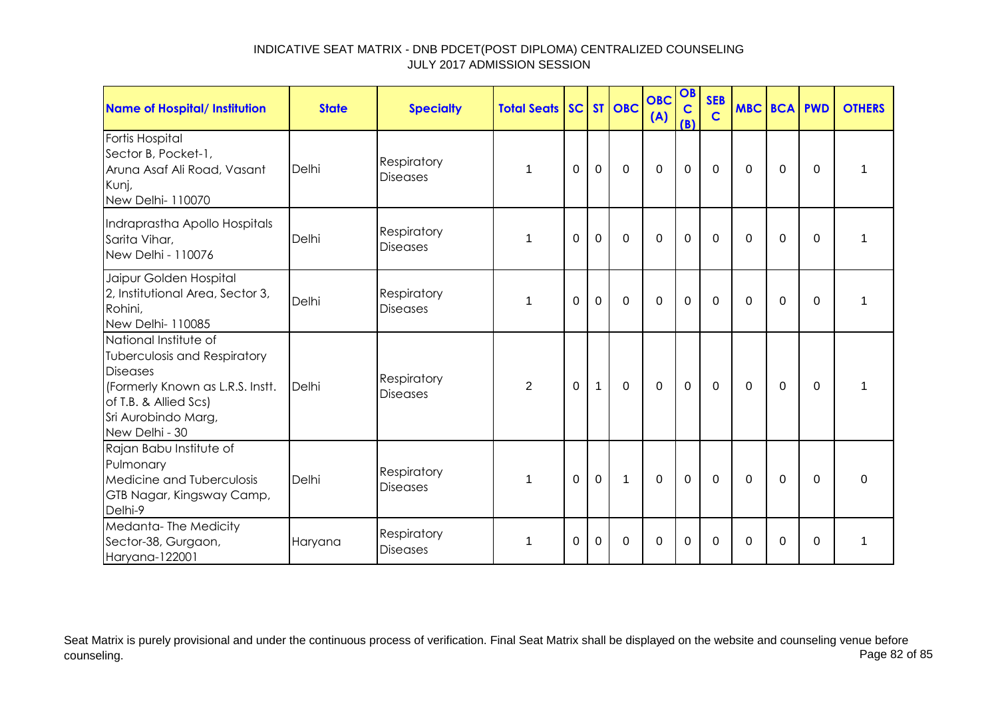| <b>Name of Hospital/ Institution</b>                                                                                                                                           | <b>State</b> | <b>Specialty</b>               | <b>Total Seats</b> |                |              | SC ST OBC   | <b>OBC</b><br>(A) | OB<br>$\mathbf C$<br>(B) | <b>SEB</b><br>$\mathbf C$ | <b>MBC BCA PWD</b> |                |          | <b>OTHERS</b>  |
|--------------------------------------------------------------------------------------------------------------------------------------------------------------------------------|--------------|--------------------------------|--------------------|----------------|--------------|-------------|-------------------|--------------------------|---------------------------|--------------------|----------------|----------|----------------|
| Fortis Hospital<br>Sector B, Pocket-1,<br>Aruna Asaf Ali Road, Vasant<br>Kunj,<br>New Delhi- 110070                                                                            | Delhi        | Respiratory<br><b>Diseases</b> | 1                  | $\Omega$       | $\mathbf 0$  | $\Omega$    | $\mathbf 0$       | $\mathbf 0$              | $\Omega$                  | $\Omega$           | $\Omega$       | $\Omega$ | 1              |
| Indraprastha Apollo Hospitals<br>Sarita Vihar,<br>New Delhi - 110076                                                                                                           | Delhi        | Respiratory<br><b>Diseases</b> | 1                  | $\overline{0}$ | $\mathbf 0$  | $\mathbf 0$ | $\mathbf 0$       | $\mathbf 0$              | $\mathbf 0$               | 0                  | $\mathbf 0$    | $\Omega$ | 1              |
| Jaipur Golden Hospital<br>2, Institutional Area, Sector 3,<br>Rohini,<br>New Delhi-110085                                                                                      | Delhi        | Respiratory<br><b>Diseases</b> | 1                  | 0              | $\Omega$     | $\mathbf 0$ | $\Omega$          | 0                        | $\mathbf{0}$              | 0                  | $\Omega$       | $\Omega$ | 1              |
| National Institute of<br>Tuberculosis and Respiratory<br><b>Diseases</b><br>(Formerly Known as L.R.S. Instt.<br>of T.B. & Allied Scs)<br>Sri Aurobindo Marg,<br>New Delhi - 30 | Delhi        | Respiratory<br><b>Diseases</b> | $\overline{2}$     | $\Omega$       | $\mathbf{1}$ | $\mathbf 0$ | $\overline{0}$    | $\mathbf 0$              | $\mathbf 0$               | $\Omega$           | $\overline{0}$ | $\Omega$ | $\overline{1}$ |
| Rajan Babu Institute of<br>Pulmonary<br>Medicine and Tuberculosis<br>GTB Nagar, Kingsway Camp,<br>Delhi-9                                                                      | Delhi        | Respiratory<br><b>Diseases</b> | 1                  | 0              | $\mathbf 0$  | 1           | $\mathbf 0$       | $\mathbf 0$              | $\mathbf 0$               | 0                  | 0              | $\Omega$ | 0              |
| Medanta-The Medicity<br>Sector-38, Gurgaon,<br>Haryana-122001                                                                                                                  | Haryana      | Respiratory<br><b>Diseases</b> | 1                  | $\Omega$       | $\Omega$     | $\Omega$    | $\Omega$          | 0                        | $\Omega$                  | $\Omega$           | $\Omega$       | $\Omega$ | 1              |

Seat Matrix is purely provisional and under the continuous process of verification. Final Seat Matrix shall be displayed on the website and counseling venue before<br>Page 82 of 85 counseling. Page 82 of 85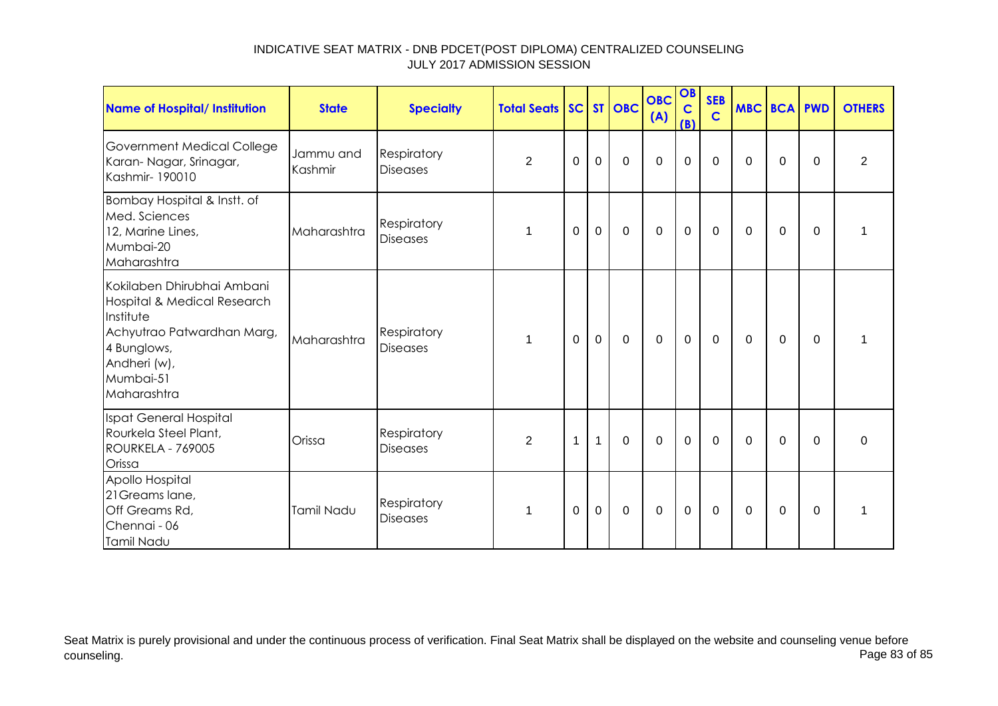| <b>Name of Hospital/ Institution</b>                                                                                                                            | <b>State</b>         | <b>Specialty</b>               | <b>Total Seats SC ST OBC</b> |          |              |             | <b>OBC</b><br>(A) | OB<br>$\mathbf C$<br>(B) | <b>SEB</b><br>$\mathbf C$ | <b>MBC BCA PWD</b> |                |             | <b>OTHERS</b>  |
|-----------------------------------------------------------------------------------------------------------------------------------------------------------------|----------------------|--------------------------------|------------------------------|----------|--------------|-------------|-------------------|--------------------------|---------------------------|--------------------|----------------|-------------|----------------|
| <b>Government Medical College</b><br>Karan-Nagar, Srinagar,<br>Kashmir- 190010                                                                                  | Jammu and<br>Kashmir | Respiratory<br><b>Diseases</b> | 2                            | $\Omega$ | $\mathbf 0$  | $\mathbf 0$ | $\mathbf 0$       | 0                        | $\mathbf 0$               | $\Omega$           | $\Omega$       | $\Omega$    | $\overline{2}$ |
| Bombay Hospital & Instt. of<br>Med. Sciences<br>12, Marine Lines,<br>Mumbai-20<br>Maharashtra                                                                   | Maharashtra          | Respiratory<br><b>Diseases</b> | 1                            | 0        | $\mathbf 0$  | $\mathbf 0$ | $\mathbf 0$       | $\mathbf 0$              | $\mathbf 0$               | 0                  | 0              | 0           |                |
| Kokilaben Dhirubhai Ambani<br>Hospital & Medical Research<br>Institute<br>Achyutrao Patwardhan Marg,<br>4 Bunglows,<br>Andheri (w),<br>Mumbai-51<br>Maharashtra | Maharashtra          | Respiratory<br><b>Diseases</b> | 1                            | $\Omega$ | $\mathbf{0}$ | $\mathbf 0$ | $\mathbf 0$       | $\mathbf 0$              | $\mathbf 0$               | $\Omega$           | $\overline{0}$ | $\mathbf 0$ | 1              |
| Ispat General Hospital<br>Rourkela Steel Plant,<br>ROURKELA - 769005<br>Orissa                                                                                  | Orissa               | Respiratory<br><b>Diseases</b> | $\overline{2}$               | 1        | $\mathbf{1}$ | $\Omega$    | $\Omega$          | 0                        | $\mathbf{0}$              | $\Omega$           | $\Omega$       | $\Omega$    | $\Omega$       |
| Apollo Hospital<br>21 Greams lane,<br>Off Greams Rd,<br>Chennai - 06<br>Tamil Nadu                                                                              | Tamil Nadu           | Respiratory<br><b>Diseases</b> | 1                            | $\Omega$ | $\mathbf 0$  | $\mathbf 0$ | $\mathbf 0$       | $\mathbf 0$              | $\Omega$                  | $\Omega$           | $\Omega$       | $\Omega$    |                |

Seat Matrix is purely provisional and under the continuous process of verification. Final Seat Matrix shall be displayed on the website and counseling venue before<br>Page 83 of 85 counseling. Page 83 of 85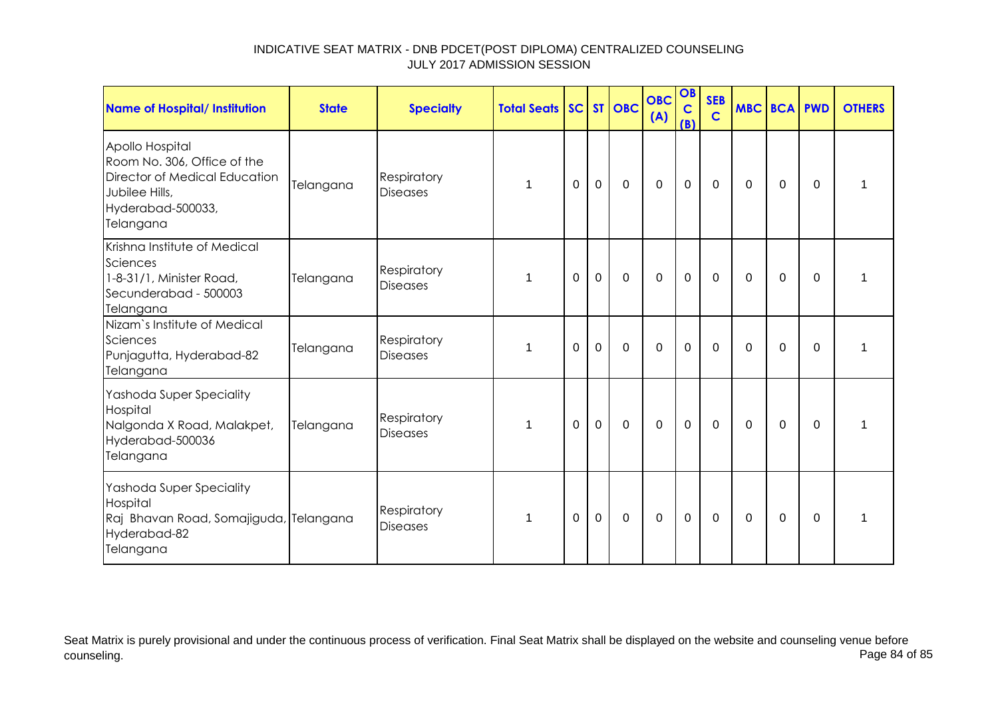| Name of Hospital/ Institution                                                                                                       | <b>State</b> | <b>Specialty</b>               | <b>Total Seats</b> |          |                | SC ST OBC   | <b>OBC</b><br>(A) | OB<br>$\mathbf C$<br>(B) | <b>SEB</b><br>$\mathbf C$ | <b>MBC BCA PWD</b> |             |          | <b>OTHERS</b> |
|-------------------------------------------------------------------------------------------------------------------------------------|--------------|--------------------------------|--------------------|----------|----------------|-------------|-------------------|--------------------------|---------------------------|--------------------|-------------|----------|---------------|
| Apollo Hospital<br>Room No. 306, Office of the<br>Director of Medical Education<br>Jubilee Hills,<br>Hyderabad-500033,<br>Telangana | Telangana    | Respiratory<br><b>Diseases</b> | 1                  | 0        | $\mathbf 0$    | 0           | $\mathbf 0$       | $\mathbf 0$              | $\mathbf 0$               | 0                  | 0           | $\Omega$ | 1             |
| Krishna Institute of Medical<br>Sciences<br>1-8-31/1, Minister Road,<br>Secunderabad - 500003<br>Telangana                          | Telangana    | Respiratory<br><b>Diseases</b> | 1                  | $\Omega$ | $\mathbf 0$    | 0           | $\mathbf 0$       | $\mathbf 0$              | $\Omega$                  | $\Omega$           | $\Omega$    | $\Omega$ | 1             |
| Nizam's Institute of Medical<br>Sciences<br>Punjagutta, Hyderabad-82<br>Telangana                                                   | Telangana    | Respiratory<br><b>Diseases</b> | 1                  | $\Omega$ | $\mathbf 0$    | $\mathbf 0$ | $\mathbf 0$       | $\mathbf 0$              | $\Omega$                  | $\Omega$           | $\mathbf 0$ | $\Omega$ |               |
| Yashoda Super Speciality<br>Hospital<br>Nalgonda X Road, Malakpet,<br>Hyderabad-500036<br>Telangana                                 | Telangana    | Respiratory<br><b>Diseases</b> | 1                  | 0        | $\mathbf 0$    | 0           | $\mathbf 0$       | $\mathbf 0$              | $\mathbf 0$               | 0                  | 0           | $\Omega$ |               |
| Yashoda Super Speciality<br>Hospital<br>Raj Bhavan Road, Somajiguda, Telangana<br>Hyderabad-82<br>Telangana                         |              | Respiratory<br><b>Diseases</b> | 1                  | 0        | $\overline{0}$ | $\pmb{0}$   | $\mathbf 0$       | $\pmb{0}$                | $\mathbf 0$               | 0                  | 0           | 0        |               |

Seat Matrix is purely provisional and under the continuous process of verification. Final Seat Matrix shall be displayed on the website and counseling venue before<br>Page 84 of 85 counseling. Page 84 of 85